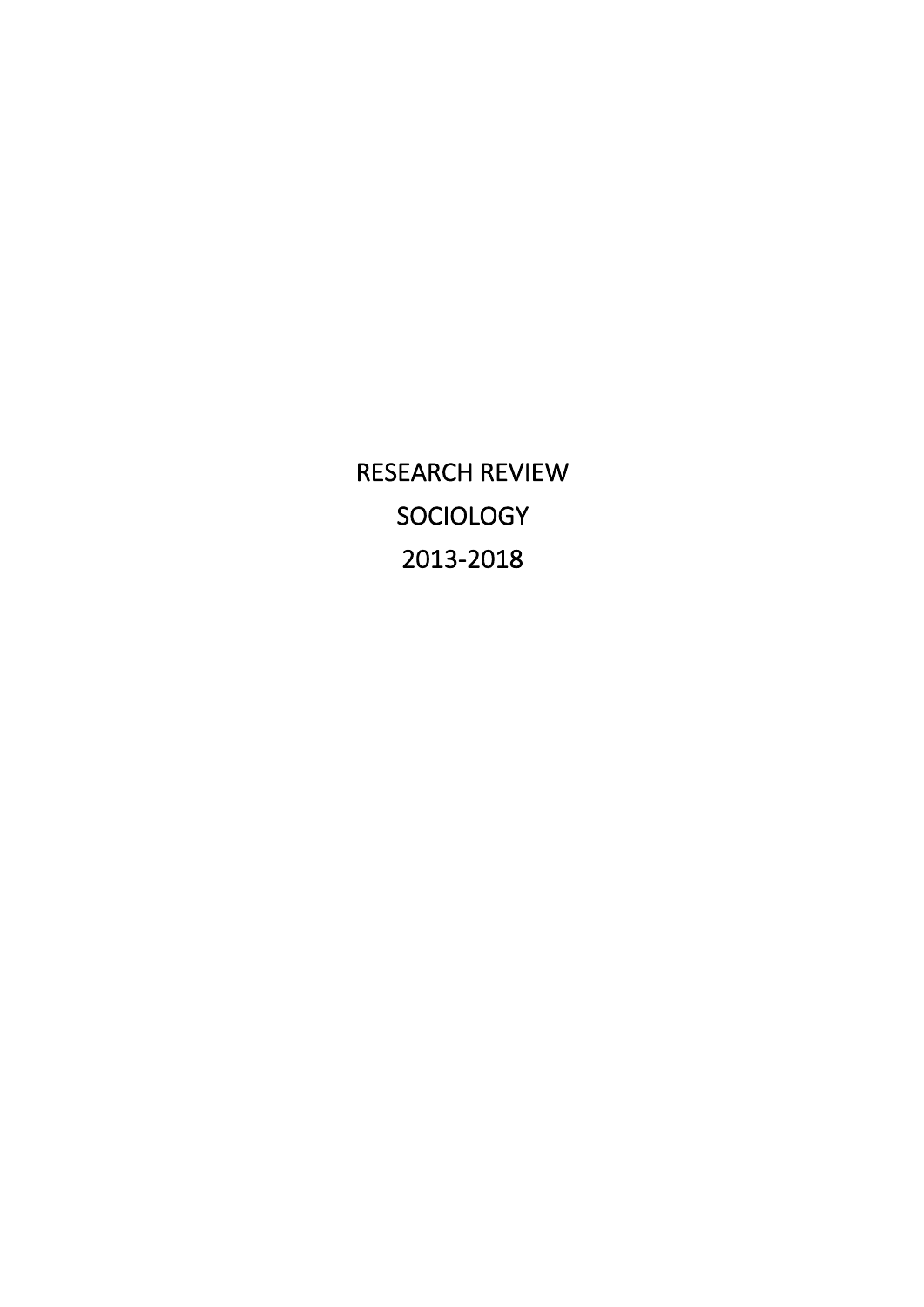RESEARCH REVIEW SOCIOLOGY 2013-2018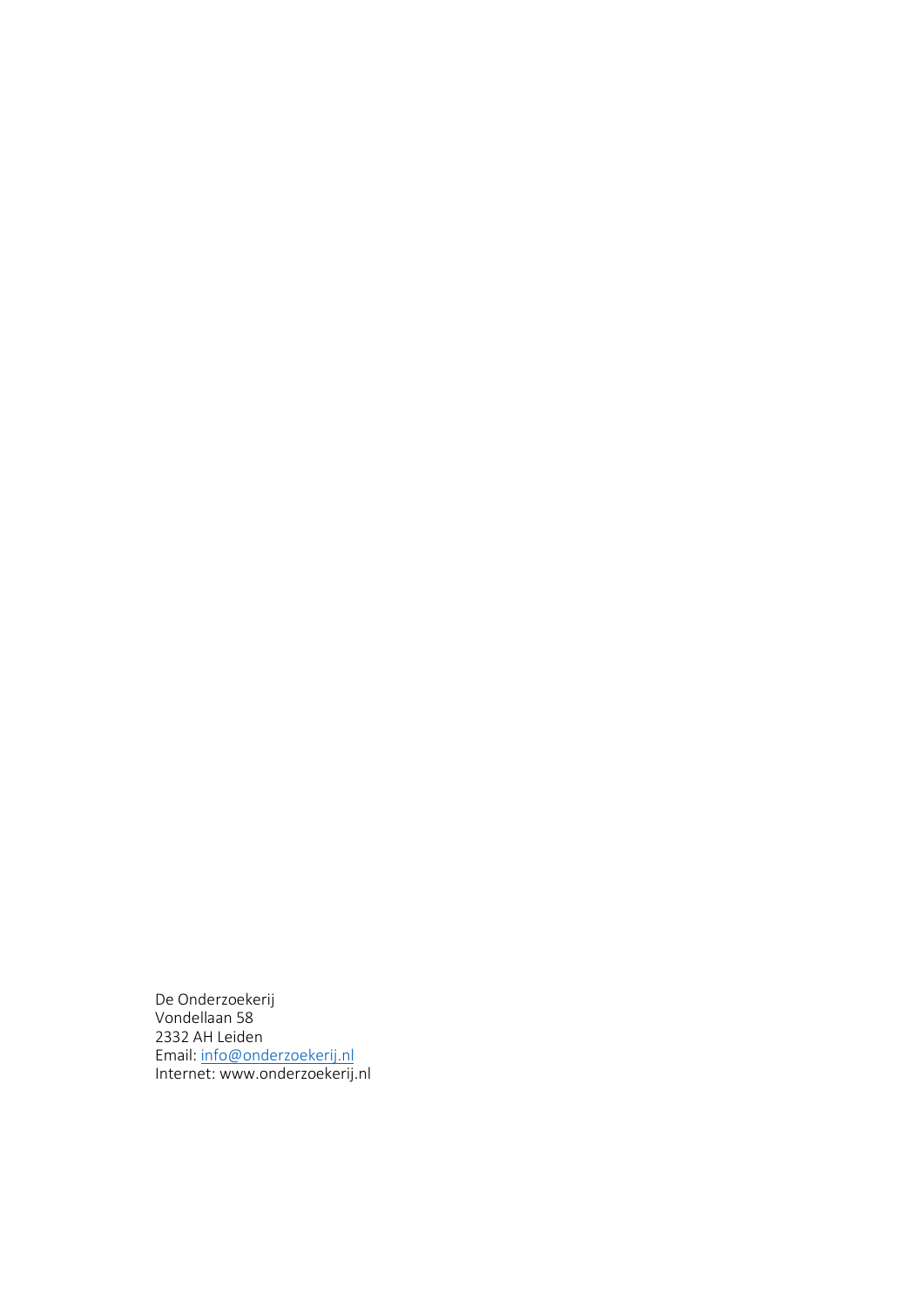De Onderzoekerij Vondellaan 58 2332 AH Leiden Email: info@onderzoekerij.nl Internet: www.onderzoekerij.nl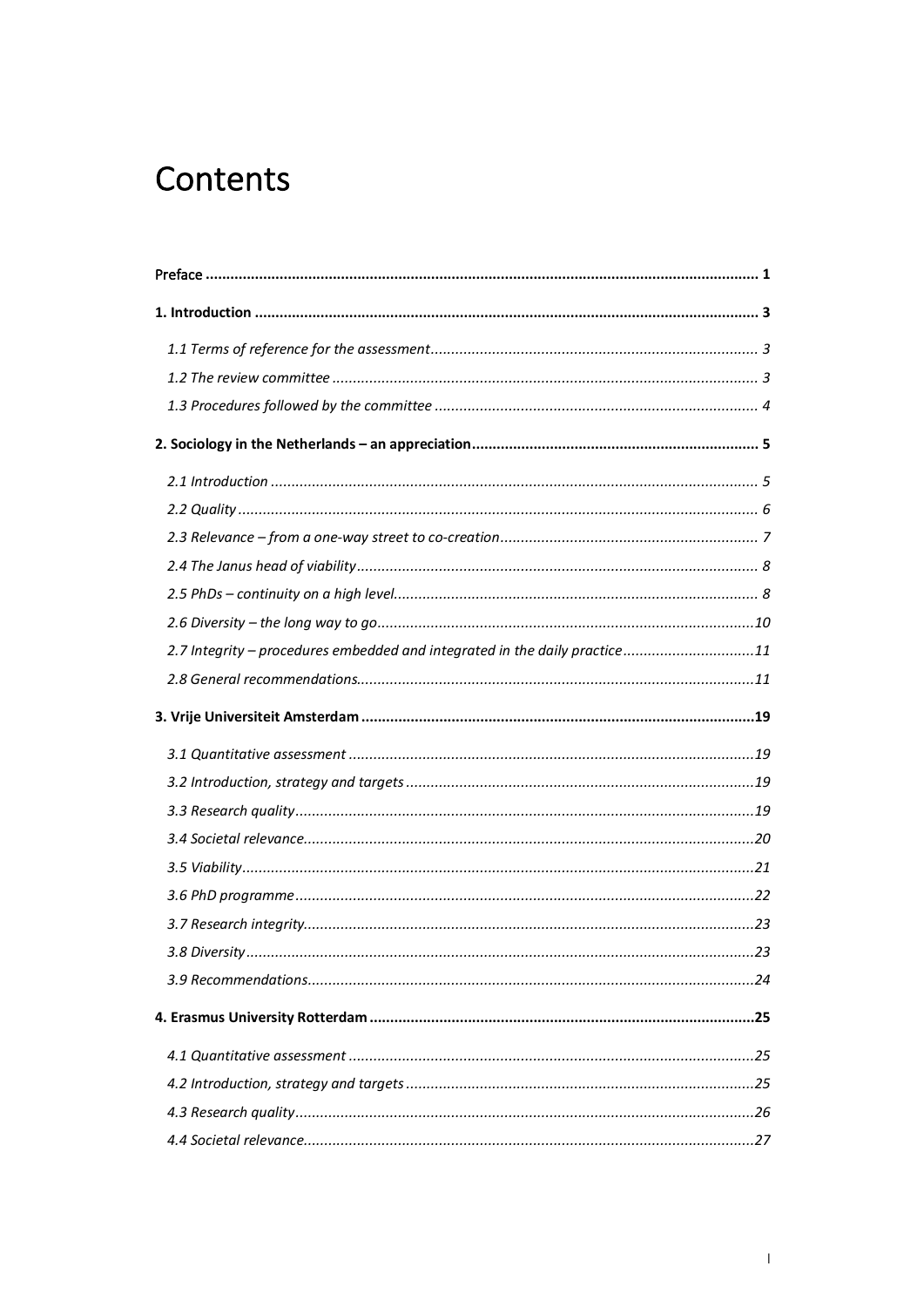# Contents

| 2.7 Integrity - procedures embedded and integrated in the daily practice11 |  |
|----------------------------------------------------------------------------|--|
|                                                                            |  |
|                                                                            |  |
|                                                                            |  |
|                                                                            |  |
|                                                                            |  |
|                                                                            |  |
|                                                                            |  |
|                                                                            |  |
|                                                                            |  |
|                                                                            |  |
|                                                                            |  |
|                                                                            |  |
|                                                                            |  |
|                                                                            |  |
|                                                                            |  |
|                                                                            |  |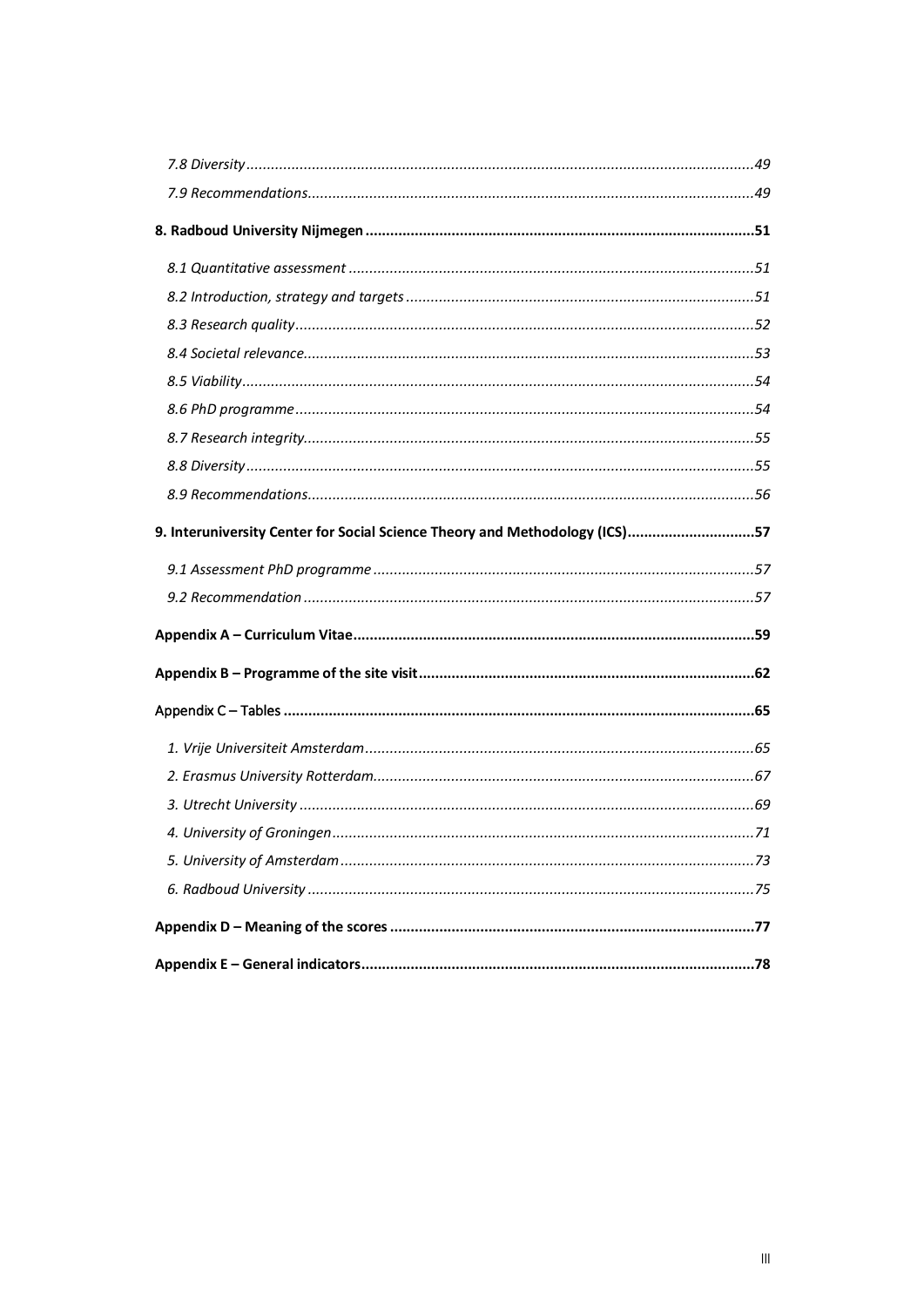| 9. Interuniversity Center for Social Science Theory and Methodology (ICS)57 |  |
|-----------------------------------------------------------------------------|--|
|                                                                             |  |
|                                                                             |  |
|                                                                             |  |
|                                                                             |  |
|                                                                             |  |
|                                                                             |  |
|                                                                             |  |
|                                                                             |  |
|                                                                             |  |
|                                                                             |  |
|                                                                             |  |
|                                                                             |  |
|                                                                             |  |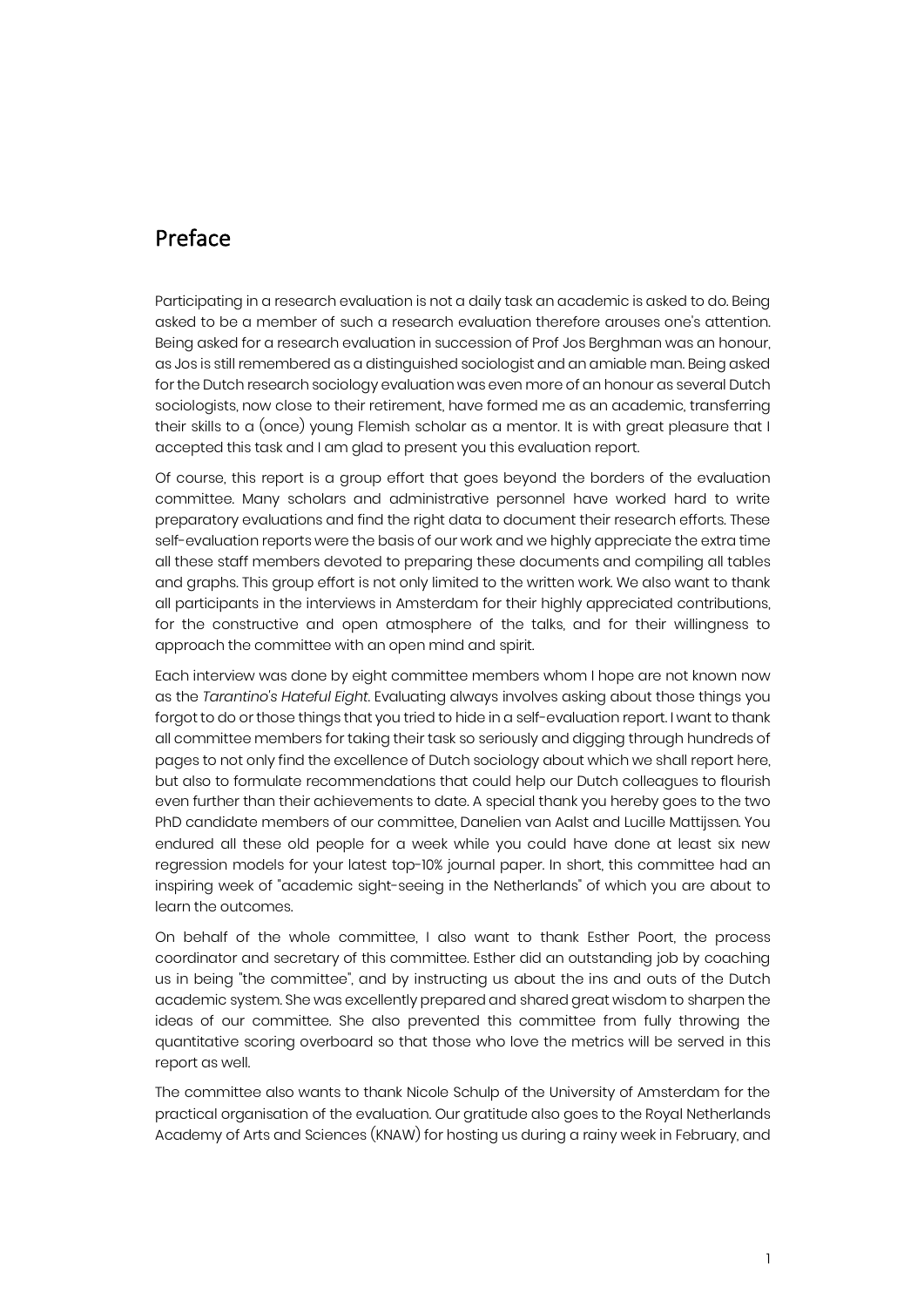### Preface

Participating in a research evaluation is not a daily task an academic is asked to do. Being asked to be a member of such a research evaluation therefore arouses one's attention. Being asked for a research evaluation in succession of Prof Jos Berghman was an honour, as Jos is still remembered as a distinguished sociologist and an amiable man. Being asked for the Dutch research sociology evaluation was even more of an honour as several Dutch sociologists, now close to their retirement, have formed me as an academic, transferring their skills to a (once) young Flemish scholar as a mentor. It is with great pleasure that I accepted this task and I am glad to present you this evaluation report.

Of course, this report is a group effort that goes beyond the borders of the evaluation committee. Many scholars and administrative personnel have worked hard to write preparatory evaluations and find the right data to document their research efforts. These self-evaluation reports were the basis of our work and we highly appreciate the extra time all these staff members devoted to preparing these documents and compiling all tables and graphs. This group effort is not only limited to the written work. We also want to thank all participants in the interviews in Amsterdam for their highly appreciated contributions, for the constructive and open atmosphere of the talks, and for their willingness to approach the committee with an open mind and spirit.

Each interview was done by eight committee members whom I hope are not known now as the *Tarantino's Hateful Eight*. Evaluating always involves asking about those things you forgot to do or those things that you tried to hide in a self-evaluation report. I want to thank all committee members for taking their task so seriously and digging through hundreds of pages to not only find the excellence of Dutch sociology about which we shall report here, but also to formulate recommendations that could help our Dutch colleagues to flourish even further than their achievements to date. A special thank you hereby goes to the two PhD candidate members of our committee, Danelien van Aalst and Lucille Mattijssen. You endured all these old people for a week while you could have done at least six new regression models for your latest top-10% journal paper. In short, this committee had an inspiring week of "academic sight-seeing in the Netherlands" of which you are about to learn the outcomes.

On behalf of the whole committee, I also want to thank Esther Poort, the process coordinator and secretary of this committee. Esther did an outstanding job by coaching us in being "the committee", and by instructing us about the ins and outs of the Dutch academic system. She was excellently prepared and shared great wisdom to sharpen the ideas of our committee. She also prevented this committee from fully throwing the quantitative scoring overboard so that those who love the metrics will be served in this report as well.

The committee also wants to thank Nicole Schulp of the University of Amsterdam for the practical organisation of the evaluation. Our gratitude also goes to the Royal Netherlands Academy of Arts and Sciences (KNAW) for hosting us during a rainy week in February, and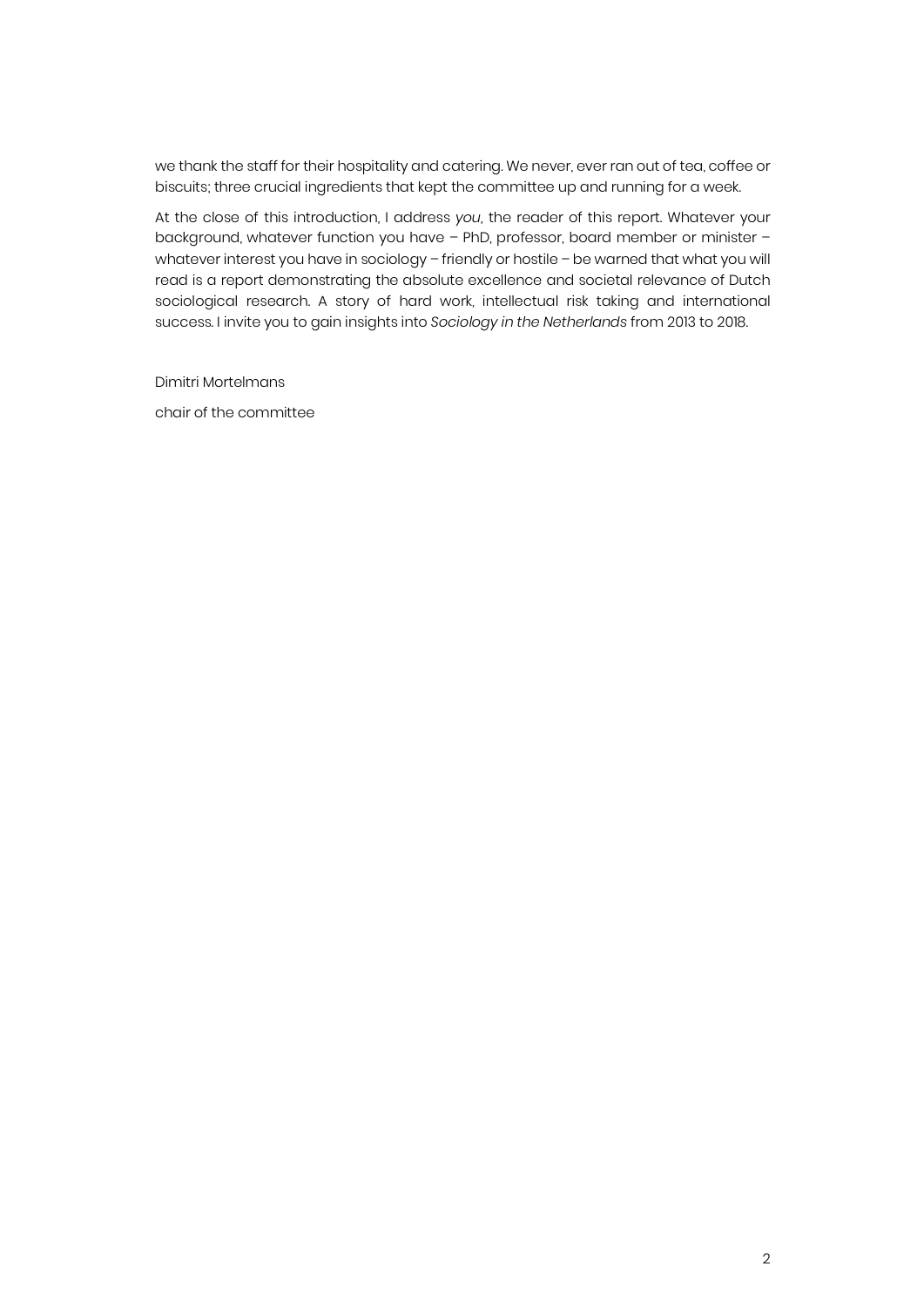we thank the staff for their hospitality and catering. We never, ever ran out of tea, coffee or biscuits; three crucial ingredients that kept the committee up and running for a week.

At the close of this introduction, I address *you*, the reader of this report. Whatever your background, whatever function you have – PhD, professor, board member or minister – whatever interest you have in sociology – friendly or hostile – be warned that what you will read is a report demonstrating the absolute excellence and societal relevance of Dutch sociological research. A story of hard work, intellectual risk taking and international success. I invite you to gain insights into *Sociology in the Netherlands* from 2013 to 2018.

Dimitri Mortelmans

chair of the committee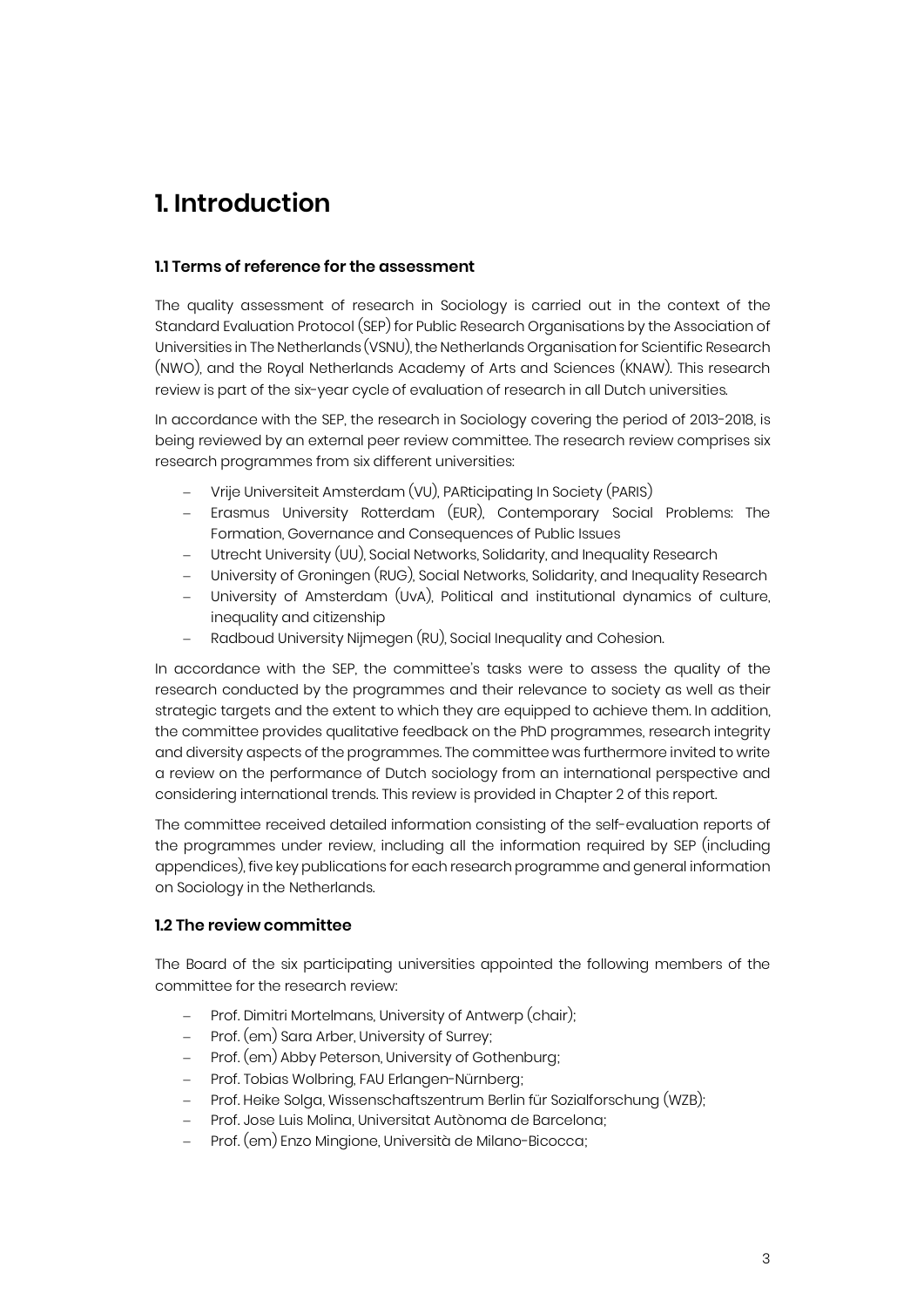## **1. Introduction**

#### **1.1 Terms of reference for the assessment**

The quality assessment of research in Sociology is carried out in the context of the Standard Evaluation Protocol (SEP) for Public Research Organisations by the Association of Universities in The Netherlands (VSNU), the Netherlands Organisation for Scientific Research (NWO), and the Royal Netherlands Academy of Arts and Sciences (KNAW). This research review is part of the six-year cycle of evaluation of research in all Dutch universities.

In accordance with the SEP, the research in Sociology covering the period of 2013-2018, is being reviewed by an external peer review committee. The research review comprises six research programmes from six different universities:

- Vrije Universiteit Amsterdam (VU), PARticipating In Society (PARIS)
- Erasmus University Rotterdam (EUR), Contemporary Social Problems: The Formation, Governance and Consequences of Public Issues
- Utrecht University (UU), Social Networks, Solidarity, and Inequality Research
- University of Groningen (RUG), Social Networks, Solidarity, and Inequality Research
- University of Amsterdam (UvA), Political and institutional dynamics of culture, inequality and citizenship
- Radboud University Nijmegen (RU), Social Inequality and Cohesion.

In accordance with the SEP, the committee's tasks were to assess the quality of the research conducted by the programmes and their relevance to society as well as their strategic targets and the extent to which they are equipped to achieve them. In addition, the committee provides qualitative feedback on the PhD programmes, research integrity and diversity aspects of the programmes. The committee was furthermore invited to write a review on the performance of Dutch sociology from an international perspective and considering international trends. This review is provided in Chapter 2 of this report.

The committee received detailed information consisting of the self-evaluation reports of the programmes under review, including all the information required by SEP (including appendices), five key publications for each research programme and general information on Sociology in the Netherlands.

#### **1.2 The review committee**

The Board of the six participating universities appointed the following members of the committee for the research review:

- Prof. Dimitri Mortelmans, University of Antwerp (chair);
- Prof. (em) Sara Arber, University of Surrey;
- Prof. (em) Abby Peterson, University of Gothenburg;
- Prof. Tobias Wolbring, FAU Erlangen-Nürnberg;
- Prof. Heike Solga, Wissenschaftszentrum Berlin für Sozialforschung (WZB);
- Prof. Jose Luis Molina, Universitat Autònoma de Barcelona;
- Prof. (em) Enzo Mingione, Università de Milano-Bicocca;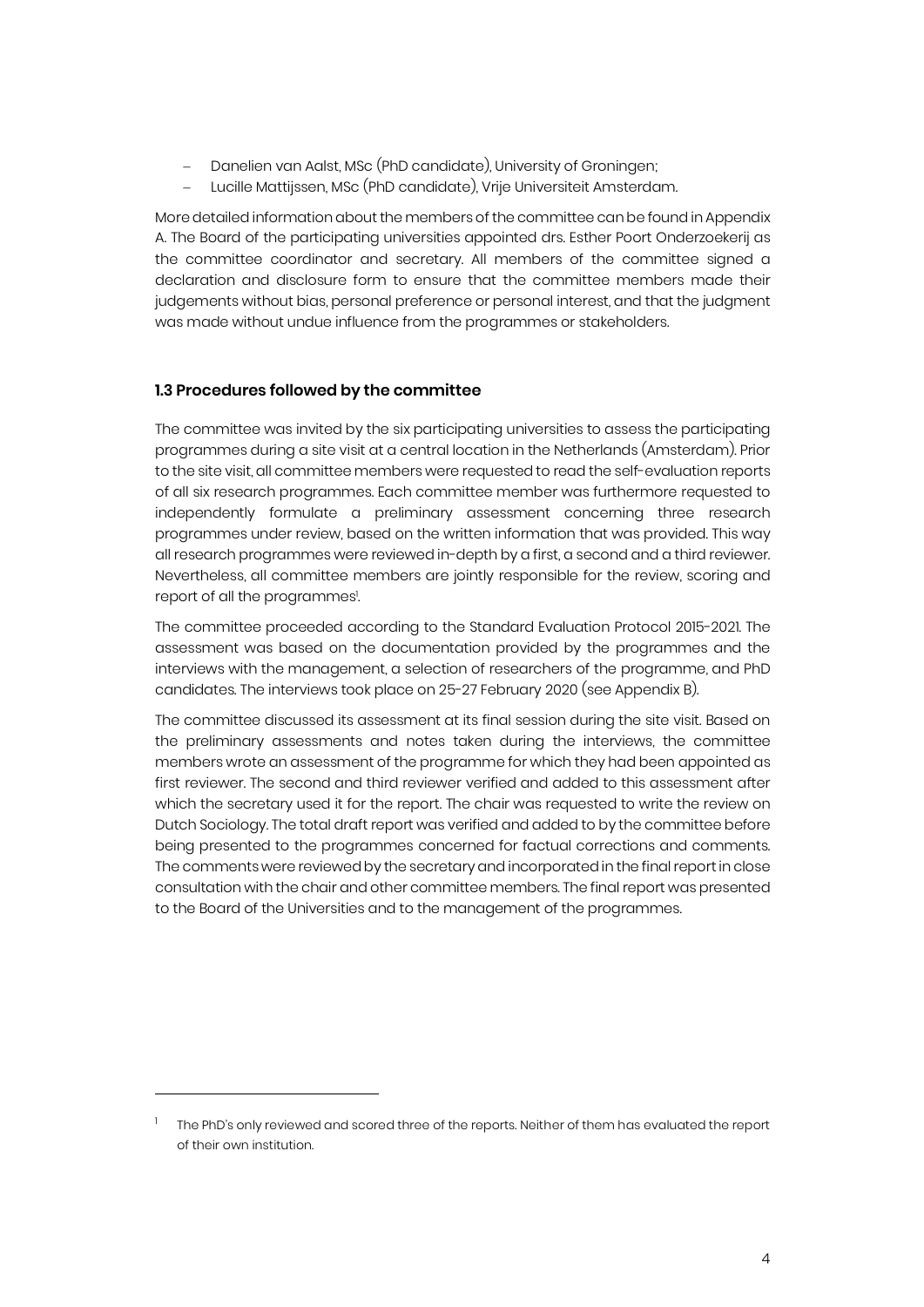- Danelien van Aalst, MSc (PhD candidate), University of Groningen;
- Lucille Mattijssen, MSc (PhD candidate), Vrije Universiteit Amsterdam.

More detailed information about the members of the committee can be found in Appendix A. The Board of the participating universities appointed drs. Esther Poort Onderzoekerij as the committee coordinator and secretary. All members of the committee signed a declaration and disclosure form to ensure that the committee members made their judgements without bias, personal preference or personal interest, and that the judgment was made without undue influence from the programmes or stakeholders.

#### **1.3 Procedures followed by the committee**

j

The committee was invited by the six participating universities to assess the participating programmes during a site visit at a central location in the Netherlands (Amsterdam). Prior to the site visit, all committee members were requested to read the self-evaluation reports of all six research programmes. Each committee member was furthermore requested to independently formulate a preliminary assessment concerning three research programmes under review, based on the written information that was provided. This way all research programmes were reviewed in-depth by a first, a second and a third reviewer. Nevertheless, all committee members are jointly responsible for the review, scoring and report of all the programmes<sup>1</sup>. .

The committee proceeded according to the Standard Evaluation Protocol 2015-2021. The assessment was based on the documentation provided by the programmes and the interviews with the management, a selection of researchers of the programme, and PhD candidates. The interviews took place on 25-27 February 2020 (see Appendix B).

The committee discussed its assessment at its final session during the site visit. Based on the preliminary assessments and notes taken during the interviews, the committee members wrote an assessment of the programme for which they had been appointed as first reviewer. The second and third reviewer verified and added to this assessment after which the secretary used it for the report. The chair was requested to write the review on Dutch Sociology. The total draft report was verified and added to by the committee before being presented to the programmes concerned for factual corrections and comments. The comments were reviewed by the secretary and incorporated in the final report in close consultation with the chair and other committee members. The final report was presented to the Board of the Universities and to the management of the programmes.

<sup>1</sup> The PhD's only reviewed and scored three of the reports. Neither of them has evaluated the report of their own institution.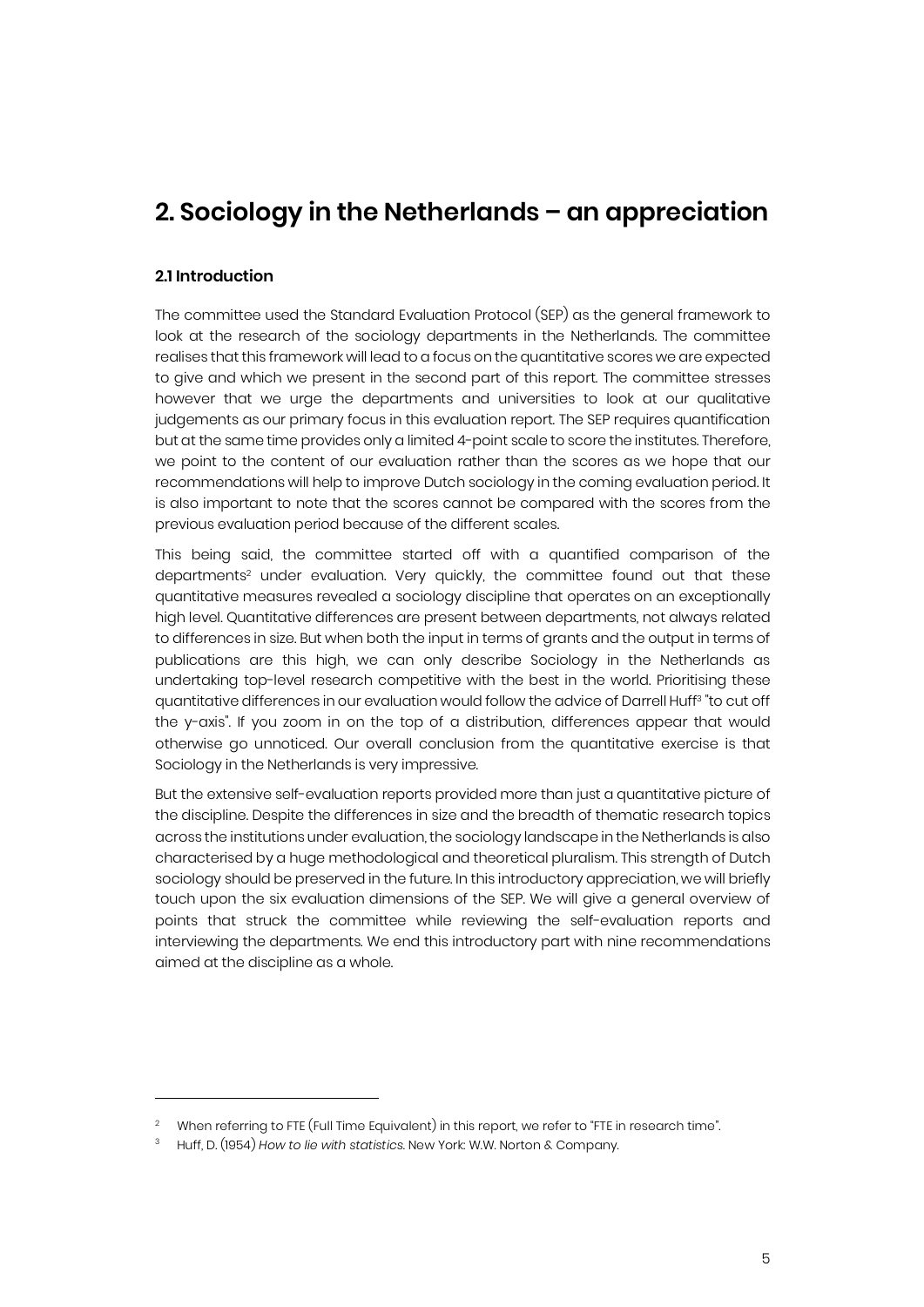### **2. Sociology in the Netherlands – an appreciation**

#### **2.1 Introduction**

j

The committee used the Standard Evaluation Protocol (SEP) as the general framework to look at the research of the sociology departments in the Netherlands. The committee realises that this framework will lead to a focus on the quantitative scores we are expected to give and which we present in the second part of this report. The committee stresses however that we urge the departments and universities to look at our qualitative judgements as our primary focus in this evaluation report. The SEP requires quantification but at the same time provides only a limited 4-point scale to score the institutes. Therefore, we point to the content of our evaluation rather than the scores as we hope that our recommendations will help to improve Dutch sociology in the coming evaluation period. It is also important to note that the scores cannot be compared with the scores from the previous evaluation period because of the different scales.

This being said, the committee started off with a quantified comparison of the departments<sup>2</sup> under evaluation. Very quickly, the committee found out that these quantitative measures revealed a sociology discipline that operates on an exceptionally high level. Quantitative differences are present between departments, not always related to differences in size. But when both the input in terms of grants and the output in terms of publications are this high, we can only describe Sociology in the Netherlands as undertaking top-level research competitive with the best in the world. Prioritising these quantitative differences in our evaluation would follow the advice of Darrell Huff3 "to cut off the y-axis". If you zoom in on the top of a distribution, differences appear that would otherwise go unnoticed. Our overall conclusion from the quantitative exercise is that Sociology in the Netherlands is very impressive.

But the extensive self-evaluation reports provided more than just a quantitative picture of the discipline. Despite the differences in size and the breadth of thematic research topics across the institutions under evaluation, the sociology landscape in the Netherlands is also characterised by a huge methodological and theoretical pluralism. This strength of Dutch sociology should be preserved in the future. In this introductory appreciation, we will briefly touch upon the six evaluation dimensions of the SEP. We will give a general overview of points that struck the committee while reviewing the self-evaluation reports and interviewing the departments. We end this introductory part with nine recommendations aimed at the discipline as a whole.

<sup>&</sup>lt;sup>2</sup> When referring to FTE (Full Time Equivalent) in this report, we refer to "FTE in research time".

<sup>3</sup> Huff, D. (1954) *How to lie with statistics*. New York: W.W. Norton & Company.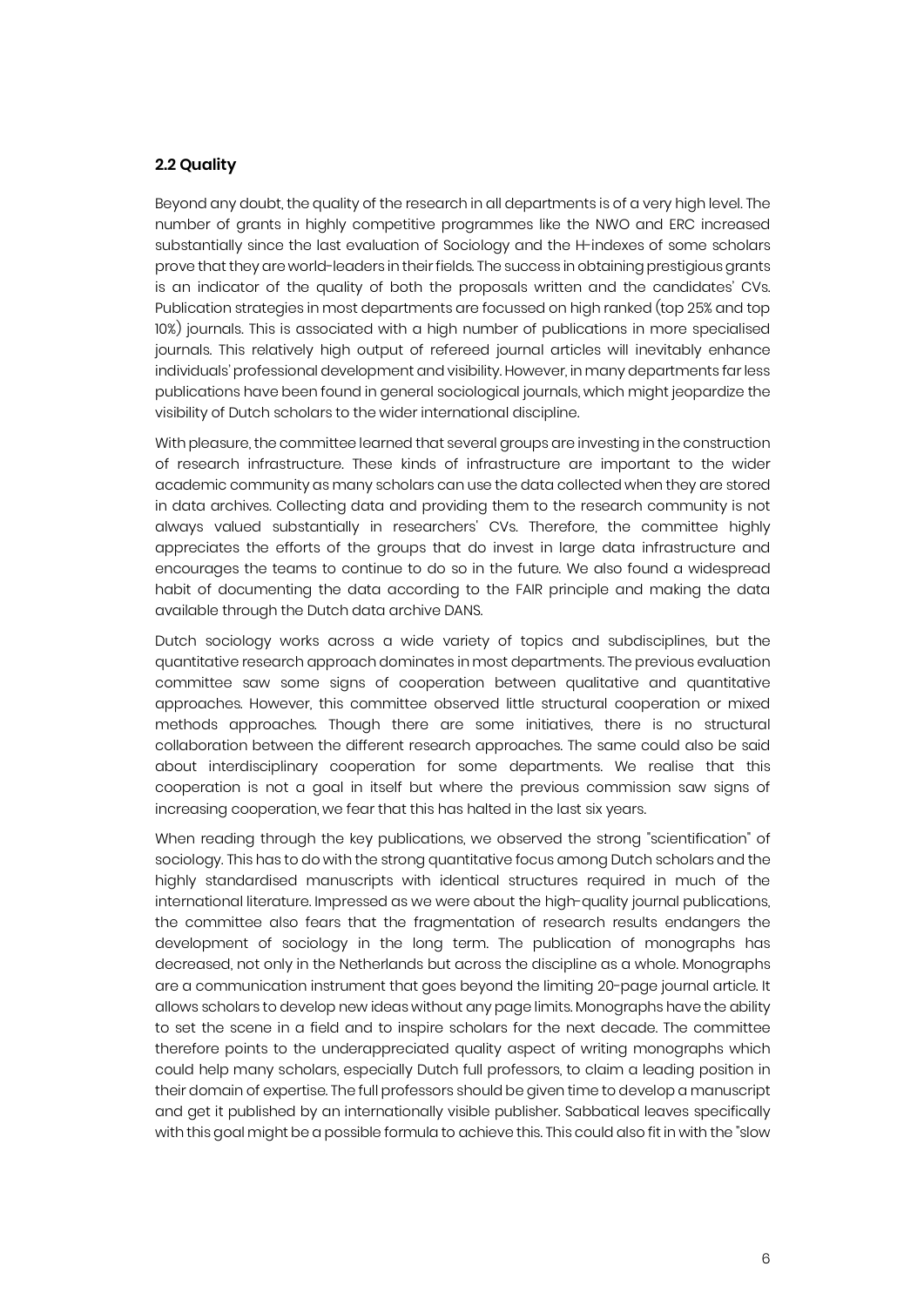#### **2.2 Quality**

Beyond any doubt, the quality of the research in all departments is of a very high level. The number of grants in highly competitive programmes like the NWO and ERC increased substantially since the last evaluation of Sociology and the H-indexes of some scholars prove that they are world-leaders in their fields. The success in obtaining prestigious grants is an indicator of the quality of both the proposals written and the candidates' CVs. Publication strategies in most departments are focussed on high ranked (top 25% and top 10%) journals. This is associated with a high number of publications in more specialised journals. This relatively high output of refereed journal articles will inevitably enhance individuals' professional development and visibility. However, in many departments far less publications have been found in general sociological journals, which might jeopardize the visibility of Dutch scholars to the wider international discipline.

With pleasure, the committee learned that several groups are investing in the construction of research infrastructure. These kinds of infrastructure are important to the wider academic community as many scholars can use the data collected when they are stored in data archives. Collecting data and providing them to the research community is not always valued substantially in researchers' CVs. Therefore, the committee highly appreciates the efforts of the groups that do invest in large data infrastructure and encourages the teams to continue to do so in the future. We also found a widespread habit of documenting the data according to the FAIR principle and making the data available through the Dutch data archive DANS.

Dutch sociology works across a wide variety of topics and subdisciplines, but the quantitative research approach dominates in most departments. The previous evaluation committee saw some signs of cooperation between qualitative and quantitative approaches. However, this committee observed little structural cooperation or mixed methods approaches. Though there are some initiatives, there is no structural collaboration between the different research approaches. The same could also be said about interdisciplinary cooperation for some departments. We realise that this cooperation is not a goal in itself but where the previous commission saw signs of increasing cooperation, we fear that this has halted in the last six years.

When reading through the key publications, we observed the strong "scientification" of sociology. This has to do with the strong quantitative focus among Dutch scholars and the highly standardised manuscripts with identical structures required in much of the international literature. Impressed as we were about the high-quality journal publications, the committee also fears that the fragmentation of research results endangers the development of sociology in the long term. The publication of monographs has decreased, not only in the Netherlands but across the discipline as a whole. Monographs are a communication instrument that goes beyond the limiting 20-page journal article. It allows scholars to develop new ideas without any page limits. Monographs have the ability to set the scene in a field and to inspire scholars for the next decade. The committee therefore points to the underappreciated quality aspect of writing monographs which could help many scholars, especially Dutch full professors, to claim a leading position in their domain of expertise. The full professors should be given time to develop a manuscript and get it published by an internationally visible publisher. Sabbatical leaves specifically with this goal might be a possible formula to achieve this. This could also fit in with the "slow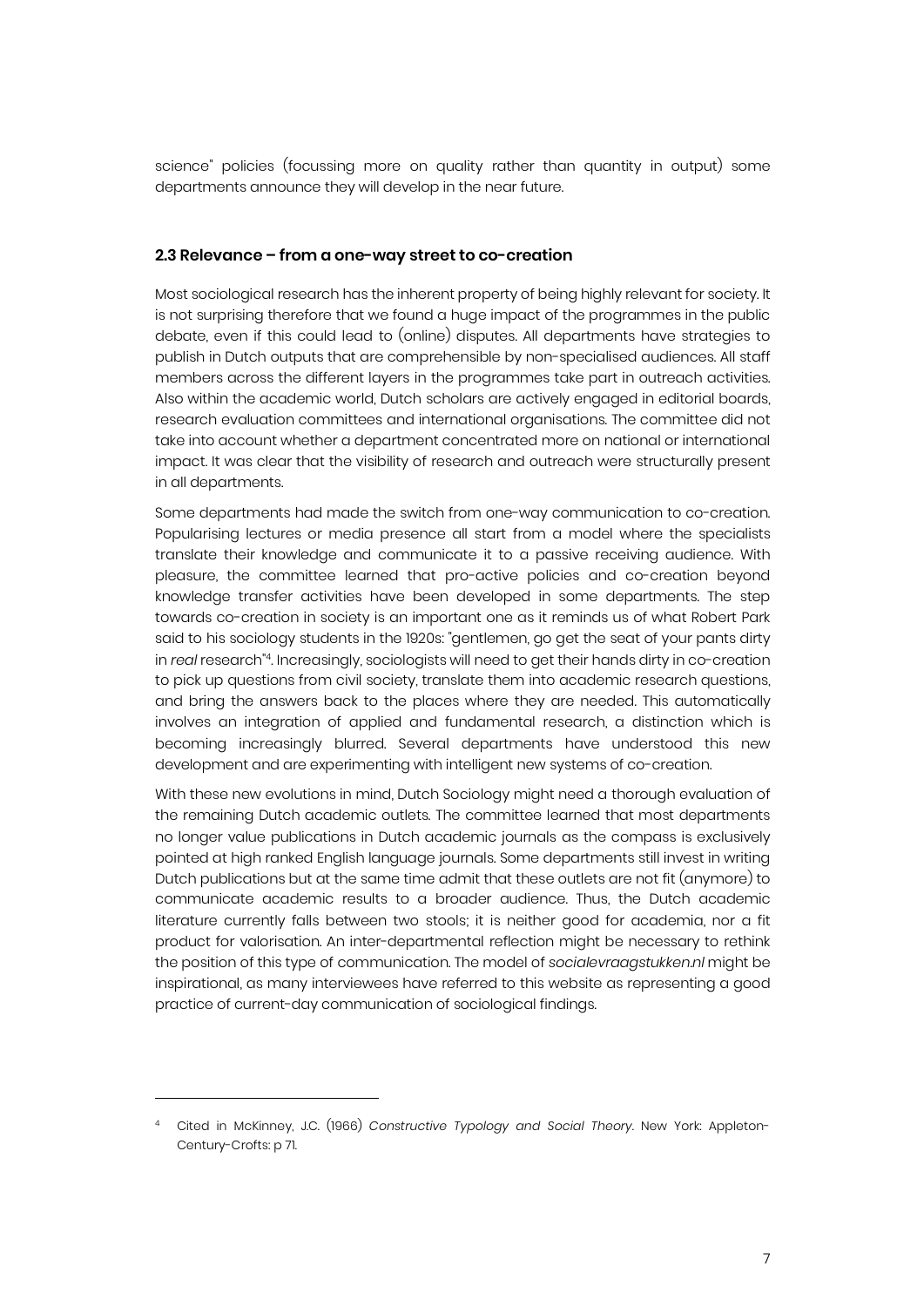science" policies (focussing more on quality rather than quantity in output) some departments announce they will develop in the near future.

#### **2.3 Relevance – from a one-way street to co-creation**

Most sociological research has the inherent property of being highly relevant for society. It is not surprising therefore that we found a huge impact of the programmes in the public debate, even if this could lead to (online) disputes. All departments have strategies to publish in Dutch outputs that are comprehensible by non-specialised audiences. All staff members across the different layers in the programmes take part in outreach activities. Also within the academic world, Dutch scholars are actively engaged in editorial boards, research evaluation committees and international organisations. The committee did not take into account whether a department concentrated more on national or international impact. It was clear that the visibility of research and outreach were structurally present in all departments.

Some departments had made the switch from one-way communication to co-creation. Popularising lectures or media presence all start from a model where the specialists translate their knowledge and communicate it to a passive receiving audience. With pleasure, the committee learned that pro-active policies and co-creation beyond knowledge transfer activities have been developed in some departments. The step towards co-creation in society is an important one as it reminds us of what Robert Park said to his sociology students in the 1920s: "gentlemen, go get the seat of your pants dirty in *real* research"4. Increasingly, sociologists will need to get their hands dirty in co-creation to pick up questions from civil society, translate them into academic research questions, and bring the answers back to the places where they are needed. This automatically involves an integration of applied and fundamental research, a distinction which is becoming increasingly blurred. Several departments have understood this new development and are experimenting with intelligent new systems of co-creation.

With these new evolutions in mind, Dutch Sociology might need a thorough evaluation of the remaining Dutch academic outlets. The committee learned that most departments no longer value publications in Dutch academic journals as the compass is exclusively pointed at high ranked English language journals. Some departments still invest in writing Dutch publications but at the same time admit that these outlets are not fit (anymore) to communicate academic results to a broader audience. Thus, the Dutch academic literature currently falls between two stools; it is neither good for academia, nor a fit product for valorisation. An inter-departmental reflection might be necessary to rethink the position of this type of communication. The model of *socialevraagstukken.nl* might be inspirational, as many interviewees have referred to this website as representing a good practice of current-day communication of sociological findings.

j

<sup>4</sup> Cited in McKinney, J.C. (1966) *Constructive Typology and Social Theory*. New York: Appleton-Century-Crofts: p 71.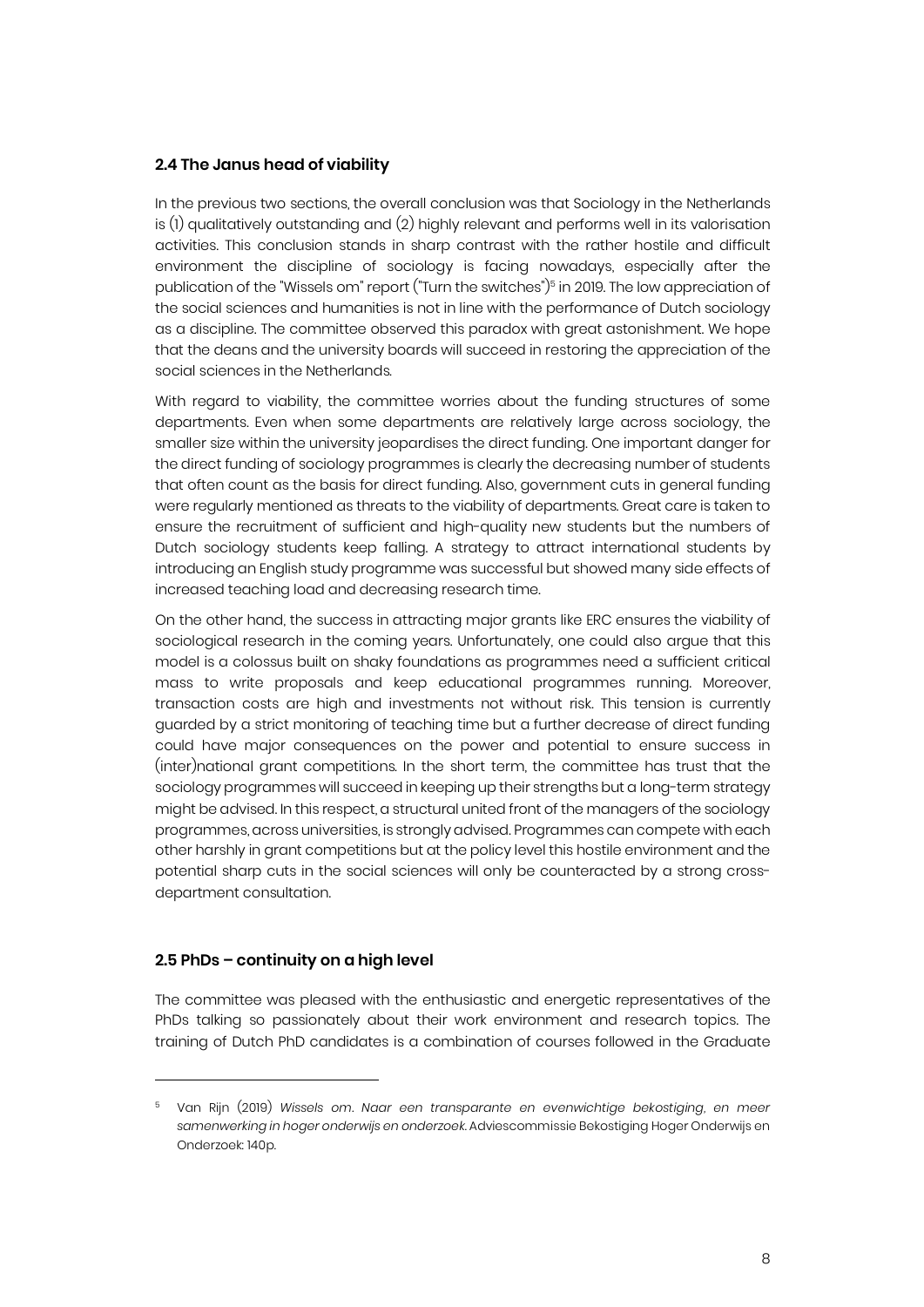#### **2.4 The Janus head of viability**

In the previous two sections, the overall conclusion was that Sociology in the Netherlands is (1) qualitatively outstanding and (2) highly relevant and performs well in its valorisation activities. This conclusion stands in sharp contrast with the rather hostile and difficult environment the discipline of sociology is facing nowadays, especially after the publication of the "Wissels om" report ("Turn the switches")<sup>5</sup> in 2019. The low appreciation of the social sciences and humanities is not in line with the performance of Dutch sociology as a discipline. The committee observed this paradox with great astonishment. We hope that the deans and the university boards will succeed in restoring the appreciation of the social sciences in the Netherlands.

With regard to viability, the committee worries about the funding structures of some departments. Even when some departments are relatively large across sociology, the smaller size within the university jeopardises the direct funding. One important danger for the direct funding of sociology programmes is clearly the decreasing number of students that often count as the basis for direct funding. Also, government cuts in general funding were regularly mentioned as threats to the viability of departments. Great care is taken to ensure the recruitment of sufficient and high-quality new students but the numbers of Dutch sociology students keep falling. A strategy to attract international students by introducing an English study programme was successful but showed many side effects of increased teaching load and decreasing research time.

On the other hand, the success in attracting major grants like ERC ensures the viability of sociological research in the coming years. Unfortunately, one could also argue that this model is a colossus built on shaky foundations as programmes need a sufficient critical mass to write proposals and keep educational programmes running. Moreover, transaction costs are high and investments not without risk. This tension is currently guarded by a strict monitoring of teaching time but a further decrease of direct funding could have major consequences on the power and potential to ensure success in (inter)national grant competitions. In the short term, the committee has trust that the sociology programmes will succeed in keeping up their strengths but a long-term strategy might be advised. In this respect, a structural united front of the managers of the sociology programmes, across universities, is strongly advised. Programmes can compete with each other harshly in grant competitions but at the policy level this hostile environment and the potential sharp cuts in the social sciences will only be counteracted by a strong crossdepartment consultation.

#### **2.5 PhDs – continuity on a high level**

j

The committee was pleased with the enthusiastic and energetic representatives of the PhDs talking so passionately about their work environment and research topics. The training of Dutch PhD candidates is a combination of courses followed in the Graduate

<sup>5</sup> Van Rijn (2019) *Wissels om. Naar een transparante en evenwichtige bekostiging, en meer samenwerking in hoger onderwijs en onderzoek*. Adviescommissie Bekostiging Hoger Onderwijs en Onderzoek: 140p.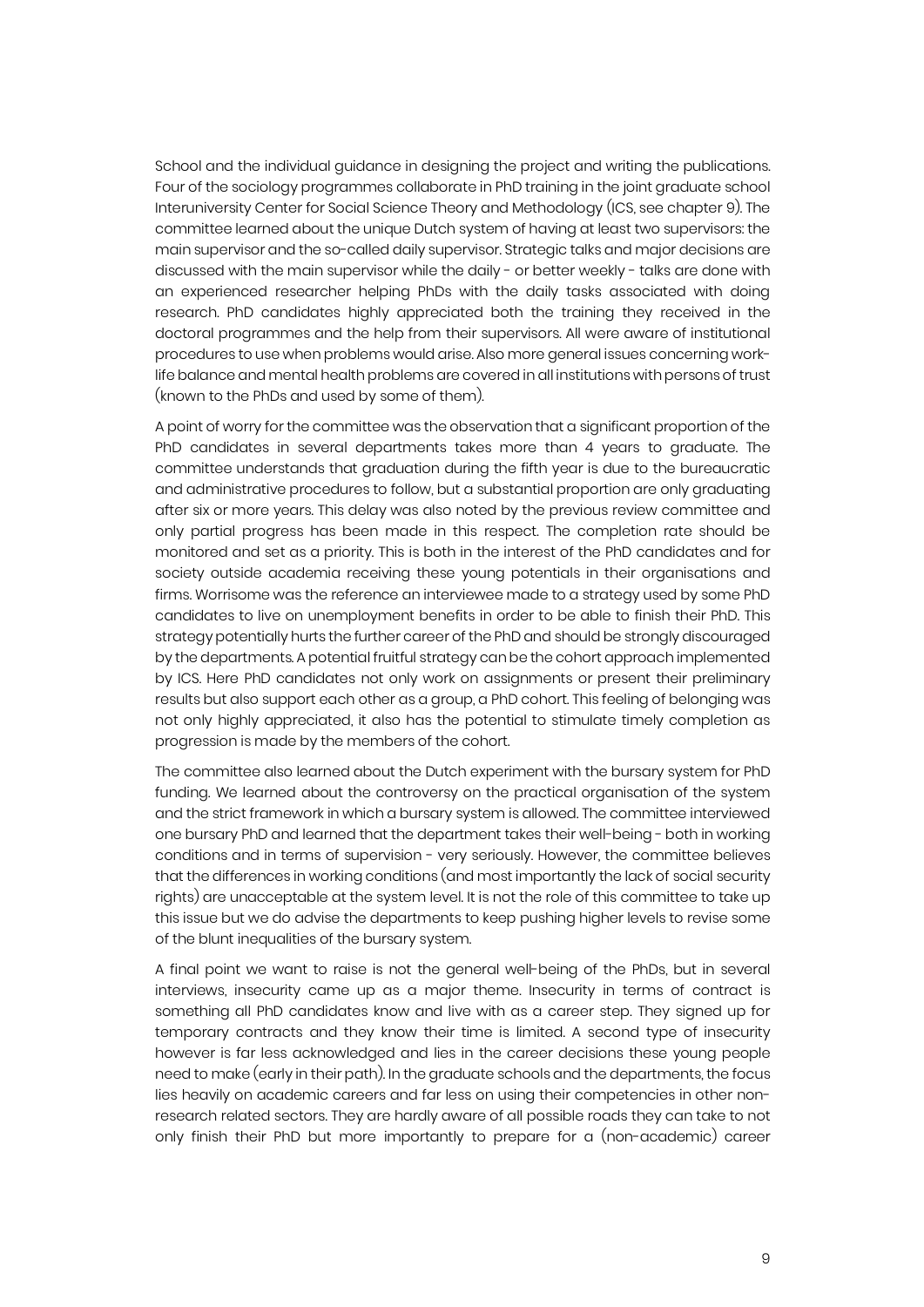School and the individual guidance in designing the project and writing the publications. Four of the sociology programmes collaborate in PhD training in the joint graduate school Interuniversity Center for Social Science Theory and Methodology (ICS, see chapter 9). The committee learned about the unique Dutch system of having at least two supervisors: the main supervisor and the so-called daily supervisor. Strategic talks and major decisions are discussed with the main supervisor while the daily - or better weekly - talks are done with an experienced researcher helping PhDs with the daily tasks associated with doing research. PhD candidates highly appreciated both the training they received in the doctoral programmes and the help from their supervisors. All were aware of institutional procedures to use when problems would arise. Also more general issues concerning worklife balance and mental health problems are covered in all institutions with persons of trust (known to the PhDs and used by some of them).

A point of worry for the committee was the observation that a significant proportion of the PhD candidates in several departments takes more than 4 years to graduate. The committee understands that graduation during the fifth year is due to the bureaucratic and administrative procedures to follow, but a substantial proportion are only graduating after six or more years. This delay was also noted by the previous review committee and only partial progress has been made in this respect. The completion rate should be monitored and set as a priority. This is both in the interest of the PhD candidates and for society outside academia receiving these young potentials in their organisations and firms. Worrisome was the reference an interviewee made to a strategy used by some PhD candidates to live on unemployment benefits in order to be able to finish their PhD. This strategypotentially hurts the further career of the PhD and should be strongly discouraged by the departments. A potential fruitful strategy can be the cohort approach implemented by ICS. Here PhD candidates not only work on assignments or present their preliminary results but also support each other as a group, a PhD cohort. This feeling of belonging was not only highly appreciated, it also has the potential to stimulate timely completion as progression is made by the members of the cohort.

The committee also learned about the Dutch experiment with the bursary system for PhD funding. We learned about the controversy on the practical organisation of the system and the strict framework in which a bursary system is allowed. The committee interviewed one bursary PhD and learned that the department takes their well-being - both in working conditions and in terms of supervision - very seriously. However, the committee believes that the differences in working conditions (and most importantly the lack of social security rights) are unacceptable at the system level. It is not the role of this committee to take up this issue but we do advise the departments to keep pushing higher levels to revise some of the blunt inequalities of the bursary system.

A final point we want to raise is not the general well-being of the PhDs, but in several interviews, insecurity came up as a major theme. Insecurity in terms of contract is something all PhD candidates know and live with as a career step. They signed up for temporary contracts and they know their time is limited. A second type of insecurity however is far less acknowledged and lies in the career decisions these young people need to make (early in their path). In the graduate schools and the departments, the focus lies heavily on academic careers and far less on using their competencies in other nonresearch related sectors. They are hardly aware of all possible roads they can take to not only finish their PhD but more importantly to prepare for a (non-academic) career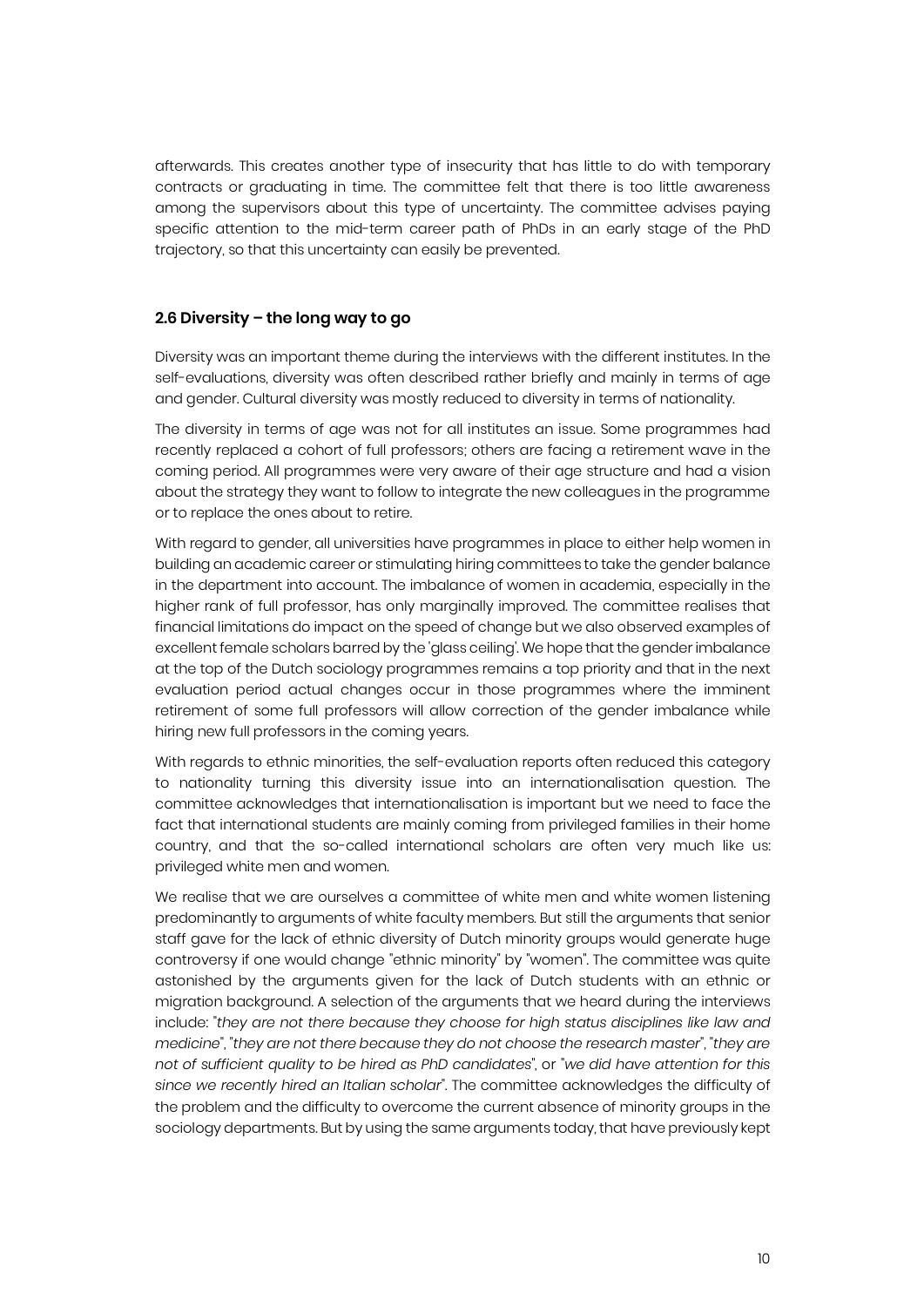afterwards. This creates another type of insecurity that has little to do with temporary contracts or graduating in time. The committee felt that there is too little awareness among the supervisors about this type of uncertainty. The committee advises paying specific attention to the mid-term career path of PhDs in an early stage of the PhD trajectory, so that this uncertainty can easily be prevented.

#### **2.6 Diversity – the long way to go**

Diversity was an important theme during the interviews with the different institutes. In the self-evaluations, diversity was often described rather briefly and mainly in terms of age and gender. Cultural diversity was mostly reduced to diversity in terms of nationality.

The diversity in terms of age was not for all institutes an issue. Some programmes had recently replaced a cohort of full professors; others are facing a retirement wave in the coming period. All programmes were very aware of their age structure and had a vision about the strategy they want to follow to integrate the new colleagues in the programme or to replace the ones about to retire.

With regard to gender, all universities have programmes in place to either help women in building an academic career or stimulating hiring committees to take the gender balance in the department into account. The imbalance of women in academia, especially in the higher rank of full professor, has only marginally improved. The committee realises that financial limitations do impact on the speed of change but we also observed examples of excellent female scholars barred by the 'glass ceiling'. We hope that the gender imbalance at the top of the Dutch sociology programmes remains a top priority and that in the next evaluation period actual changes occur in those programmes where the imminent retirement of some full professors will allow correction of the gender imbalance while hiring new full professors in the coming years.

With regards to ethnic minorities, the self-evaluation reports often reduced this category to nationality turning this diversity issue into an internationalisation question. The committee acknowledges that internationalisation is important but we need to face the fact that international students are mainly coming from privileged families in their home country, and that the so-called international scholars are often very much like us: privileged white men and women.

We realise that we are ourselves a committee of white men and white women listening predominantly to arguments of white faculty members. But still the arguments that senior staff gave for the lack of ethnic diversity of Dutch minority groups would generate huge controversy if one would change "ethnic minority" by "women". The committee was quite astonished by the arguments given for the lack of Dutch students with an ethnic or migration background. A selection of the arguments that we heard during the interviews include: "*they are not there because they choose for high status disciplines like law and medicine*", "*they are not there because they do not choose the research master*", "*they are not of sufficient quality to be hired as PhD candidates*", or "*we did have attention for this since we recently hired an Italian scholar*". The committee acknowledges the difficulty of the problem and the difficulty to overcome the current absence of minority groups in the sociology departments. But by using the same arguments today, that have previously kept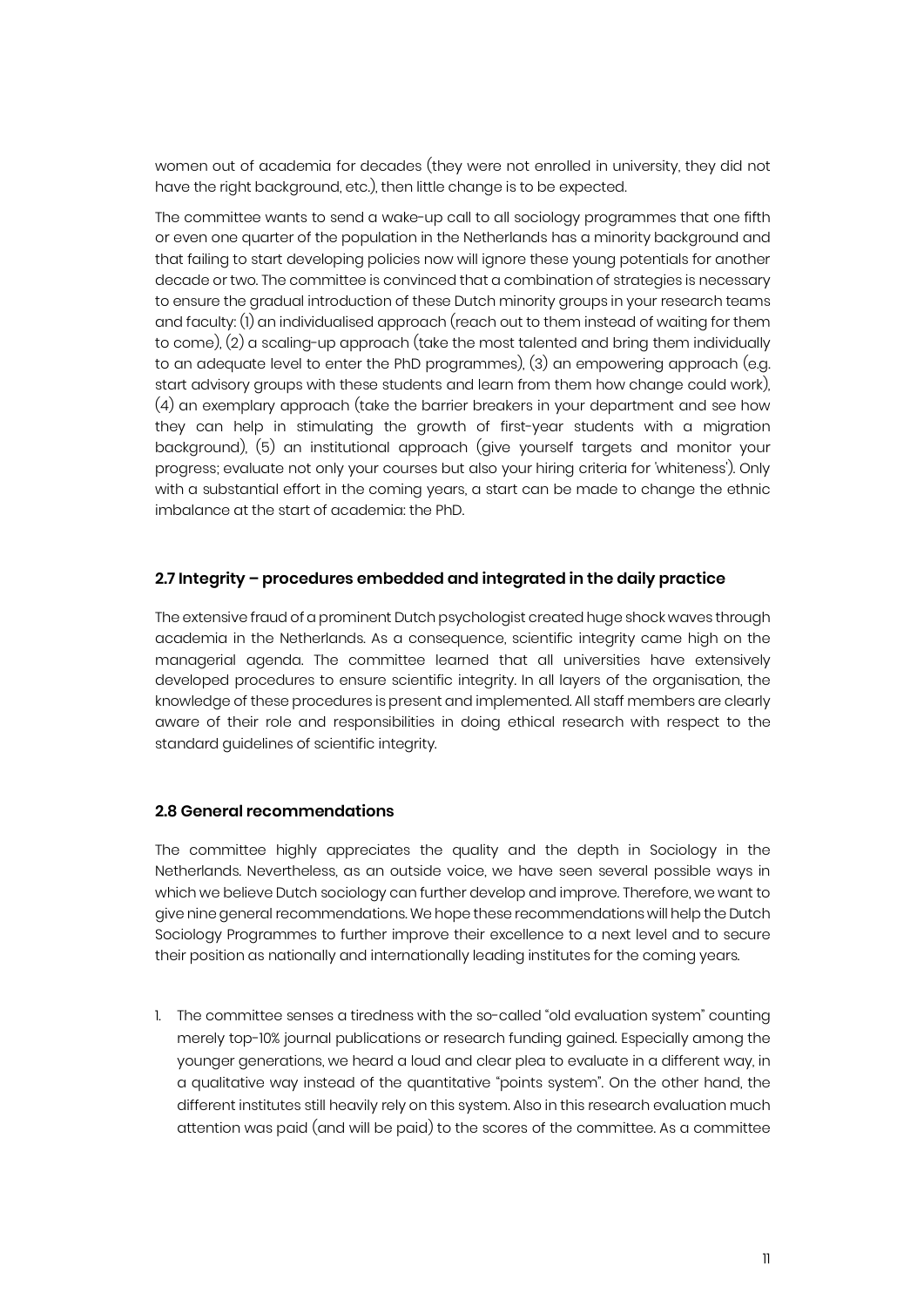women out of academia for decades (they were not enrolled in university, they did not have the right background, etc.), then little change is to be expected.

The committee wants to send a wake-up call to all sociology programmes that one fifth or even one quarter of the population in the Netherlands has a minority background and that failing to start developing policies now will ignore these young potentials for another decade or two. The committee is convinced that a combination of strategies is necessary to ensure the gradual introduction of these Dutch minority groups in your research teams and faculty: (1) an individualised approach (reach out to them instead of waiting for them to come), (2) a scaling-up approach (take the most talented and bring them individually to an adequate level to enter the PhD programmes), (3) an empowering approach (e.g. start advisory groups with these students and learn from them how change could work), (4) an exemplary approach (take the barrier breakers in your department and see how they can help in stimulating the growth of first-year students with a migration background), (5) an institutional approach (give yourself targets and monitor your progress; evaluate not only your courses but also your hiring criteria for 'whiteness'). Only with a substantial effort in the coming years, a start can be made to change the ethnic imbalance at the start of academia: the PhD.

#### **2.7 Integrity – procedures embedded and integrated in the daily practice**

The extensive fraud of a prominent Dutch psychologist created huge shock waves through academia in the Netherlands. As a consequence, scientific integrity came high on the managerial agenda. The committee learned that all universities have extensively developed procedures to ensure scientific integrity. In all layers of the organisation, the knowledge of these procedures is present and implemented. All staff members are clearly aware of their role and responsibilities in doing ethical research with respect to the standard guidelines of scientific integrity.

#### **2.8 General recommendations**

The committee highly appreciates the quality and the depth in Sociology in the Netherlands. Nevertheless, as an outside voice, we have seen several possible ways in which we believe Dutch sociology can further develop and improve. Therefore, we want to give ninegeneral recommendations. We hope these recommendations will help the Dutch Sociology Programmes to further improve their excellence to a next level and to secure their position as nationally and internationally leading institutes for the coming years.

1. The committee senses a tiredness with the so-called "old evaluation system" counting merely top-10% journal publications or research funding gained. Especially among the younger generations, we heard a loud and clear plea to evaluate in a different way, in a qualitative way instead of the quantitative "points system". On the other hand, the different institutes still heavily rely on this system. Also in this research evaluation much attention was paid (and will be paid) to the scores of the committee. As a committee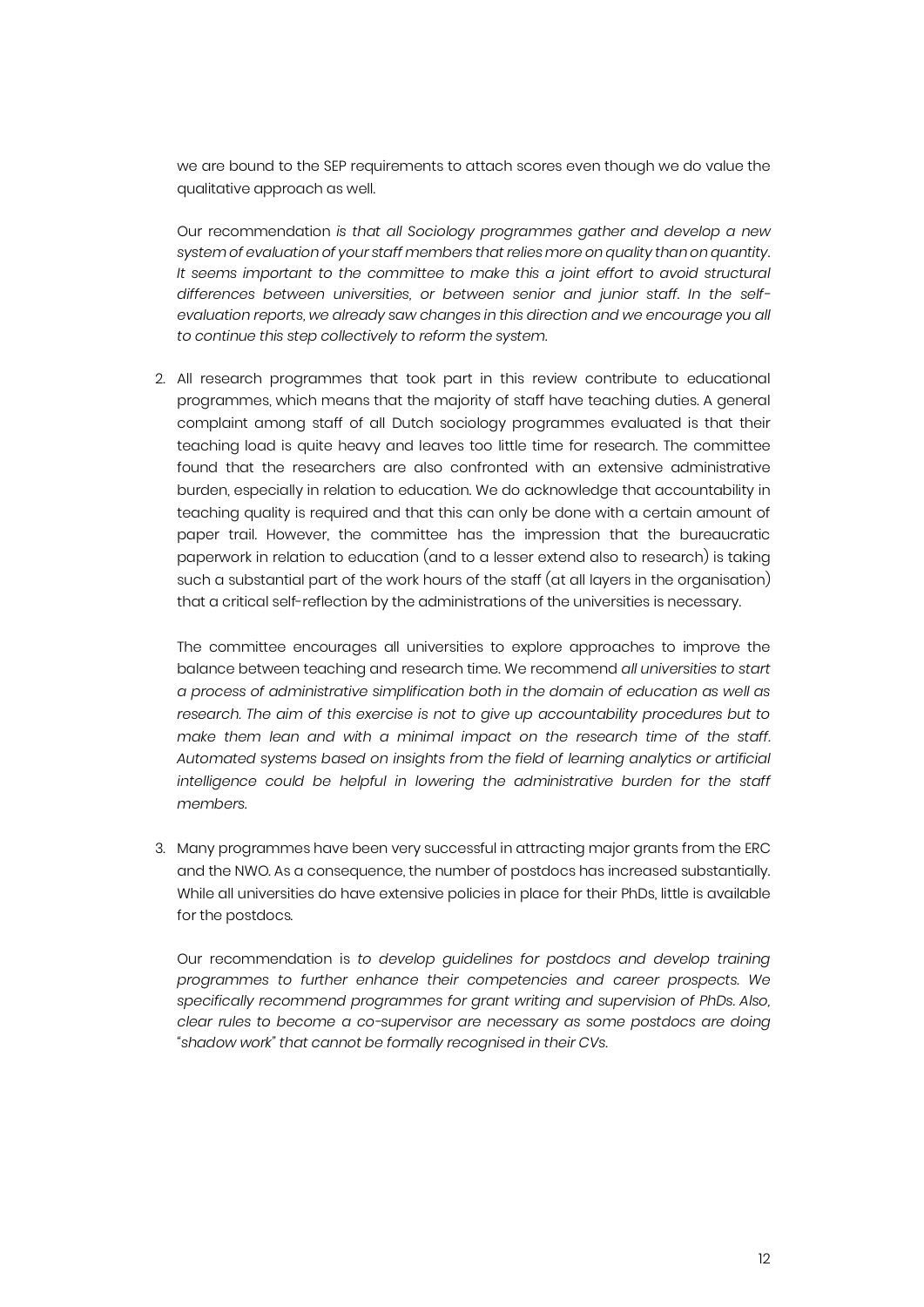we are bound to the SEP requirements to attach scores even though we do value the qualitative approach as well.

Our recommendation *is that all Sociology programmes gather and develop a new system of evaluation of your staff members that relies more on quality than on quantity. It seems important to the committee to make this a joint effort to avoid structural differences between universities, or between senior and junior staff. In the selfevaluation reports, we already saw changes in this direction and we encourage you all to continue this step collectively to reform the system.* 

2. All research programmes that took part in this review contribute to educational programmes, which means that the majority of staff have teaching duties. A general complaint among staff of all Dutch sociology programmes evaluated is that their teaching load is quite heavy and leaves too little time for research. The committee found that the researchers are also confronted with an extensive administrative burden, especially in relation to education. We do acknowledge that accountability in teaching quality is required and that this can only be done with a certain amount of paper trail. However, the committee has the impression that the bureaucratic paperwork in relation to education (and to a lesser extend also to research) is taking such a substantial part of the work hours of the staff (at all layers in the organisation) that a critical self-reflection by the administrations of the universities is necessary.

The committee encourages all universities to explore approaches to improve the balance between teaching and research time. We recommend *all universities to start a process of administrative simplification both in the domain of education as well as research. The aim of this exercise is not to give up accountability procedures but to make them lean and with a minimal impact on the research time of the staff. Automated systems based on insights from the field of learning analytics or artificial intelligence could be helpful in lowering the administrative burden for the staff members.*

3. Many programmes have been very successful in attracting major grants from the ERC and the NWO. As a consequence, the number of postdocs has increased substantially. While all universities do have extensive policies in place for their PhDs, little is available for the postdocs.

Our recommendation is *to develop guidelines for postdocs and develop training programmes to further enhance their competencies and career prospects. We specifically recommend programmes for grant writing and supervision of PhDs. Also, clear rules to become a co-supervisor are necessary as some postdocs are doing "shadow work" that cannot be formally recognised in their CVs.*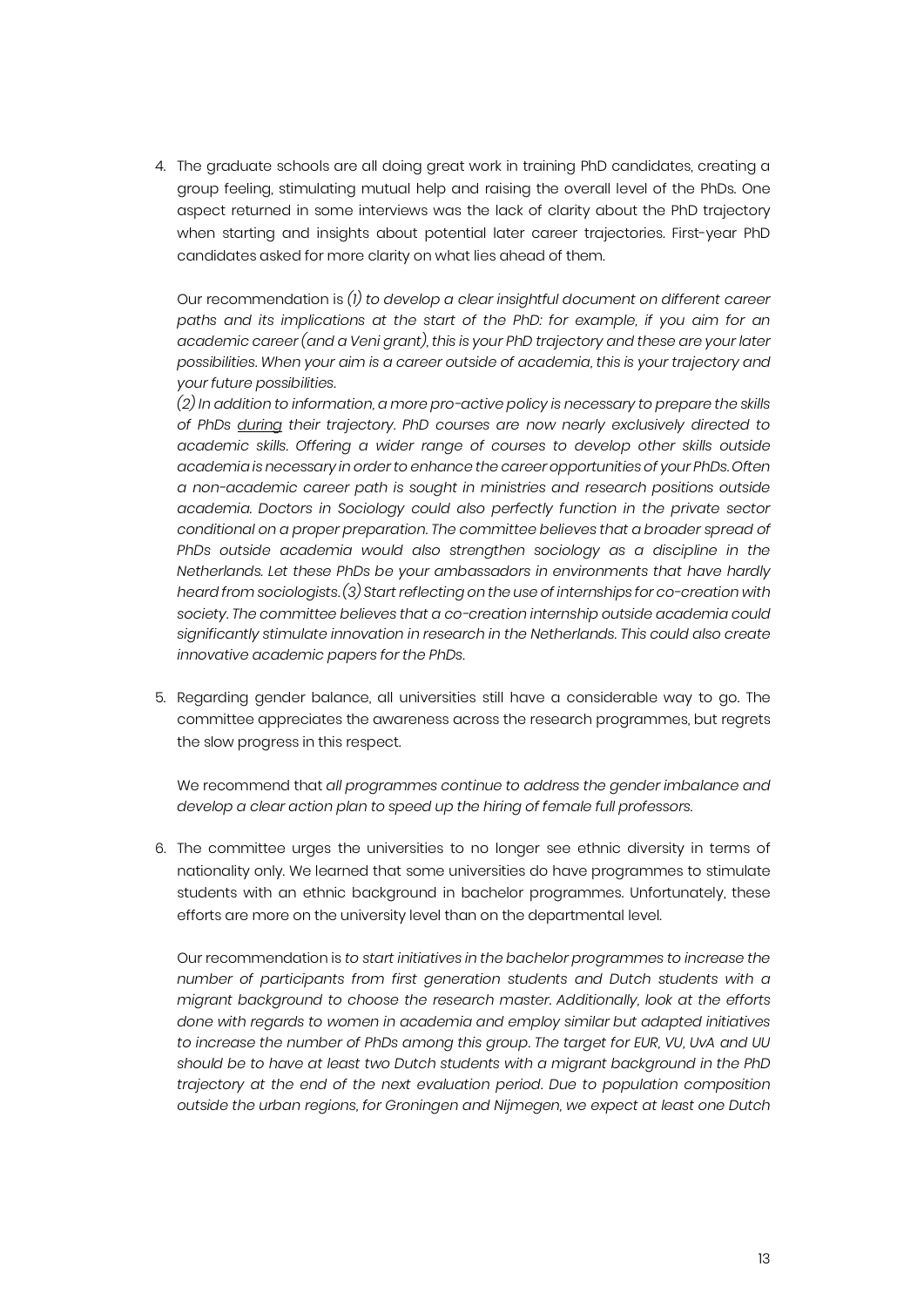4. The graduate schools are all doing great work in training PhD candidates, creating a group feeling, stimulating mutual help and raising the overall level of the PhDs. One aspect returned in some interviews was the lack of clarity about the PhD trajectory when starting and insights about potential later career trajectories. First-year PhD candidates asked for more clarity on what lies ahead of them.

Our recommendation is *(1) to develop a clear insightful document on different career paths and its implications at the start of the PhD: for example, if you aim for an academic career (and a Veni grant), this is your PhD trajectory and these are your later possibilities. When your aim is a career outside of academia, this is your trajectory and your future possibilities.*

*(2) In addition to information, a more pro-active policy is necessary to prepare the skills of PhDs during their trajectory. PhD courses are now nearly exclusively directed to academic skills. Offering a wider range of courses to develop other skills outside academia is necessary in order to enhance the career opportunities of your PhDs. Often a non-academic career path is sought in ministries and research positions outside academia. Doctors in Sociology could also perfectly function in the private sector conditional on a proper preparation. The committee believes that a broader spread of*  PhDs outside academia would also strengthen sociology as a discipline in the *Netherlands. Let these PhDs be your ambassadors in environments that have hardly heard from sociologists. (3) Start reflecting on the use of internships for co-creation with society. The committee believes that a co-creation internship outside academia could significantly stimulate innovation in research in the Netherlands. This could also create innovative academic papers for the PhDs.*

5. Regarding gender balance, all universities still have a considerable way to go. The committee appreciates the awareness across the research programmes, but regrets the slow progress in this respect.

We recommend that *all programmes continue to address the gender imbalance and develop a clear action plan to speed up the hiring of female full professors.*

6. The committee urges the universities to no longer see ethnic diversity in terms of nationality only. We learned that some universities do have programmes to stimulate students with an ethnic background in bachelor programmes. Unfortunately, these efforts are more on the university level than on the departmental level.

Our recommendation is *to start initiatives in the bachelor programmes to increase the number of participants from first generation students and Dutch students with a migrant background to choose the research master. Additionally, look at the efforts done with regards to women in academia and employ similar but adapted initiatives to increase the number of PhDs among this group*. *The target for EUR, VU, UvA and UU should be to have at least two Dutch students with a migrant background in the PhD trajectory at the end of the next evaluation period. Due to population composition outside the urban regions, for Groningen and Nijmegen, we expect at least one Dutch*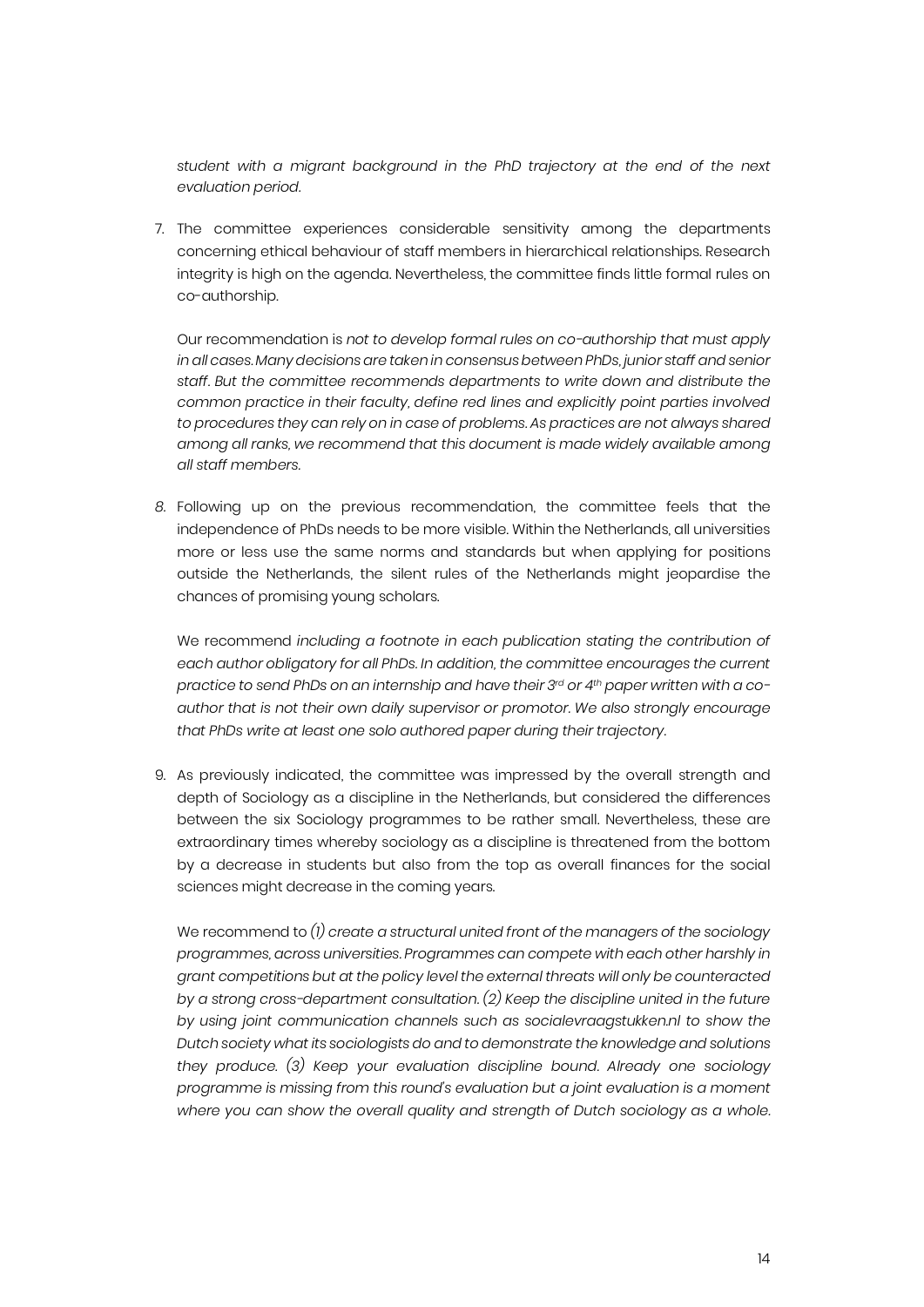*student with a migrant background in the PhD trajectory at the end of the next evaluation period.*

7. The committee experiences considerable sensitivity among the departments concerning ethical behaviour of staff members in hierarchical relationships. Research integrity is high on the agenda. Nevertheless, the committee finds little formal rules on co-authorship.

Our recommendation is *not to develop formal rules on co-authorship that must apply in all cases. Many decisions are taken in consensus between PhDs, junior staff and senior staff. But the committee recommends departments to write down and distribute the common practice in their faculty, define red lines and explicitly point parties involved to procedures they can rely on in case of problems. As practices are not always shared among all ranks, we recommend that this document is made widely available among all staff members.*

*8.* Following up on the previous recommendation, the committee feels that the independence of PhDs needs to be more visible. Within the Netherlands, all universities more or less use the same norms and standards but when applying for positions outside the Netherlands, the silent rules of the Netherlands might jeopardise the chances of promising young scholars.

We recommend *including a footnote in each publication stating the contribution of each author obligatory for all PhDs. In addition, the committee encourages the current practice to send PhDs on an internship and have their 3rd or 4th paper written with a coauthor that is not their own daily supervisor or promotor. We also strongly encourage that PhDs write at least one solo authored paper during their trajectory.*

9. As previously indicated, the committee was impressed by the overall strength and depth of Sociology as a discipline in the Netherlands, but considered the differences between the six Sociology programmes to be rather small. Nevertheless, these are extraordinary times whereby sociology as a discipline is threatened from the bottom by a decrease in students but also from the top as overall finances for the social sciences might decrease in the coming years.

We recommend to *(1) create a structural united front of the managers of the sociology programmes, across universities. Programmes can compete with each other harshly in grant competitions but at the policy level the external threats will only be counteracted by a strong cross-department consultation. (2) Keep the discipline united in the future by using joint communication channels such as socialevraagstukken.nl to show the Dutch society what its sociologists do and to demonstrate the knowledge and solutions they produce. (3) Keep your evaluation discipline bound. Already one sociology programme is missing from this round's evaluation but a joint evaluation is a moment where you can show the overall quality and strength of Dutch sociology as a whole.*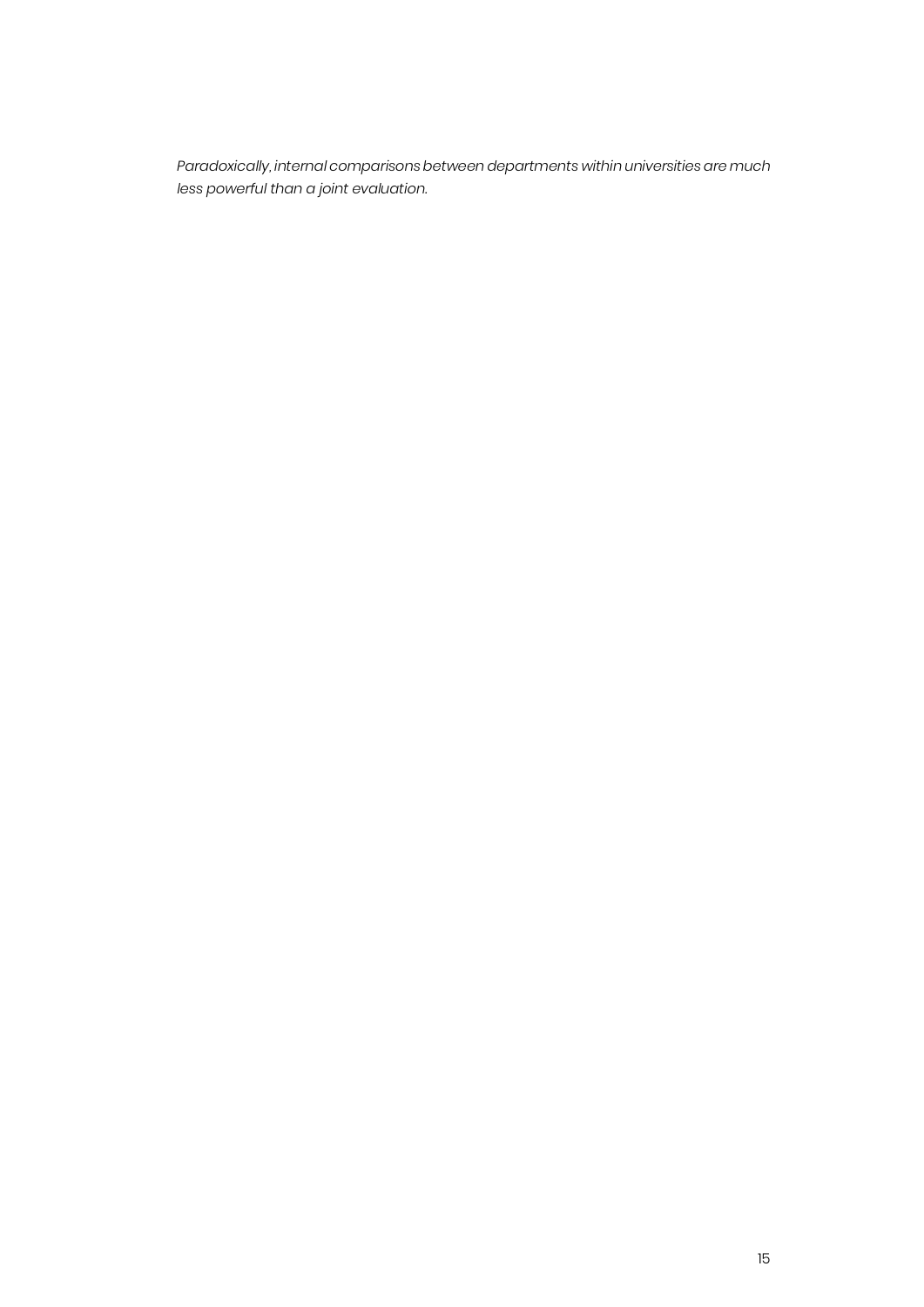*Paradoxically, internal comparisons between departments within universities are much less powerful than a joint evaluation.*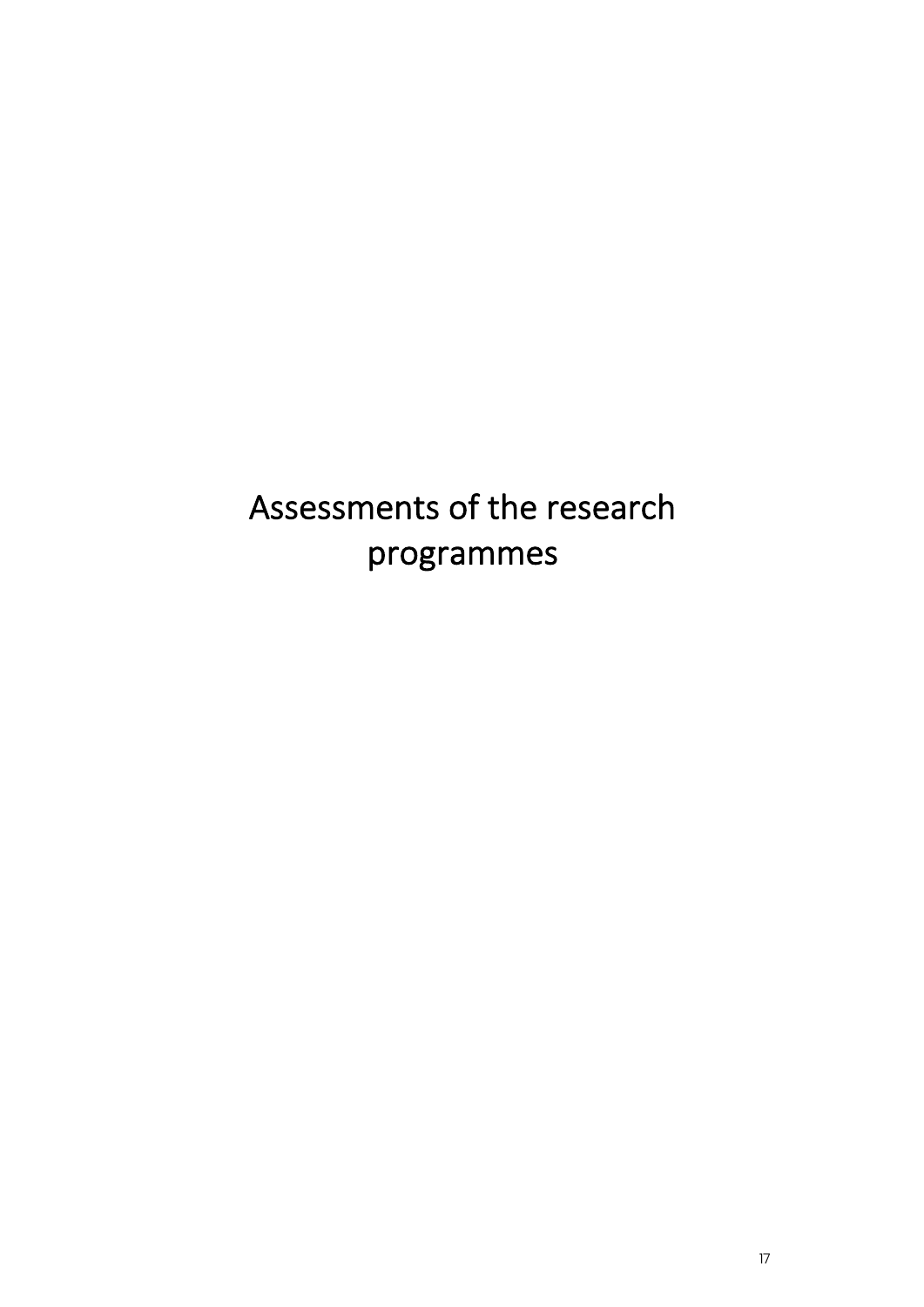Assessments of the research programmes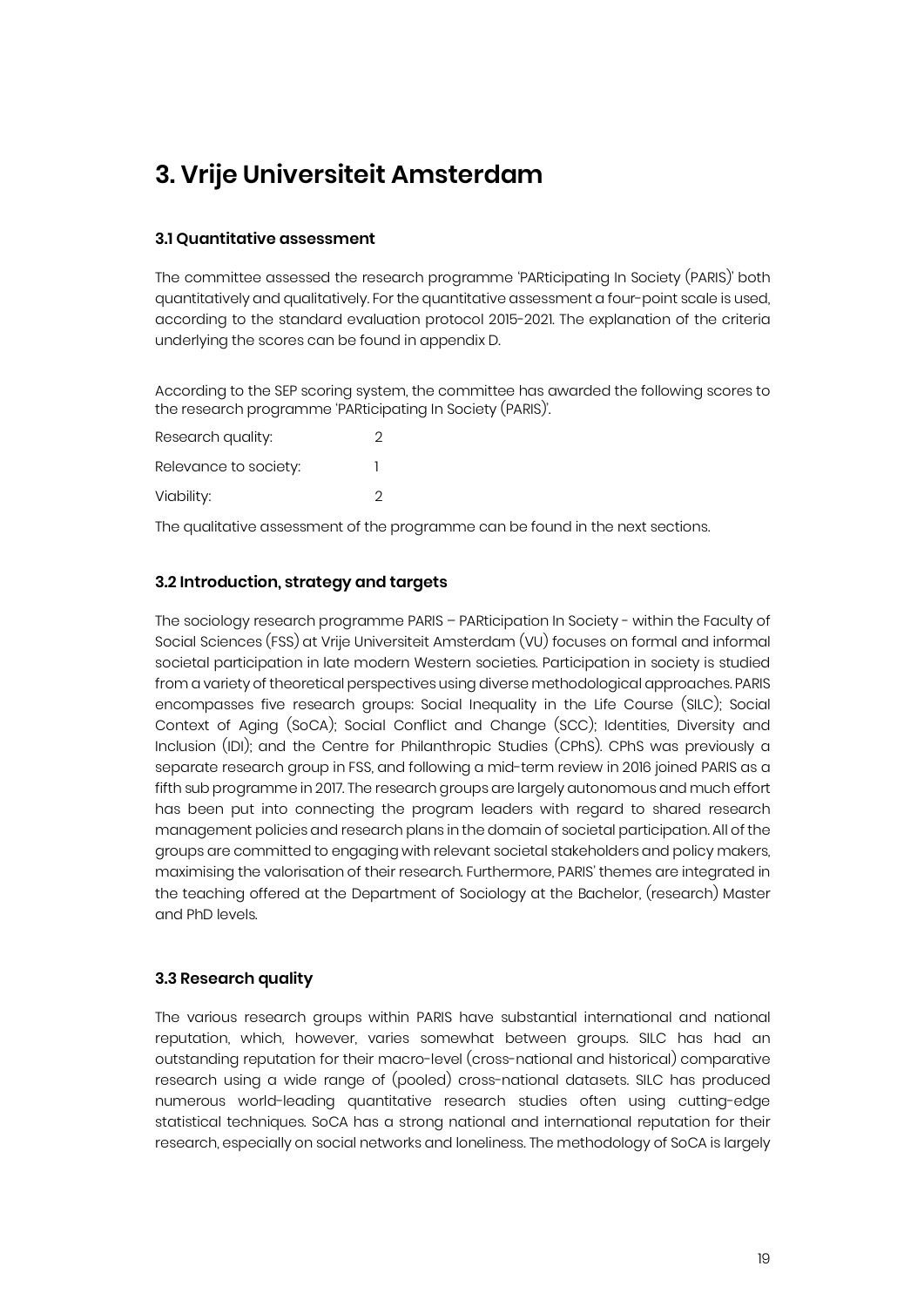### **3. Vrije Universiteit Amsterdam**

#### **3.1 Quantitative assessment**

The committee assessed the research programme 'PARticipating In Society (PARIS)' both quantitatively and qualitatively. For the quantitative assessment a four-point scale is used, according to the standard evaluation protocol 2015-2021. The explanation of the criteria underlying the scores can be found in appendix D.

According to the SEP scoring system, the committee has awarded the following scores to the research programme 'PARticipating In Society (PARIS)'.

| Research quality:     | 2 |
|-----------------------|---|
| Relevance to society: |   |
| Viability:            | 2 |

The qualitative assessment of the programme can be found in the next sections.

#### **3.2 Introduction, strategy and targets**

The sociology research programme PARIS – PARticipation In Society - within the Faculty of Social Sciences (FSS) at Vrije Universiteit Amsterdam (VU) focuses on formal and informal societal participation in late modern Western societies. Participation in society is studied from a variety of theoretical perspectives using diverse methodological approaches. PARIS encompasses five research groups: Social Inequality in the Life Course (SILC); Social Context of Aging (SoCA); Social Conflict and Change (SCC); Identities, Diversity and Inclusion (IDI); and the Centre for Philanthropic Studies (CPhS). CPhS was previously a separate research group in FSS, and following a mid-term review in 2016 joined PARIS as a fifth sub programme in 2017. The research groups are largely autonomous and much effort has been put into connecting the program leaders with regard to shared research management policies and research plans in the domain of societal participation. All of the groups are committed to engaging with relevant societal stakeholders and policy makers, maximising the valorisation of their research. Furthermore, PARIS' themes are integrated in the teaching offered at the Department of Sociology at the Bachelor, (research) Master and PhD levels.

#### **3.3 Research quality**

The various research groups within PARIS have substantial international and national reputation, which, however, varies somewhat between groups. SILC has had an outstanding reputation for their macro-level (cross-national and historical) comparative research using a wide range of (pooled) cross-national datasets. SILC has produced numerous world-leading quantitative research studies often using cutting-edge statistical techniques. SoCA has a strong national and international reputation for their research, especially on social networks and loneliness. The methodology of SoCA is largely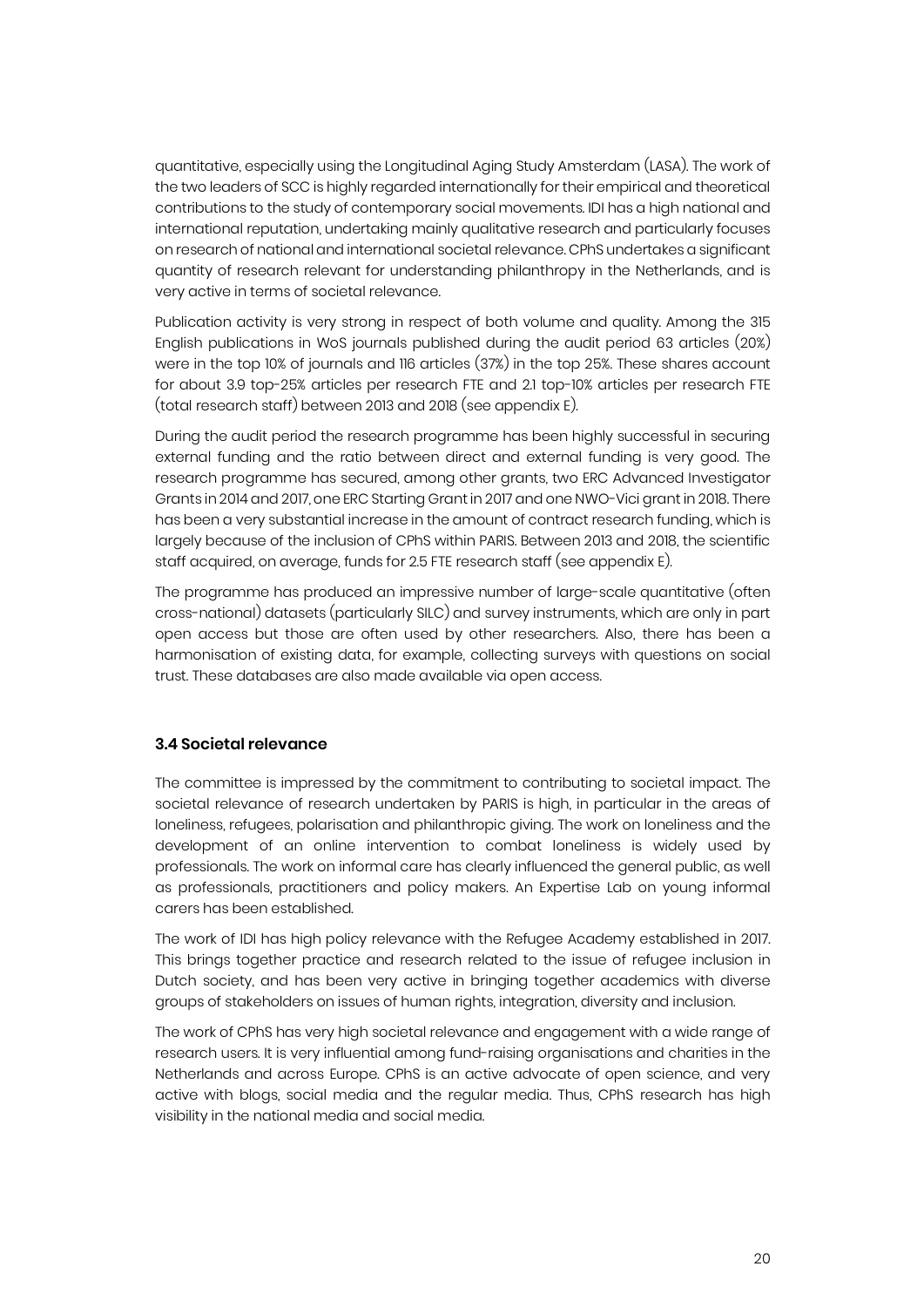quantitative, especially using the Longitudinal Aging Study Amsterdam (LASA). The work of the two leaders of SCC is highly regarded internationally for their empirical and theoretical contributions to the study of contemporary social movements. IDI has a high national and international reputation, undertaking mainly qualitative research and particularly focuses on research of national and international societal relevance. CPhS undertakes a significant quantity of research relevant for understanding philanthropy in the Netherlands, and is very active in terms of societal relevance.

Publication activity is very strong in respect of both volume and quality. Among the 315 English publications in WoS journals published during the audit period 63 articles (20%) were in the top 10% of journals and 116 articles (37%) in the top 25%. These shares account for about 3.9 top-25% articles per research FTE and 2.1 top-10% articles per research FTE (total research staff) between 2013 and 2018 (see appendix E).

During the audit period the research programme has been highly successful in securing external funding and the ratio between direct and external funding is very good. The research programme has secured, among other grants, two ERC Advanced Investigator Grants in 2014 and 2017, one ERC Starting Grant in 2017 and one NWO-Vici grant in 2018. There has been a very substantial increase in the amount of contract research funding, which is largely because of the inclusion of CPhS within PARIS. Between 2013 and 2018, the scientific staff acquired, on average, funds for 2.5 FTE research staff (see appendix E).

The programme has produced an impressive number of large-scale quantitative (often cross-national) datasets (particularly SILC) and survey instruments, which are only in part open access but those are often used by other researchers. Also, there has been a harmonisation of existing data, for example, collecting surveys with questions on social trust. These databases are also made available via open access.

#### **3.4 Societal relevance**

The committee is impressed by the commitment to contributing to societal impact. The societal relevance of research undertaken by PARIS is high, in particular in the areas of loneliness, refugees, polarisation and philanthropic giving. The work on loneliness and the development of an online intervention to combat loneliness is widely used by professionals. The work on informal care has clearly influenced the general public, as well as professionals, practitioners and policy makers. An Expertise Lab on young informal carers has been established.

The work of IDI has high policy relevance with the Refugee Academy established in 2017. This brings together practice and research related to the issue of refugee inclusion in Dutch society, and has been very active in bringing together academics with diverse groups of stakeholders on issues of human rights, integration, diversity and inclusion.

The work of CPhS has very high societal relevance and engagement with a wide range of research users. It is very influential among fund-raising organisations and charities in the Netherlands and across Europe. CPhS is an active advocate of open science, and very active with blogs, social media and the regular media. Thus, CPhS research has high visibility in the national media and social media.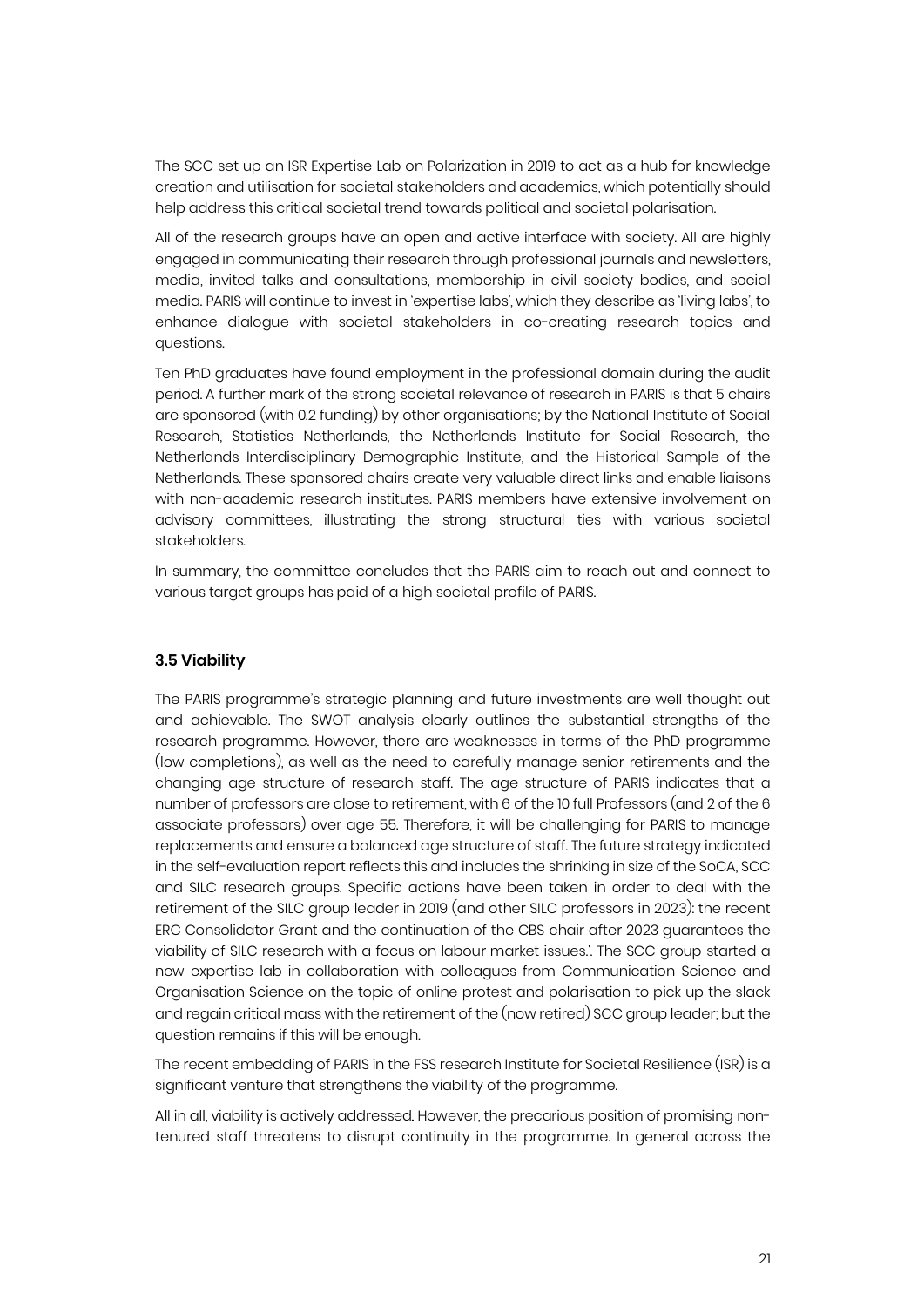The SCC set up an ISR Expertise Lab on Polarization in 2019 to act as a hub for knowledge creation and utilisation for societal stakeholders and academics, which potentially should help address this critical societal trend towards political and societal polarisation.

All of the research groups have an open and active interface with society. All are highly engaged in communicating their research through professional journals and newsletters, media, invited talks and consultations, membership in civil society bodies, and social media. PARIS will continue to invest in 'expertise labs', which they describe as 'living labs', to enhance dialogue with societal stakeholders in co-creating research topics and questions.

Ten PhD graduates have found employment in the professional domain during the audit period. A further mark of the strong societal relevance of research in PARIS is that 5 chairs are sponsored (with 0.2 funding) by other organisations; by the National Institute of Social Research, Statistics Netherlands, the Netherlands Institute for Social Research, the Netherlands Interdisciplinary Demographic Institute, and the Historical Sample of the Netherlands. These sponsored chairs create very valuable direct links and enable liaisons with non-academic research institutes. PARIS members have extensive involvement on advisory committees, illustrating the strong structural ties with various societal stakeholders.

In summary, the committee concludes that the PARIS aim to reach out and connect to various target groups has paid of a high societal profile of PARIS.

#### **3.5 Viability**

The PARIS programme's strategic planning and future investments are well thought out and achievable. The SWOT analysis clearly outlines the substantial strengths of the research programme. However, there are weaknesses in terms of the PhD programme (low completions), as well as the need to carefully manage senior retirements and the changing age structure of research staff. The age structure of PARIS indicates that a number of professors are close to retirement, with 6 of the 10 full Professors (and 2 of the 6 associate professors) over age 55. Therefore, it will be challenging for PARIS to manage replacements and ensure a balanced age structure of staff. The future strategy indicated in the self-evaluation report reflects this and includes the shrinking in size of the SoCA, SCC and SILC research groups. Specific actions have been taken in order to deal with the retirement of the SILC group leader in 2019 (and other SILC professors in 2023): the recent ERC Consolidator Grant and the continuation of the CBS chair after 2023 guarantees the viability of SILC research with a focus on labour market issues.'. The SCC group started a new expertise lab in collaboration with colleagues from Communication Science and Organisation Science on the topic of online protest and polarisation to pick up the slack and regain critical mass with the retirement of the (now retired) SCC group leader; but the question remains if this will be enough.

The recent embedding of PARIS in the FSS research Institute for Societal Resilience (ISR) is a significant venture that strengthens the viability of the programme.

All in all, viability is actively addressed. However, the precarious position of promising nontenured staff threatens to disrupt continuity in the programme. In general across the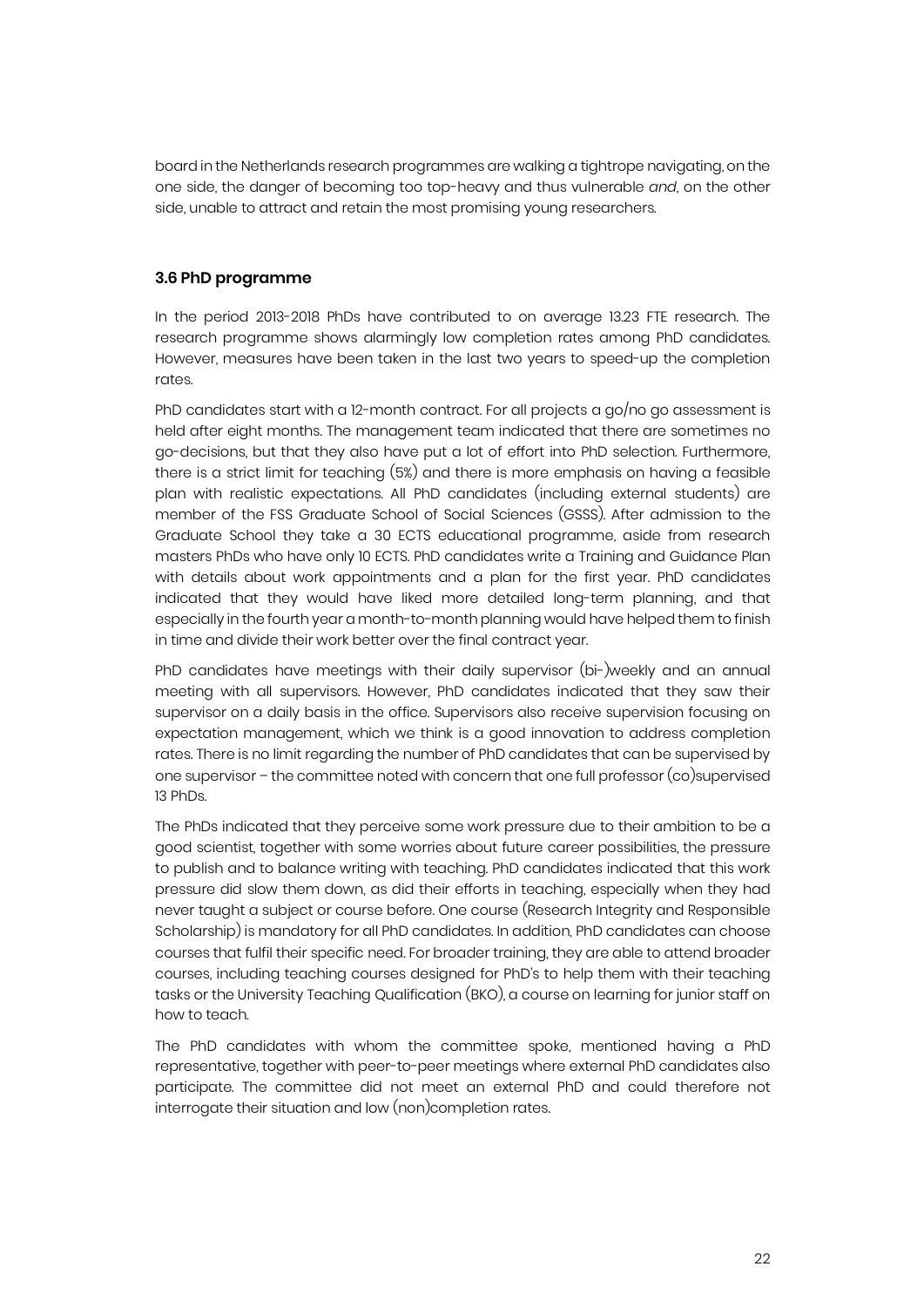board in the Netherlands research programmes are walking a tightrope navigating, on the one side, the danger of becoming too top-heavy and thus vulnerable *and,* on the other side, unable to attract and retain the most promising young researchers.

#### **3.6 PhD programme**

In the period 2013-2018 PhDs have contributed to on average 13.23 FTE research. The research programme shows alarmingly low completion rates among PhD candidates. However, measures have been taken in the last two years to speed-up the completion rates.

PhD candidates start with a 12-month contract. For all projects a go/no go assessment is held after eight months. The management team indicated that there are sometimes no go-decisions, but that they also have put a lot of effort into PhD selection. Furthermore, there is a strict limit for teaching (5%) and there is more emphasis on having a feasible plan with realistic expectations. All PhD candidates (including external students) are member of the FSS Graduate School of Social Sciences (GSSS). After admission to the Graduate School they take a 30 ECTS educational programme, aside from research masters PhDs who have only 10 ECTS. PhD candidates write a Training and Guidance Plan with details about work appointments and a plan for the first year. PhD candidates indicated that they would have liked more detailed long-term planning, and that especially in the fourth year a month-to-month planning would have helped them to finish in time and divide their work better over the final contract year.

PhD candidates have meetings with their daily supervisor (bi-)weekly and an annual meeting with all supervisors. However, PhD candidates indicated that they saw their supervisor on a daily basis in the office. Supervisors also receive supervision focusing on expectation management, which we think is a good innovation to address completion rates. There is no limit regarding the number of PhD candidates that can be supervised by one supervisor – the committee noted with concern that one full professor (co)supervised 13 PhDs.

The PhDs indicated that they perceive some work pressure due to their ambition to be a good scientist, together with some worries about future career possibilities, the pressure to publish and to balance writing with teaching. PhD candidates indicated that this work pressure did slow them down, as did their efforts in teaching, especially when they had never taught a subject or course before. One course (Research Integrity and Responsible Scholarship) is mandatory for all PhD candidates. In addition, PhD candidates can choose courses that fulfil their specific need. For broader training, they are able to attend broader courses, including teaching courses designed for PhD's to help them with their teaching tasks or the University Teaching Qualification (BKO), a course on learning for junior staff on how to teach.

The PhD candidates with whom the committee spoke, mentioned having a PhD representative, together with peer-to-peer meetings where external PhD candidates also participate. The committee did not meet an external PhD and could therefore not interrogate their situation and low (non)completion rates.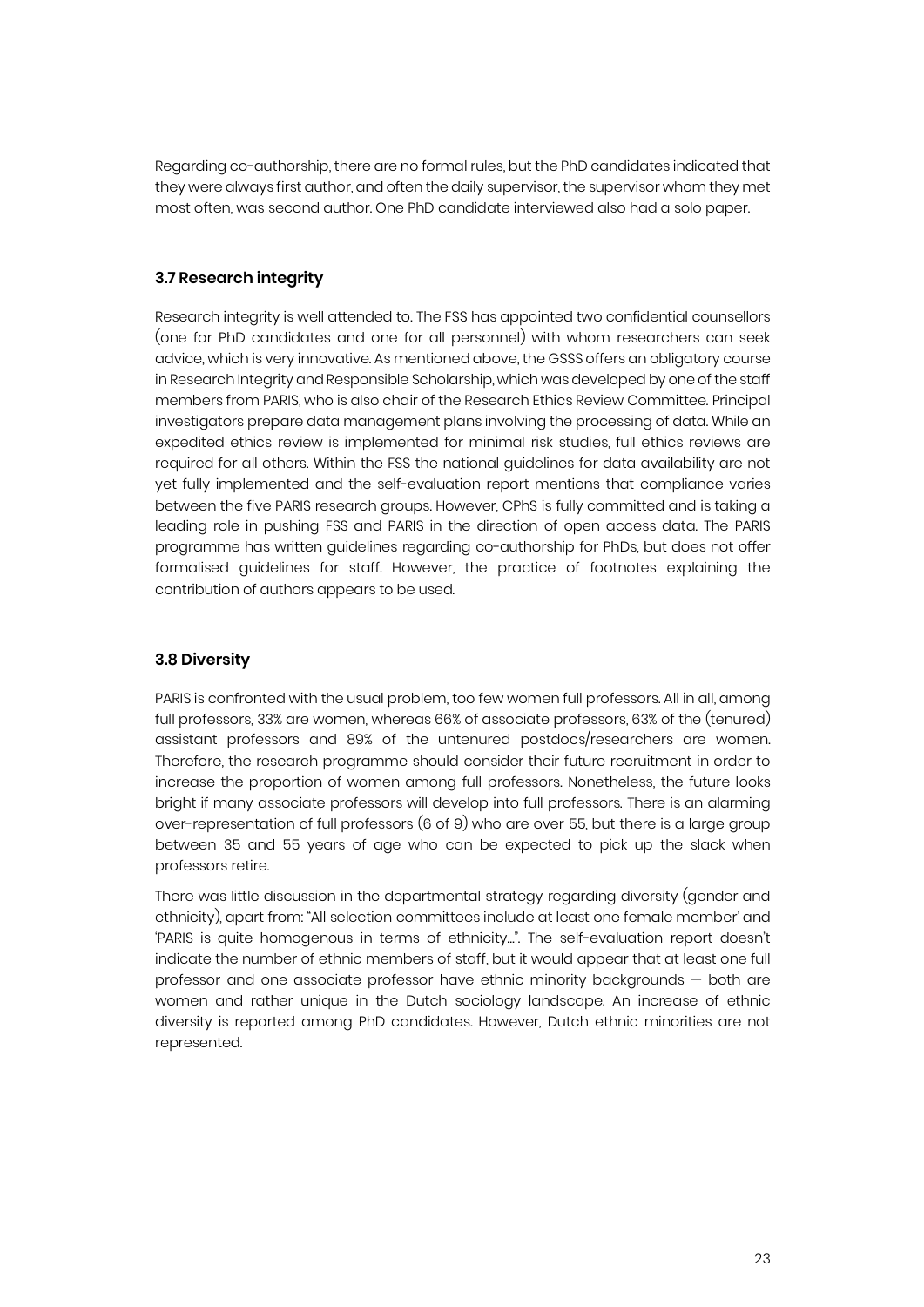Regarding co-authorship, there are no formal rules, but the PhD candidates indicated that they were always first author, and often the daily supervisor, the supervisor whom they met most often, was second author. One PhD candidate interviewed also had a solo paper.

#### **3.7 Research integrity**

Research integrity is well attended to. The FSS has appointed two confidential counsellors (one for PhD candidates and one for all personnel) with whom researchers can seek advice, which is very innovative. As mentioned above, the GSSS offers an obligatory course in Research Integrity and Responsible Scholarship, which was developed by one of the staff members from PARIS, who is also chair of the Research Ethics Review Committee. Principal investigators prepare data management plans involving the processing of data. While an expedited ethics review is implemented for minimal risk studies, full ethics reviews are required for all others. Within the FSS the national guidelines for data availability are not yet fully implemented and the self-evaluation report mentions that compliance varies between the five PARIS research groups. However, CPhS is fully committed and is taking a leading role in pushing FSS and PARIS in the direction of open access data. The PARIS programme has written guidelines regarding co-authorship for PhDs, but does not offer formalised guidelines for staff. However, the practice of footnotes explaining the contribution of authors appears to be used.

#### **3.8 Diversity**

PARIS is confronted with the usual problem, too few women full professors. All in all, among full professors, 33% are women, whereas 66% of associate professors, 63% of the (tenured) assistant professors and 89% of the untenured postdocs/researchers are women. Therefore, the research programme should consider their future recruitment in order to increase the proportion of women among full professors. Nonetheless, the future looks bright if many associate professors will develop into full professors. There is an alarming over-representation of full professors (6 of 9) who are over 55, but there is a large group between 35 and 55 years of age who can be expected to pick up the slack when professors retire.

There was little discussion in the departmental strategy regarding diversity (gender and ethnicity), apart from: "All selection committees include at least one female member' and 'PARIS is quite homogenous in terms of ethnicity…". The self-evaluation report doesn't indicate the number of ethnic members of staff, but it would appear that at least one full professor and one associate professor have ethnic minority backgrounds — both are women and rather unique in the Dutch sociology landscape. An increase of ethnic diversity is reported among PhD candidates. However, Dutch ethnic minorities are not represented.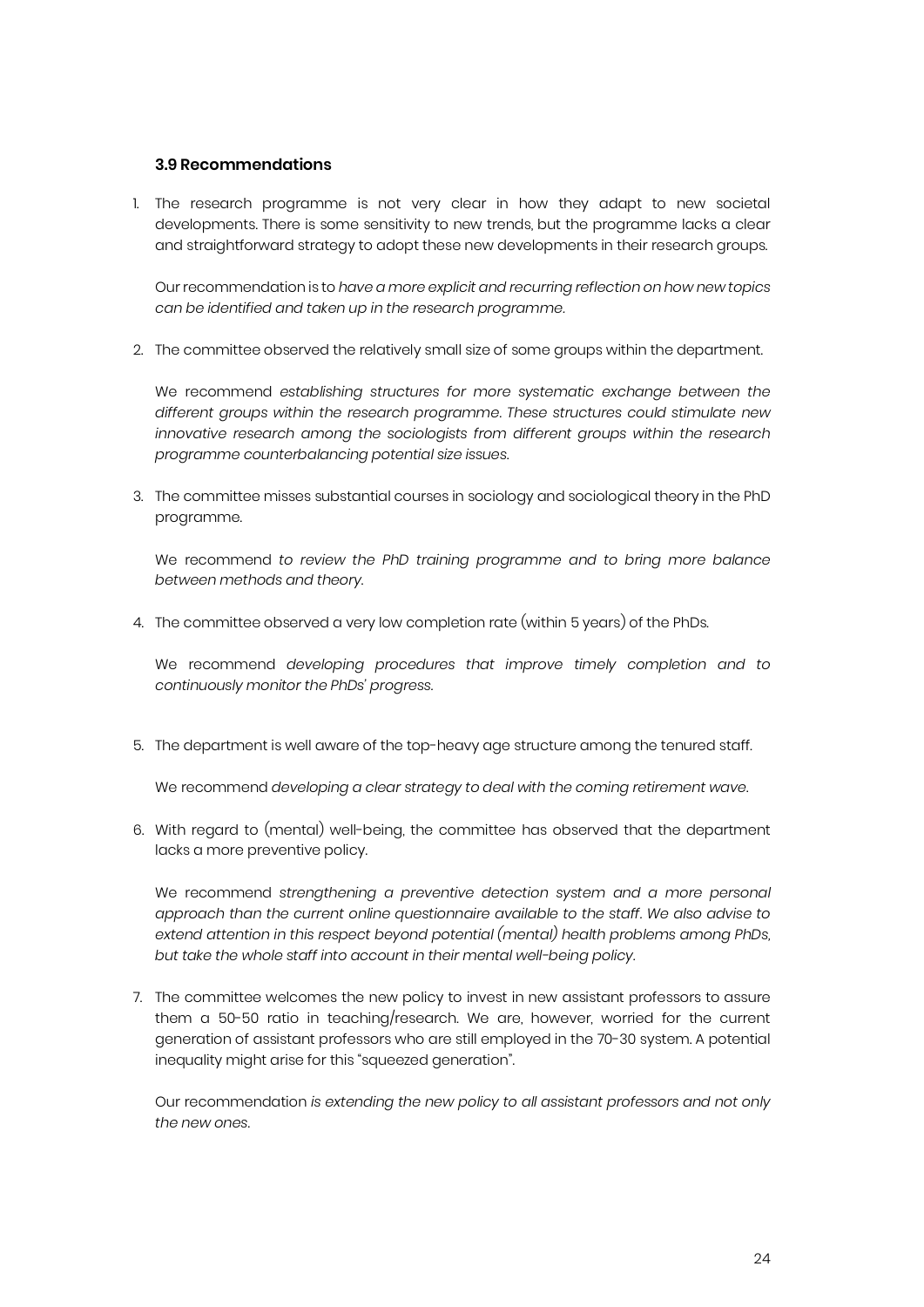#### **3.9 Recommendations**

1. The research programme is not very clear in how they adapt to new societal developments. There is some sensitivity to new trends, but the programme lacks a clear and straightforward strategy to adopt these new developments in their research groups.

Our recommendation is to *have a more explicit and recurring reflection on how new topics can be identified and taken up in the research programme.*

2. The committee observed the relatively small size of some groups within the department.

We recommend *establishing structures for more systematic exchange between the different groups within the research programme. These structures could stimulate new innovative research among the sociologists from different groups within the research programme counterbalancing potential size issues*.

3. The committee misses substantial courses in sociology and sociological theory in the PhD programme.

We recommend *to review the PhD training programme and to bring more balance between methods and theory*.

4. The committee observed a very low completion rate (within 5 years) of the PhDs.

We recommend *developing procedures that improve timely completion and to continuously monitor the PhDs' progress.*

5. The department is well aware of the top-heavy age structure among the tenured staff.

We recommend *developing a clear strategy to deal with the coming retirement wave*.

6. With regard to (mental) well-being, the committee has observed that the department lacks a more preventive policy.

We recommend *strengthening a preventive detection system and a more personal approach than the current online questionnaire available to the staff. We also advise to extend attention in this respect beyond potential (mental) health problems among PhDs, but take the whole staff into account in their mental well-being policy.* 

7. The committee welcomes the new policy to invest in new assistant professors to assure them a 50-50 ratio in teaching/research. We are, however, worried for the current generation of assistant professors who are still employed in the 70-30 system. A potential inequality might arise for this "squeezed generation".

Our recommendation *is extending the new policy to all assistant professors and not only the new ones*.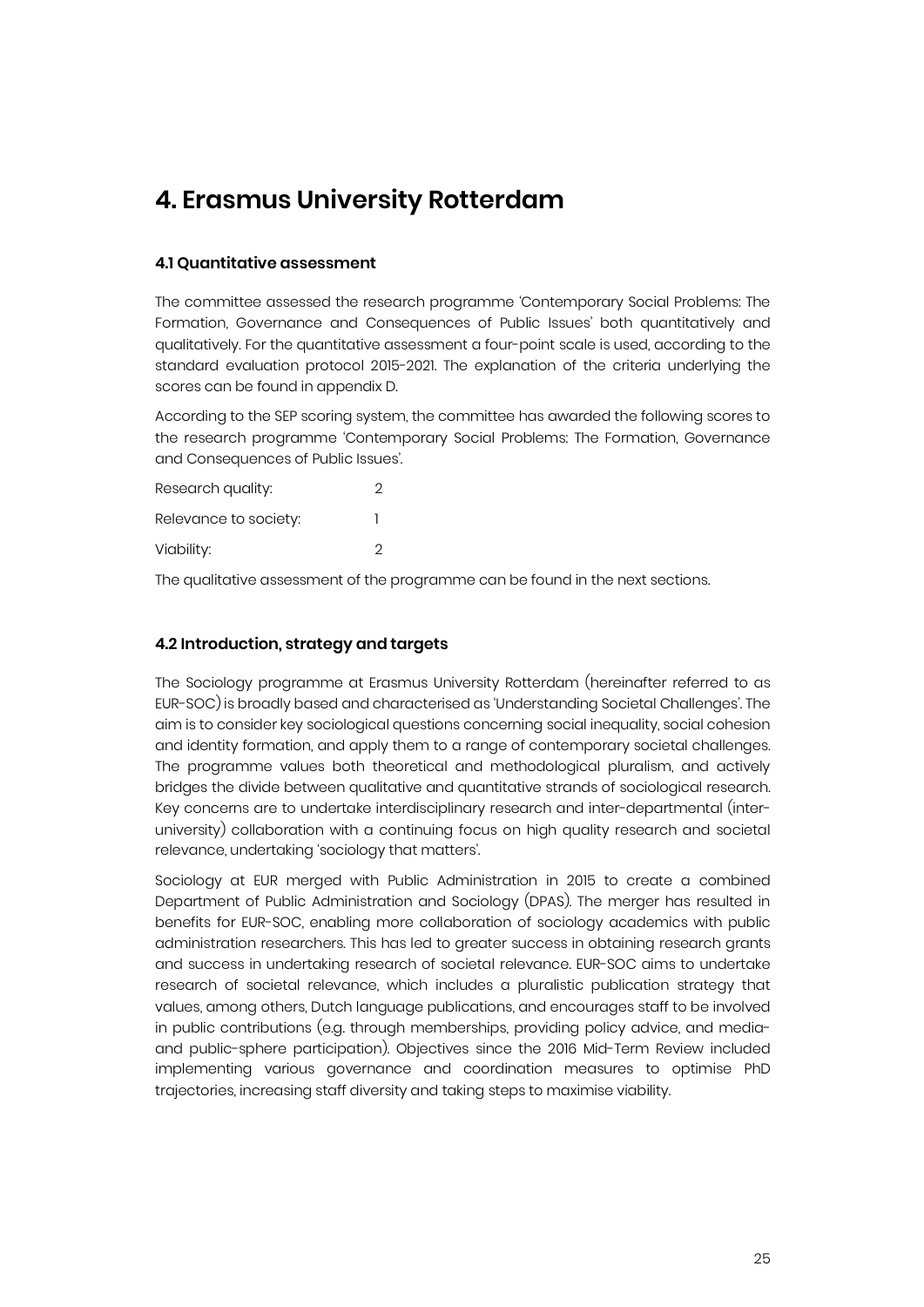## **4. Erasmus University Rotterdam**

#### **4.1 Quantitative assessment**

The committee assessed the research programme 'Contemporary Social Problems: The Formation, Governance and Consequences of Public Issues' both quantitatively and qualitatively. For the quantitative assessment a four-point scale is used, according to the standard evaluation protocol 2015-2021. The explanation of the criteria underlying the scores can be found in appendix D.

According to the SEP scoring system, the committee has awarded the following scores to the research programme 'Contemporary Social Problems: The Formation, Governance and Consequences of Public Issues'.

| Research quality:     | 2 |
|-----------------------|---|
| Relevance to society: |   |
| Viability:            | 2 |

The qualitative assessment of the programme can be found in the next sections.

#### **4.2 Introduction, strategy and targets**

The Sociology programme at Erasmus University Rotterdam (hereinafter referred to as EUR-SOC) is broadly based and characterised as 'Understanding Societal Challenges'. The aim is to consider key sociological questions concerning social inequality, social cohesion and identity formation, and apply them to a range of contemporary societal challenges. The programme values both theoretical and methodological pluralism, and actively bridges the divide between qualitative and quantitative strands of sociological research. Key concerns are to undertake interdisciplinary research and inter-departmental (interuniversity) collaboration with a continuing focus on high quality research and societal relevance, undertaking 'sociology that matters'.

Sociology at EUR merged with Public Administration in 2015 to create a combined Department of Public Administration and Sociology (DPAS). The merger has resulted in benefits for EUR-SOC, enabling more collaboration of sociology academics with public administration researchers. This has led to greater success in obtaining research grants and success in undertaking research of societal relevance. EUR-SOC aims to undertake research of societal relevance, which includes a pluralistic publication strategy that values, among others, Dutch language publications, and encourages staff to be involved in public contributions (e.g. through memberships, providing policy advice, and mediaand public-sphere participation). Objectives since the 2016 Mid-Term Review included implementing various governance and coordination measures to optimise PhD trajectories, increasing staff diversity and taking steps to maximise viability.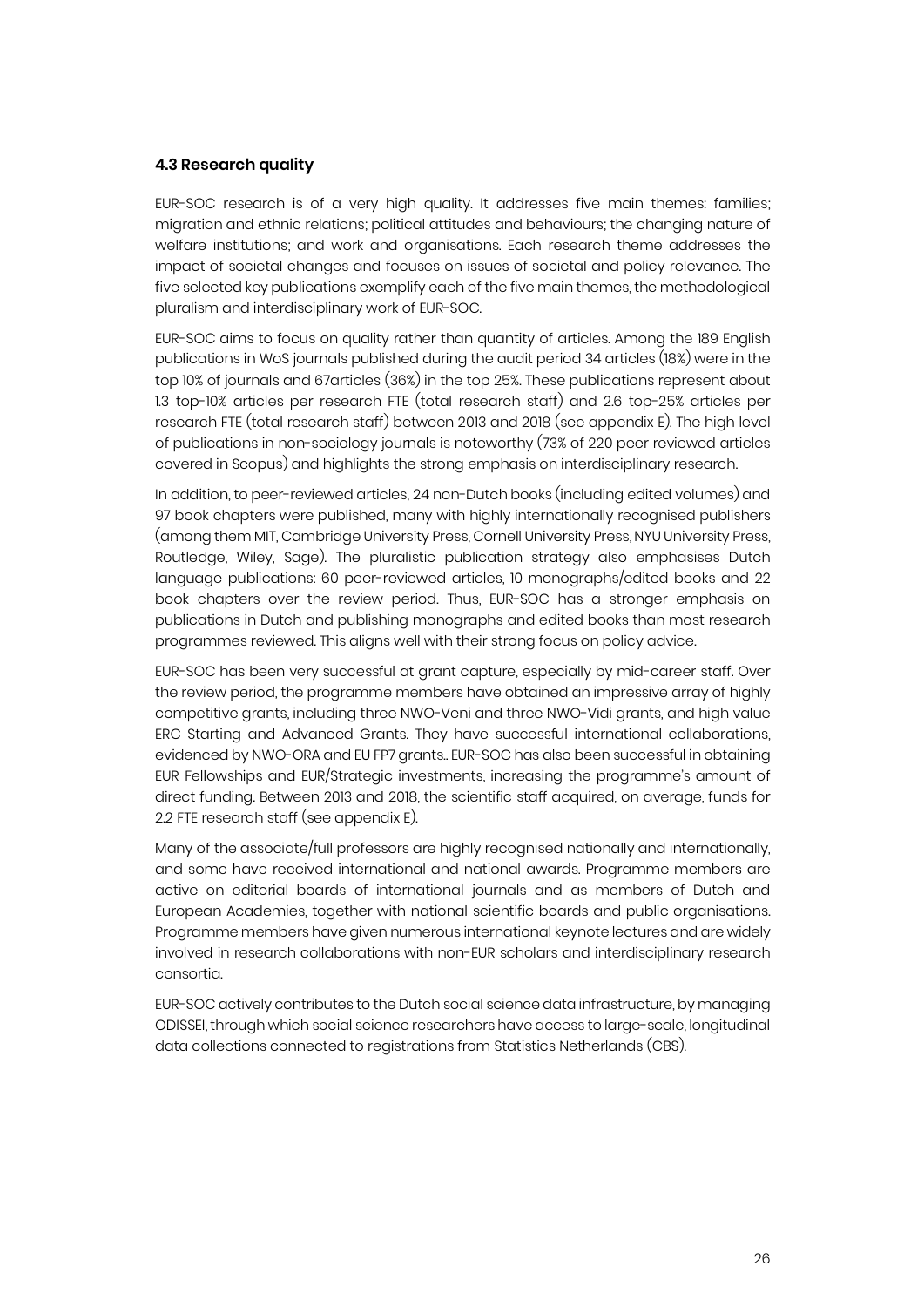#### **4.3 Research quality**

EUR-SOC research is of a very high quality. It addresses five main themes: families; migration and ethnic relations; political attitudes and behaviours; the changing nature of welfare institutions; and work and organisations. Each research theme addresses the impact of societal changes and focuses on issues of societal and policy relevance. The five selected key publications exemplify each of the five main themes, the methodological pluralism and interdisciplinary work of EUR-SOC.

EUR-SOC aims to focus on quality rather than quantity of articles. Among the 189 English publications in WoS journals published during the audit period 34 articles (18%) were in the top 10% of journals and 67articles (36%) in the top 25%. These publications represent about 1.3 top-10% articles per research FTE (total research staff) and 2.6 top-25% articles per research FTE (total research staff) between 2013 and 2018 (see appendix E). The high level of publications in non-sociology journals is noteworthy (73% of 220 peer reviewed articles covered in Scopus) and highlights the strong emphasis on interdisciplinary research.

In addition, to peer-reviewed articles, 24 non-Dutch books (including edited volumes) and 97 book chapters were published, many with highly internationally recognised publishers (among them MIT, Cambridge University Press, Cornell University Press, NYU University Press, Routledge, Wiley, Sage). The pluralistic publication strategy also emphasises Dutch language publications: 60 peer-reviewed articles, 10 monographs/edited books and 22 book chapters over the review period. Thus, EUR-SOC has a stronger emphasis on publications in Dutch and publishing monographs and edited books than most research programmes reviewed. This aligns well with their strong focus on policy advice.

EUR-SOC has been very successful at grant capture, especially by mid-career staff. Over the review period, the programme members have obtained an impressive array of highly competitive grants, including three NWO-Veni and three NWO-Vidi grants, and high value ERC Starting and Advanced Grants. They have successful international collaborations, evidenced by NWO-ORA and EU FP7 grants.. EUR-SOC has also been successful in obtaining EUR Fellowships and EUR/Strategic investments, increasing the programme's amount of direct funding. Between 2013 and 2018, the scientific staff acquired, on average, funds for 2.2 FTE research staff (see appendix E).

Many of the associate/full professors are highly recognised nationally and internationally, and some have received international and national awards. Programme members are active on editorial boards of international journals and as members of Dutch and European Academies, together with national scientific boards and public organisations. Programme members have given numerous international keynote lectures and are widely involved in research collaborations with non-EUR scholars and interdisciplinary research consortia.

EUR-SOC actively contributes to the Dutch social science data infrastructure, by managing ODISSEI, through which social science researchers have access to large-scale, longitudinal data collections connected to registrations from Statistics Netherlands (CBS).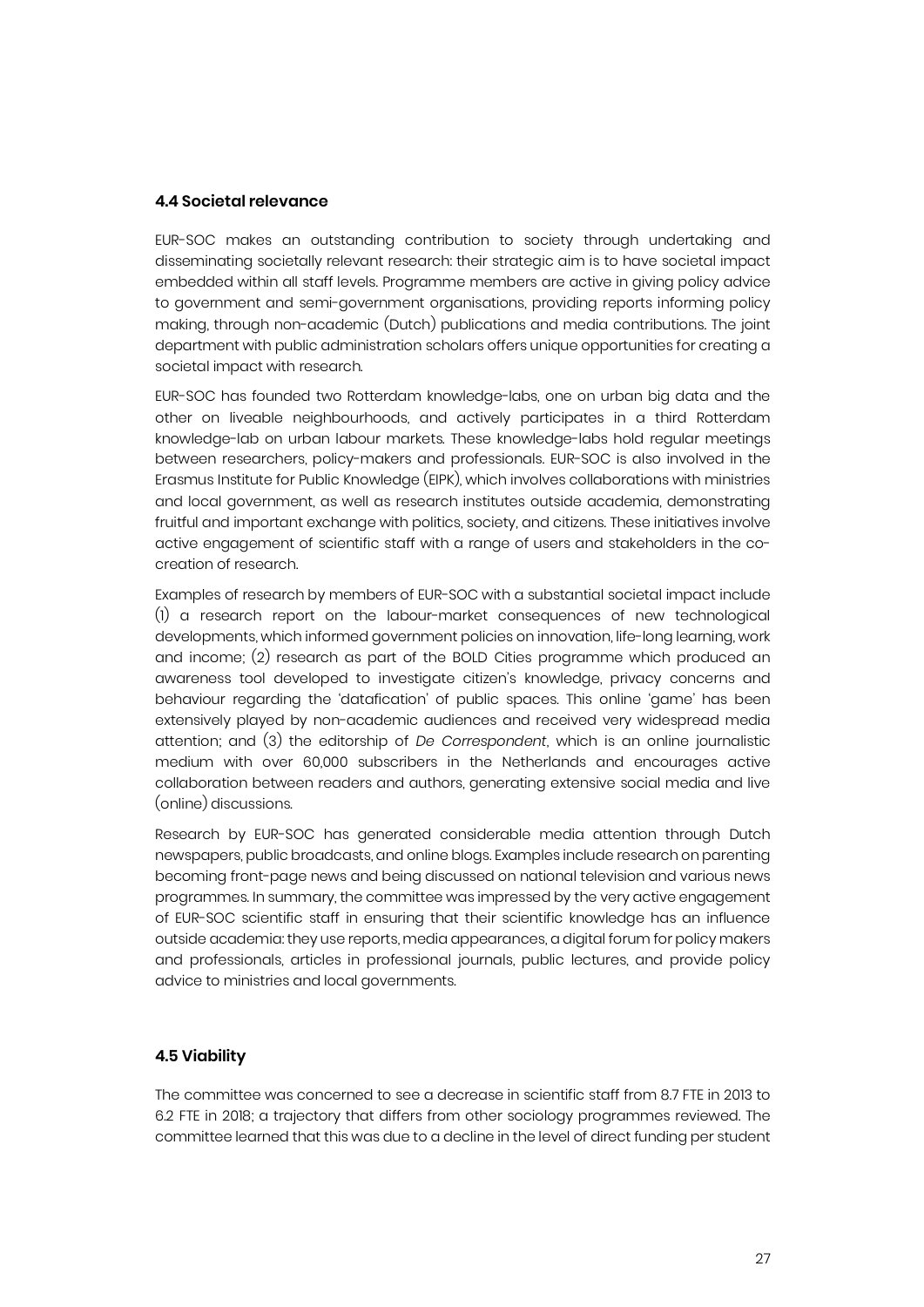#### **4.4 Societal relevance**

EUR-SOC makes an outstanding contribution to society through undertaking and disseminating societally relevant research: their strategic aim is to have societal impact embedded within all staff levels. Programme members are active in giving policy advice to government and semi-government organisations, providing reports informing policy making, through non-academic (Dutch) publications and media contributions. The joint department with public administration scholars offers unique opportunities for creating a societal impact with research.

EUR-SOC has founded two Rotterdam knowledge-labs, one on urban big data and the other on liveable neighbourhoods, and actively participates in a third Rotterdam knowledge-lab on urban labour markets. These knowledge-labs hold regular meetings between researchers, policy-makers and professionals. EUR-SOC is also involved in the Erasmus Institute for Public Knowledge (EIPK), which involves collaborations with ministries and local government, as well as research institutes outside academia, demonstrating fruitful and important exchange with politics, society, and citizens. These initiatives involve active engagement of scientific staff with a range of users and stakeholders in the cocreation of research.

Examples of research by members of EUR-SOC with a substantial societal impact include (1) a research report on the labour-market consequences of new technological developments, which informed government policies on innovation, life-long learning, work and income; (2) research as part of the BOLD Cities programme which produced an awareness tool developed to investigate citizen's knowledge, privacy concerns and behaviour regarding the 'datafication' of public spaces. This online 'game' has been extensively played by non-academic audiences and received very widespread media attention; and (3) the editorship of *De Correspondent*, which is an online journalistic medium with over 60,000 subscribers in the Netherlands and encourages active collaboration between readers and authors, generating extensive social media and live (online) discussions.

Research by EUR-SOC has generated considerable media attention through Dutch newspapers, public broadcasts, and online blogs. Examples include research on parenting becoming front-page news and being discussed on national television and various news programmes. In summary, the committee was impressed by the very active engagement of EUR-SOC scientific staff in ensuring that their scientific knowledge has an influence outside academia: they use reports, media appearances, a digital forum for policy makers and professionals, articles in professional journals, public lectures, and provide policy advice to ministries and local governments.

#### **4.5 Viability**

The committee was concerned to see a decrease in scientific staff from 8.7 FTE in 2013 to 6.2 FTE in 2018; a trajectory that differs from other sociology programmes reviewed. The committee learned that this was due to a decline in the level of direct funding per student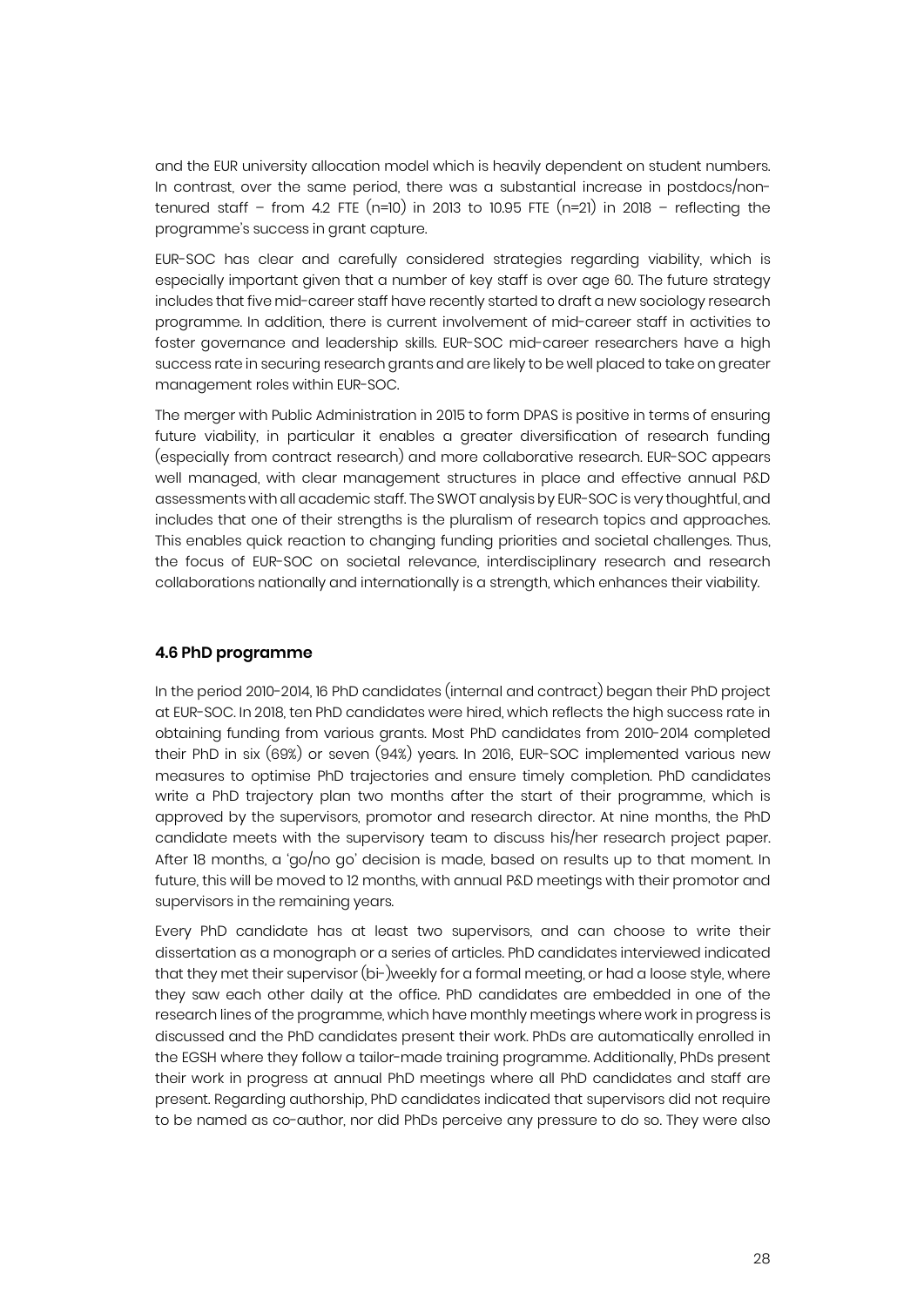and the EUR university allocation model which is heavily dependent on student numbers. In contrast, over the same period, there was a substantial increase in postdocs/nontenured staff – from 4.2 FTE  $(n=10)$  in 2013 to 10.95 FTE  $(n=21)$  in 2018 – reflecting the programme's success in grant capture.

EUR-SOC has clear and carefully considered strategies regarding viability, which is especially important given that a number of key staff is over age 60. The future strategy includes that five mid-career staff have recently started to draft a new sociology research programme. In addition, there is current involvement of mid-career staff in activities to foster governance and leadership skills. EUR-SOC mid-career researchers have a high success rate in securing research grants and are likely to be well placed to take on greater management roles within EUR-SOC.

The merger with Public Administration in 2015 to form DPAS is positive in terms of ensuring future viability, in particular it enables a greater diversification of research funding (especially from contract research) and more collaborative research. EUR-SOC appears well managed, with clear management structures in place and effective annual P&D assessments with all academic staff. The SWOT analysis by EUR-SOC is very thoughtful, and includes that one of their strengths is the pluralism of research topics and approaches. This enables quick reaction to changing funding priorities and societal challenges. Thus, the focus of EUR-SOC on societal relevance, interdisciplinary research and research collaborations nationally and internationally is a strength, which enhances their viability.

#### **4.6 PhD programme**

In the period 2010-2014, 16 PhD candidates (internal and contract) began their PhD project at EUR-SOC. In 2018, ten PhD candidates were hired, which reflects the high success rate in obtaining funding from various grants. Most PhD candidates from 2010-2014 completed their PhD in six (69%) or seven (94%) years. In 2016, EUR-SOC implemented various new measures to optimise PhD trajectories and ensure timely completion. PhD candidates write a PhD trajectory plan two months after the start of their programme, which is approved by the supervisors, promotor and research director. At nine months, the PhD candidate meets with the supervisory team to discuss his/her research project paper. After 18 months, a 'go/no go' decision is made, based on results up to that moment. In future, this will be moved to 12 months, with annual P&D meetings with their promotor and supervisors in the remaining years.

Every PhD candidate has at least two supervisors, and can choose to write their dissertation as a monograph or a series of articles. PhD candidates interviewed indicated that they met their supervisor (bi-)weekly for a formal meeting, or had a loose style, where they saw each other daily at the office. PhD candidates are embedded in one of the research lines of the programme, which have monthly meetings where work in progress is discussed and the PhD candidates present their work. PhDs are automatically enrolled in the EGSH where they follow a tailor-made training programme. Additionally, PhDs present their work in progress at annual PhD meetings where all PhD candidates and staff are present. Regarding authorship, PhD candidates indicated that supervisors did not require to be named as co-author, nor did PhDs perceive any pressure to do so. They were also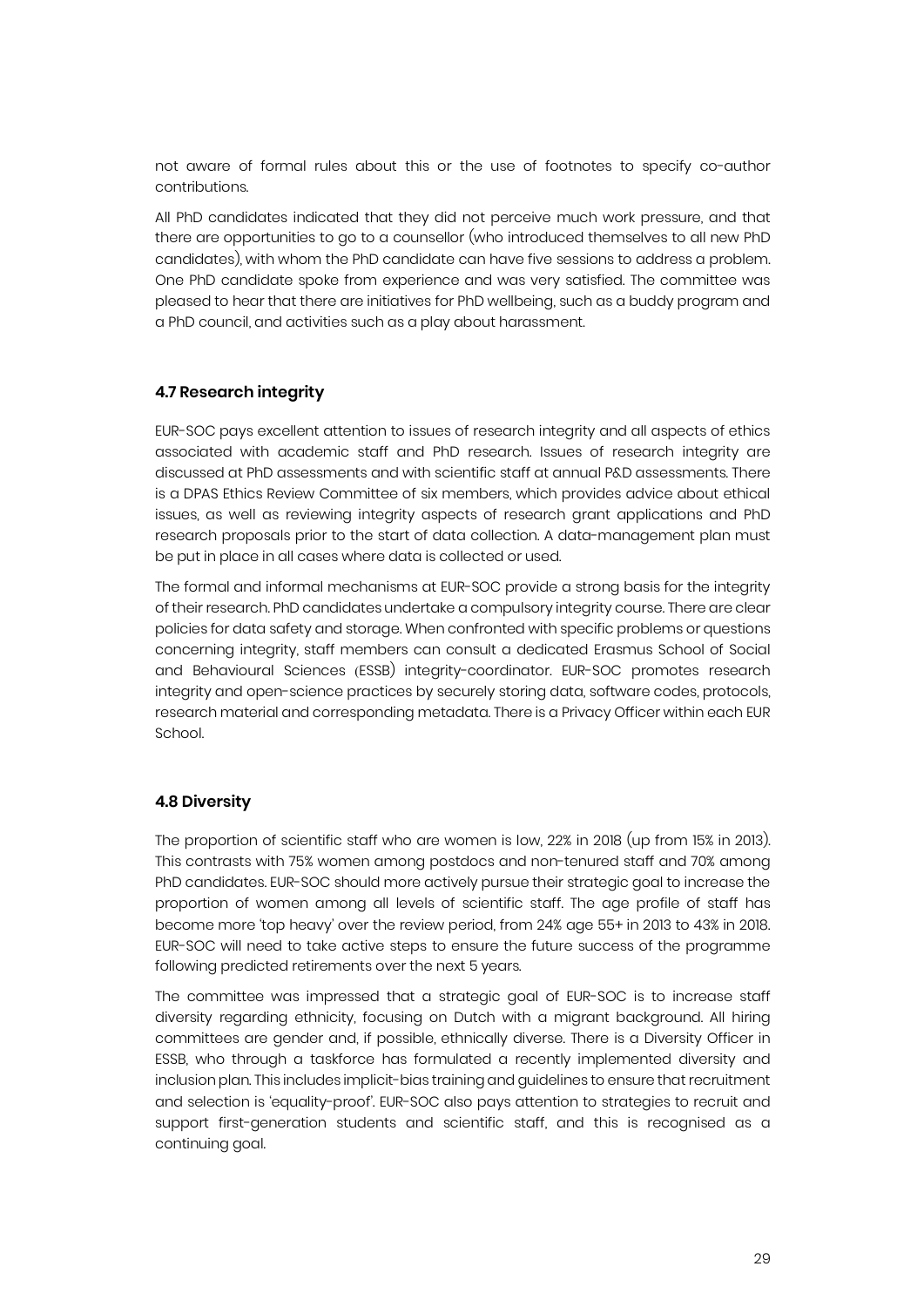not aware of formal rules about this or the use of footnotes to specify co-author contributions.

All PhD candidates indicated that they did not perceive much work pressure, and that there are opportunities to go to a counsellor (who introduced themselves to all new PhD candidates), with whom the PhD candidate can have five sessions to address a problem. One PhD candidate spoke from experience and was very satisfied. The committee was pleased to hear that there are initiatives for PhD wellbeing, such as a buddy program and a PhD council, and activities such as a play about harassment.

#### **4.7 Research integrity**

EUR-SOC pays excellent attention to issues of research integrity and all aspects of ethics associated with academic staff and PhD research. Issues of research integrity are discussed at PhD assessments and with scientific staff at annual P&D assessments. There is a DPAS Ethics Review Committee of six members, which provides advice about ethical issues, as well as reviewing integrity aspects of research grant applications and PhD research proposals prior to the start of data collection. A data-management plan must be put in place in all cases where data is collected or used.

The formal and informal mechanisms at EUR-SOC provide a strong basis for the integrity of their research. PhD candidates undertake a compulsory integrity course. There are clear policies for data safety and storage. When confronted with specific problems or questions concerning integrity, staff members can consult a dedicated Erasmus School of Social and Behavioural Sciences (ESSB) integrity-coordinator. EUR-SOC promotes research integrity and open-science practices by securely storing data, software codes, protocols, research material and corresponding metadata. There is a Privacy Officer within each EUR School.

#### **4.8 Diversity**

The proportion of scientific staff who are women is low, 22% in 2018 (up from 15% in 2013). This contrasts with 75% women among postdocs and non-tenured staff and 70% among PhD candidates. EUR-SOC should more actively pursue their strategic goal to increase the proportion of women among all levels of scientific staff. The age profile of staff has become more 'top heavy' over the review period, from 24% age 55+ in 2013 to 43% in 2018. EUR-SOC will need to take active steps to ensure the future success of the programme following predicted retirements over the next 5 years.

The committee was impressed that a strategic goal of EUR-SOC is to increase staff diversity regarding ethnicity, focusing on Dutch with a migrant background. All hiring committees are gender and, if possible, ethnically diverse. There is a Diversity Officer in ESSB, who through a taskforce has formulated a recently implemented diversity and inclusion plan. This includes implicit-bias training and guidelines to ensure that recruitment and selection is 'equality-proof'. EUR-SOC also pays attention to strategies to recruit and support first-generation students and scientific staff, and this is recognised as a continuing goal.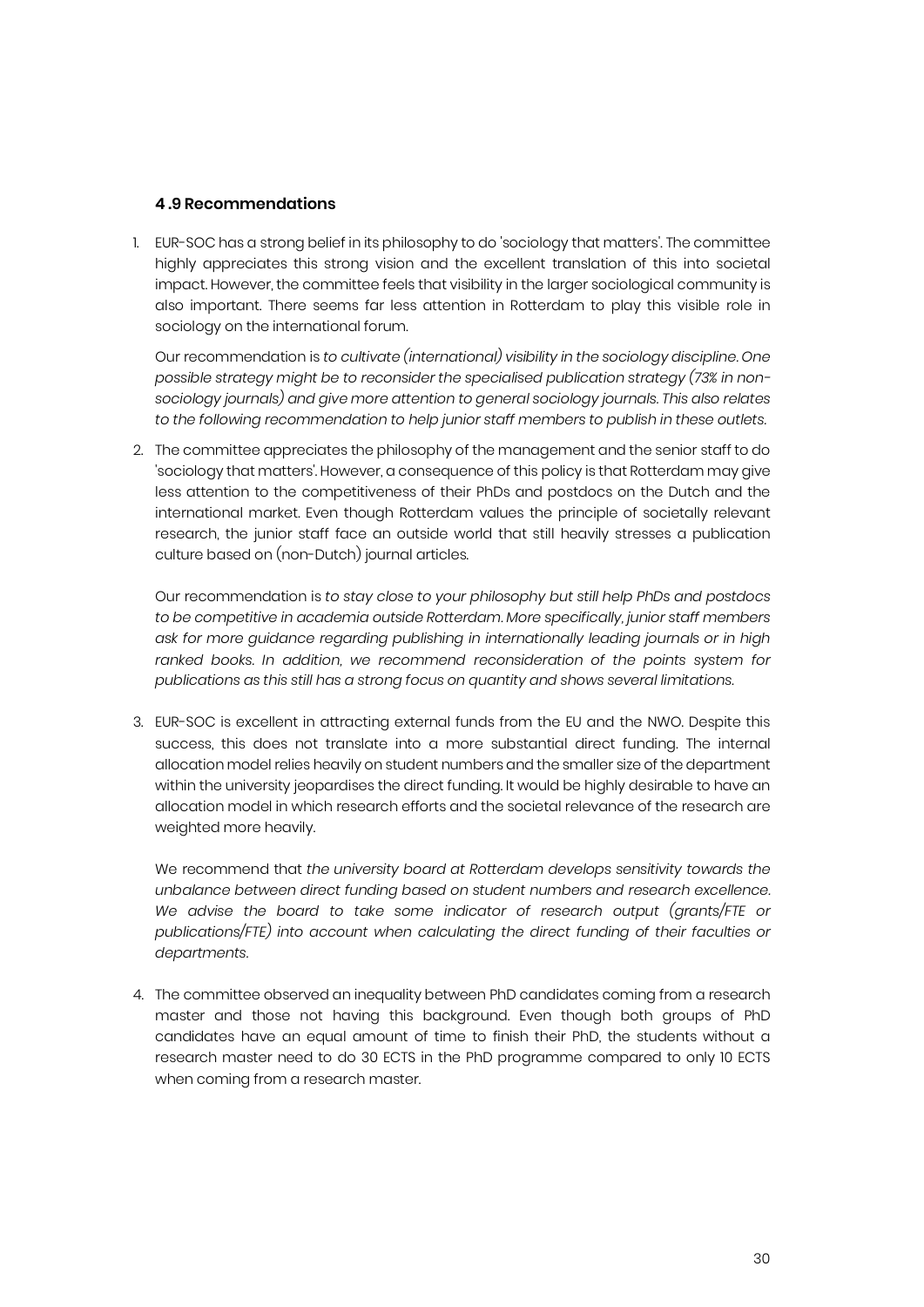#### **4 .9 Recommendations**

1. EUR-SOC has a strong belief in its philosophy to do 'sociology that matters'. The committee highly appreciates this strong vision and the excellent translation of this into societal impact. However, the committee feels that visibility in the larger sociological community is also important. There seems far less attention in Rotterdam to play this visible role in sociology on the international forum.

Our recommendation is *to cultivate (international) visibility in the sociology discipline. One possible strategy might be to reconsider the specialised publication strategy (73% in nonsociology journals) and give more attention to general sociology journals. This also relates to the following recommendation to help junior staff members to publish in these outlets.*

2. The committee appreciates the philosophy of the management and the senior staff to do 'sociology that matters'. However, a consequence of this policy is that Rotterdam may give less attention to the competitiveness of their PhDs and postdocs on the Dutch and the international market. Even though Rotterdam values the principle of societally relevant research, the junior staff face an outside world that still heavily stresses a publication culture based on (non-Dutch) journal articles.

Our recommendation is *to stay close to your philosophy but still help PhDs and postdocs to be competitive in academia outside Rotterdam. More specifically, junior staff members ask for more guidance regarding publishing in internationally leading journals or in high*  ranked books. In addition, we recommend reconsideration of the points system for *publications as this still has a strong focus on quantity and shows several limitations.*

3. EUR-SOC is excellent in attracting external funds from the EU and the NWO. Despite this success, this does not translate into a more substantial direct funding. The internal allocation model relies heavily on student numbers and the smaller size of the department within the university jeopardises the direct funding. It would be highly desirable to have an allocation model in which research efforts and the societal relevance of the research are weighted more heavily.

We recommend that *the university board at Rotterdam develops sensitivity towards the unbalance between direct funding based on student numbers and research excellence. We advise the board to take some indicator of research output (grants/FTE or publications/FTE) into account when calculating the direct funding of their faculties or departments.*

4. The committee observed an inequality between PhD candidates coming from a research master and those not having this background. Even though both groups of PhD candidates have an equal amount of time to finish their PhD, the students without a research master need to do 30 ECTS in the PhD programme compared to only 10 ECTS when coming from a research master.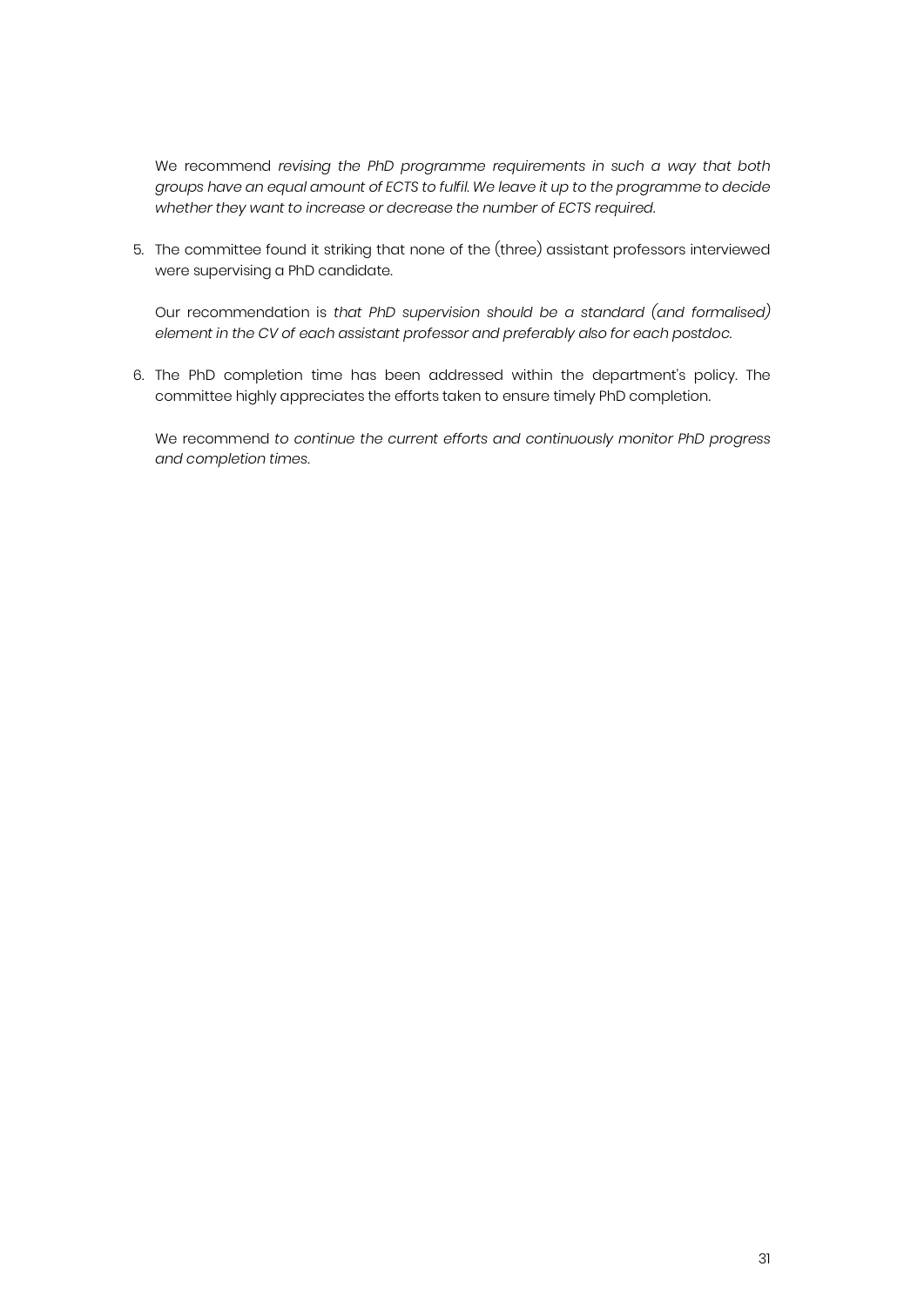We recommend *revising the PhD programme requirements in such a way that both groups have an equal amount of ECTS to fulfil. We leave it up to the programme to decide whether they want to increase or decrease the number of ECTS required.*

5. The committee found it striking that none of the (three) assistant professors interviewed were supervising a PhD candidate.

Our recommendation is *that PhD supervision should be a standard (and formalised) element in the CV of each assistant professor and preferably also for each postdoc.*

6. The PhD completion time has been addressed within the department's policy. The committee highly appreciates the efforts taken to ensure timely PhD completion.

We recommend *to continue the current efforts and continuously monitor PhD progress and completion times*.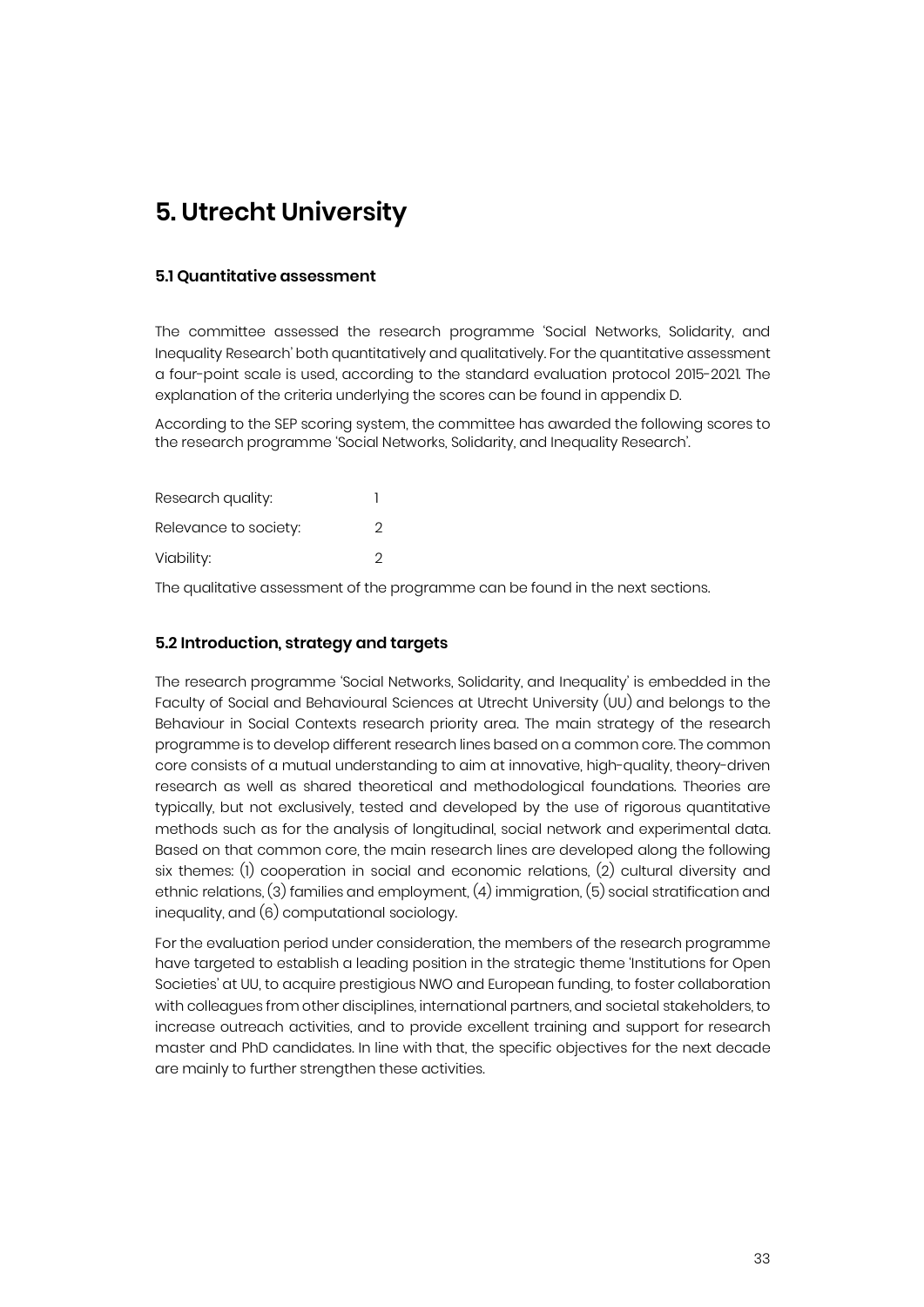### **5. Utrecht University**

#### **5.1 Quantitative assessment**

The committee assessed the research programme 'Social Networks, Solidarity, and Inequality Research' both quantitatively and qualitatively. For the quantitative assessment a four-point scale is used, according to the standard evaluation protocol 2015-2021. The explanation of the criteria underlying the scores can be found in appendix D.

According to the SEP scoring system, the committee has awarded the following scores to the research programme 'Social Networks, Solidarity, and Inequality Research'.

| Research quality:     |   |
|-----------------------|---|
| Relevance to society: | 2 |
| Viability:            | 2 |

The qualitative assessment of the programme can be found in the next sections.

#### **5.2 Introduction, strategy and targets**

The research programme 'Social Networks, Solidarity, and Inequality' is embedded in the Faculty of Social and Behavioural Sciences at Utrecht University (UU) and belongs to the Behaviour in Social Contexts research priority area. The main strategy of the research programme is to develop different research lines based on a common core. The common core consists of a mutual understanding to aim at innovative, high-quality, theory-driven research as well as shared theoretical and methodological foundations. Theories are typically, but not exclusively, tested and developed by the use of rigorous quantitative methods such as for the analysis of longitudinal, social network and experimental data. Based on that common core, the main research lines are developed along the following six themes: (1) cooperation in social and economic relations, (2) cultural diversity and ethnic relations, (3) families and employment, (4) immigration, (5) social stratification and inequality, and (6) computational sociology.

For the evaluation period under consideration, the members of the research programme have targeted to establish a leading position in the strategic theme 'Institutions for Open Societies' at UU, to acquire prestigious NWO and European funding, to foster collaboration with colleagues from other disciplines, international partners, and societal stakeholders, to increase outreach activities, and to provide excellent training and support for research master and PhD candidates. In line with that, the specific objectives for the next decade are mainly to further strengthen these activities.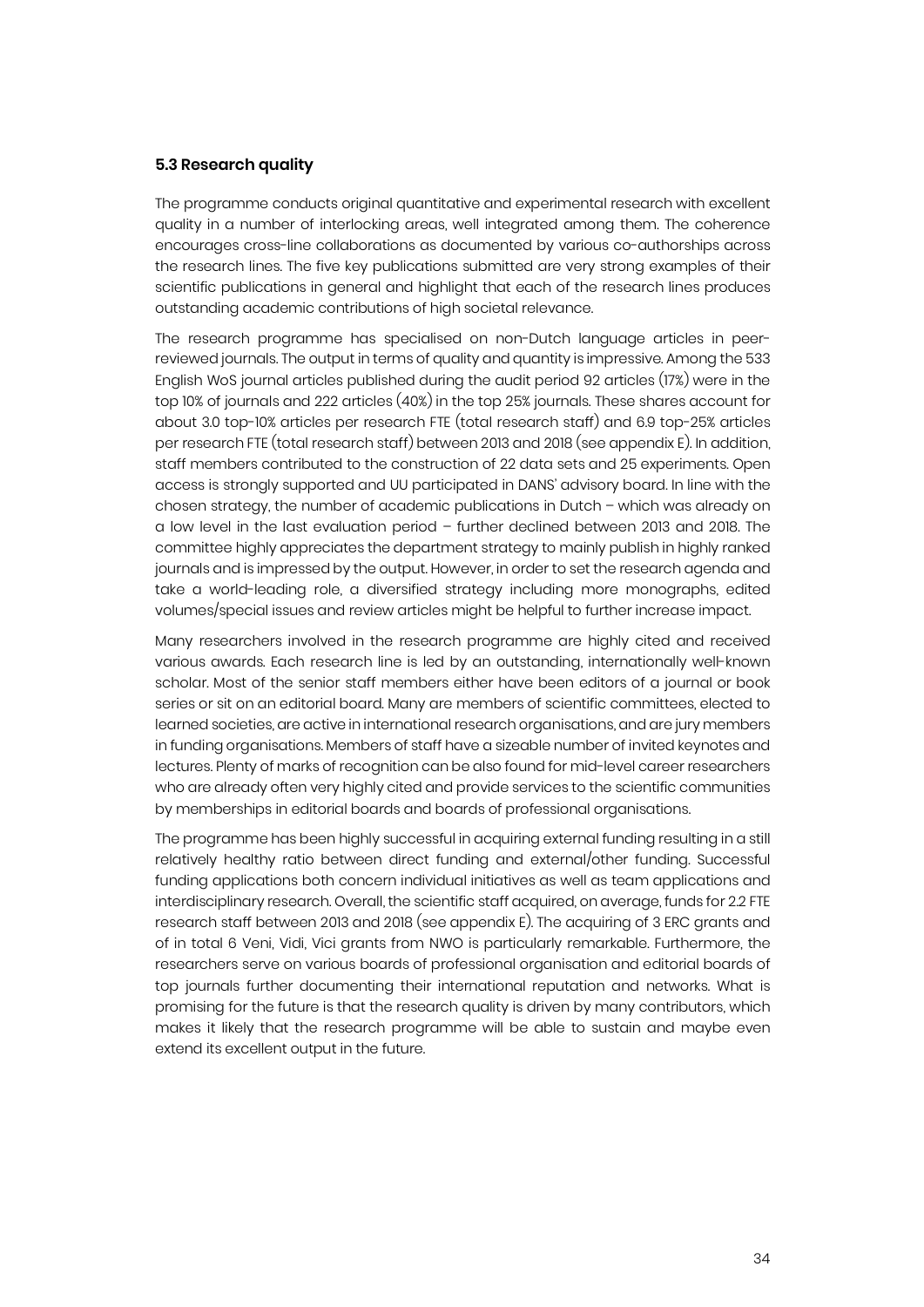#### **5.3 Research quality**

The programme conducts original quantitative and experimental research with excellent quality in a number of interlocking areas, well integrated among them. The coherence encourages cross-line collaborations as documented by various co-authorships across the research lines. The five key publications submitted are very strong examples of their scientific publications in general and highlight that each of the research lines produces outstanding academic contributions of high societal relevance.

The research programme has specialised on non-Dutch language articles in peerreviewed journals. The output in terms of quality and quantity is impressive. Among the 533 English WoS journal articles published during the audit period 92 articles (17%) were in the top 10% of journals and 222 articles (40%) in the top 25% journals. These shares account for about 3.0 top-10% articles per research FTE (total research staff) and 6.9 top-25% articles per research FTE (total research staff) between 2013 and 2018 (see appendix E). In addition, staff members contributed to the construction of 22 data sets and 25 experiments. Open access is strongly supported and UU participated in DANS' advisory board. In line with the chosen strategy, the number of academic publications in Dutch – which was already on a low level in the last evaluation period – further declined between 2013 and 2018. The committee highly appreciates the department strategy to mainly publish in highly ranked journals and is impressed by the output. However, in order to set the research agenda and take a world-leading role, a diversified strategy including more monographs, edited volumes/special issues and review articles might be helpful to further increase impact.

Many researchers involved in the research programme are highly cited and received various awards. Each research line is led by an outstanding, internationally well-known scholar. Most of the senior staff members either have been editors of a journal or book series or sit on an editorial board. Many are members of scientific committees, elected to learned societies, are active in international research organisations, and are jury members in funding organisations. Members of staff have a sizeable number of invited keynotes and lectures. Plenty of marks of recognition can be also found for mid-level career researchers who are already often very highly cited and provide services to the scientific communities by memberships in editorial boards and boards of professional organisations.

The programme has been highly successful in acquiring external funding resulting in a still relatively healthy ratio between direct funding and external/other funding. Successful funding applications both concern individual initiatives as well as team applications and interdisciplinary research. Overall, the scientific staff acquired, on average, funds for 2.2 FTE research staff between 2013 and 2018 (see appendix E). The acquiring of 3 ERC grants and of in total 6 Veni, Vidi, Vici grants from NWO is particularly remarkable. Furthermore, the researchers serve on various boards of professional organisation and editorial boards of top journals further documenting their international reputation and networks. What is promising for the future is that the research quality is driven by many contributors, which makes it likely that the research programme will be able to sustain and maybe even extend its excellent output in the future.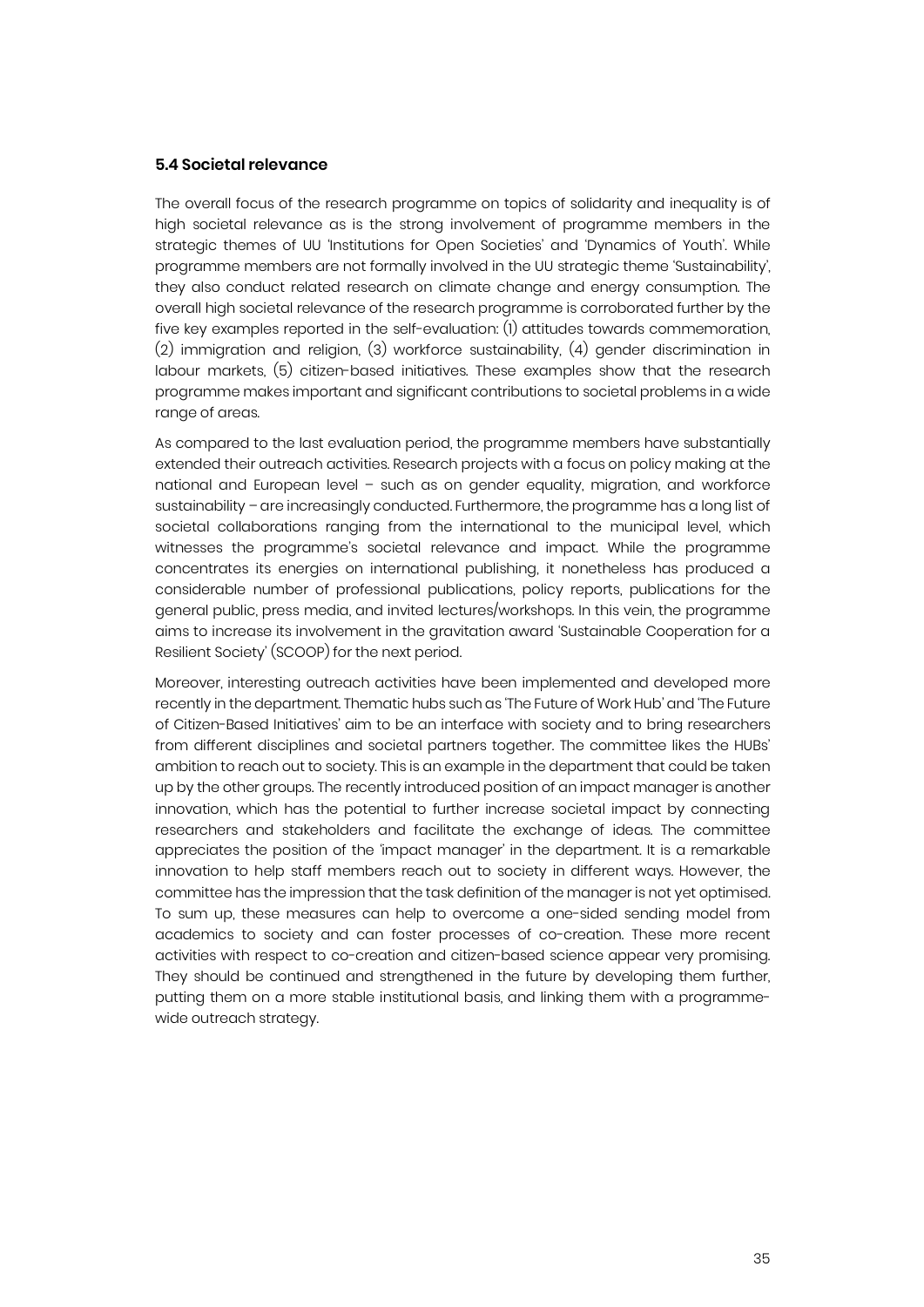#### **5.4 Societal relevance**

The overall focus of the research programme on topics of solidarity and inequality is of high societal relevance as is the strong involvement of programme members in the strategic themes of UU 'Institutions for Open Societies' and 'Dynamics of Youth'. While programme members are not formally involved in the UU strategic theme 'Sustainability', they also conduct related research on climate change and energy consumption. The overall high societal relevance of the research programme is corroborated further by the five key examples reported in the self-evaluation: (1) attitudes towards commemoration, (2) immigration and religion, (3) workforce sustainability, (4) gender discrimination in labour markets, (5) citizen-based initiatives. These examples show that the research programme makes important and significant contributions to societal problems in a wide range of areas.

As compared to the last evaluation period, the programme members have substantially extended their outreach activities. Research projects with a focus on policy making at the national and European level – such as on gender equality, migration, and workforce sustainability – are increasingly conducted. Furthermore, the programme has a long list of societal collaborations ranging from the international to the municipal level, which witnesses the programme's societal relevance and impact. While the programme concentrates its energies on international publishing, it nonetheless has produced a considerable number of professional publications, policy reports, publications for the general public, press media, and invited lectures/workshops. In this vein, the programme aims to increase its involvement in the gravitation award 'Sustainable Cooperation for a Resilient Society' (SCOOP) for the next period.

Moreover, interesting outreach activities have been implemented and developed more recently in the department. Thematic hubs such as 'The Future of Work Hub' and 'The Future of Citizen-Based Initiatives' aim to be an interface with society and to bring researchers from different disciplines and societal partners together. The committee likes the HUBs' ambition to reach out to society. This is an example in the department that could be taken up by the other groups. The recently introduced position of an impact manager is another innovation, which has the potential to further increase societal impact by connecting researchers and stakeholders and facilitate the exchange of ideas. The committee appreciates the position of the 'impact manager' in the department. It is a remarkable innovation to help staff members reach out to society in different ways. However, the committee has the impression that the task definition of the manager is not yet optimised. To sum up, these measures can help to overcome a one-sided sending model from academics to society and can foster processes of co-creation. These more recent activities with respect to co-creation and citizen-based science appear very promising. They should be continued and strengthened in the future by developing them further, putting them on a more stable institutional basis, and linking them with a programmewide outreach strategy.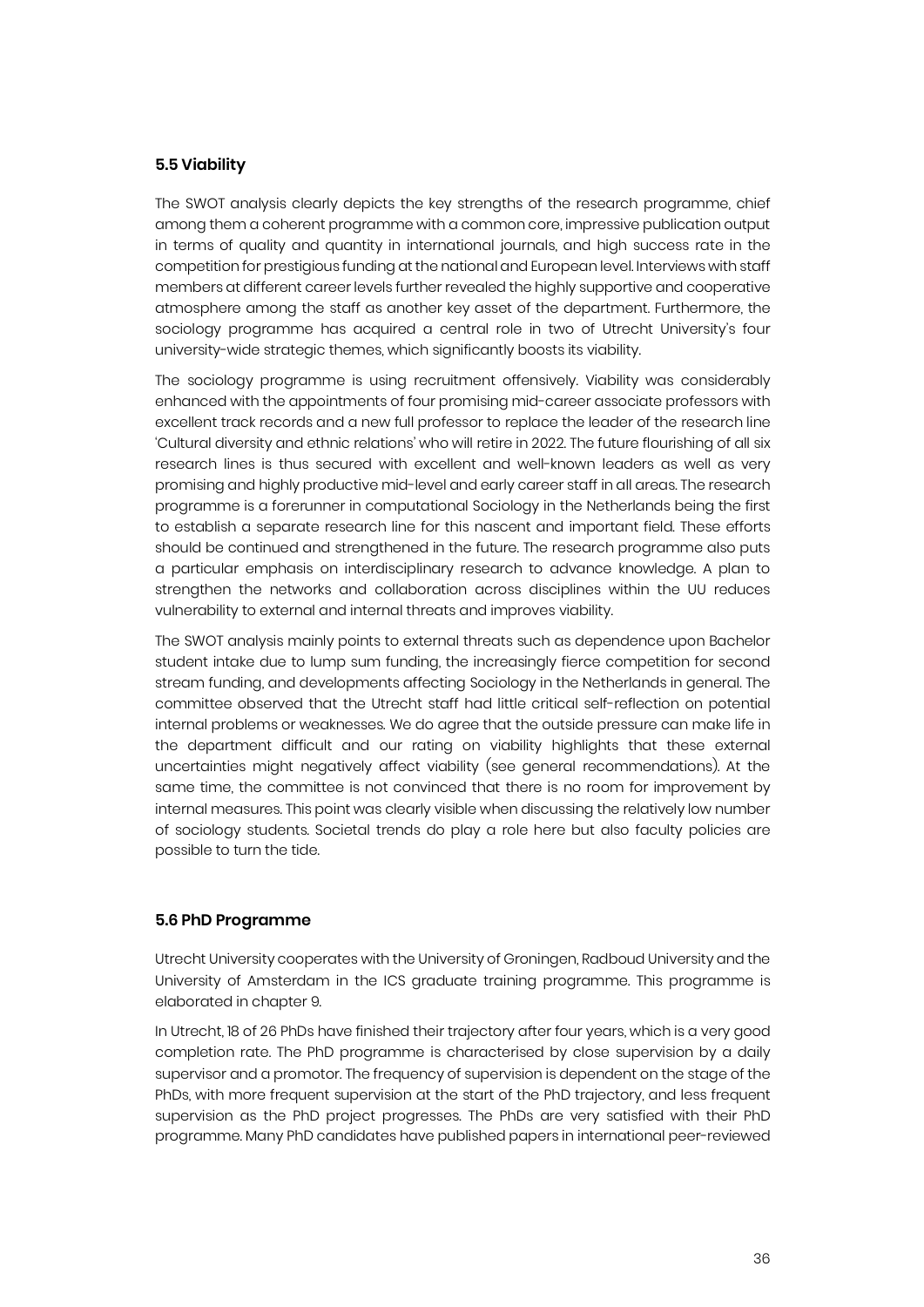#### **5.5 Viability**

The SWOT analysis clearly depicts the key strengths of the research programme, chief among them a coherent programme with a common core, impressive publication output in terms of quality and quantity in international journals, and high success rate in the competition for prestigious funding at the national and European level. Interviews with staff members at different career levels further revealed the highly supportive and cooperative atmosphere among the staff as another key asset of the department. Furthermore, the sociology programme has acquired a central role in two of Utrecht University's four university-wide strategic themes, which significantly boosts its viability.

The sociology programme is using recruitment offensively. Viability was considerably enhanced with the appointments of four promising mid-career associate professors with excellent track records and a new full professor to replace the leader of the research line 'Cultural diversity and ethnic relations' who will retire in 2022. The future flourishing of all six research lines is thus secured with excellent and well-known leaders as well as very promising and highly productive mid-level and early career staff in all areas. The research programme is a forerunner in computational Sociology in the Netherlands being the first to establish a separate research line for this nascent and important field. These efforts should be continued and strengthened in the future. The research programme also puts a particular emphasis on interdisciplinary research to advance knowledge. A plan to strengthen the networks and collaboration across disciplines within the UU reduces vulnerability to external and internal threats and improves viability.

The SWOT analysis mainly points to external threats such as dependence upon Bachelor student intake due to lump sum funding, the increasingly fierce competition for second stream funding, and developments affecting Sociology in the Netherlands in general. The committee observed that the Utrecht staff had little critical self-reflection on potential internal problems or weaknesses. We do agree that the outside pressure can make life in the department difficult and our rating on viability highlights that these external uncertainties might negatively affect viability (see general recommendations). At the same time, the committee is not convinced that there is no room for improvement by internal measures. This point was clearly visible when discussing the relatively low number of sociology students. Societal trends do play a role here but also faculty policies are possible to turn the tide.

#### **5.6 PhD Programme**

Utrecht University cooperates with the University of Groningen, Radboud University and the University of Amsterdam in the ICS graduate training programme. This programme is elaborated in chapter 9.

In Utrecht, 18 of 26 PhDs have finished their trajectory after four years, which is a very good completion rate. The PhD programme is characterised by close supervision by a daily supervisor and a promotor. The frequency of supervision is dependent on the stage of the PhDs, with more frequent supervision at the start of the PhD trajectory, and less frequent supervision as the PhD project progresses. The PhDs are very satisfied with their PhD programme. Many PhD candidates have published papers in international peer-reviewed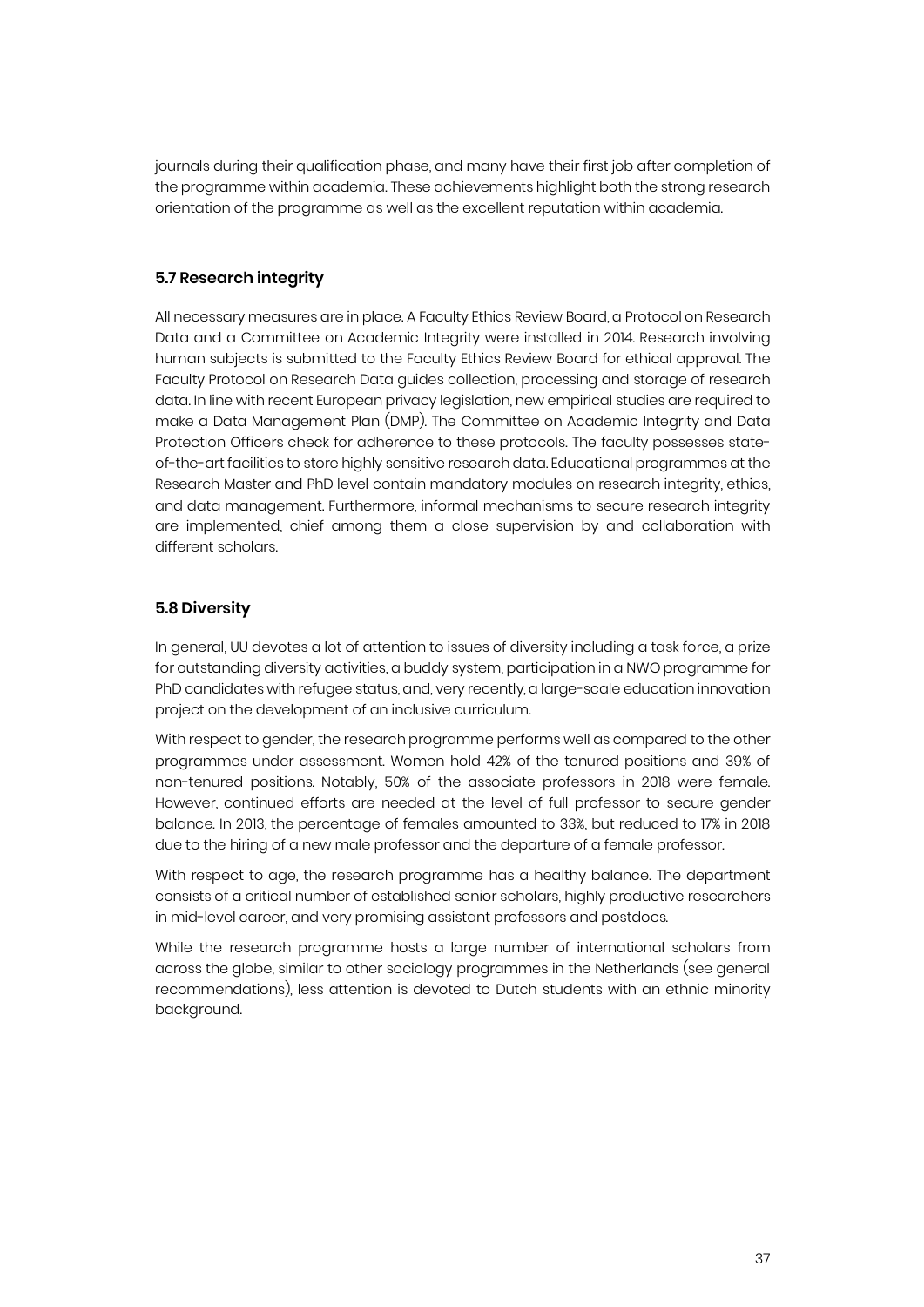journals during their qualification phase, and many have their first job after completion of the programme within academia. These achievements highlight both the strong research orientation of the programme as well as the excellent reputation within academia.

#### **5.7 Research integrity**

All necessary measures are in place. A Faculty Ethics Review Board, a Protocol on Research Data and a Committee on Academic Integrity were installed in 2014. Research involving human subjects is submitted to the Faculty Ethics Review Board for ethical approval. The Faculty Protocol on Research Data guides collection, processing and storage of research data. In line with recent European privacy legislation, new empirical studies are required to make a Data Management Plan (DMP). The Committee on Academic Integrity and Data Protection Officers check for adherence to these protocols. The faculty possesses stateof-the-art facilities to store highly sensitive research data. Educational programmes at the Research Master and PhD level contain mandatory modules on research integrity, ethics, and data management. Furthermore, informal mechanisms to secure research integrity are implemented, chief among them a close supervision by and collaboration with different scholars.

#### **5.8 Diversity**

In general, UU devotes a lot of attention to issues of diversity including a task force, a prize for outstanding diversity activities, a buddy system, participation in a NWO programme for PhD candidates with refugee status, and, very recently, a large-scale education innovation project on the development of an inclusive curriculum.

With respect to gender, the research programme performs well as compared to the other programmes under assessment. Women hold 42% of the tenured positions and 39% of non-tenured positions. Notably, 50% of the associate professors in 2018 were female. However, continued efforts are needed at the level of full professor to secure gender balance. In 2013, the percentage of females amounted to 33%, but reduced to 17% in 2018 due to the hiring of a new male professor and the departure of a female professor.

With respect to age, the research programme has a healthy balance. The department consists of a critical number of established senior scholars, highly productive researchers in mid-level career, and very promising assistant professors and postdocs.

While the research programme hosts a large number of international scholars from across the globe, similar to other sociology programmes in the Netherlands (see general recommendations), less attention is devoted to Dutch students with an ethnic minority background.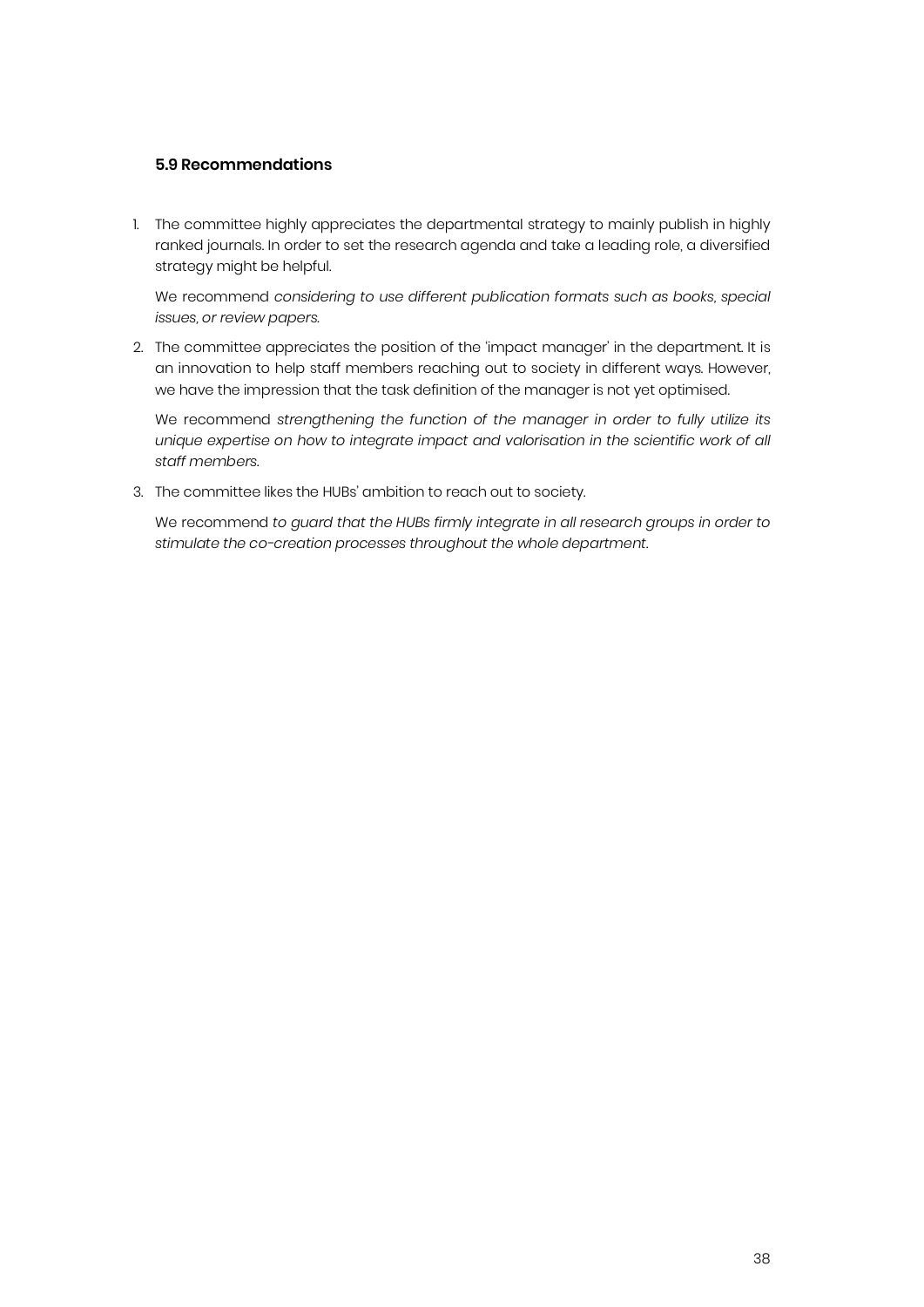#### **5.9 Recommendations**

1. The committee highly appreciates the departmental strategy to mainly publish in highly ranked journals. In order to set the research agenda and take a leading role, a diversified strategy might be helpful.

We recommend *considering to use different publication formats such as books, special issues, or review papers.*

2. The committee appreciates the position of the 'impact manager' in the department. It is an innovation to help staff members reaching out to society in different ways. However, we have the impression that the task definition of the manager is not yet optimised.

We recommend *strengthening the function of the manager in order to fully utilize its*  unique expertise on how to integrate impact and valorisation in the scientific work of all *staff members.*

3. The committee likes the HUBs' ambition to reach out to society.

We recommend *to guard that the HUBs firmly integrate in all research groups in order to stimulate the co-creation processes throughout the whole department.*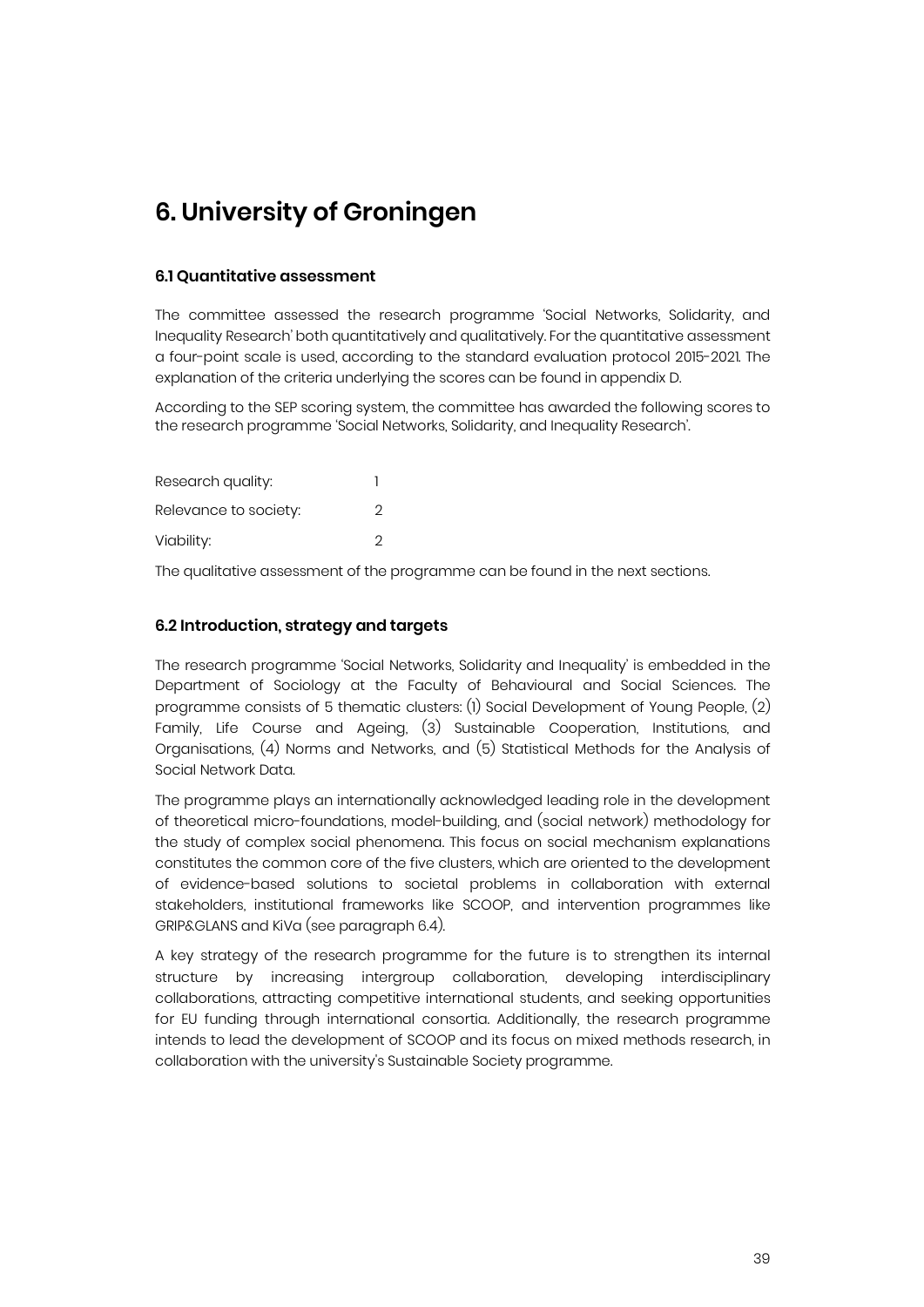# **6. University of Groningen**

#### **6.1 Quantitative assessment**

The committee assessed the research programme 'Social Networks, Solidarity, and Inequality Research' both quantitatively and qualitatively. For the quantitative assessment a four-point scale is used, according to the standard evaluation protocol 2015-2021. The explanation of the criteria underlying the scores can be found in appendix D.

According to the SEP scoring system, the committee has awarded the following scores to the research programme 'Social Networks, Solidarity, and Inequality Research'.

| Research quality:     |   |
|-----------------------|---|
| Relevance to society: | 2 |
| Viability:            | 2 |

The qualitative assessment of the programme can be found in the next sections.

#### **6.2 Introduction, strategy and targets**

The research programme 'Social Networks, Solidarity and Inequality' is embedded in the Department of Sociology at the Faculty of Behavioural and Social Sciences. The programme consists of 5 thematic clusters: (1) Social Development of Young People, (2) Family, Life Course and Ageing, (3) Sustainable Cooperation, Institutions, and Organisations, (4) Norms and Networks, and (5) Statistical Methods for the Analysis of Social Network Data.

The programme plays an internationally acknowledged leading role in the development of theoretical micro-foundations, model-building, and (social network) methodology for the study of complex social phenomena. This focus on social mechanism explanations constitutes the common core of the five clusters, which are oriented to the development of evidence-based solutions to societal problems in collaboration with external stakeholders, institutional frameworks like SCOOP, and intervention programmes like GRIP&GLANS and KiVa (see paragraph 6.4).

A key strategy of the research programme for the future is to strengthen its internal structure by increasing intergroup collaboration, developing interdisciplinary collaborations, attracting competitive international students, and seeking opportunities for EU funding through international consortia. Additionally, the research programme intends to lead the development of SCOOP and its focus on mixed methods research, in collaboration with the university's Sustainable Society programme.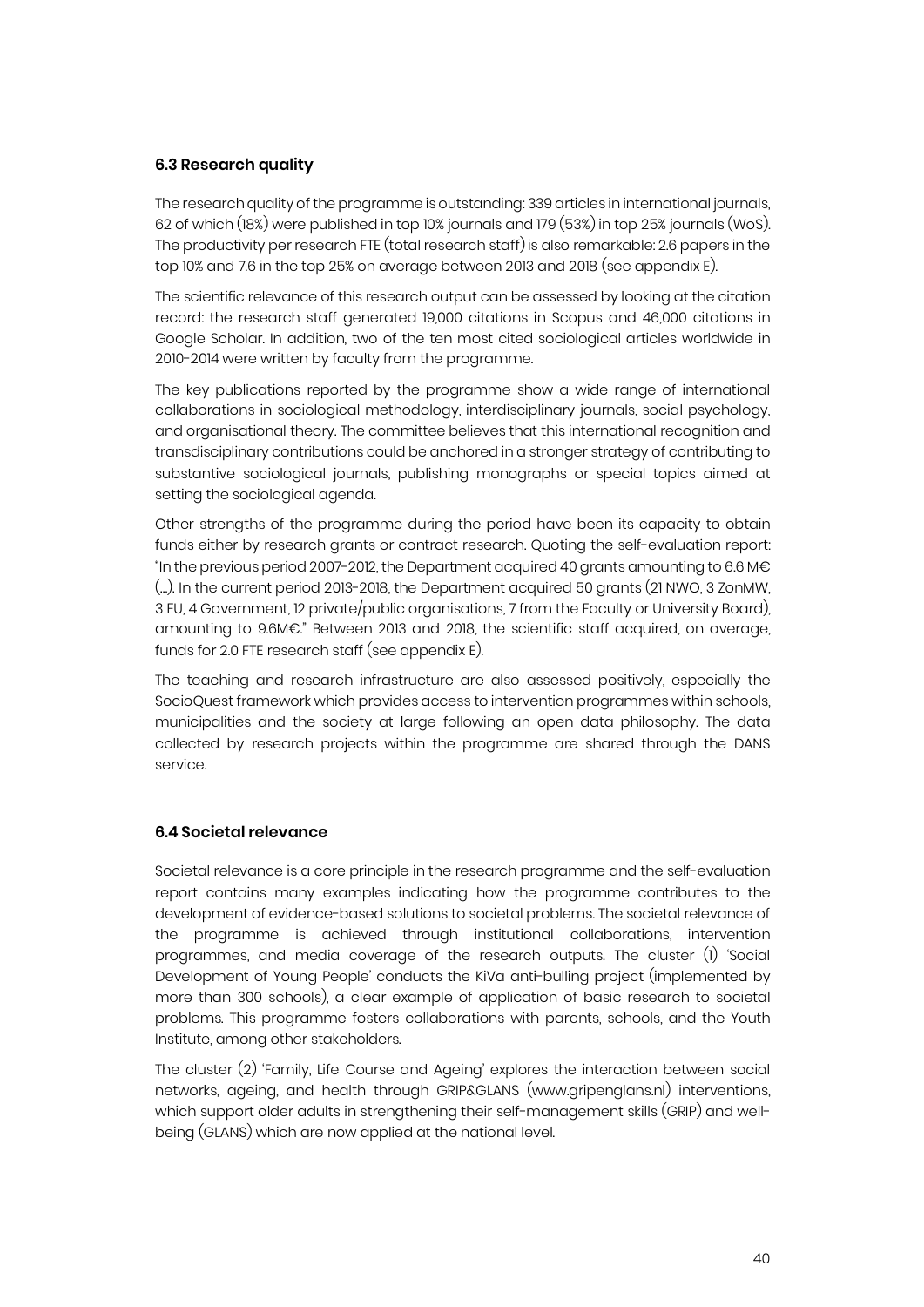#### **6.3 Research quality**

The research quality of the programme is outstanding: 339 articles in international journals, 62 of which (18%) were published in top 10% journals and 179 (53%) in top 25% journals (WoS). The productivity per research FTE (total research staff)is also remarkable: 2.6 papers in the top 10% and 7.6 in the top 25% on average between 2013 and 2018 (see appendix E).

The scientific relevance of this research output can be assessed by looking at the citation record: the research staff generated 19,000 citations in Scopus and 46,000 citations in Google Scholar. In addition, two of the ten most cited sociological articles worldwide in 2010-2014 were written by faculty from the programme.

The key publications reported by the programme show a wide range of international collaborations in sociological methodology, interdisciplinary journals, social psychology, and organisational theory. The committee believes that this international recognition and transdisciplinary contributions could be anchored in a stronger strategy of contributing to substantive sociological journals, publishing monographs or special topics aimed at setting the sociological agenda.

Other strengths of the programme during the period have been its capacity to obtain funds either by research grants or contract research. Quoting the self-evaluation report: "In the previous period 2007-2012, the Department acquired 40 grants amounting to 6.6 M€ (…). In the current period 2013-2018, the Department acquired 50 grants (21 NWO, 3 ZonMW, 3 EU, 4 Government, 12 private/public organisations, 7 from the Faculty or University Board), amounting to 9.6M€." Between 2013 and 2018, the scientific staff acquired, on average, funds for 2.0 FTE research staff (see appendix E).

The teaching and research infrastructure are also assessed positively, especially the SocioQuest framework which provides access to intervention programmes within schools, municipalities and the society at large following an open data philosophy. The data collected by research projects within the programme are shared through the DANS service.

#### **6.4 Societal relevance**

Societal relevance is a core principle in the research programme and the self-evaluation report contains many examples indicating how the programme contributes to the development of evidence-based solutions to societal problems. The societal relevance of the programme is achieved through institutional collaborations, intervention programmes, and media coverage of the research outputs. The cluster (1) 'Social Development of Young People' conducts the KiVa anti-bulling project (implemented by more than 300 schools), a clear example of application of basic research to societal problems. This programme fosters collaborations with parents, schools, and the Youth Institute, among other stakeholders.

The cluster (2) 'Family, Life Course and Ageing' explores the interaction between social networks, ageing, and health through GRIP&GLANS (www.gripenglans.nl) interventions, which support older adults in strengthening their self-management skills (GRIP) and wellbeing (GLANS) which are now applied at the national level.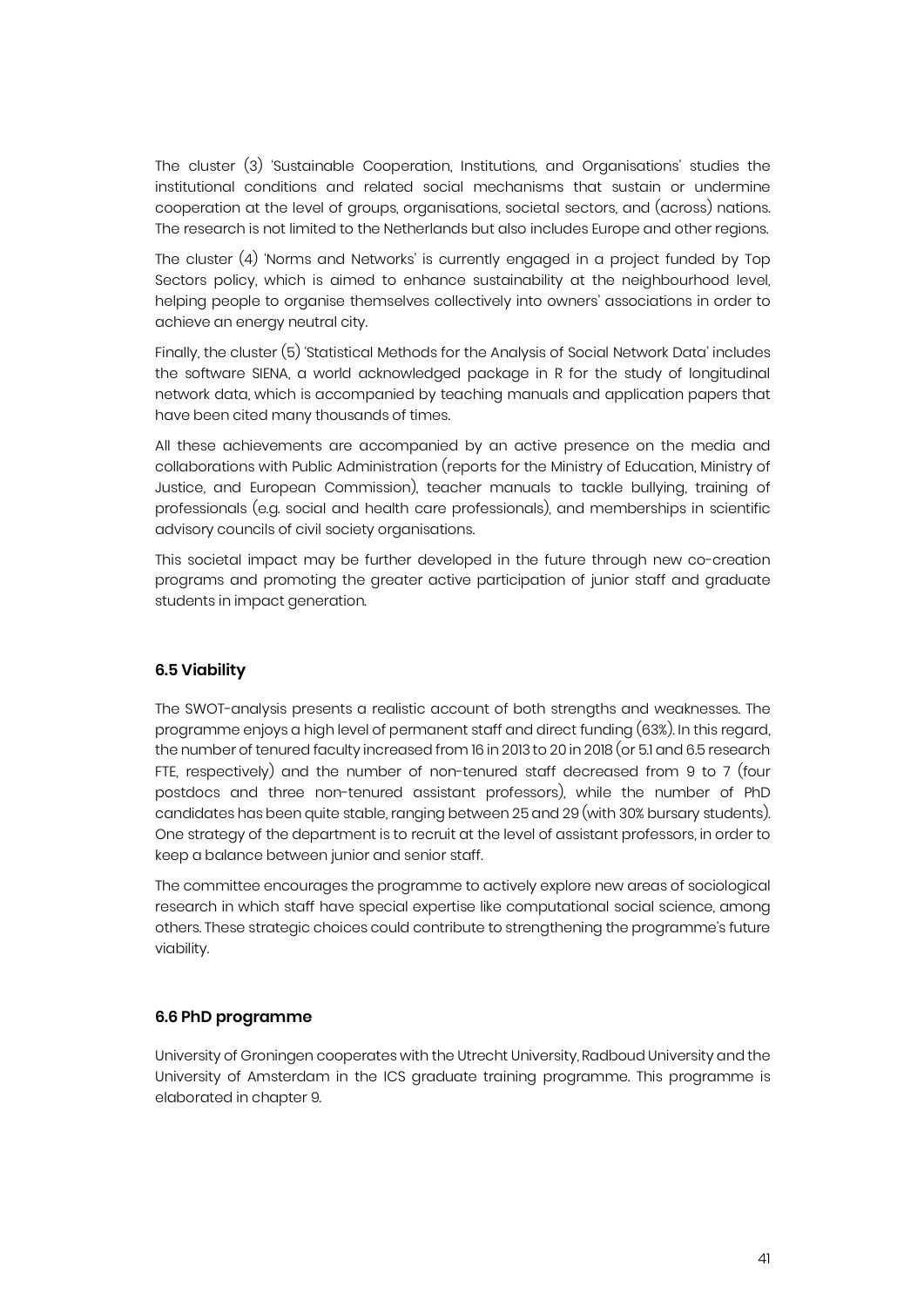The cluster (3) 'Sustainable Cooperation, Institutions, and Organisations' studies the institutional conditions and related social mechanisms that sustain or undermine cooperation at the level of groups, organisations, societal sectors, and (across) nations. The research is not limited to the Netherlands but also includes Europe and other regions.

The cluster (4) 'Norms and Networks' is currently engaged in a project funded by Top Sectors policy, which is aimed to enhance sustainability at the neighbourhood level, helping people to organise themselves collectively into owners' associations in order to achieve an energy neutral city.

Finally, the cluster (5) 'Statistical Methods for the Analysis of Social Network Data' includes the software SIENA, a world acknowledged package in R for the study of longitudinal network data, which is accompanied by teaching manuals and application papers that have been cited many thousands of times.

All these achievements are accompanied by an active presence on the media and collaborations with Public Administration (reports for the Ministry of Education, Ministry of Justice, and European Commission), teacher manuals to tackle bullying, training of professionals (e.g. social and health care professionals), and memberships in scientific advisory councils of civil society organisations.

This societal impact may be further developed in the future through new co-creation programs and promoting the greater active participation of junior staff and graduate students in impact generation.

#### **6.5 Viability**

The SWOT-analysis presents a realistic account of both strengths and weaknesses. The programme enjoys a high level of permanent staff and direct funding (63%). In this regard, the number of tenured faculty increased from 16 in 2013 to 20 in 2018 (or 5.1 and 6.5 research FTE, respectively) and the number of non-tenured staff decreased from 9 to 7 (four postdocs and three non-tenured assistant professors), while the number of PhD candidates has been quite stable, ranging between 25 and 29 (with 30% bursary students). One strategy of the department is to recruit at the level of assistant professors, in order to keep a balance between junior and senior staff.

The committee encourages the programme to actively explore new areas of sociological research in which staff have special expertise like computational social science, among others. These strategic choices could contribute to strengthening the programme's future viability.

#### **6.6 PhD programme**

University of Groningen cooperates with the Utrecht University, Radboud University and the University of Amsterdam in the ICS graduate training programme. This programme is elaborated in chapter 9.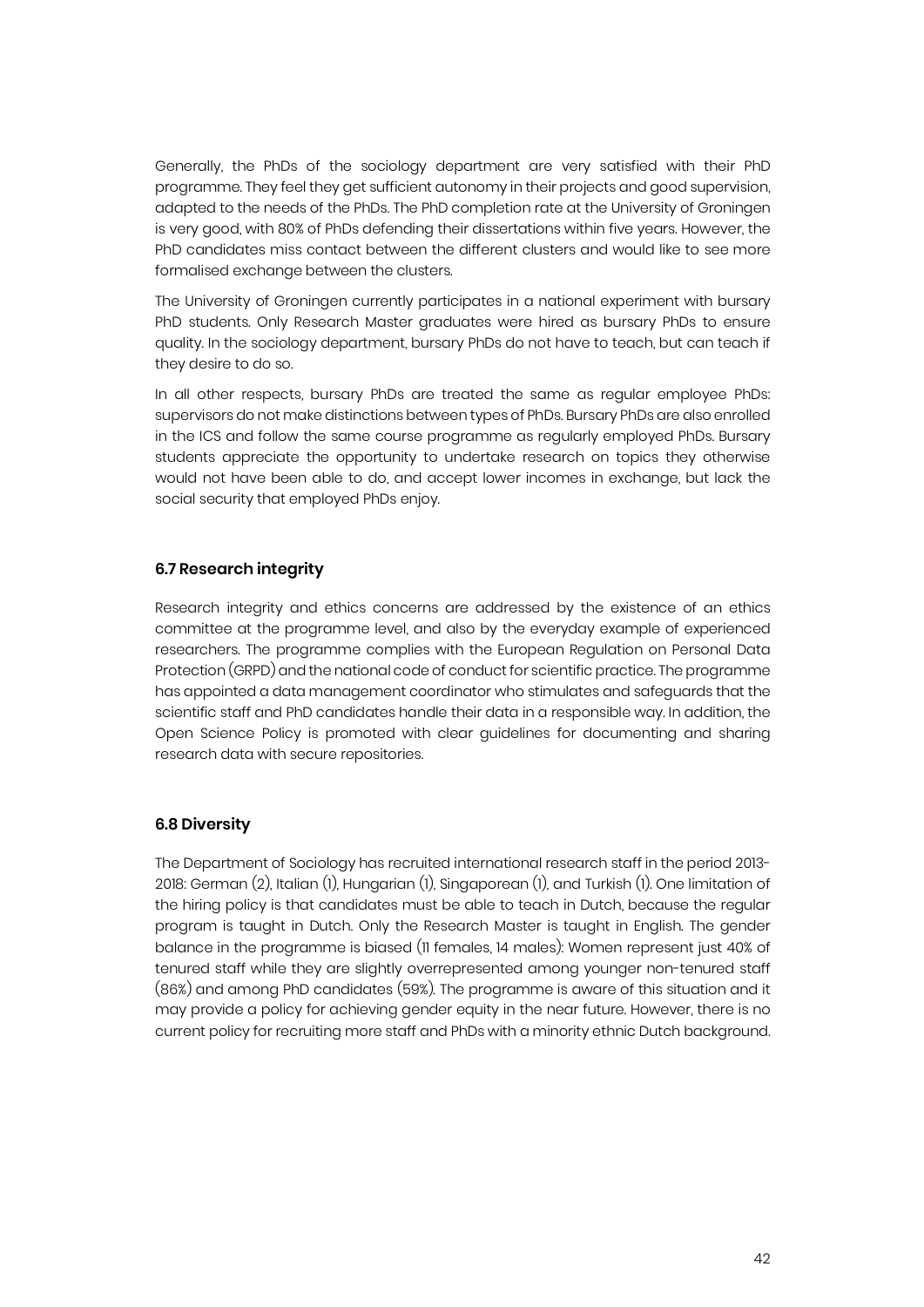Generally, the PhDs of the sociology department are very satisfied with their PhD programme. They feel they get sufficient autonomy in their projects and good supervision, adapted to the needs of the PhDs. The PhD completion rate at the University of Groningen is very good, with 80% of PhDs defending their dissertations within five years. However, the PhD candidates miss contact between the different clusters and would like to see more formalised exchange between the clusters.

The University of Groningen currently participates in a national experiment with bursary PhD students. Only Research Master graduates were hired as bursary PhDs to ensure quality. In the sociology department, bursary PhDs do not have to teach, but can teach if they desire to do so.

In all other respects, bursary PhDs are treated the same as regular employee PhDs: supervisors do not make distinctions between types of PhDs. Bursary PhDs are also enrolled in the ICS and follow the same course programme as regularly employed PhDs. Bursary students appreciate the opportunity to undertake research on topics they otherwise would not have been able to do, and accept lower incomes in exchange, but lack the social security that employed PhDs enjoy.

#### **6.7 Research integrity**

Research integrity and ethics concerns are addressed by the existence of an ethics committee at the programme level, and also by the everyday example of experienced researchers. The programme complies with the European Regulation on Personal Data Protection (GRPD) and the national code of conduct for scientific practice. The programme has appointed a data management coordinator who stimulates and safeguards that the scientific staff and PhD candidates handle their data in a responsible way. In addition, the Open Science Policy is promoted with clear guidelines for documenting and sharing research data with secure repositories.

#### **6.8 Diversity**

The Department of Sociology has recruited international research staff in the period 2013- 2018: German (2), Italian (1), Hungarian (1), Singaporean (1), and Turkish (1). One limitation of the hiring policy is that candidates must be able to teach in Dutch, because the regular program is taught in Dutch. Only the Research Master is taught in English. The gender balance in the programme is biased (11 females, 14 males): Women represent just 40% of tenured staff while they are slightly overrepresented among younger non-tenured staff (86%) and among PhD candidates (59%). The programme is aware of this situation and it may provide a policy for achieving gender equity in the near future. However, there is no current policy for recruiting more staff and PhDs with a minority ethnic Dutch background.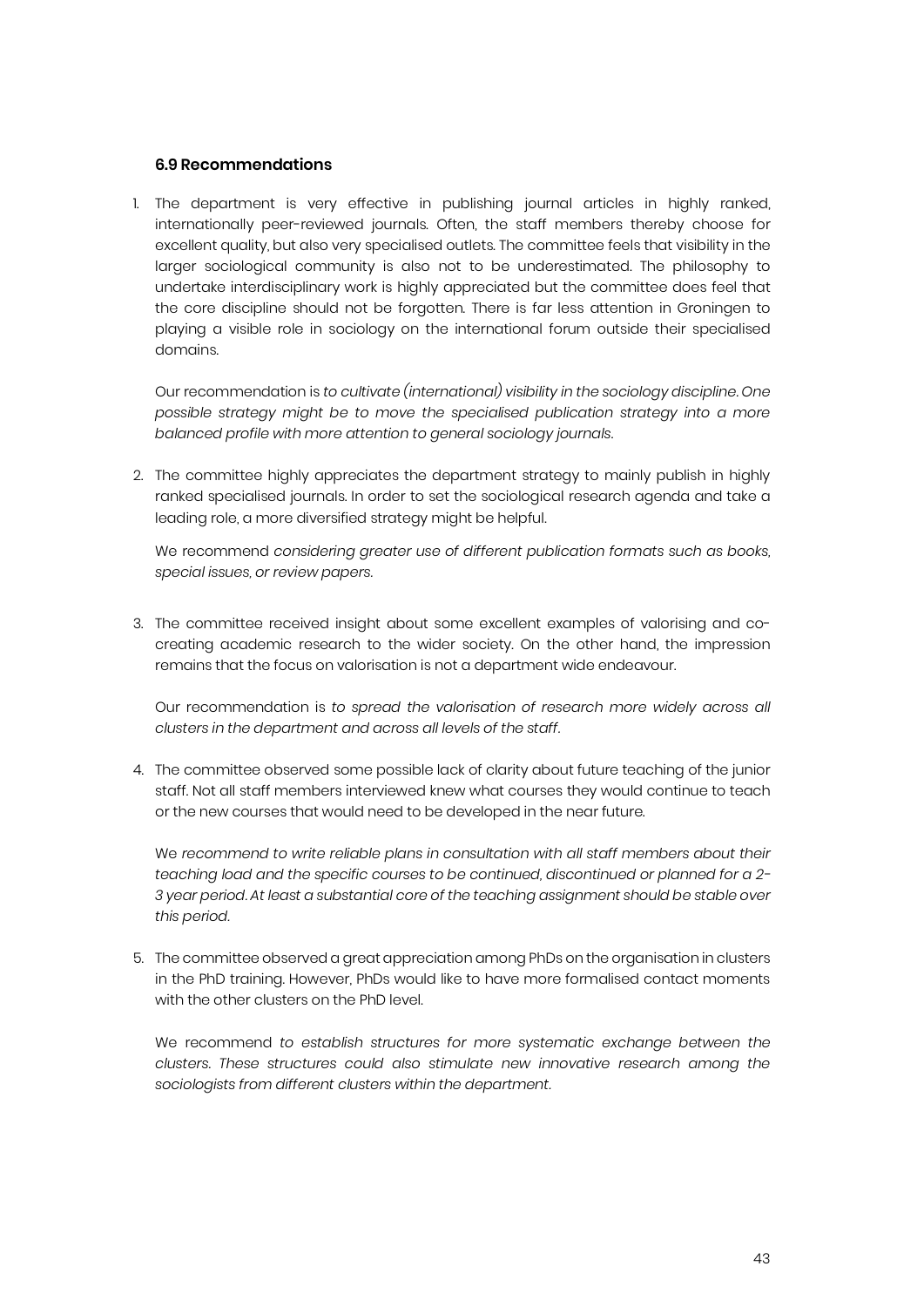#### **6.9 Recommendations**

1. The department is very effective in publishing journal articles in highly ranked, internationally peer-reviewed journals. Often, the staff members thereby choose for excellent quality, but also very specialised outlets. The committee feels that visibility in the larger sociological community is also not to be underestimated. The philosophy to undertake interdisciplinary work is highly appreciated but the committee does feel that the core discipline should not be forgotten. There is far less attention in Groningen to playing a visible role in sociology on the international forum outside their specialised domains.

Our recommendation is *to cultivate (international) visibility in the sociology discipline. One possible strategy might be to move the specialised publication strategy into a more balanced profile with more attention to general sociology journals.*

2. The committee highly appreciates the department strategy to mainly publish in highly ranked specialised journals. In order to set the sociological research agenda and take a leading role, a more diversified strategy might be helpful.

We recommend *considering greater use of different publication formats such as books, special issues, or review papers.*

3. The committee received insight about some excellent examples of valorising and cocreating academic research to the wider society. On the other hand, the impression remains that the focus on valorisation is not a department wide endeavour.

Our recommendation is *to spread the valorisation of research more widely across all clusters in the department and across all levels of the staff.* 

4. The committee observed some possible lack of clarity about future teaching of the junior staff. Not all staff members interviewed knew what courses they would continue to teach or the new courses that would need to be developed in the near future.

We *recommend to write reliable plans in consultation with all staff members about their teaching load and the specific courses to be continued, discontinued or planned for a 2- 3 year period. At least a substantial core of the teaching assignment should be stable over this period.*

5. The committee observed a great appreciation among PhDs on the organisation in clusters in the PhD training. However, PhDs would like to have more formalised contact moments with the other clusters on the PhD level.

We recommend *to establish structures for more systematic exchange between the clusters. These structures could also stimulate new innovative research among the sociologists from different clusters within the department.*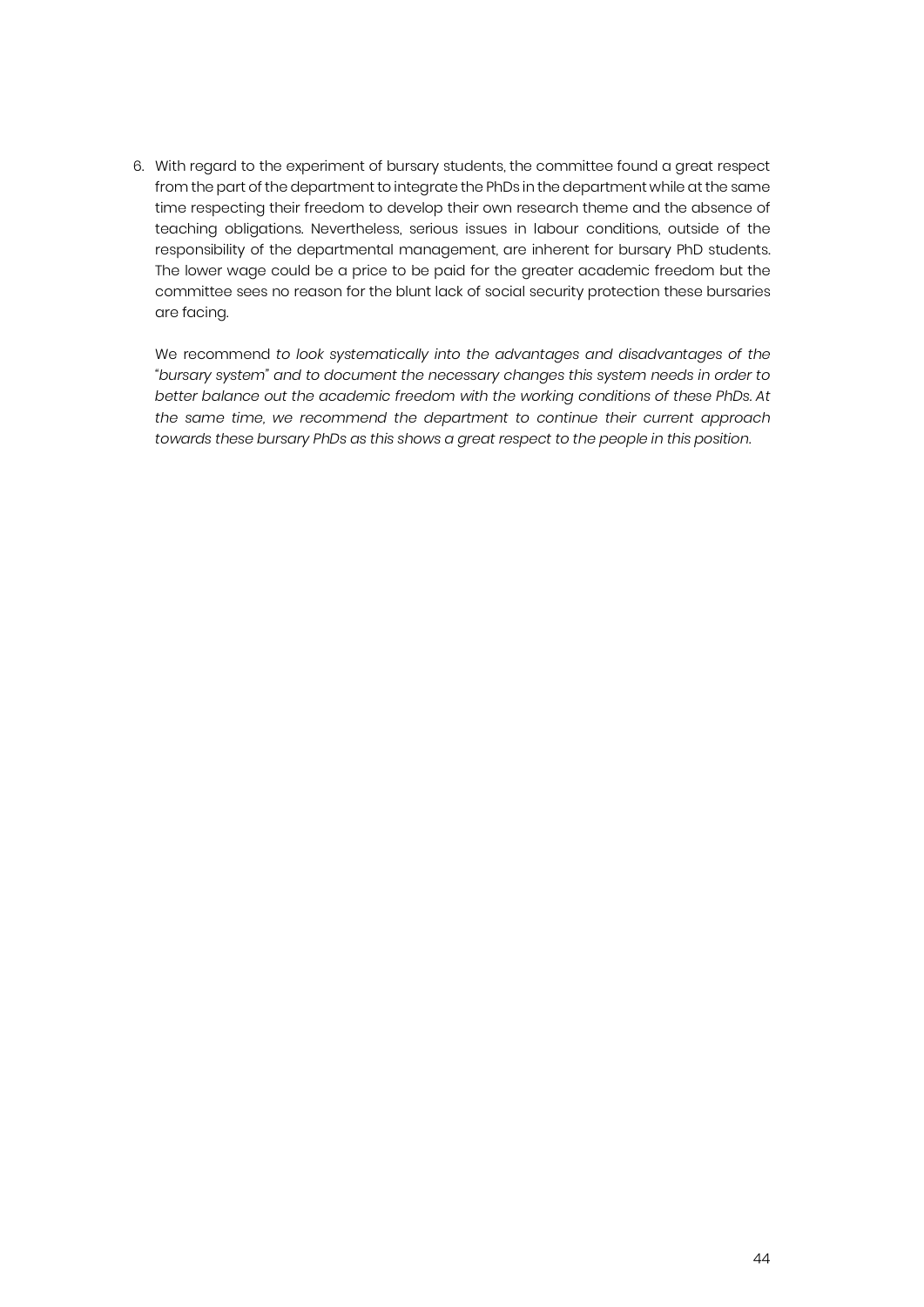6. With regard to the experiment of bursary students, the committee found a great respect from the part of the department to integrate the PhDs in the department while at the same time respecting their freedom to develop their own research theme and the absence of teaching obligations. Nevertheless, serious issues in labour conditions, outside of the responsibility of the departmental management, are inherent for bursary PhD students. The lower wage could be a price to be paid for the greater academic freedom but the committee sees no reason for the blunt lack of social security protection these bursaries are facing.

We recommend *to look systematically into the advantages and disadvantages of the "bursary system" and to document the necessary changes this system needs in order to better balance out the academic freedom with the working conditions of these PhDs. At the same time, we recommend the department to continue their current approach towards these bursary PhDs as this shows a great respect to the people in this position.*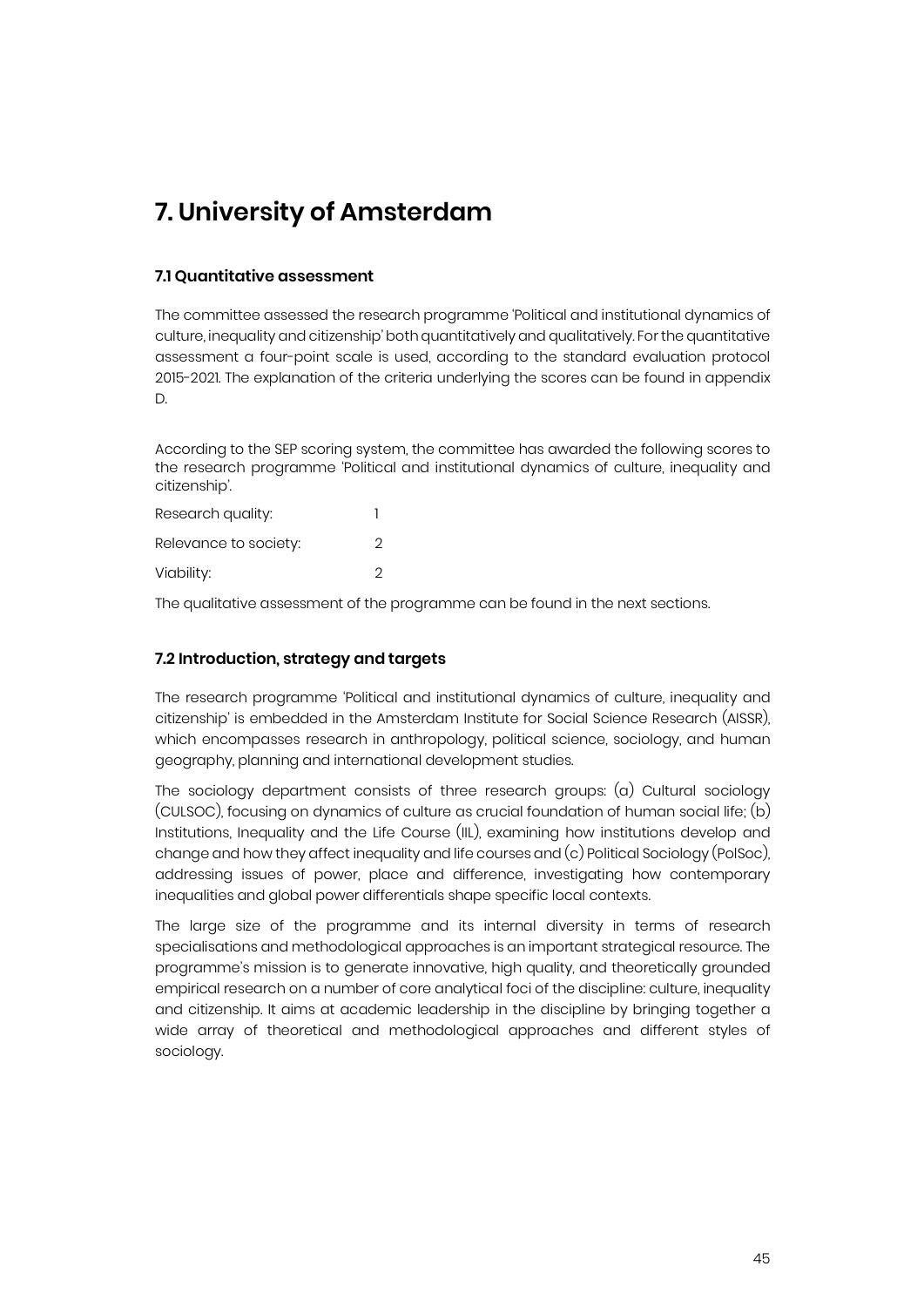### **7. University of Amsterdam**

#### **7.1 Quantitative assessment**

The committee assessed the research programme 'Political and institutional dynamics of culture, inequality and citizenship' both quantitatively and qualitatively. For the quantitative assessment a four-point scale is used, according to the standard evaluation protocol 2015-2021. The explanation of the criteria underlying the scores can be found in appendix D.

According to the SEP scoring system, the committee has awarded the following scores to the research programme 'Political and institutional dynamics of culture, inequality and citizenship'.

| Research quality:     |   |
|-----------------------|---|
| Relevance to society: | 2 |
| Viability:            | っ |

The qualitative assessment of the programme can be found in the next sections.

#### **7.2 Introduction, strategy and targets**

The research programme 'Political and institutional dynamics of culture, inequality and citizenship' is embedded in the Amsterdam Institute for Social Science Research (AISSR), which encompasses research in anthropology, political science, sociology, and human geography, planning and international development studies.

The sociology department consists of three research groups: (a) Cultural sociology (CULSOC), focusing on dynamics of culture as crucial foundation of human social life; (b) Institutions, Inequality and the Life Course (IIL), examining how institutions develop and change and how they affect inequality and life courses and (c) Political Sociology (PolSoc), addressing issues of power, place and difference, investigating how contemporary inequalities and global power differentials shape specific local contexts.

The large size of the programme and its internal diversity in terms of research specialisations and methodological approaches is an important strategical resource. The programme's mission is to generate innovative, high quality, and theoretically grounded empirical research on a number of core analytical foci of the discipline: culture, inequality and citizenship. It aims at academic leadership in the discipline by bringing together a wide array of theoretical and methodological approaches and different styles of sociology.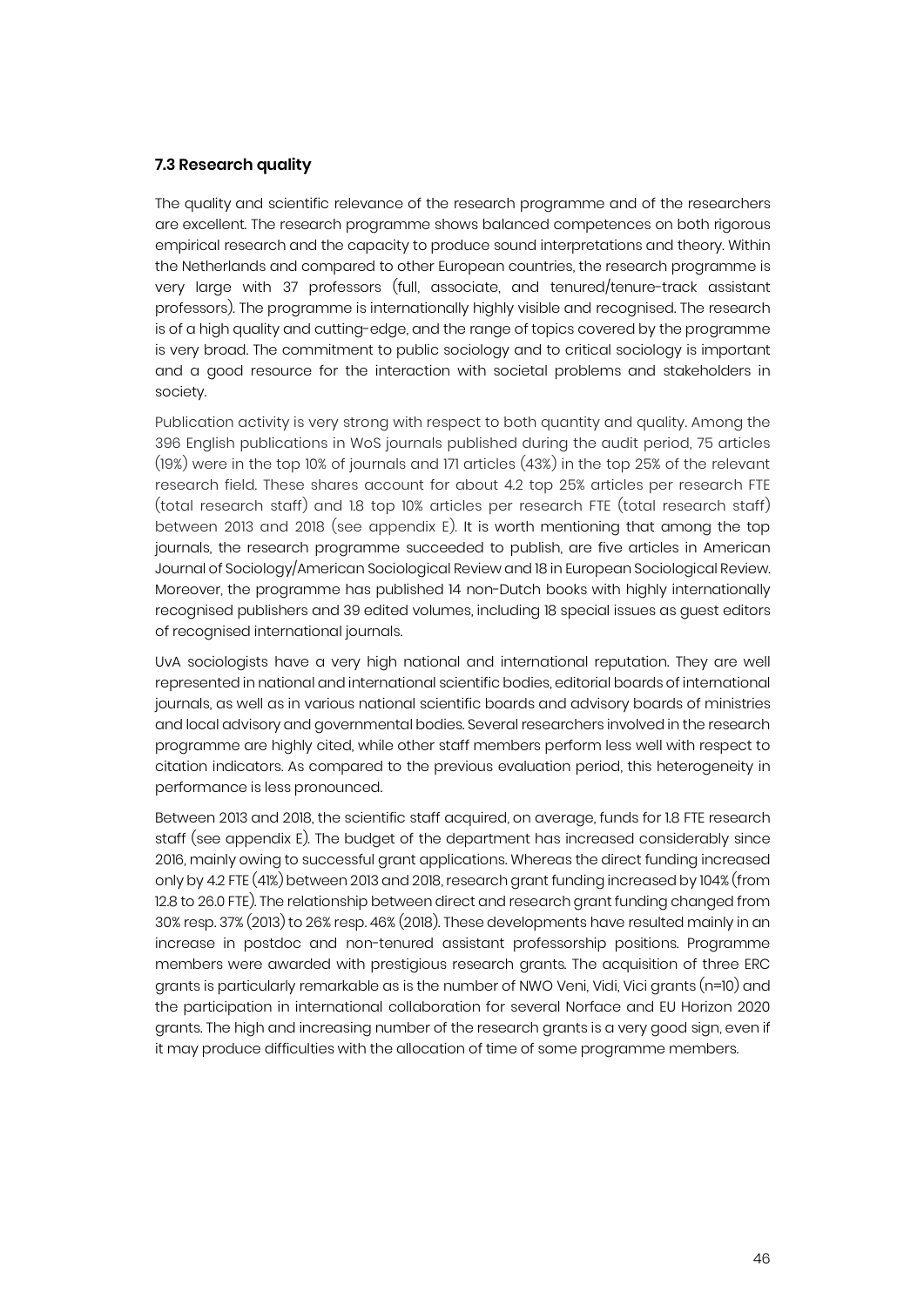#### **7.3 Research quality**

The quality and scientific relevance of the research programme and of the researchers are excellent. The research programme shows balanced competences on both rigorous empirical research and the capacity to produce sound interpretations and theory. Within the Netherlands and compared to other European countries, the research programme is very large with 37 professors (full, associate, and tenured/tenure-track assistant professors). The programme is internationally highly visible and recognised. The research is of a high quality and cutting-edge, and the range of topics covered by the programme is very broad. The commitment to public sociology and to critical sociology is important and a good resource for the interaction with societal problems and stakeholders in society.

Publication activity is very strong with respect to both quantity and quality. Among the 396 English publications in WoS journals published during the audit period, 75 articles (19%) were in the top 10% of journals and 171 articles (43%) in the top 25% of the relevant research field. These shares account for about 4.2 top 25% articles per research FTE (total research staff) and 1.8 top 10% articles per research FTE (total research staff) between 2013 and 2018 (see appendix E). It is worth mentioning that among the top journals, the research programme succeeded to publish, are five articles in American Journal of Sociology/American Sociological Review and 18 in European Sociological Review. Moreover, the programme has published 14 non-Dutch books with highly internationally recognised publishers and 39 edited volumes, including 18 special issues as guest editors of recognised international journals.

UvA sociologists have a very high national and international reputation. They are well represented in national and international scientific bodies, editorial boards of international journals, as well as in various national scientific boards and advisory boards of ministries and local advisory and governmental bodies. Several researchers involved in the research programme are highly cited, while other staff members perform less well with respect to citation indicators. As compared to the previous evaluation period, this heterogeneity in performance is less pronounced.

Between 2013 and 2018, the scientific staff acquired, on average, funds for 1.8 FTE research staff (see appendix E). The budget of the department has increased considerably since 2016, mainly owing to successful grant applications. Whereas the direct funding increased only by 4.2 FTE (41%) between 2013 and 2018, research grant funding increased by 104% (from 12.8 to 26.0 FTE). The relationship between direct and research grant funding changed from 30% resp. 37% (2013) to 26% resp. 46% (2018). These developments have resulted mainly in an increase in postdoc and non-tenured assistant professorship positions. Programme members were awarded with prestigious research grants. The acquisition of three ERC grants is particularly remarkable as is the number of NWO Veni, Vidi, Vici grants (n=10) and the participation in international collaboration for several Norface and EU Horizon 2020 grants. The high and increasing number of the research grants is a very good sign, even if it may produce difficulties with the allocation of time of some programme members.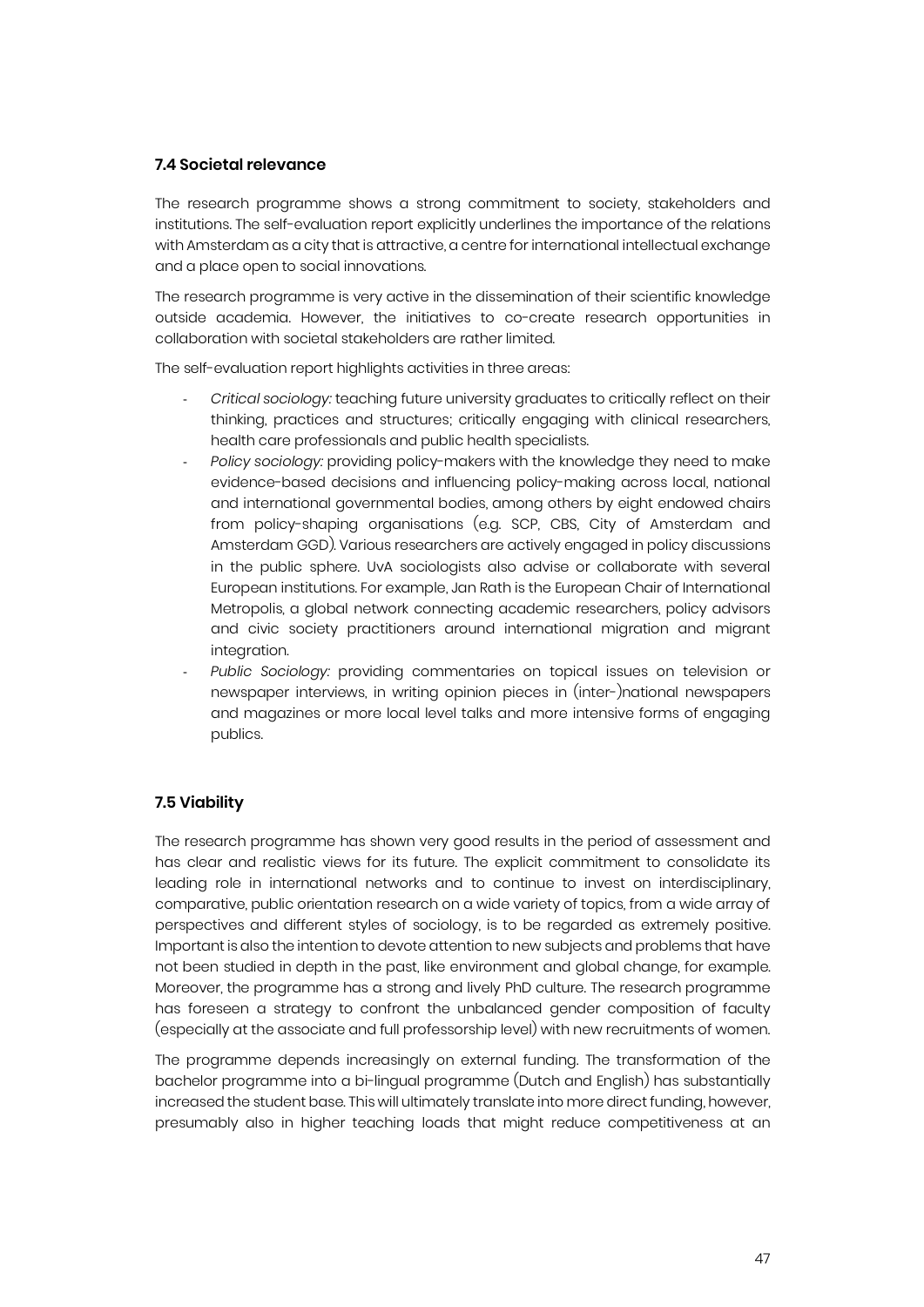#### **7.4 Societal relevance**

The research programme shows a strong commitment to society, stakeholders and institutions. The self-evaluation report explicitly underlines the importance of the relations with Amsterdam as a city that is attractive, a centre for international intellectual exchange and a place open to social innovations.

The research programme is very active in the dissemination of their scientific knowledge outside academia. However, the initiatives to co-create research opportunities in collaboration with societal stakeholders are rather limited.

The self-evaluation report highlights activities in three areas:

- *Critical sociology:* teaching future university graduates to critically reflect on their thinking, practices and structures; critically engaging with clinical researchers, health care professionals and public health specialists.
- Policy sociology: providing policy-makers with the knowledge they need to make evidence-based decisions and influencing policy-making across local, national and international governmental bodies, among others by eight endowed chairs from policy-shaping organisations (e.g. SCP, CBS, City of Amsterdam and Amsterdam GGD). Various researchers are actively engaged in policy discussions in the public sphere. UvA sociologists also advise or collaborate with several European institutions. For example, Jan Rath is the European Chair of International Metropolis, a global network connecting academic researchers, policy advisors and civic society practitioners around international migration and migrant integration.
- *Public Sociology:* providing commentaries on topical issues on television or newspaper interviews, in writing opinion pieces in (inter-)national newspapers and magazines or more local level talks and more intensive forms of engaging publics.

#### **7.5 Viability**

The research programme has shown very good results in the period of assessment and has clear and realistic views for its future. The explicit commitment to consolidate its leading role in international networks and to continue to invest on interdisciplinary, comparative, public orientation research on a wide variety of topics, from a wide array of perspectives and different styles of sociology, is to be regarded as extremely positive. Important is also the intention to devote attention to new subjects and problems that have not been studied in depth in the past, like environment and global change, for example. Moreover, the programme has a strong and lively PhD culture. The research programme has foreseen a strategy to confront the unbalanced gender composition of faculty (especially at the associate and full professorship level) with new recruitments of women.

The programme depends increasingly on external funding. The transformation of the bachelor programme into a bi-lingual programme (Dutch and English) has substantially increased the student base. This will ultimately translate into more direct funding, however, presumably also in higher teaching loads that might reduce competitiveness at an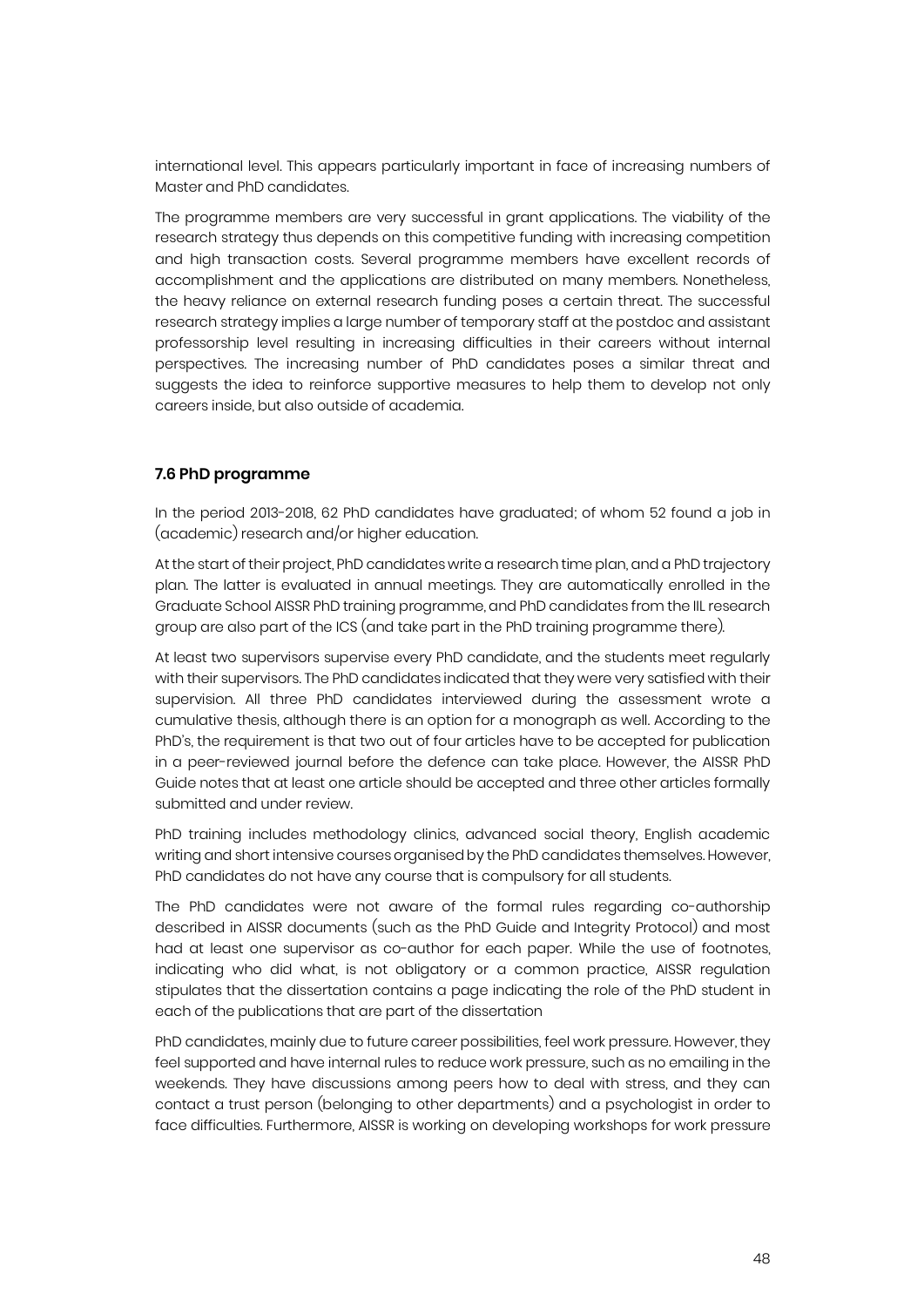international level. This appears particularly important in face of increasing numbers of Master and PhD candidates.

The programme members are very successful in grant applications. The viability of the research strategy thus depends on this competitive funding with increasing competition and high transaction costs. Several programme members have excellent records of accomplishment and the applications are distributed on many members. Nonetheless, the heavy reliance on external research funding poses a certain threat. The successful research strategy implies a large number of temporary staff at the postdoc and assistant professorship level resulting in increasing difficulties in their careers without internal perspectives. The increasing number of PhD candidates poses a similar threat and suggests the idea to reinforce supportive measures to help them to develop not only careers inside, but also outside of academia.

#### **7.6 PhD programme**

In the period 2013-2018, 62 PhD candidates have graduated; of whom 52 found a job in (academic) research and/or higher education.

At the start of their project, PhD candidates write a research time plan, and a PhD trajectory plan. The latter is evaluated in annual meetings. They are automatically enrolled in the Graduate School AISSR PhD training programme, and PhD candidates from the IIL research group are also part of the ICS (and take part in the PhD training programme there).

At least two supervisors supervise every PhD candidate, and the students meet regularly with their supervisors. The PhD candidates indicated that they were very satisfied with their supervision. All three PhD candidates interviewed during the assessment wrote a cumulative thesis, although there is an option for a monograph as well. According to the PhD's, the requirement is that two out of four articles have to be accepted for publication in a peer-reviewed journal before the defence can take place. However, the AISSR PhD Guide notes that at least one article should be accepted and three other articles formally submitted and under review.

PhD training includes methodology clinics, advanced social theory, English academic writing and short intensive courses organised by the PhD candidates themselves. However, PhD candidates do not have any course that is compulsory for all students.

The PhD candidates were not aware of the formal rules regarding co-authorship described in AISSR documents (such as the PhD Guide and Integrity Protocol) and most had at least one supervisor as co-author for each paper. While the use of footnotes, indicating who did what, is not obligatory or a common practice, AISSR regulation stipulates that the dissertation contains a page indicating the role of the PhD student in each of the publications that are part of the dissertation

PhD candidates, mainly due to future career possibilities, feel work pressure. However, they feel supported and have internal rules to reduce work pressure, such as no emailing in the weekends. They have discussions among peers how to deal with stress, and they can contact a trust person (belonging to other departments) and a psychologist in order to face difficulties. Furthermore, AISSR is working on developing workshops for work pressure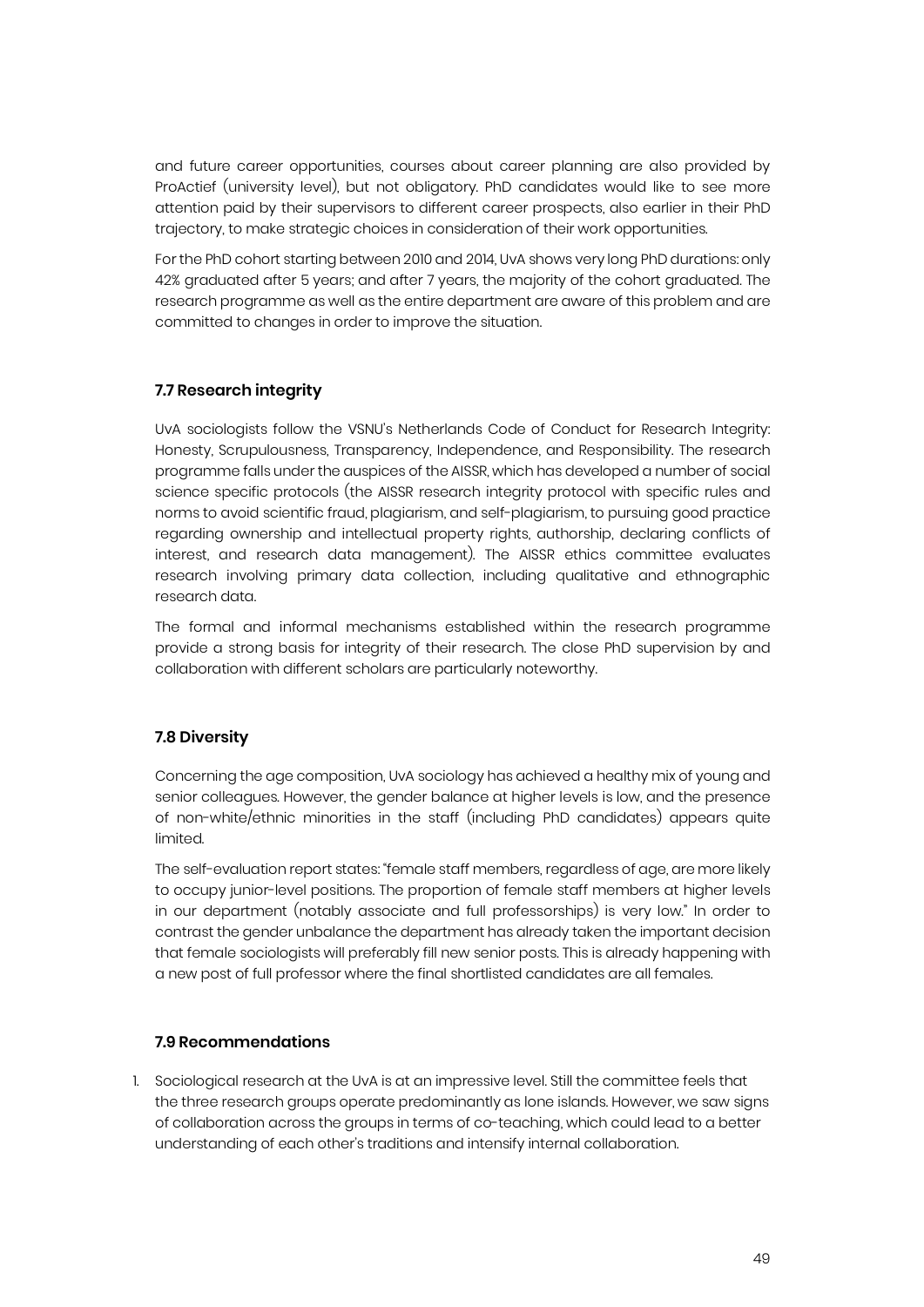and future career opportunities, courses about career planning are also provided by ProActief (university level), but not obligatory. PhD candidates would like to see more attention paid by their supervisors to different career prospects, also earlier in their PhD trajectory, to make strategic choices in consideration of their work opportunities.

For the PhD cohort starting between 2010 and 2014, UvA shows very long PhD durations: only 42% graduated after 5 years; and after 7 years, the majority of the cohort graduated. The research programme as well as the entire department are aware of this problem and are committed to changes in order to improve the situation.

#### **7.7 Research integrity**

UvA sociologists follow the VSNU's Netherlands Code of Conduct for Research Integrity: Honesty, Scrupulousness, Transparency, Independence, and Responsibility. The research programme falls under the auspices of the AISSR, which has developed a number of social science specific protocols (the AISSR research integrity protocol with specific rules and norms to avoid scientific fraud, plagiarism, and self-plagiarism, to pursuing good practice regarding ownership and intellectual property rights, authorship, declaring conflicts of interest, and research data management). The AISSR ethics committee evaluates research involving primary data collection, including qualitative and ethnographic research data.

The formal and informal mechanisms established within the research programme provide a strong basis for integrity of their research. The close PhD supervision by and collaboration with different scholars are particularly noteworthy.

#### **7.8 Diversity**

Concerning the age composition, UvA sociology has achieved a healthy mix of young and senior colleagues. However, the gender balance at higher levels is low, and the presence of non-white/ethnic minorities in the staff (including PhD candidates) appears quite limited.

The self-evaluation report states: "female staff members, regardless of age, are more likely to occupy junior-level positions. The proportion of female staff members at higher levels in our department (notably associate and full professorships) is very low." In order to contrast the gender unbalance the department has already taken the important decision that female sociologists will preferably fill new senior posts. This is already happening with a new post of full professor where the final shortlisted candidates are all females.

#### **7.9 Recommendations**

1. Sociological research at the UvA is at an impressive level. Still the committee feels that the three research groups operate predominantly as lone islands. However, we saw signs of collaboration across the groups in terms of co-teaching, which could lead to a better understanding of each other's traditions and intensify internal collaboration.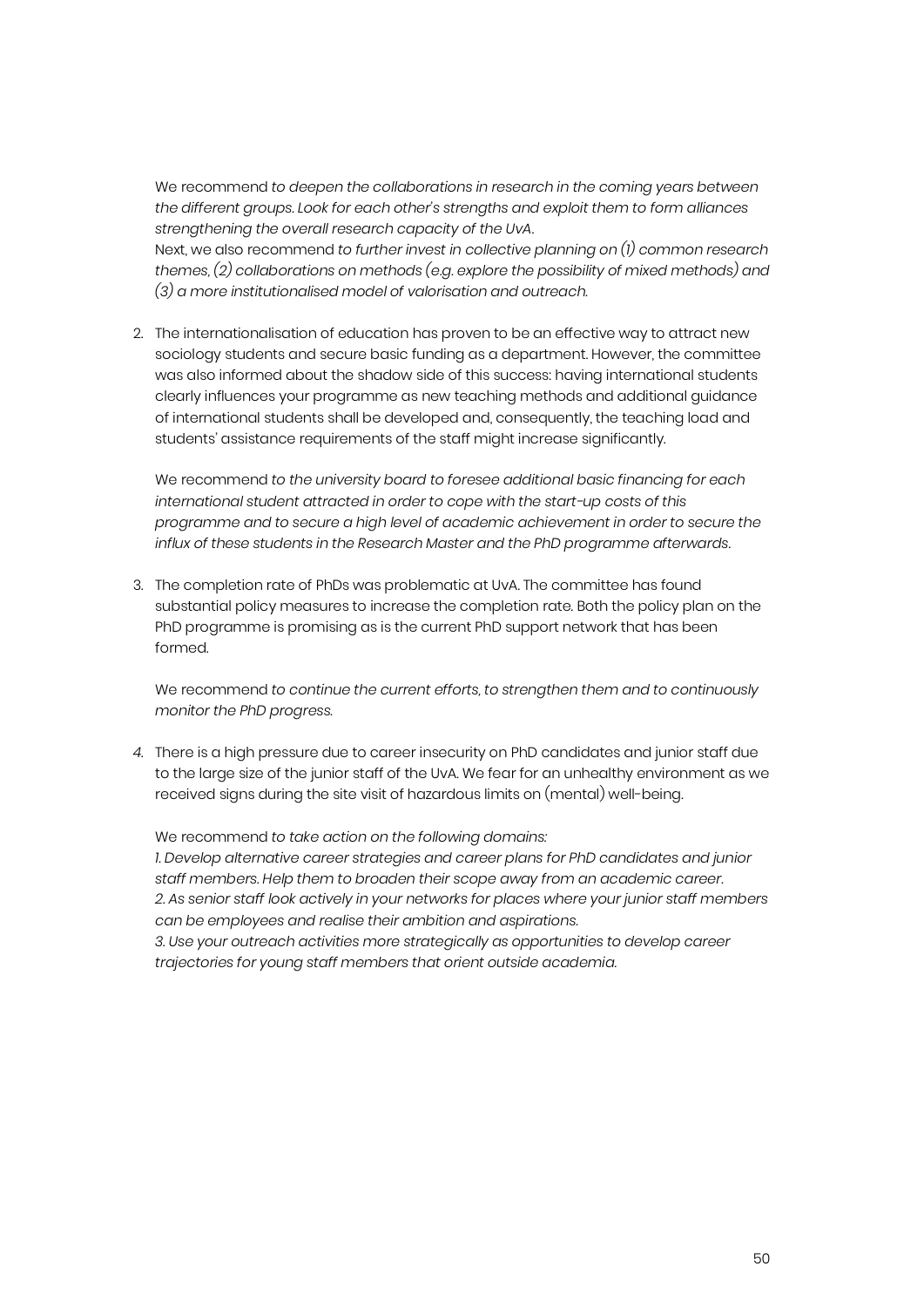We recommend *to deepen the collaborations in research in the coming years between the different groups. Look for each other's strengths and exploit them to form alliances strengthening the overall research capacity of the UvA*.

Next, we also recommend *to further invest in collective planning on (1) common research themes, (2) collaborations on methods (e.g. explore the possibility of mixed methods) and (3) a more institutionalised model of valorisation and outreach.*

2. The internationalisation of education has proven to be an effective way to attract new sociology students and secure basic funding as a department. However, the committee was also informed about the shadow side of this success: having international students clearly influences your programme as new teaching methods and additional guidance of international students shall be developed and, consequently, the teaching load and students' assistance requirements of the staff might increase significantly.

We recommend *to the university board to foresee additional basic financing for each international student attracted in order to cope with the start-up costs of this programme and to secure a high level of academic achievement in order to secure the influx of these students in the Research Master and the PhD programme afterwards.*

3. The completion rate of PhDs was problematic at UvA. The committee has found substantial policy measures to increase the completion rate. Both the policy plan on the PhD programme is promising as is the current PhD support network that has been formed.

We recommend *to continue the current efforts, to strengthen them and to continuously monitor the PhD progress.*

*4.* There is a high pressure due to career insecurity on PhD candidates and junior staff due to the large size of the junior staff of the UvA. We fear for an unhealthy environment as we received signs during the site visit of hazardous limits on (mental) well-being.

We recommend *to take action on the following domains: 1. Develop alternative career strategies and career plans for PhD candidates and junior staff members. Help them to broaden their scope away from an academic career. 2. As senior staff look actively in your networks for places where your junior staff members can be employees and realise their ambition and aspirations. 3. Use your outreach activities more strategically as opportunities to develop career trajectories for young staff members that orient outside academia.*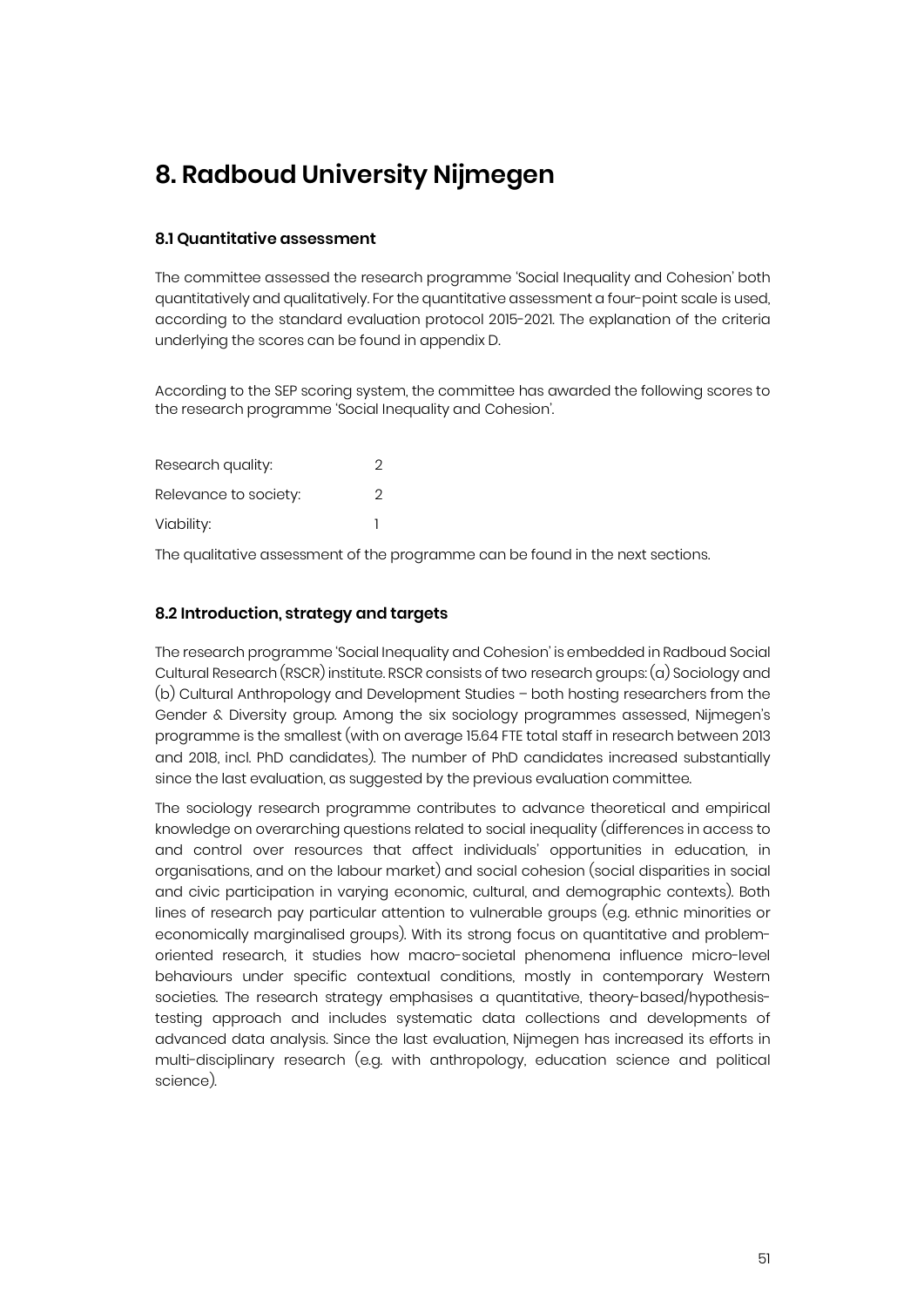# **8. Radboud University Nijmegen**

#### **8.1 Quantitative assessment**

The committee assessed the research programme 'Social Inequality and Cohesion' both quantitatively and qualitatively. For the quantitative assessment a four-point scale is used, according to the standard evaluation protocol 2015-2021. The explanation of the criteria underlying the scores can be found in appendix D.

According to the SEP scoring system, the committee has awarded the following scores to the research programme 'Social Inequality and Cohesion'.

| Research quality:     | 2 |
|-----------------------|---|
| Relevance to society: | 2 |
| Viability:            |   |

The qualitative assessment of the programme can be found in the next sections.

#### **8.2 Introduction, strategy and targets**

The research programme 'Social Inequality and Cohesion' is embedded in Radboud Social Cultural Research (RSCR) institute. RSCR consists of two research groups: (a) Sociology and (b) Cultural Anthropology and Development Studies – both hosting researchers from the Gender & Diversity group. Among the six sociology programmes assessed, Nijmegen's programme is the smallest (with on average 15.64 FTE total staff in research between 2013 and 2018, incl. PhD candidates). The number of PhD candidates increased substantially since the last evaluation, as suggested by the previous evaluation committee.

The sociology research programme contributes to advance theoretical and empirical knowledge on overarching questions related to social inequality (differences in access to and control over resources that affect individuals' opportunities in education, in organisations, and on the labour market) and social cohesion (social disparities in social and civic participation in varying economic, cultural, and demographic contexts). Both lines of research pay particular attention to vulnerable groups (e.g. ethnic minorities or economically marginalised groups). With its strong focus on quantitative and problemoriented research, it studies how macro-societal phenomena influence micro-level behaviours under specific contextual conditions, mostly in contemporary Western societies. The research strategy emphasises a quantitative, theory-based/hypothesistesting approach and includes systematic data collections and developments of advanced data analysis. Since the last evaluation, Nijmegen has increased its efforts in multi-disciplinary research (e.g. with anthropology, education science and political science).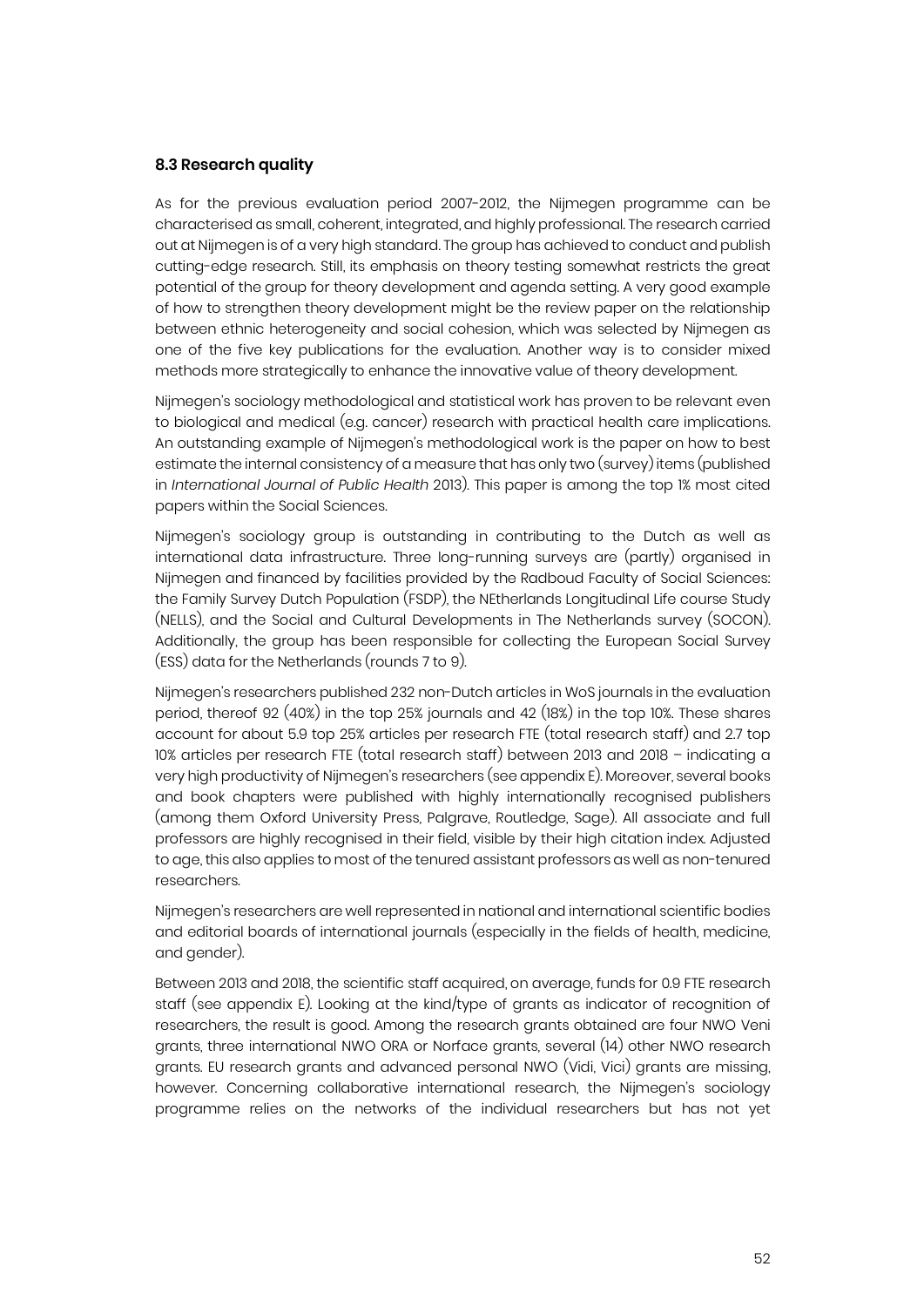#### **8.3 Research quality**

As for the previous evaluation period 2007-2012, the Nijmegen programme can be characterised as small, coherent, integrated, and highly professional. The research carried out at Nijmegen is of a very high standard. The group has achieved to conduct and publish cutting-edge research. Still, its emphasis on theory testing somewhat restricts the great potential of the group for theory development and agenda setting. A very good example of how to strengthen theory development might be the review paper on the relationship between ethnic heterogeneity and social cohesion, which was selected by Nijmegen as one of the five key publications for the evaluation. Another way is to consider mixed methods more strategically to enhance the innovative value of theory development.

Nijmegen's sociology methodological and statistical work has proven to be relevant even to biological and medical (e.g. cancer) research with practical health care implications. An outstanding example of Nijmegen's methodological work is the paper on how to best estimate the internal consistency of a measure that has only two (survey) items (published in *International Journal of Public Health* 2013). This paper is among the top 1% most cited papers within the Social Sciences.

Nijmegen's sociology group is outstanding in contributing to the Dutch as well as international data infrastructure. Three long-running surveys are (partly) organised in Nijmegen and financed by facilities provided by the Radboud Faculty of Social Sciences: the Family Survey Dutch Population (FSDP), the NEtherlands Longitudinal Life course Study (NELLS), and the Social and Cultural Developments in The Netherlands survey (SOCON). Additionally, the group has been responsible for collecting the European Social Survey (ESS) data for the Netherlands (rounds 7 to 9).

Nijmegen's researchers published 232 non-Dutch articles in WoS journals in the evaluation period, thereof 92 (40%) in the top 25% journals and 42 (18%) in the top 10%. These shares account for about 5.9 top 25% articles per research FTE (total research staff) and 2.7 top 10% articles per research FTE (total research staff) between 2013 and 2018 – indicating a very high productivity of Nijmegen's researchers (see appendix E). Moreover, several books and book chapters were published with highly internationally recognised publishers (among them Oxford University Press, Palgrave, Routledge, Sage). All associate and full professors are highly recognised in their field, visible by their high citation index. Adjusted to age, this also applies to most of the tenured assistant professors as well as non-tenured researchers.

Nijmegen's researchers are well represented in national and international scientific bodies and editorial boards of international journals (especially in the fields of health, medicine, and gender).

Between 2013 and 2018, the scientific staff acquired, on average, funds for 0.9 FTE research staff (see appendix E). Looking at the kind/type of grants as indicator of recognition of researchers, the result is good. Among the research grants obtained are four NWO Veni grants, three international NWO ORA or Norface grants, several (14) other NWO research grants. EU research grants and advanced personal NWO (Vidi, Vici) grants are missing, however. Concerning collaborative international research, the Nijmegen's sociology programme relies on the networks of the individual researchers but has not yet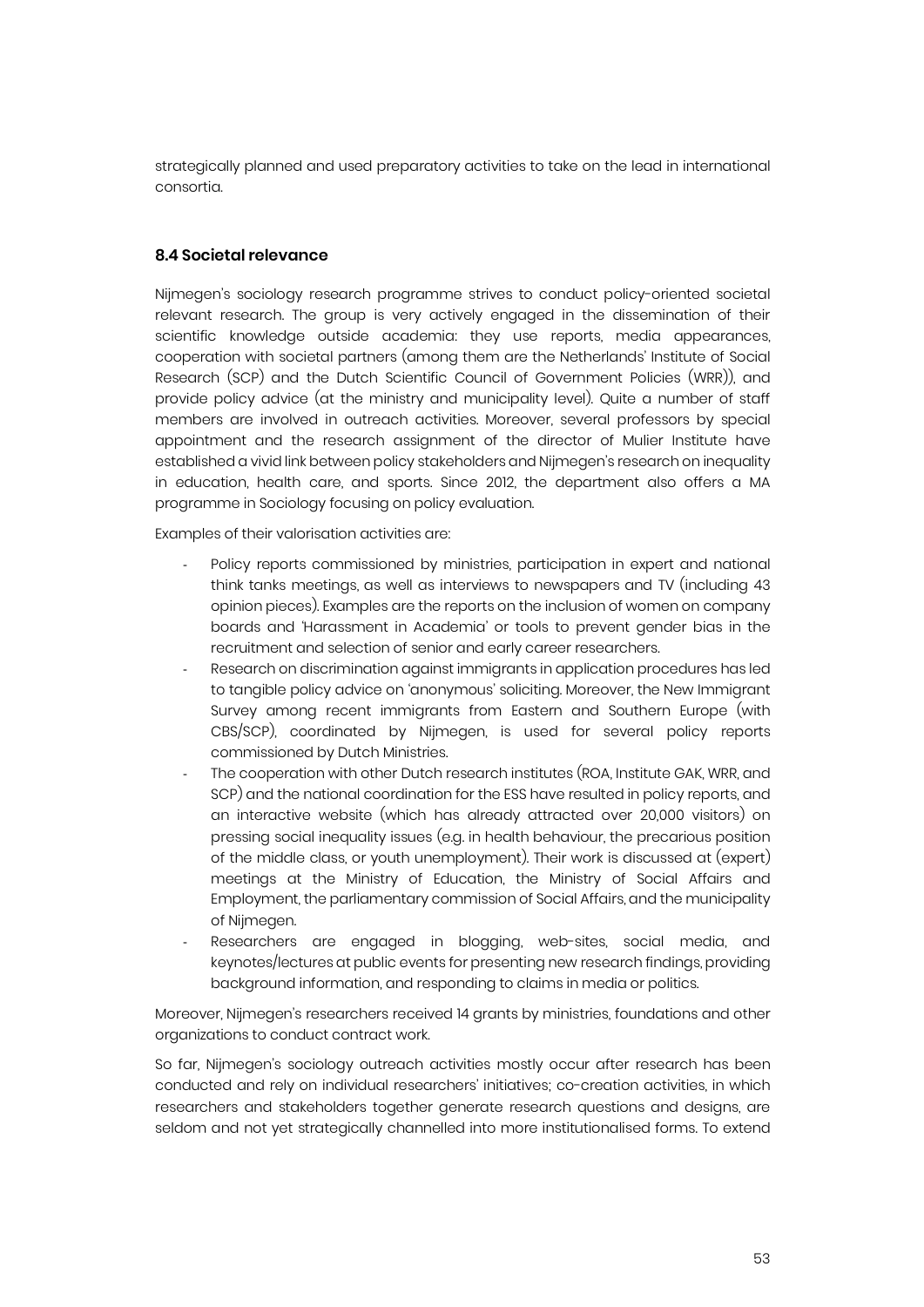strategically planned and used preparatory activities to take on the lead in international consortia.

#### **8.4 Societal relevance**

Nijmegen's sociology research programme strives to conduct policy-oriented societal relevant research. The group is very actively engaged in the dissemination of their scientific knowledge outside academia: they use reports, media appearances, cooperation with societal partners (among them are the Netherlands' Institute of Social Research (SCP) and the Dutch Scientific Council of Government Policies (WRR)), and provide policy advice (at the ministry and municipality level). Quite a number of staff members are involved in outreach activities. Moreover, several professors by special appointment and the research assignment of the director of Mulier Institute have established a vivid link between policy stakeholders and Nijmegen's research on inequality in education, health care, and sports. Since 2012, the department also offers a MA programme in Sociology focusing on policy evaluation.

Examples of their valorisation activities are:

- Policy reports commissioned by ministries, participation in expert and national think tanks meetings, as well as interviews to newspapers and TV (including 43 opinion pieces). Examples are the reports on the inclusion of women on company boards and 'Harassment in Academia' or tools to prevent gender bias in the recruitment and selection of senior and early career researchers.
- Research on discrimination against immigrants in application procedures has led to tangible policy advice on 'anonymous' soliciting. Moreover, the New Immigrant Survey among recent immigrants from Eastern and Southern Europe (with CBS/SCP), coordinated by Nijmegen, is used for several policy reports commissioned by Dutch Ministries.
- The cooperation with other Dutch research institutes (ROA, Institute GAK, WRR, and SCP) and the national coordination for the ESS have resulted in policy reports, and an interactive website (which has already attracted over 20,000 visitors) on pressing social inequality issues (e.g. in health behaviour, the precarious position of the middle class, or youth unemployment). Their work is discussed at (expert) meetings at the Ministry of Education, the Ministry of Social Affairs and Employment, the parliamentary commission of Social Affairs, and the municipality of Nijmegen.
- Researchers are engaged in blogging, web-sites, social media, and keynotes/lectures at public events for presenting new research findings, providing background information, and responding to claims in media or politics.

Moreover, Nijmegen's researchers received 14 grants by ministries, foundations and other organizations to conduct contract work.

So far, Nijmegen's sociology outreach activities mostly occur after research has been conducted and rely on individual researchers' initiatives; co-creation activities, in which researchers and stakeholders together generate research questions and designs, are seldom and not yet strategically channelled into more institutionalised forms. To extend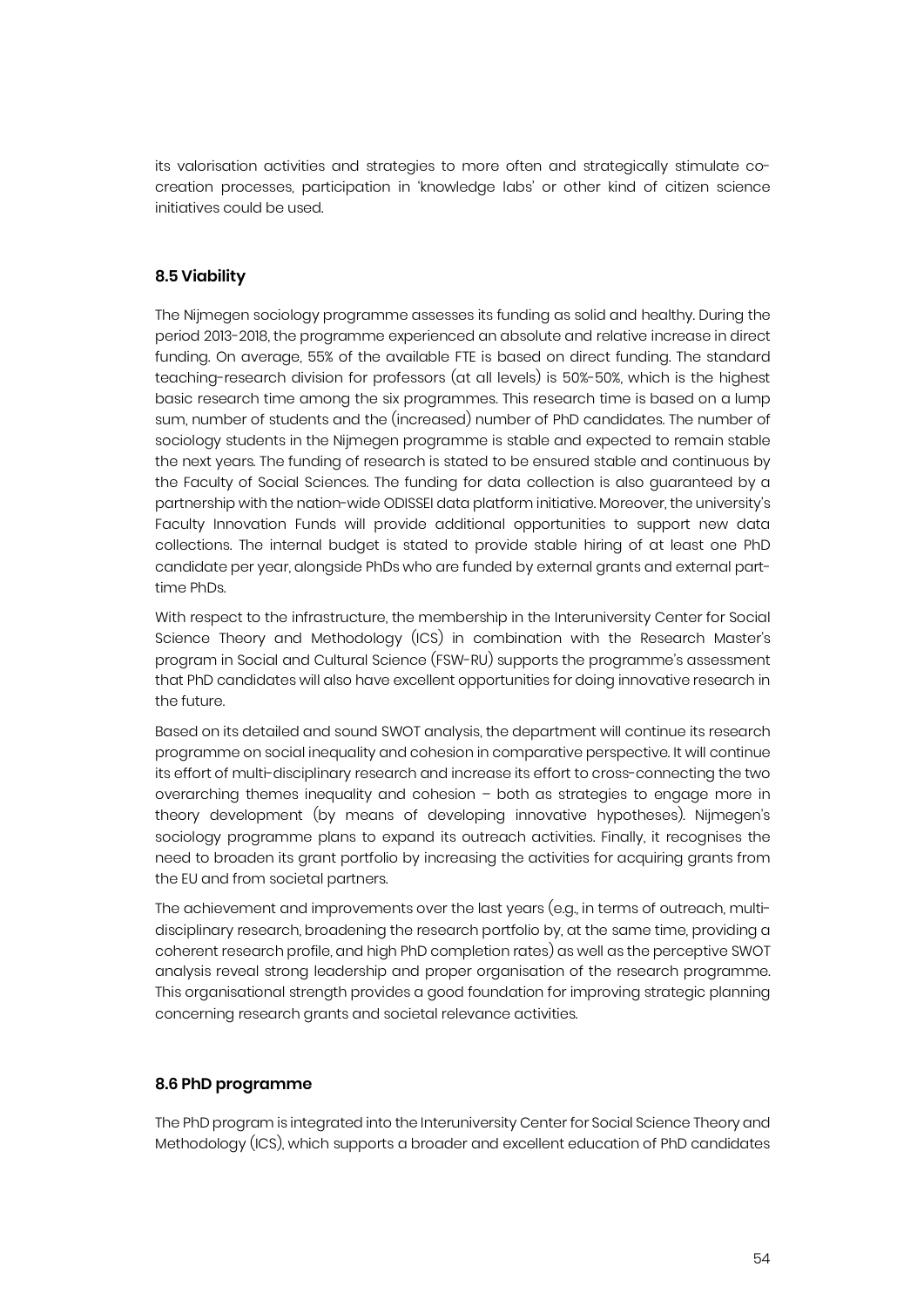its valorisation activities and strategies to more often and strategically stimulate cocreation processes, participation in 'knowledge labs' or other kind of citizen science initiatives could be used.

#### **8.5 Viability**

The Nijmegen sociology programme assesses its funding as solid and healthy. During the period 2013-2018, the programme experienced an absolute and relative increase in direct funding. On average, 55% of the available FTE is based on direct funding. The standard teaching-research division for professors (at all levels) is 50%-50%, which is the highest basic research time among the six programmes. This research time is based on a lump sum, number of students and the (increased) number of PhD candidates. The number of sociology students in the Nijmegen programme is stable and expected to remain stable the next years. The funding of research is stated to be ensured stable and continuous by the Faculty of Social Sciences. The funding for data collection is also guaranteed by a partnership with the nation-wide ODISSEI data platform initiative. Moreover, the university's Faculty Innovation Funds will provide additional opportunities to support new data collections. The internal budget is stated to provide stable hiring of at least one PhD candidate per year, alongside PhDs who are funded by external grants and external parttime PhDs.

With respect to the infrastructure, the membership in the Interuniversity Center for Social Science Theory and Methodology (ICS) in combination with the Research Master's program in Social and Cultural Science (FSW-RU) supports the programme's assessment that PhD candidates will also have excellent opportunities for doing innovative research in the future.

Based on its detailed and sound SWOT analysis, the department will continue its research programme on social inequality and cohesion in comparative perspective. It will continue its effort of multi-disciplinary research and increase its effort to cross-connecting the two overarching themes inequality and cohesion – both as strategies to engage more in theory development (by means of developing innovative hypotheses). Nijmegen's sociology programme plans to expand its outreach activities. Finally, it recognises the need to broaden its grant portfolio by increasing the activities for acquiring grants from the EU and from societal partners.

The achievement and improvements over the last years (e.g., in terms of outreach, multidisciplinary research, broadening the research portfolio by, at the same time, providing a coherent research profile, and high PhD completion rates) as well as the perceptive SWOT analysis reveal strong leadership and proper organisation of the research programme. This organisational strength provides a good foundation for improving strategic planning concerning research grants and societal relevance activities.

#### **8.6 PhD programme**

The PhD program is integrated into the Interuniversity Center for Social Science Theory and Methodology (ICS), which supports a broader and excellent education of PhD candidates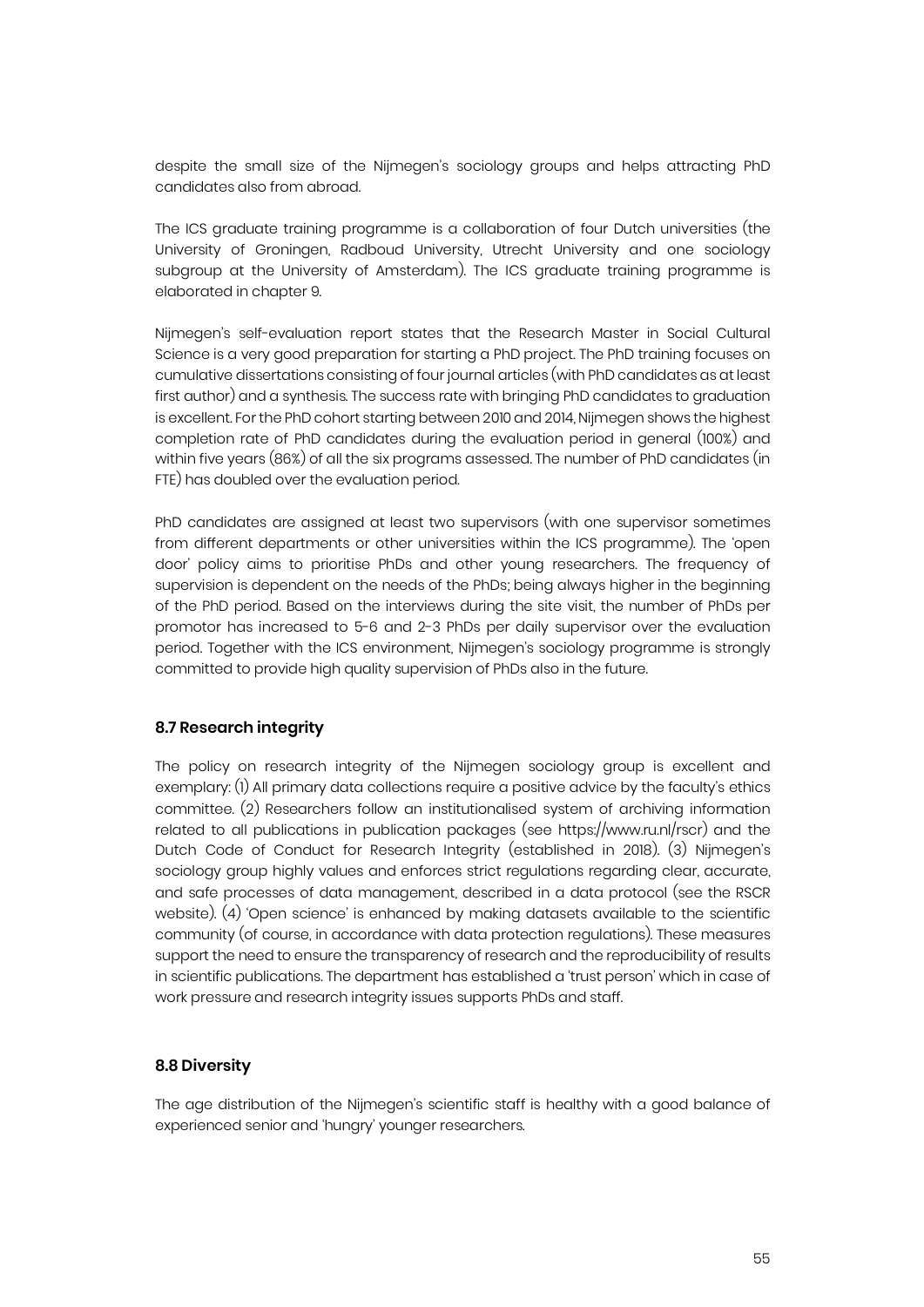despite the small size of the Nijmegen's sociology groups and helps attracting PhD candidates also from abroad.

The ICS graduate training programme is a collaboration of four Dutch universities (the University of Groningen, Radboud University, Utrecht University and one sociology subgroup at the University of Amsterdam). The ICS graduate training programme is elaborated in chapter 9.

Nijmegen's self-evaluation report states that the Research Master in Social Cultural Science is a very good preparation for starting a PhD project. The PhD training focuses on cumulative dissertations consisting of four journal articles (with PhD candidates as at least first author) and a synthesis. The success rate with bringing PhD candidates to graduation is excellent. For the PhD cohort starting between 2010 and 2014, Nijmegen shows the highest completion rate of PhD candidates during the evaluation period in general (100%) and within five years (86%) of all the six programs assessed. The number of PhD candidates (in FTE) has doubled over the evaluation period.

PhD candidates are assigned at least two supervisors (with one supervisor sometimes from different departments or other universities within the ICS programme). The 'open door' policy aims to prioritise PhDs and other young researchers. The frequency of supervision is dependent on the needs of the PhDs; being always higher in the beginning of the PhD period. Based on the interviews during the site visit, the number of PhDs per promotor has increased to 5-6 and 2-3 PhDs per daily supervisor over the evaluation period. Together with the ICS environment, Nijmegen's sociology programme is strongly committed to provide high quality supervision of PhDs also in the future.

#### **8.7 Research integrity**

The policy on research integrity of the Nijmegen sociology group is excellent and exemplary: (1) All primary data collections require a positive advice by the faculty's ethics committee. (2) Researchers follow an institutionalised system of archiving information related to all publications in publication packages (see https://www.ru.nl/rscr) and the Dutch Code of Conduct for Research Integrity (established in 2018). (3) Nijmegen's sociology group highly values and enforces strict regulations regarding clear, accurate, and safe processes of data management, described in a data protocol (see the RSCR website). (4) 'Open science' is enhanced by making datasets available to the scientific community (of course, in accordance with data protection regulations). These measures support the need to ensure the transparency of research and the reproducibility of results in scientific publications. The department has established a 'trust person' which in case of work pressure and research integrity issues supports PhDs and staff.

#### **8.8 Diversity**

The age distribution of the Nijmegen's scientific staff is healthy with a good balance of experienced senior and 'hungry' younger researchers.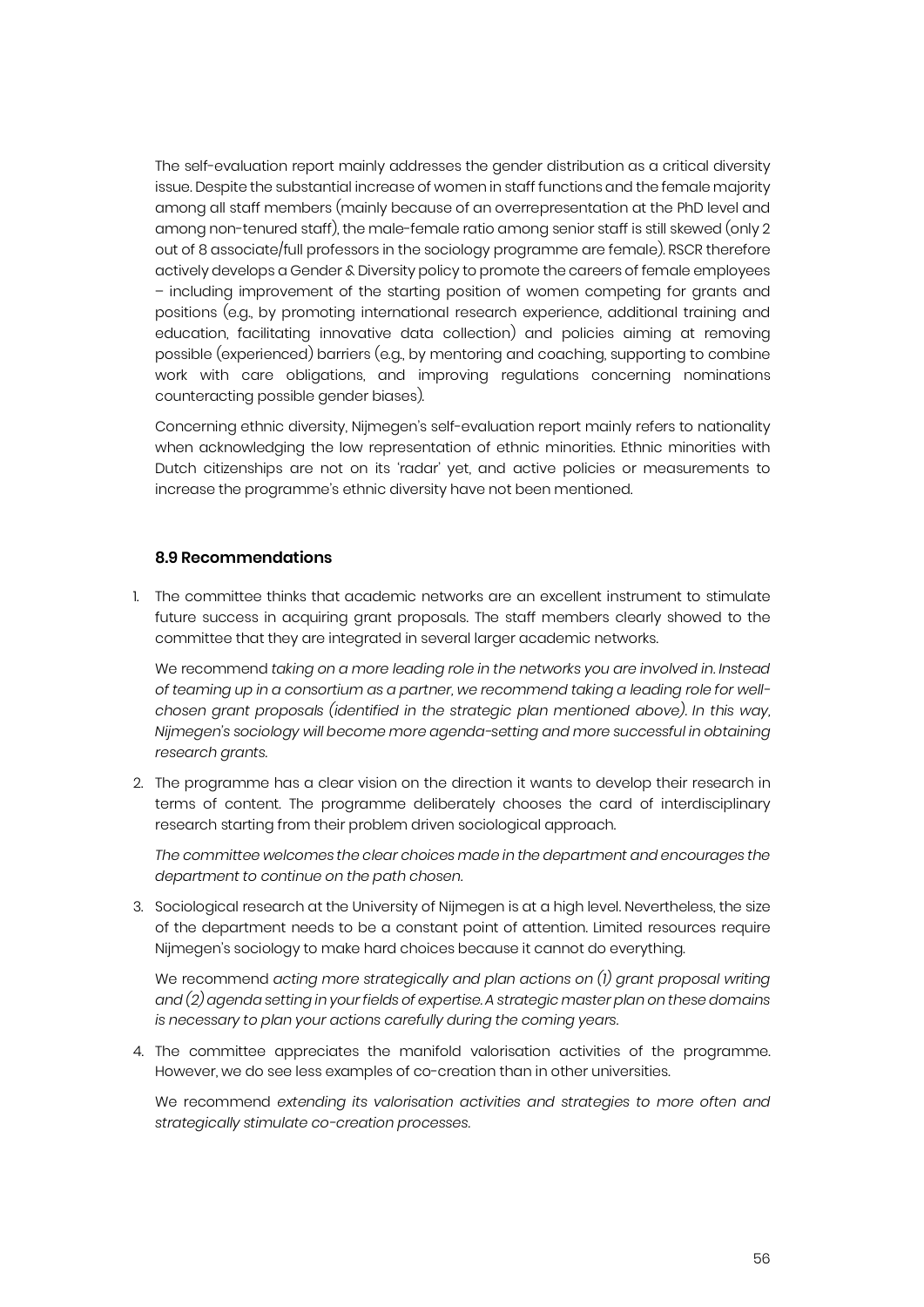The self-evaluation report mainly addresses the gender distribution as a critical diversity issue. Despite the substantial increase of women in staff functions and the female majority among all staff members (mainly because of an overrepresentation at the PhD level and among non-tenured staff), the male-female ratio among senior staff is still skewed (only 2 out of 8 associate/full professors in the sociology programme are female). RSCR therefore actively develops a Gender & Diversity policy to promote the careers of female employees – including improvement of the starting position of women competing for grants and positions (e.g., by promoting international research experience, additional training and education, facilitating innovative data collection) and policies aiming at removing possible (experienced) barriers (e.g., by mentoring and coaching, supporting to combine work with care obligations, and improving regulations concerning nominations counteracting possible gender biases).

Concerning ethnic diversity, Nijmegen's self-evaluation report mainly refers to nationality when acknowledging the low representation of ethnic minorities. Ethnic minorities with Dutch citizenships are not on its 'radar' yet, and active policies or measurements to increase the programme's ethnic diversity have not been mentioned.

#### **8.9 Recommendations**

1. The committee thinks that academic networks are an excellent instrument to stimulate future success in acquiring grant proposals. The staff members clearly showed to the committee that they are integrated in several larger academic networks.

We recommend *taking on a more leading role in the networks you are involved in. Instead of teaming up in a consortium as a partner, we recommend taking a leading role for wellchosen grant proposals (identified in the strategic plan mentioned above). In this way, Nijmegen's sociology will become more agenda-setting and more successful in obtaining research grants.*

2. The programme has a clear vision on the direction it wants to develop their research in terms of content. The programme deliberately chooses the card of interdisciplinary research starting from their problem driven sociological approach.

*The committee welcomes the clear choices made in the department and encourages the department to continue on the path chosen.*

3. Sociological research at the University of Nijmegen is at a high level. Nevertheless, the size of the department needs to be a constant point of attention. Limited resources require Nijmegen's sociology to make hard choices because it cannot do everything.

We recommend *acting more strategically and plan actions on (1) grant proposal writing and (2) agenda setting in your fields of expertise. A strategic master plan on these domains is necessary to plan your actions carefully during the coming years.*

4. The committee appreciates the manifold valorisation activities of the programme. However, we do see less examples of co-creation than in other universities.

We recommend *extending its valorisation activities and strategies to more often and strategically stimulate co-creation processes.*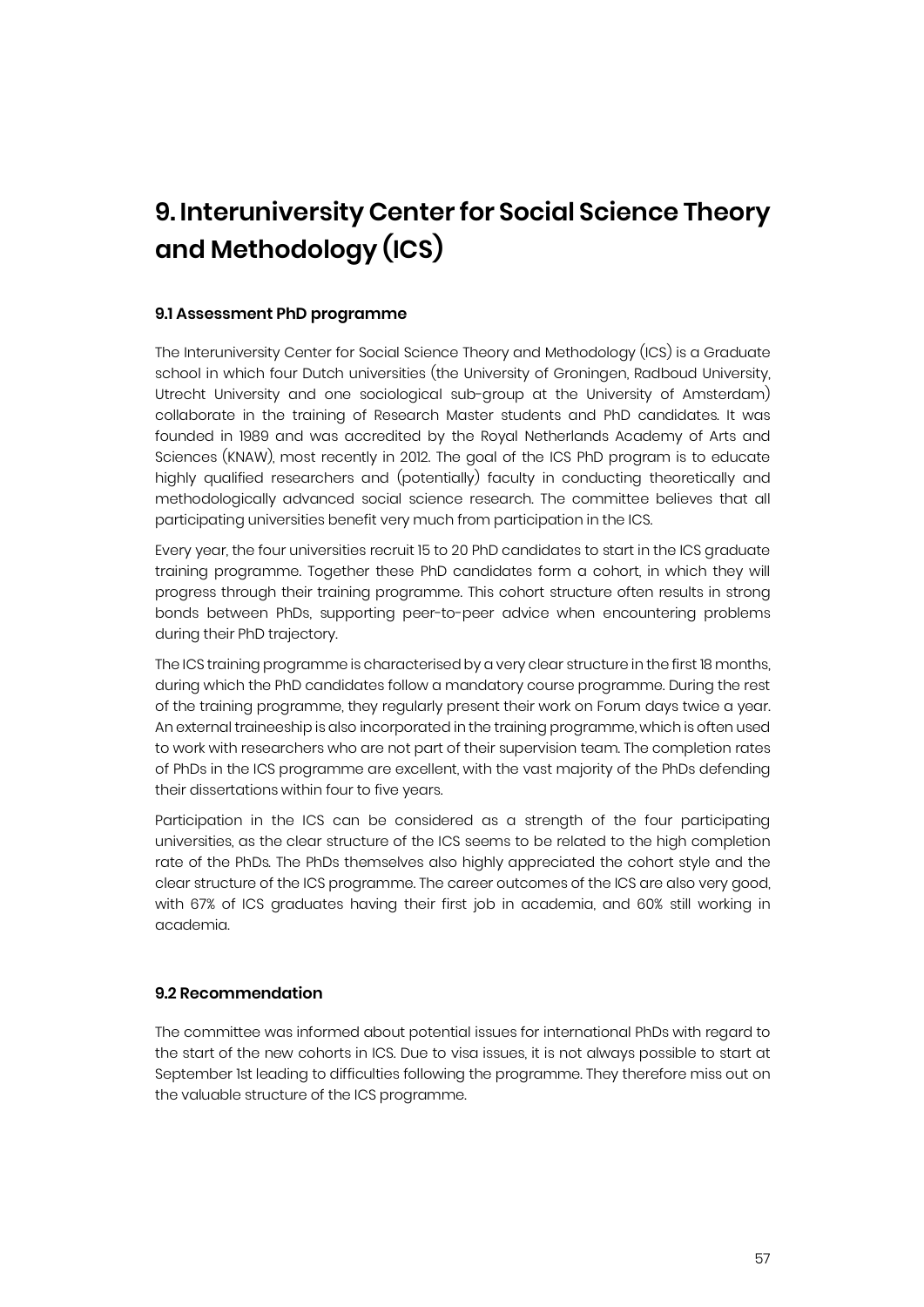# **9. Interuniversity Center for Social Science Theory and Methodology (ICS)**

#### **9.1 Assessment PhD programme**

The Interuniversity Center for Social Science Theory and Methodology (ICS) is a Graduate school in which four Dutch universities (the University of Groningen, Radboud University, Utrecht University and one sociological sub-group at the University of Amsterdam) collaborate in the training of Research Master students and PhD candidates. It was founded in 1989 and was accredited by the Royal Netherlands Academy of Arts and Sciences (KNAW), most recently in 2012. The goal of the ICS PhD program is to educate highly qualified researchers and (potentially) faculty in conducting theoretically and methodologically advanced social science research. The committee believes that all participating universities benefit very much from participation in the ICS.

Every year, the four universities recruit 15 to 20 PhD candidates to start in the ICS graduate training programme. Together these PhD candidates form a cohort, in which they will progress through their training programme. This cohort structure often results in strong bonds between PhDs, supporting peer-to-peer advice when encountering problems during their PhD trajectory.

The ICS training programme is characterised by a very clear structure in the first 18 months, during which the PhD candidates follow a mandatory course programme. During the rest of the training programme, they regularly present their work on Forum days twice a year. An external traineeship is also incorporated in the training programme, which is often used to work with researchers who are not part of their supervision team. The completion rates of PhDs in the ICS programme are excellent, with the vast majority of the PhDs defending their dissertations within four to five years.

Participation in the ICS can be considered as a strength of the four participating universities, as the clear structure of the ICS seems to be related to the high completion rate of the PhDs. The PhDs themselves also highly appreciated the cohort style and the clear structure of the ICS programme. The career outcomes of the ICS are also very good, with 67% of ICS graduates having their first job in academia, and 60% still working in academia.

#### **9.2 Recommendation**

The committee was informed about potential issues for international PhDs with regard to the start of the new cohorts in ICS. Due to visa issues, it is not always possible to start at September 1st leading to difficulties following the programme. They therefore miss out on the valuable structure of the ICS programme.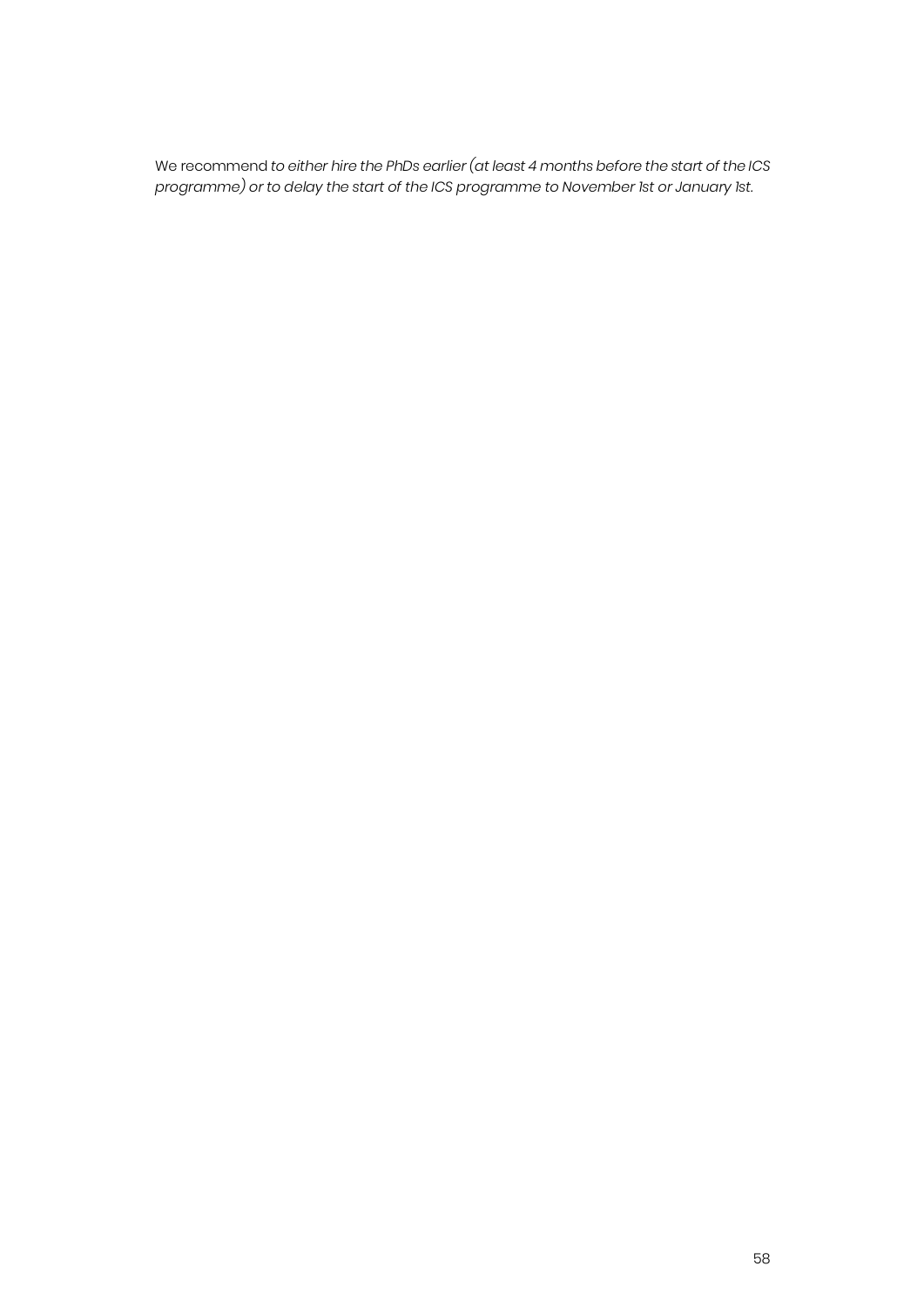We recommend *to either hire the PhDs earlier (at least 4 months before the start of the ICS programme) or to delay the start of the ICS programme to November 1st or January 1st.*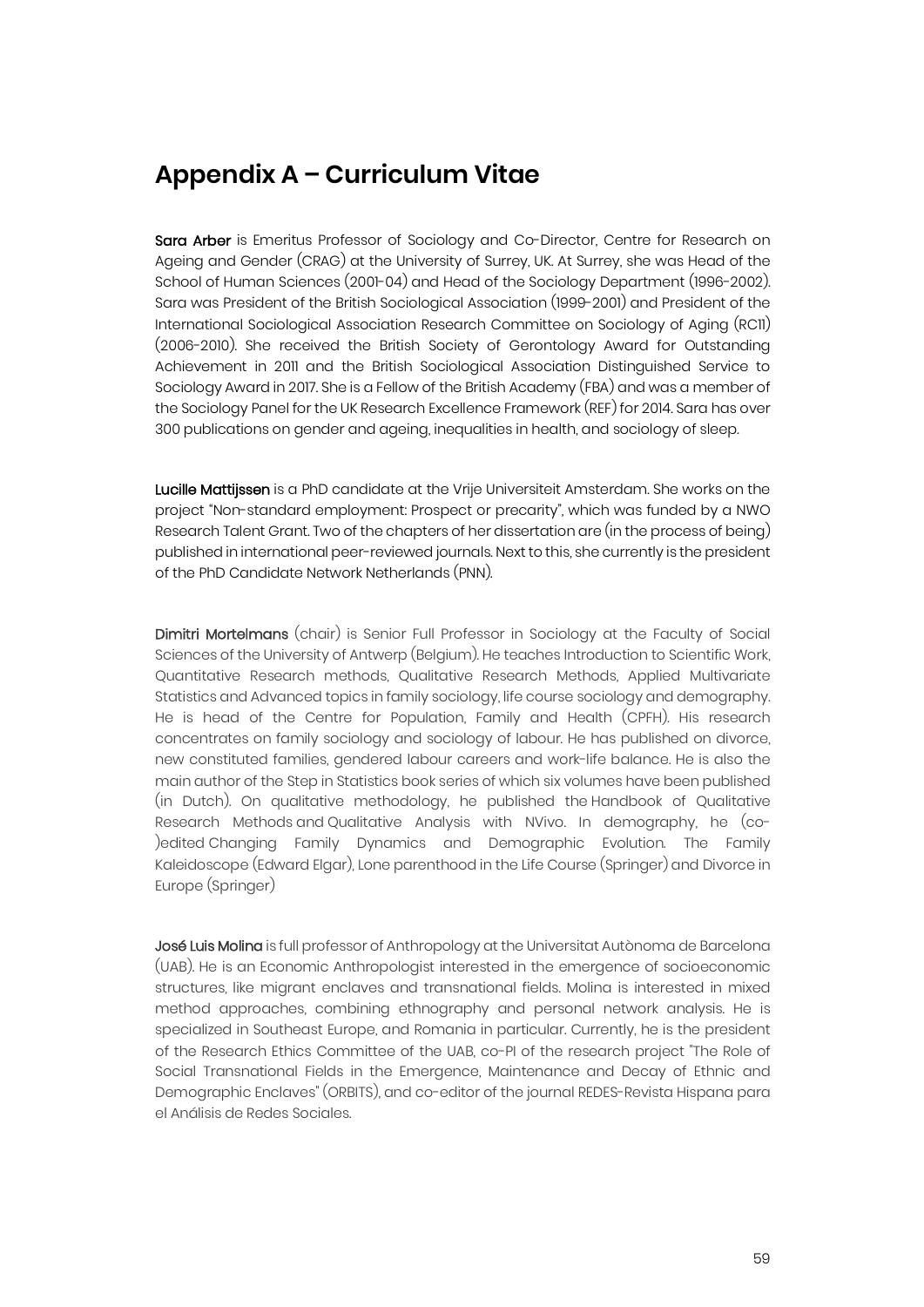### **Appendix A – Curriculum Vitae**

Sara Arber is Emeritus Professor of Sociology and Co-Director, Centre for Research on Ageing and Gender (CRAG) at the University of Surrey, UK. At Surrey, she was Head of the School of Human Sciences (2001-04) and Head of the Sociology Department (1996-2002). Sara was President of the British Sociological Association (1999-2001) and President of the International Sociological Association Research Committee on Sociology of Aging (RC11) (2006-2010). She received the British Society of Gerontology Award for Outstanding Achievement in 2011 and the British Sociological Association Distinguished Service to Sociology Award in 2017. She is a Fellow of the British Academy (FBA) and was a member of the Sociology Panel for the UK Research Excellence Framework (REF) for 2014. Sara has over 300 publications on gender and ageing, inequalities in health, and sociology of sleep.

Lucille Mattijssen is a PhD candidate at the Vrije Universiteit Amsterdam. She works on the project "Non-standard employment: Prospect or precarity", which was funded by a NWO Research Talent Grant. Two of the chapters of her dissertation are (in the process of being) published in international peer-reviewed journals. Next to this, she currently is the president of the PhD Candidate Network Netherlands (PNN).

Dimitri Mortelmans (chair) is Senior Full Professor in Sociology at the Faculty of Social Sciences of the University of Antwerp (Belgium). He teaches Introduction to Scientific Work, Quantitative Research methods, Qualitative Research Methods, Applied Multivariate Statistics and Advanced topics in family sociology, life course sociology and demography. He is head of the Centre for Population, Family and Health (CPFH). His research concentrates on family sociology and sociology of labour. He has published on divorce, new constituted families, gendered labour careers and work-life balance. He is also the main author of the Step in Statistics book series of which six volumes have been published (in Dutch). On qualitative methodology, he published the Handbook of Qualitative Research Methods and Qualitative Analysis with NVivo. In demography, he (co- )edited Changing Family Dynamics and Demographic Evolution. The Family Kaleidoscope (Edward Elgar), Lone parenthood in the Life Course (Springer) and Divorce in Europe (Springer)

José Luis Molina is full professor of Anthropology at the Universitat Autònoma de Barcelona (UAB). He is an Economic Anthropologist interested in the emergence of socioeconomic structures, like migrant enclaves and transnational fields. Molina is interested in mixed method approaches, combining ethnography and personal network analysis. He is specialized in Southeast Europe, and Romania in particular. Currently, he is the president of the Research Ethics Committee of the UAB, co-PI of the research project "The Role of Social Transnational Fields in the Emergence, Maintenance and Decay of Ethnic and Demographic Enclaves" (ORBITS), and co-editor of the journal REDES-Revista Hispana para el Análisis de Redes Sociales.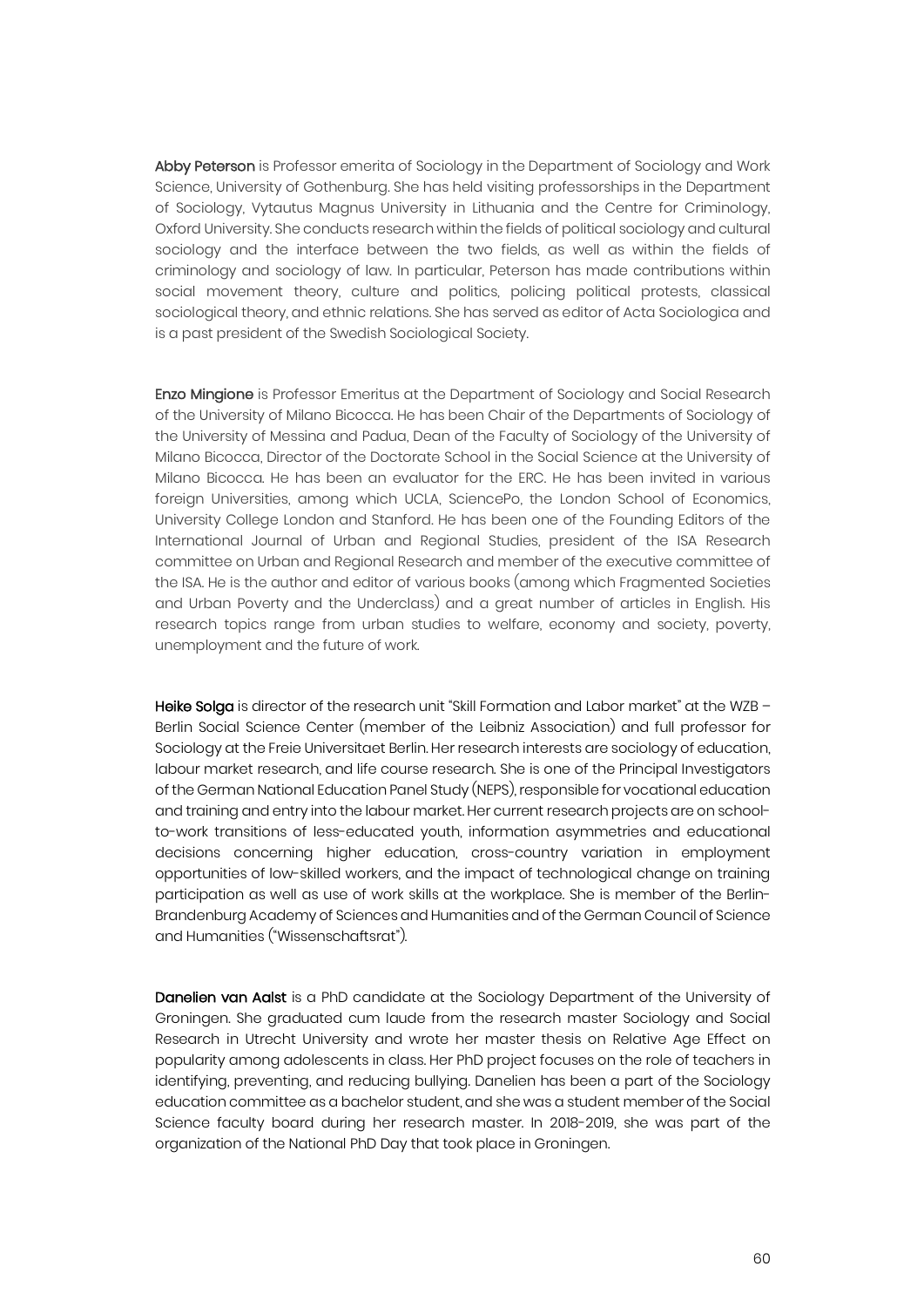Abby Peterson is Professor emerita of Sociology in the Department of Sociology and Work Science, University of Gothenburg. She has held visiting professorships in the Department of Sociology, Vytautus Magnus University in Lithuania and the Centre for Criminology, Oxford University. She conducts research within the fields of political sociology and cultural sociology and the interface between the two fields, as well as within the fields of criminology and sociology of law. In particular, Peterson has made contributions within social movement theory, culture and politics, policing political protests, classical sociological theory, and ethnic relations. She has served as editor of Acta Sociologica and is a past president of the Swedish Sociological Society.

Enzo Mingione is Professor Emeritus at the Department of Sociology and Social Research of the University of Milano Bicocca. He has been Chair of the Departments of Sociology of the University of Messina and Padua, Dean of the Faculty of Sociology of the University of Milano Bicocca, Director of the Doctorate School in the Social Science at the University of Milano Bicocca. He has been an evaluator for the ERC. He has been invited in various foreign Universities, among which UCLA, SciencePo, the London School of Economics, University College London and Stanford. He has been one of the Founding Editors of the International Journal of Urban and Regional Studies, president of the ISA Research committee on Urban and Regional Research and member of the executive committee of the ISA. He is the author and editor of various books (among which Fragmented Societies and Urban Poverty and the Underclass) and a great number of articles in English. His research topics range from urban studies to welfare, economy and society, poverty, unemployment and the future of work.

Heike Solga is director of the research unit "Skill Formation and Labor market" at the WZB -Berlin Social Science Center (member of the Leibniz Association) and full professor for Sociology at the Freie Universitaet Berlin. Her research interests are sociology of education, labour market research, and life course research. She is one of the Principal Investigators of the German National Education Panel Study (NEPS), responsible for vocational education and training and entry into the labour market. Her current research projects are on schoolto-work transitions of less-educated youth, information asymmetries and educational decisions concerning higher education, cross-country variation in employment opportunities of low-skilled workers, and the impact of technological change on training participation as well as use of work skills at the workplace. She is member of the Berlin-Brandenburg Academy of Sciences and Humanities and of the German Council of Science and Humanities ("Wissenschaftsrat").

Danelien van Aalst is a PhD candidate at the Sociology Department of the University of Groningen. She graduated cum laude from the research master Sociology and Social Research in Utrecht University and wrote her master thesis on Relative Age Effect on popularity among adolescents in class. Her PhD project focuses on the role of teachers in identifying, preventing, and reducing bullying. Danelien has been a part of the Sociology education committee as a bachelor student, and she was a student member of the Social Science faculty board during her research master. In 2018-2019, she was part of the organization of the National PhD Day that took place in Groningen.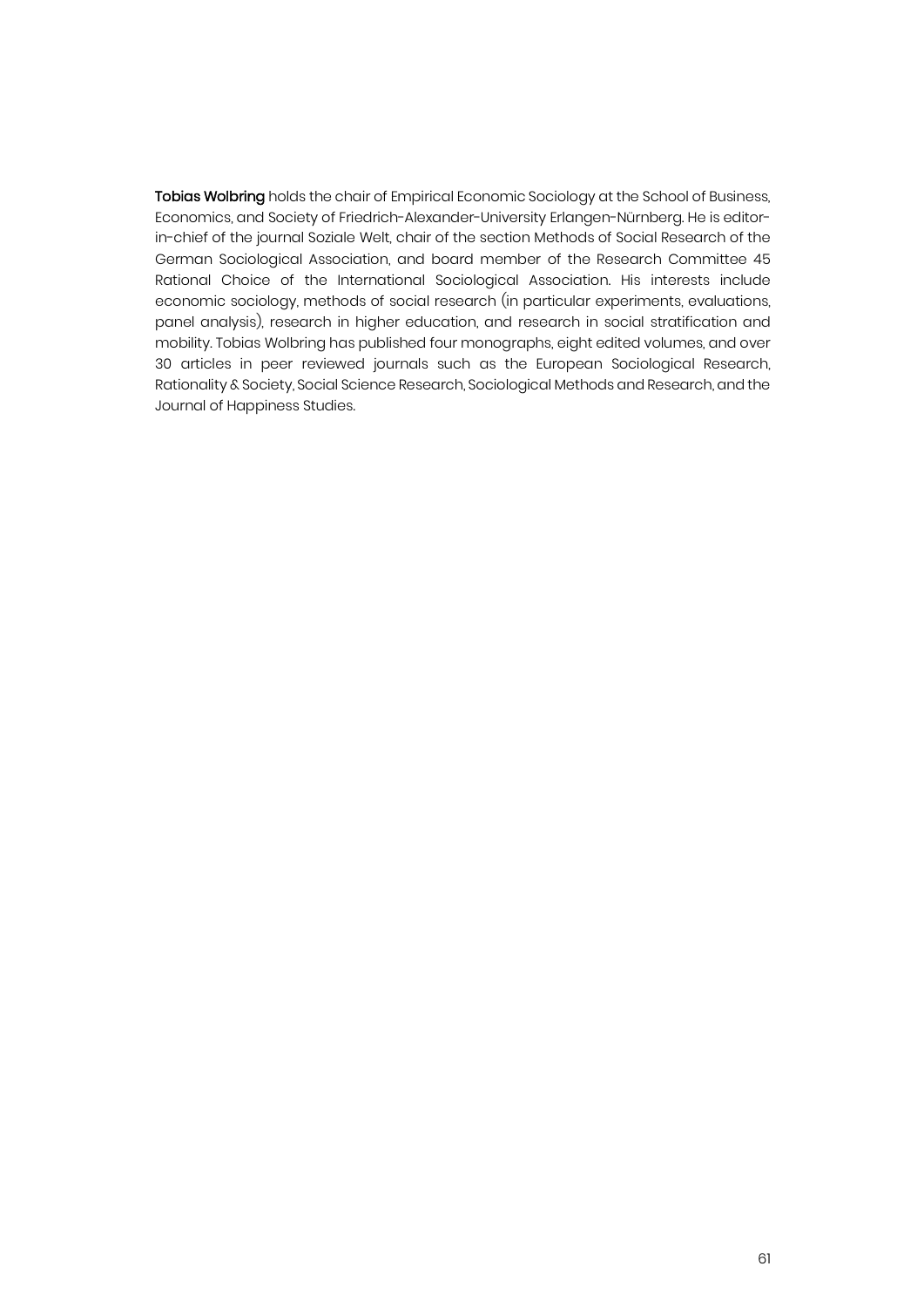Tobias Wolbring holds the chair of Empirical Economic Sociology at the School of Business, Economics, and Society of Friedrich-Alexander-University Erlangen-Nürnberg. He is editorin-chief of the journal Soziale Welt, chair of the section Methods of Social Research of the German Sociological Association, and board member of the Research Committee 45 Rational Choice of the International Sociological Association. His interests include economic sociology, methods of social research (in particular experiments, evaluations, panel analysis), research in higher education, and research in social stratification and mobility. Tobias Wolbring has published four monographs, eight edited volumes, and over 30 articles in peer reviewed journals such as the European Sociological Research, Rationality & Society, Social Science Research, Sociological Methods and Research, and the Journal of Happiness Studies.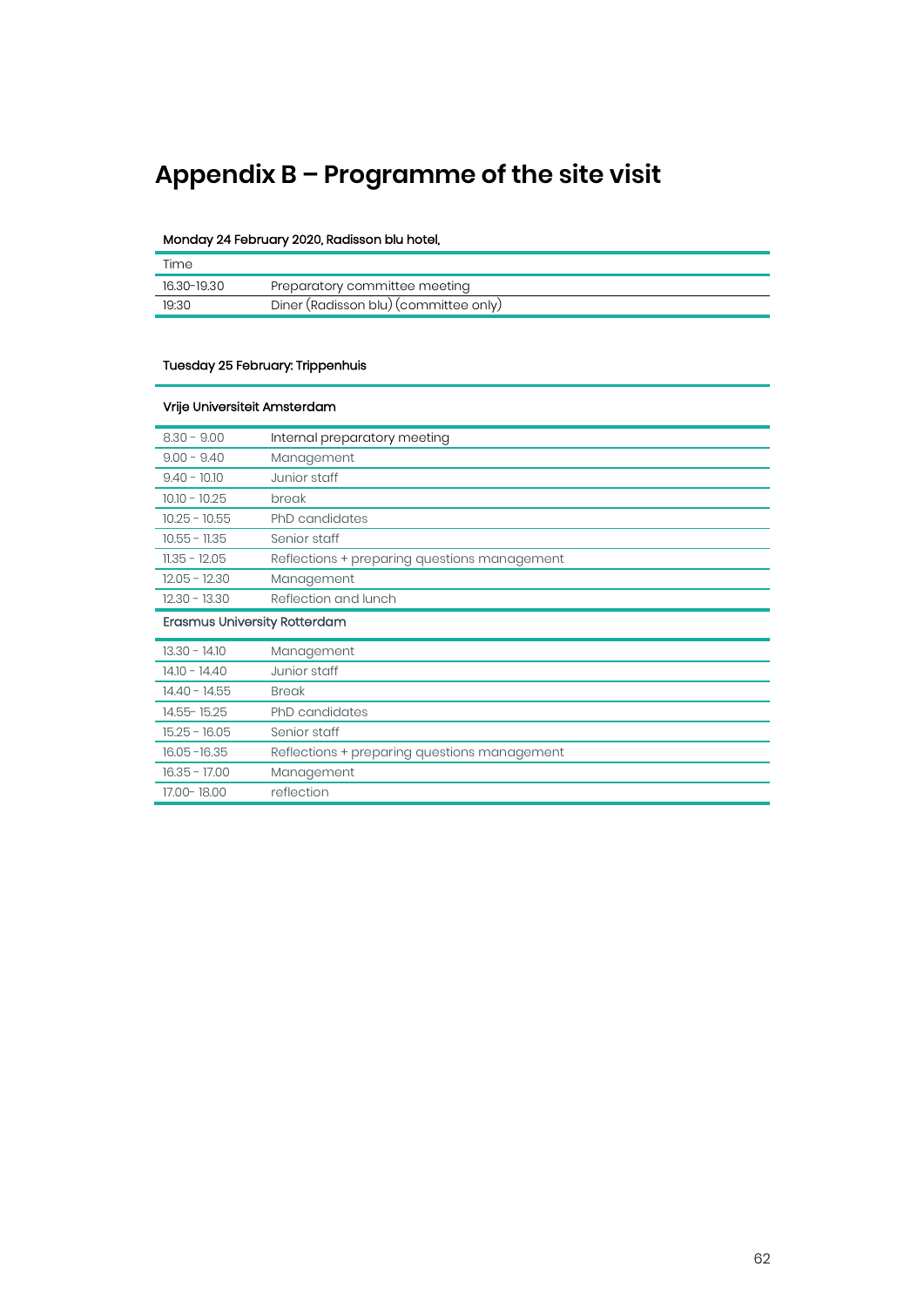# **Appendix B – Programme of the site visit**

#### Monday 24 February 2020, Radisson blu hotel,

| Time        |                                       |
|-------------|---------------------------------------|
| 16.30-19.30 | Preparatory committee meeting         |
| 19:30       | Diner (Radisson blu) (committee only) |

#### Tuesday 25 February: Trippenhuis

| Vrije Universiteit Amsterdam        |                                              |
|-------------------------------------|----------------------------------------------|
| $8.30 - 9.00$                       | Internal preparatory meeting                 |
| $9.00 - 9.40$                       | Management                                   |
| $9.40 - 10.10$                      | Junior staff                                 |
| $10.10 - 10.25$                     | break                                        |
| $10.25 - 10.55$                     | PhD candidates                               |
| $10.55 - 11.35$                     | Senior staff                                 |
| $11.35 - 12.05$                     | Reflections + preparing questions management |
| $12.05 - 12.30$                     | Management                                   |
| $12.30 - 13.30$                     | Reflection and lunch                         |
| <b>Erasmus University Rotterdam</b> |                                              |
| $13.30 - 14.10$                     | Management                                   |
| $14.10 - 14.40$                     | Junior staff                                 |
| $14.40 - 14.55$                     | <b>Break</b>                                 |
| 14.55-15.25                         | <b>PhD</b> candidates                        |
| $15.25 - 16.05$                     | Senior staff                                 |
| $16.05 - 16.35$                     | Reflections + preparing questions management |
| $16.35 - 17.00$                     | Management                                   |
| 17.00-18.00                         | reflection                                   |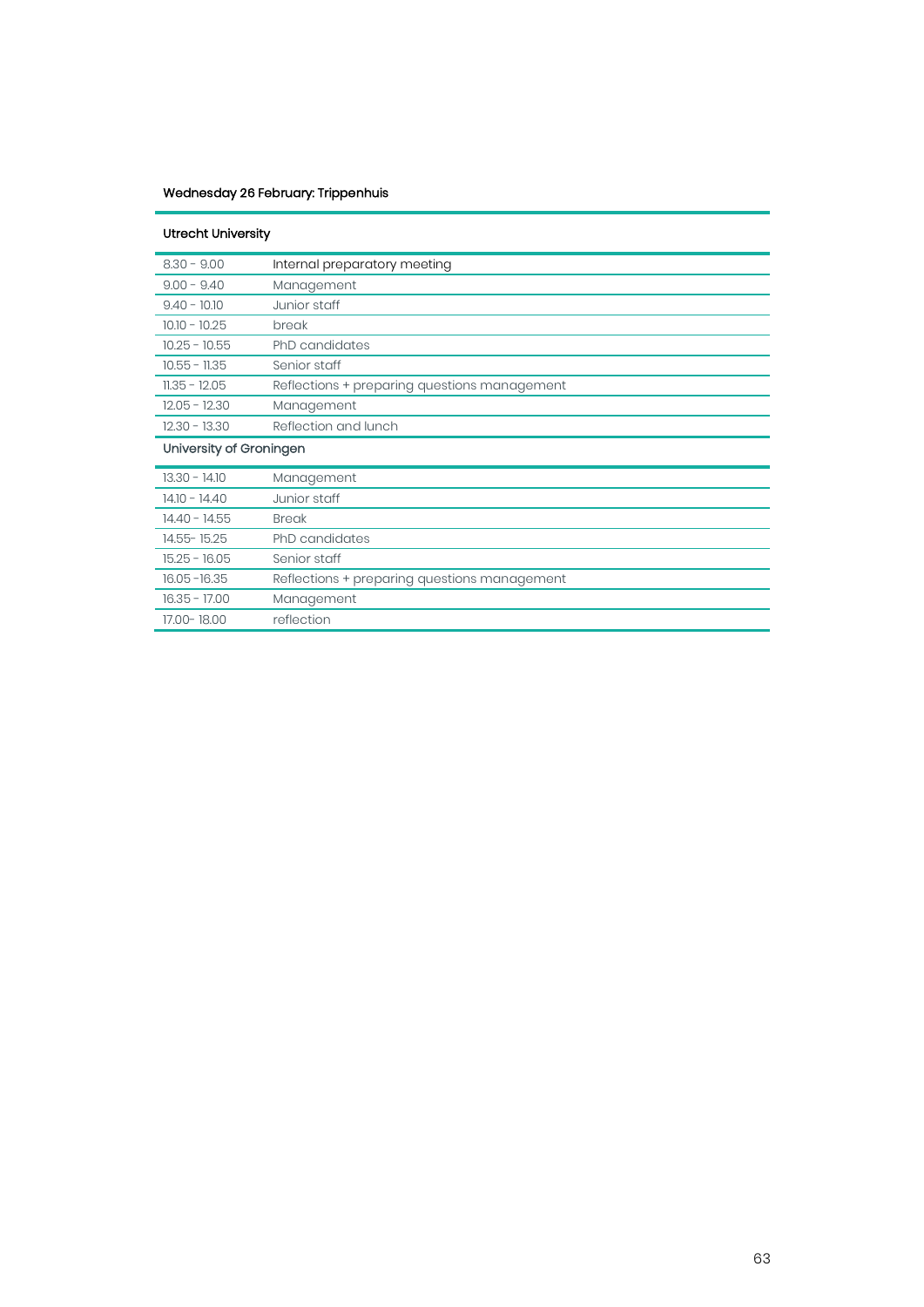#### Wednesday 26 February: Trippenhuis

| <b>Utrecht University</b> |                                              |
|---------------------------|----------------------------------------------|
| $8.30 - 9.00$             | Internal preparatory meeting                 |
| $9.00 - 9.40$             | Management                                   |
| $9.40 - 10.10$            | Junior staff                                 |
| $10.10 - 10.25$           | break                                        |
| $10.25 - 10.55$           | PhD candidates                               |
| $10.55 - 11.35$           | Senior staff                                 |
| $11.35 - 12.05$           | Reflections + preparing questions management |
| $12.05 - 12.30$           | Management                                   |
| $12.30 - 13.30$           | Reflection and lunch                         |
| University of Groningen   |                                              |
|                           |                                              |
| $13.30 - 14.10$           | Management                                   |
| $14.10 - 14.40$           | Junior staff                                 |
| $14.40 - 14.55$           | <b>Break</b>                                 |
| 14.55-15.25               | <b>PhD</b> candidates                        |
| $15.25 - 16.05$           | Senior staff                                 |
| $16.05 - 16.35$           | Reflections + preparing questions management |
| $16.35 - 17.00$           | Management                                   |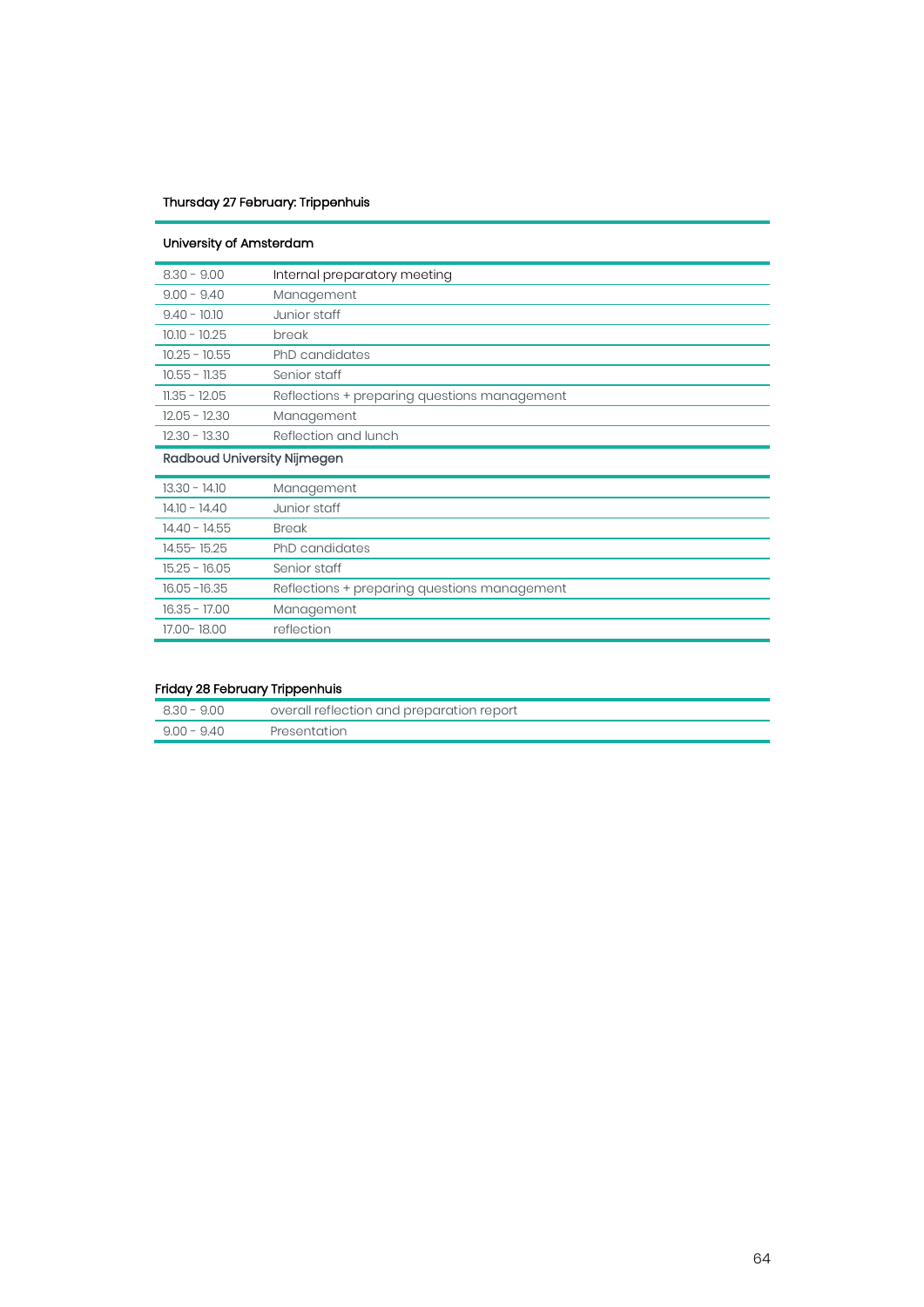#### Thursday 27 February: Trippenhuis

| University of Amsterdam     |                                              |
|-----------------------------|----------------------------------------------|
| $8.30 - 9.00$               | Internal preparatory meeting                 |
| $9.00 - 9.40$               | Management                                   |
| $9.40 - 10.10$              | Junior staff                                 |
| $10.10 - 10.25$             | break                                        |
| $10.25 - 10.55$             | PhD candidates                               |
| $10.55 - 11.35$             | Senior staff                                 |
| $11.35 - 12.05$             | Reflections + preparing questions management |
| $12.05 - 12.30$             | Management                                   |
| $12.30 - 13.30$             | Reflection and lunch                         |
| Radboud University Nijmegen |                                              |
| $13.30 - 14.10$             | Management                                   |
| $14.10 - 14.40$             | Junior staff                                 |
| $14.40 - 14.55$             | <b>Break</b>                                 |
| 14.55-15.25                 | <b>PhD</b> candidates                        |
| $15.25 - 16.05$             | Senior staff                                 |
| $16.05 - 16.35$             | Reflections + preparing questions management |
| $16.35 - 17.00$             | Management                                   |
| 17.00-18.00                 | reflection                                   |

#### Friday 28 February Trippenhuis

| 8.30 - 9.00   | overall reflection and preparation report |
|---------------|-------------------------------------------|
| $9.00 - 9.40$ | Presentation                              |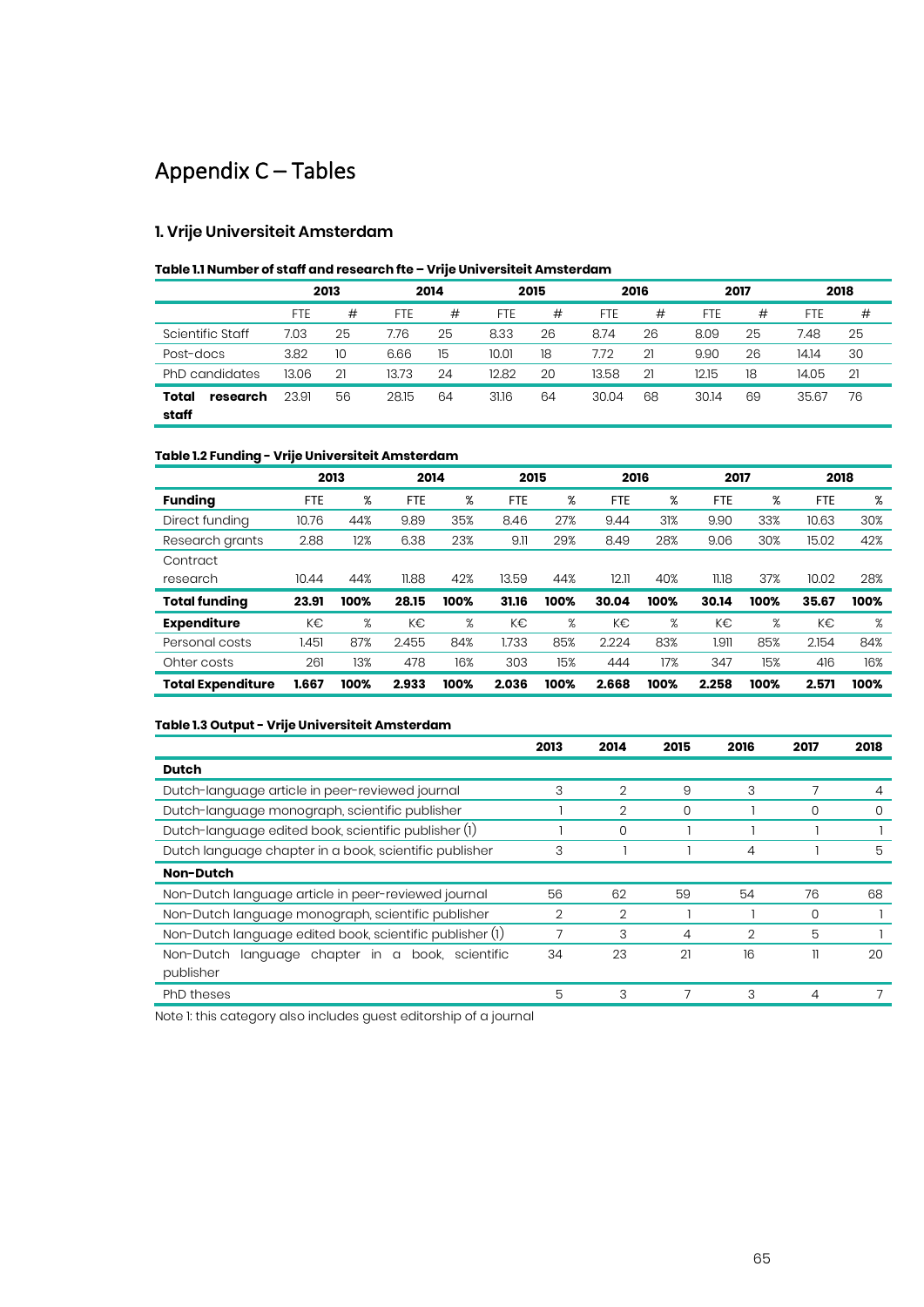## Appendix C – Tables

#### **1. Vrije Universiteit Amsterdam**

#### **Table 1.1 Number of staff and research fte – Vrije Universiteit Amsterdam**

|                            | 2013       |    | 2014       |    |            | 2015 |            | 2016 |            | 2017 |       | 2018 |  |
|----------------------------|------------|----|------------|----|------------|------|------------|------|------------|------|-------|------|--|
|                            | <b>FTE</b> | #  | <b>FTE</b> | #  | <b>FTE</b> | #    | <b>FTE</b> | #    | <b>FTE</b> | #    | FTE   | #    |  |
| Scientific Staff           | 7.03       | 25 | 7.76       | 25 | 8.33       | 26   | 8.74       | 26   | 8.09       | 25   | 7.48  | 25   |  |
| Post-docs                  | 3.82       | 10 | 6.66       | 15 | 10.01      | 18   | 7.72       | 21   | 9.90       | 26   | 14.14 | 30   |  |
| PhD candidates             | 13.06      | 21 | 13.73      | 24 | 12.82      | 20   | 13.58      | 21   | 12.15      | 18   | 14.05 | 21   |  |
| Total<br>research<br>staff | 23.91      | 56 | 28.15      | 64 | 31.16      | 64   | 30.04      | 68   | 30.14      | 69   | 35.67 | 76   |  |

#### **Table 1.2 Funding - Vrije Universiteit Amsterdam**

|                          | 2013       |      | 2014       |      | 2015  |      | 2016       |      | 2017  |      | 2018       |      |
|--------------------------|------------|------|------------|------|-------|------|------------|------|-------|------|------------|------|
| <b>Funding</b>           | <b>FTE</b> | %    | <b>FTE</b> | %    | FTE   | %    | <b>FTE</b> | %    | FTE   | %    | <b>FTE</b> | %    |
| Direct funding           | 10.76      | 44%  | 9.89       | 35%  | 8.46  | 27%  | 9.44       | 31%  | 9.90  | 33%  | 10.63      | 30%  |
| Research grants          | 2.88       | 12%  | 6.38       | 23%  | 9.11  | 29%  | 8.49       | 28%  | 9.06  | 30%  | 15.02      | 42%  |
| Contract                 |            |      |            |      |       |      |            |      |       |      |            |      |
| research                 | 10.44      | 44%  | 11.88      | 42%  | 13.59 | 44%  | 12.11      | 40%  | 11.18 | 37%  | 10.02      | 28%  |
| <b>Total funding</b>     | 23.91      | 100% | 28.15      | 100% | 31.16 | 100% | 30.04      | 100% | 30.14 | 100% | 35.67      | 100% |
| <b>Expenditure</b>       | K€         | %    | K€         | %    | K€    | %    | K€         | %    | K€    | %    | K€         | %    |
| Personal costs           | 1.451      | 87%  | 2.455      | 84%  | 1.733 | 85%  | 2.224      | 83%  | 1.911 | 85%  | 2.154      | 84%  |
| Ohter costs              | 261        | 13%  | 478        | 16%  | 303   | 15%  | 444        | 17%  | 347   | 15%  | 416        | 16%  |
| <b>Total Expenditure</b> | 1.667      | 100% | 2.933      | 100% | 2.036 | 100% | 2.668      | 100% | 2.258 | 100% | 2.571      | 100% |

#### **Table 1.3 Output - Vrije Universiteit Amsterdam**

|                                                          | 2013 | 2014           | 2015 | 2016           | 2017 | 2018 |
|----------------------------------------------------------|------|----------------|------|----------------|------|------|
| <b>Dutch</b>                                             |      |                |      |                |      |      |
| Dutch-language article in peer-reviewed journal          | 3    | $\overline{2}$ | 9    | 3              |      | 4    |
| Dutch-language monograph, scientific publisher           |      | $\overline{2}$ | 0    |                | 0    | 0    |
| Dutch-language edited book, scientific publisher (1)     |      | 0              |      |                |      |      |
| Dutch language chapter in a book, scientific publisher   | 3    |                |      | 4              |      | 5    |
| Non-Dutch                                                |      |                |      |                |      |      |
| Non-Dutch language article in peer-reviewed journal      | 56   | 62             | 59   | 54             | 76   | 68   |
| Non-Dutch language monograph, scientific publisher       | 2    | $\overline{2}$ |      |                | 0    |      |
| Non-Dutch language edited book, scientific publisher (1) |      | 3              | 4    | $\overline{2}$ | 5    |      |
| language chapter in a<br>Non-Dutch<br>book, scientific   | 34   | 23             | 21   | 16             | 11   | 20   |
| publisher                                                |      |                |      |                |      |      |
| <b>PhD</b> theses                                        | 5    | 3              |      | 3              | 4    |      |

Note 1: this category also includes guest editorship of a journal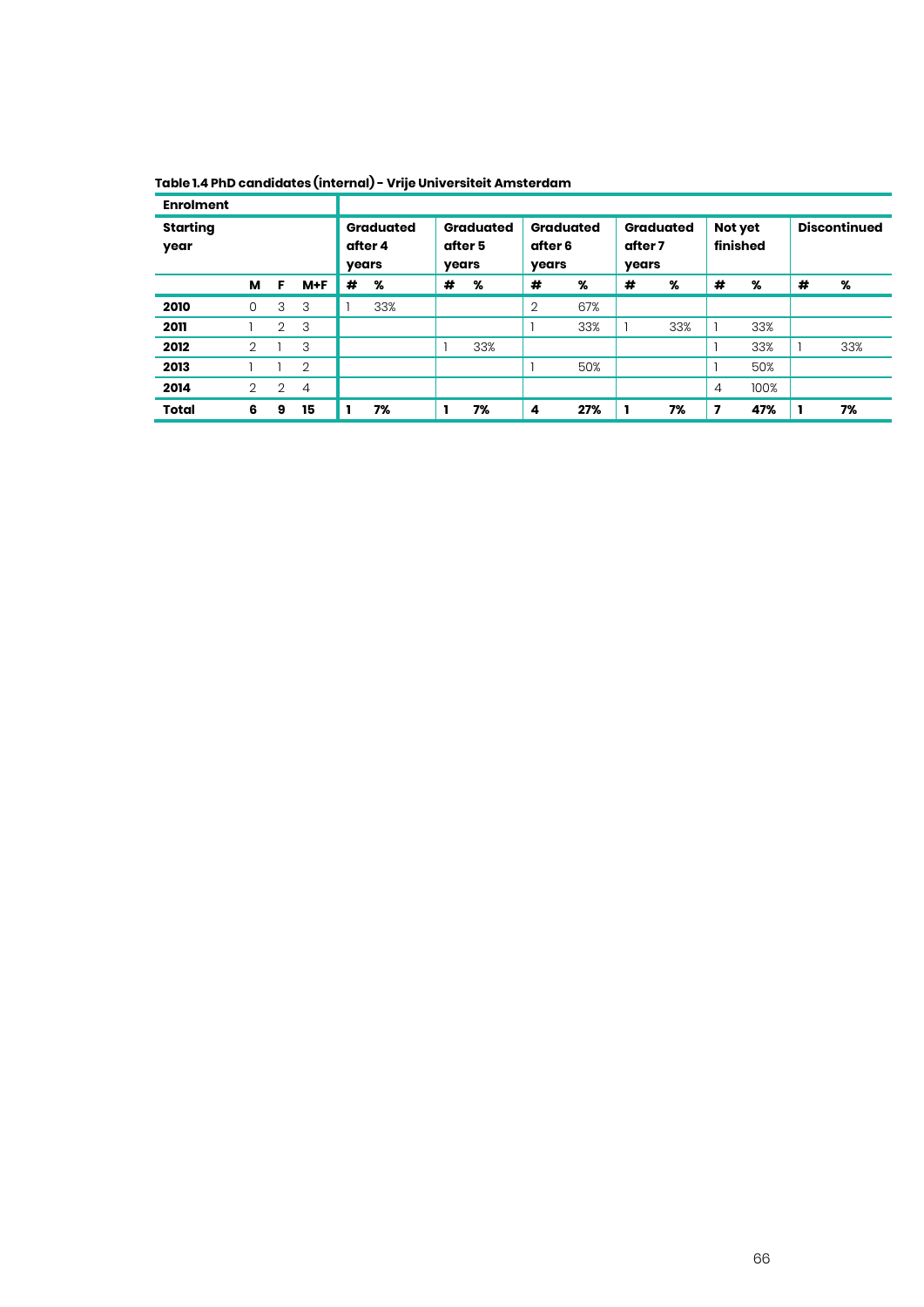| <b>Enrolment</b>        |                |                |                               |   |                                      |   |                                      |                |                                      |   |                     |                |                     |   |     |
|-------------------------|----------------|----------------|-------------------------------|---|--------------------------------------|---|--------------------------------------|----------------|--------------------------------------|---|---------------------|----------------|---------------------|---|-----|
| <b>Starting</b><br>year |                |                | Graduated<br>after 4<br>years |   | <b>Graduated</b><br>after 5<br>years |   | <b>Graduated</b><br>after 6<br>years |                | <b>Graduated</b><br>after 7<br>years |   | Not yet<br>finished |                | <b>Discontinued</b> |   |     |
|                         | м              | F              | $M+F$                         | # | %                                    | # | %                                    | #              | %                                    | # | %                   | #              | %                   | # | %   |
| 2010                    | 0              | 3              | 3                             |   | 33%                                  |   |                                      | $\overline{2}$ | 67%                                  |   |                     |                |                     |   |     |
| 2011                    |                | $\overline{2}$ | 3                             |   |                                      |   |                                      |                | 33%                                  |   | 33%                 |                | 33%                 |   |     |
| 2012                    | 2              |                | 3                             |   |                                      |   | 33%                                  |                |                                      |   |                     |                | 33%                 |   | 33% |
| 2013                    |                |                | $\overline{2}$                |   |                                      |   |                                      |                | 50%                                  |   |                     |                | 50%                 |   |     |
| 2014                    | $\overline{2}$ | $\overline{2}$ | $\overline{4}$                |   |                                      |   |                                      |                |                                      |   |                     | $\overline{4}$ | 100%                |   |     |
| <b>Total</b>            | 6              | 9              | 15                            |   | 7%                                   |   | 7%                                   | 4              | 27%                                  |   | 7%                  | 7              | 47%                 |   | 7%  |

**Table 1.4 PhD candidates (internal) - Vrije Universiteit Amsterdam**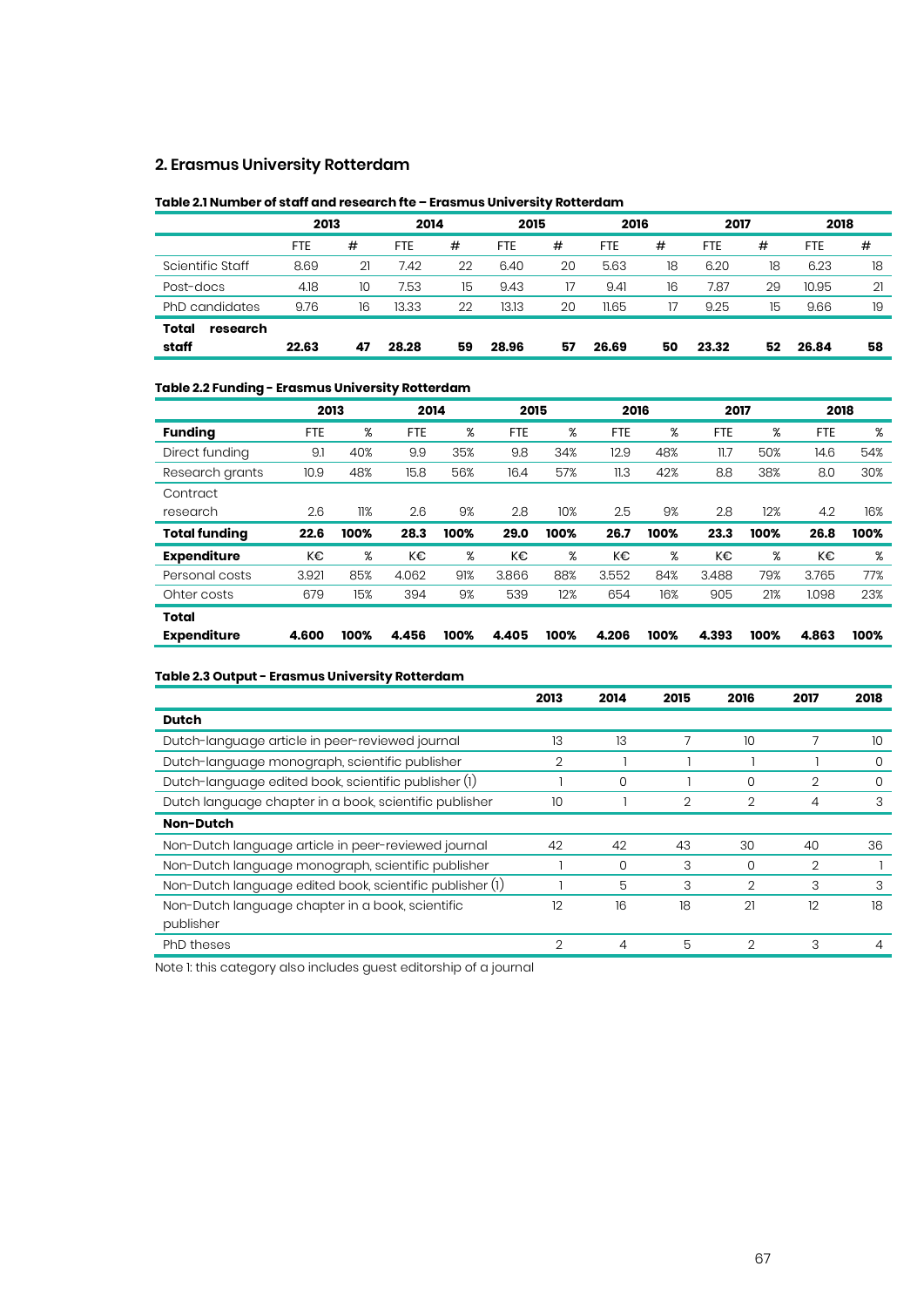#### **2. Erasmus University Rotterdam**

#### **Table 2.1 Number of staff and research fte – Erasmus University Rotterdam**

|                   | 2013  |    | 2014       |    | 2015       |    | 2016  |    | 2017  |    | 2018       |    |
|-------------------|-------|----|------------|----|------------|----|-------|----|-------|----|------------|----|
|                   | FTE   | #  | <b>FTE</b> | #  | <b>FTE</b> | #  | FTE   | #  | FTE   | #  | <b>FTE</b> | #  |
| Scientific Staff  | 8.69  | 21 | 7.42       | 22 | 6.40       | 20 | 5.63  | 18 | 6.20  | 18 | 6.23       | 18 |
| Post-docs         | 4.18  | 10 | 7.53       | 15 | 9.43       | 17 | 9.41  | 16 | 7.87  | 29 | 10.95      | 21 |
| PhD candidates    | 9.76  | 16 | 13.33      | 22 | 13.13      | 20 | 11.65 |    | 9.25  | 15 | 9.66       | 19 |
| Total<br>research |       |    |            |    |            |    |       |    |       |    |            |    |
| staff             | 22.63 | 47 | 28.28      | 59 | 28.96      | 57 | 26.69 | 50 | 23.32 | 52 | 26.84      | 58 |

#### **Table 2.2 Funding - Erasmus University Rotterdam**

|                      | 2013       | 2014 |            | 2015 |            | 2016 |            | 2017 |            | 2018 |            |      |
|----------------------|------------|------|------------|------|------------|------|------------|------|------------|------|------------|------|
| <b>Funding</b>       | <b>FTE</b> | %    | <b>FTE</b> | %    | <b>FTE</b> | %    | <b>FTE</b> | %    | <b>FTE</b> | %    | <b>FTE</b> | %    |
| Direct funding       | 9.1        | 40%  | 9.9        | 35%  | 9.8        | 34%  | 12.9       | 48%  | 11.7       | 50%  | 14.6       | 54%  |
| Research grants      | 10.9       | 48%  | 15.8       | 56%  | 16.4       | 57%  | 11.3       | 42%  | 8.8        | 38%  | 8.0        | 30%  |
| Contract             |            |      |            |      |            |      |            |      |            |      |            |      |
| research             | 2.6        | 11%  | 2.6        | 9%   | 2.8        | 10%  | 2.5        | 9%   | 2.8        | 12%  | 4.2        | 16%  |
| <b>Total funding</b> | 22.6       | 100% | 28.3       | 100% | 29.0       | 100% | 26.7       | 100% | 23.3       | 100% | 26.8       | 100% |
|                      |            |      |            |      |            |      |            |      |            |      |            |      |
| <b>Expenditure</b>   | K€         | %    | K€         | %    | K€         | %    | K€         | %    | K€         | %    | K€         | %    |
| Personal costs       | 3.921      | 85%  | 4.062      | 91%  | 3.866      | 88%  | 3.552      | 84%  | 3.488      | 79%  | 3.765      | 77%  |
| Ohter costs          | 679        | 15%  | 394        | 9%   | 539        | 12%  | 654        | 16%  | 905        | 21%  | 1.098      | 23%  |
| Total                |            |      |            |      |            |      |            |      |            |      |            |      |

#### **Table 2.3 Output - Erasmus University Rotterdam**

|                                                          | 2013           | 2014 | 2015 | 2016          | 2017           | 2018 |
|----------------------------------------------------------|----------------|------|------|---------------|----------------|------|
| <b>Dutch</b>                                             |                |      |      |               |                |      |
| Dutch-language article in peer-reviewed journal          | 13             | 13   |      | 10            |                | 10   |
| Dutch-language monograph, scientific publisher           | 2              |      |      |               |                | 0    |
| Dutch-language edited book, scientific publisher (1)     |                | 0    |      | 0             | 2              | 0    |
| Dutch language chapter in a book, scientific publisher   | 10             |      | 2    | 2             | 4              | 3    |
| <b>Non-Dutch</b>                                         |                |      |      |               |                |      |
| Non-Dutch language article in peer-reviewed journal      | 42             | 42   | 43   | 30            | 40             | 36   |
| Non-Dutch language monograph, scientific publisher       |                | 0    | 3    | 0             | $\overline{2}$ |      |
| Non-Dutch language edited book, scientific publisher (1) |                | 5    | 3    | 2             | 3              | 3    |
| Non-Dutch language chapter in a book, scientific         | 12             | 16   | 18   | 21            | 12             | 18   |
| publisher                                                |                |      |      |               |                |      |
| <b>PhD</b> theses                                        | $\overline{2}$ | 4    | 5    | $\mathcal{D}$ | 3              |      |

Note 1: this category also includes guest editorship of a journal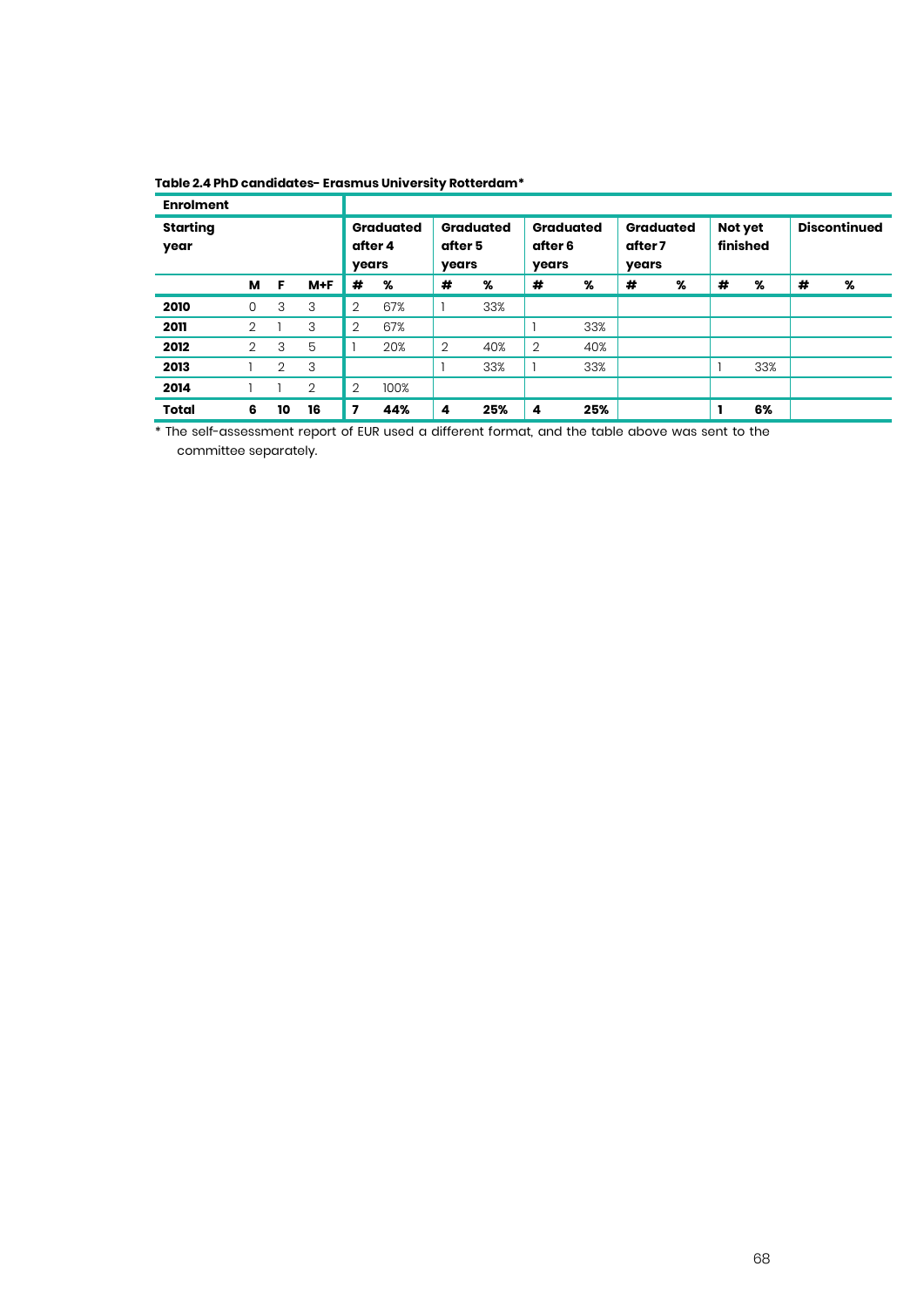| <b>Enrolment</b>        |                   |                |    |                  |                  |                  |                  |                  |                  |                  |                  |         |          |   |                     |
|-------------------------|-------------------|----------------|----|------------------|------------------|------------------|------------------|------------------|------------------|------------------|------------------|---------|----------|---|---------------------|
| <b>Starting</b><br>year | м<br>F<br>$M + F$ |                |    | after 4<br>years | <b>Graduated</b> | after 5<br>years | <b>Graduated</b> | after 6<br>years | <b>Graduated</b> | after 7<br>years | <b>Graduated</b> | Not yet | finished |   | <b>Discontinued</b> |
|                         |                   |                |    | #                | %                | #                | %                | #                | %                | #                | %                | #       | %        | # | %                   |
| 2010                    | 0                 | 3              | 3  | $\overline{2}$   | 67%              |                  | 33%              |                  |                  |                  |                  |         |          |   |                     |
| 2011                    | 2                 |                | 3  | $\overline{2}$   | 67%              |                  |                  |                  | 33%              |                  |                  |         |          |   |                     |
| 2012                    | 2                 | 3              | 5  |                  | 20%              | $\overline{2}$   | 40%              | $\overline{2}$   | 40%              |                  |                  |         |          |   |                     |
| 2013                    |                   | $\overline{2}$ | 3  |                  |                  |                  | 33%              |                  | 33%              |                  |                  |         | 33%      |   |                     |
| 2014                    |                   |                | 2  | $\overline{2}$   | 100%             |                  |                  |                  |                  |                  |                  |         |          |   |                     |
| <b>Total</b>            | 6                 | 10             | 16 | 7                | 44%              | 4                | 25%              | 4                | 25%              |                  |                  |         | 6%       |   |                     |

#### **Table 2.4 PhD candidates- Erasmus University Rotterdam\***

\* The self-assessment report of EUR used a different format, and the table above was sent to the committee separately.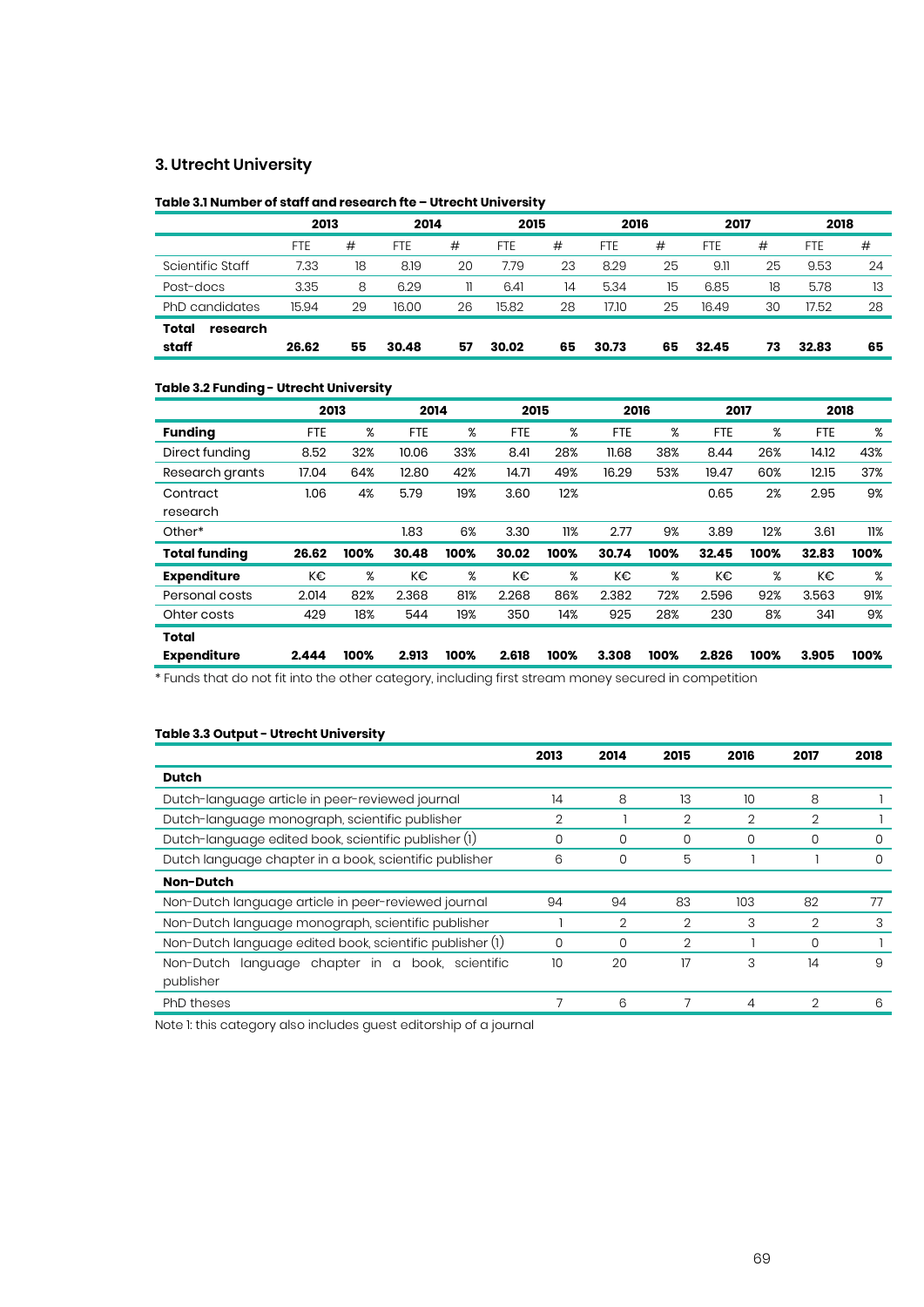#### **3. Utrecht University**

#### **Table 3.1 Number of staff and research fte – Utrecht University**

|                   | 2013       |    | 2014       |    | 2015       |    | 2016       |    | 2017  |    | 2018  |    |
|-------------------|------------|----|------------|----|------------|----|------------|----|-------|----|-------|----|
|                   | <b>FTE</b> | #  | <b>FTE</b> | #  | <b>FTE</b> | #  | <b>FTE</b> | #  | FTE   | #  | FTE   | #  |
| Scientific Staff  | 7.33       | 18 | 8.19       | 20 | 7.79       | 23 | 8.29       | 25 | 9.11  | 25 | 9.53  | 24 |
| Post-docs         | 3.35       | 8  | 6.29       | 11 | 6.41       | 14 | 5.34       | 15 | 6.85  | 18 | 5.78  | 13 |
| PhD candidates    | 15.94      | 29 | 16.00      | 26 | 15.82      | 28 | 17.10      | 25 | 16.49 | 30 | 17.52 | 28 |
| Total<br>research |            |    |            |    |            |    |            |    |       |    |       |    |
| staff             | 26.62      | 55 | 30.48      | 57 | 30.02      | 65 | 30.73      | 65 | 32.45 | 73 | 32.83 | 65 |

#### **Table 3.2 Funding - Utrecht University**

|                      | 2013       |      | 2014       |      | 2015       |      | 2016       |      | 2017       |      | 2018       |      |
|----------------------|------------|------|------------|------|------------|------|------------|------|------------|------|------------|------|
| <b>Funding</b>       | <b>FTE</b> | %    | <b>FTE</b> | %    | <b>FTE</b> | %    | <b>FTE</b> | %    | <b>FTE</b> | %    | <b>FTE</b> | %    |
| Direct funding       | 8.52       | 32%  | 10.06      | 33%  | 8.41       | 28%  | 11.68      | 38%  | 8.44       | 26%  | 14.12      | 43%  |
| Research grants      | 17.04      | 64%  | 12.80      | 42%  | 14.71      | 49%  | 16.29      | 53%  | 19.47      | 60%  | 12.15      | 37%  |
| Contract             | 1.06       | 4%   | 5.79       | 19%  | 3.60       | 12%  |            |      | 0.65       | 2%   | 2.95       | 9%   |
| research             |            |      |            |      |            |      |            |      |            |      |            |      |
| Other*               |            |      | 1.83       | 6%   | 3.30       | 11%  | 2.77       | 9%   | 3.89       | 12%  | 3.61       | 11%  |
| <b>Total funding</b> | 26.62      | 100% | 30.48      | 100% | 30.02      | 100% | 30.74      | 100% | 32.45      | 100% | 32.83      | 100% |
| <b>Expenditure</b>   | K€         | %    | K€         | %    | K€         | %    | K€         | %    | K€         | %    | K€         | %    |
| Personal costs       | 2.014      | 82%  | 2.368      | 81%  | 2.268      | 86%  | 2.382      | 72%  | 2.596      | 92%  | 3.563      | 91%  |
| Ohter costs          | 429        | 18%  | 544        | 19%  | 350        | 14%  | 925        | 28%  | 230        | 8%   | 341        | 9%   |
| <b>Total</b>         |            |      |            |      |            |      |            |      |            |      |            |      |
| <b>Expenditure</b>   | 2.444      | 100% | 2.913      | 100% | 2.618      | 100% | 3.308      | 100% | 2.826      | 100% | 3.905      | 100% |

\* Funds that do not fit into the other category, including first stream money secured in competition

#### **Table 3.3 Output - Utrecht University**

|                                                              | 2013           | 2014           | 2015           | 2016           | 2017           | 2018 |
|--------------------------------------------------------------|----------------|----------------|----------------|----------------|----------------|------|
| <b>Dutch</b>                                                 |                |                |                |                |                |      |
| Dutch-language article in peer-reviewed journal              | 14             | 8              | 13             | 10             | 8              |      |
| Dutch-language monograph, scientific publisher               | $\overline{2}$ |                | $\overline{2}$ | $\overline{2}$ | $\overline{2}$ |      |
| Dutch-language edited book, scientific publisher (1)         | 0              | O              | 0              | 0              | O              | O    |
| Dutch language chapter in a book, scientific publisher       | 6              | 0              | 5              |                |                |      |
| Non-Dutch                                                    |                |                |                |                |                |      |
| Non-Dutch language article in peer-reviewed journal          | 94             | 94             | 83             | 103            | 82             | 77   |
| Non-Dutch language monograph, scientific publisher           |                | $\overline{2}$ | $\overline{2}$ | 3              | $\overline{2}$ | 3    |
| Non-Dutch language edited book, scientific publisher (1)     | 0              | 0              | $\overline{2}$ |                | 0              |      |
| Non-Dutch<br>chapter in a<br>book.<br>language<br>scientific | 10             | 20             | 17             | 3              | 14             | 9    |
| publisher                                                    |                |                |                |                |                |      |
| PhD theses                                                   |                | 6              |                | 4              | 2              | 6    |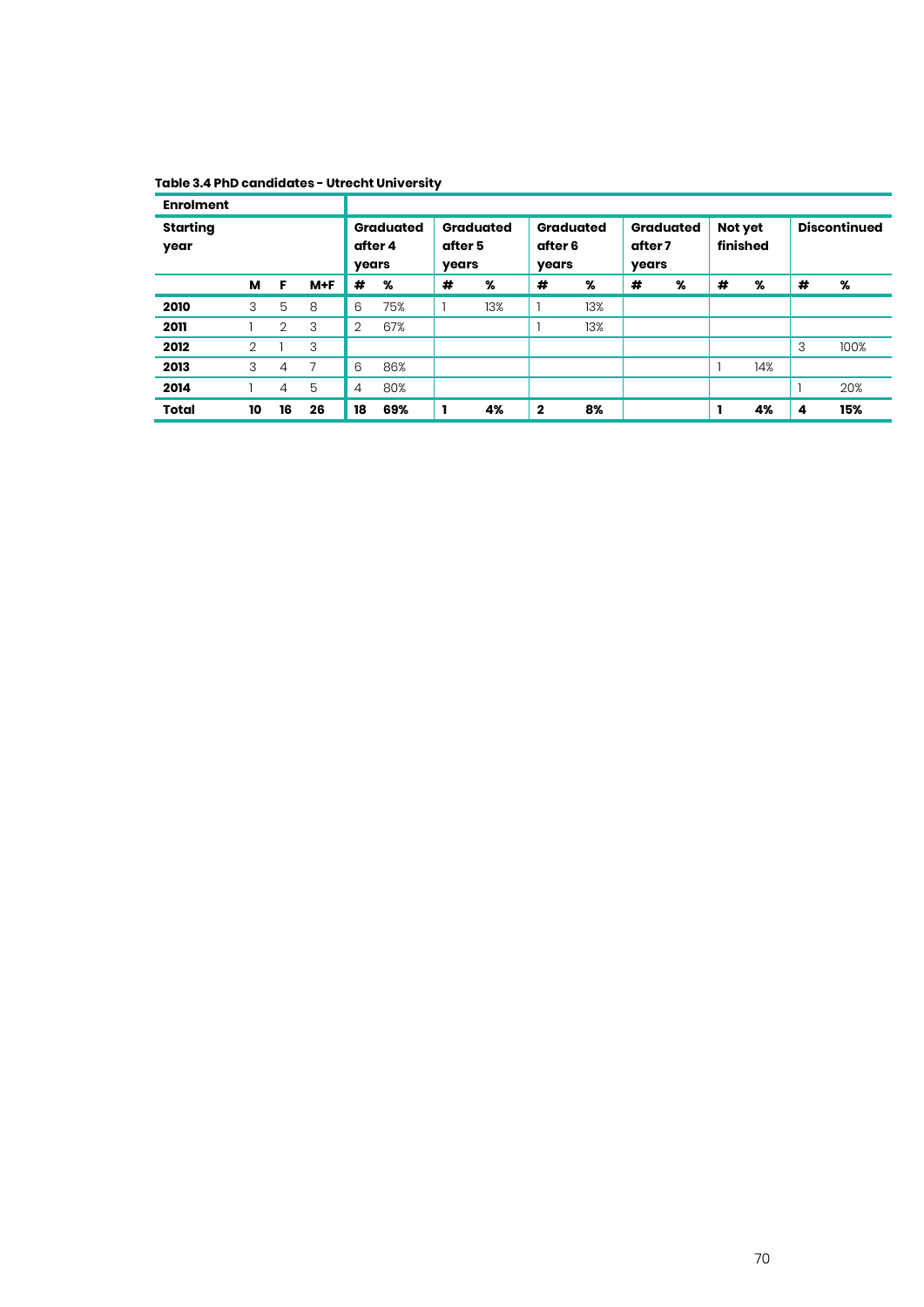### **Table 3.4 PhD candidates - Utrecht University**

| <b>Enrolment</b>        |                |                |         |    |                             |                  |                  |              |                  |         |                  |         |          |   |                     |
|-------------------------|----------------|----------------|---------|----|-----------------------------|------------------|------------------|--------------|------------------|---------|------------------|---------|----------|---|---------------------|
| <b>Starting</b><br>year |                |                |         |    | <b>Graduated</b><br>after 4 | after 5<br>years | <b>Graduated</b> | after 6      | <b>Graduated</b> | after 7 | <b>Graduated</b> | Not yet | finished |   | <b>Discontinued</b> |
|                         |                | F              |         |    | years<br>%                  |                  |                  | years        |                  | years   |                  |         |          |   |                     |
|                         | м              |                | $M + F$ | #  |                             | #                | %                | #            | %                | #       | %                | #       | %        | # | %                   |
| 2010                    | 3              | 5              | 8       | 6  | 75%                         |                  | 13%              |              | 13%              |         |                  |         |          |   |                     |
| 2011                    |                | $\overline{2}$ | 3       | 2  | 67%                         |                  |                  |              | 13%              |         |                  |         |          |   |                     |
| 2012                    | $\overline{2}$ |                | 3       |    |                             |                  |                  |              |                  |         |                  |         |          | 3 | 100%                |
| 2013                    | 3              | 4              |         | 6  | 86%                         |                  |                  |              |                  |         |                  |         | 14%      |   |                     |
| 2014                    |                | $\overline{4}$ | 5       | 4  | 80%                         |                  |                  |              |                  |         |                  |         |          |   | 20%                 |
| <b>Total</b>            | 10             | 16             | 26      | 18 | 69%                         |                  | 4%               | $\mathbf{2}$ | 8%               |         |                  |         | 4%       | 4 | 15%                 |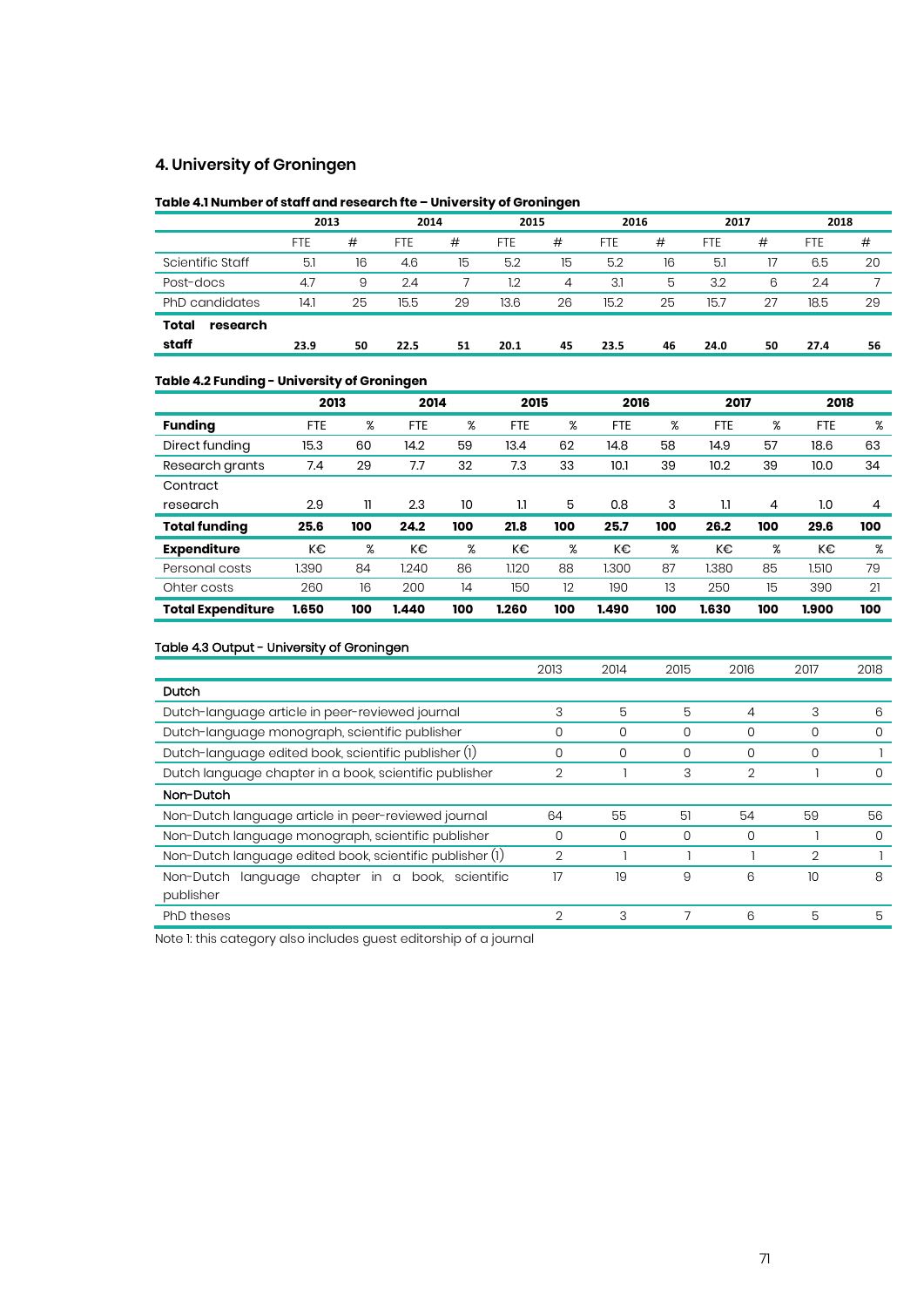#### **4. University of Groningen**

#### **Table 4.1 Number of staff and research fte – University of Groningen**

|                   |      | 2013 |            | 2014 | 2015       |    | 2016       |    | 2017 |    | 2018 |    |
|-------------------|------|------|------------|------|------------|----|------------|----|------|----|------|----|
|                   | FTE  | #    | <b>FTE</b> | #    | <b>FTE</b> | #  | <b>FTE</b> | #  | FTE  | #  | FTE  | #  |
| Scientific Staff  | 5.1  | 16   | 4.6        | 15   | 5.2        | 15 | 5.2        | 16 | 5.1  |    | 6.5  | 20 |
| Post-docs         | 4.7  | 9    | 2.4        |      | 1.2        | 4  | 3.1        | 5  | 3.2  | 6  | 2.4  |    |
| PhD candidates    | 14.1 | 25   | 15.5       | 29   | 13.6       | 26 | 15.2       | 25 | 15.7 | 27 | 18.5 | 29 |
| Total<br>research |      |      |            |      |            |    |            |    |      |    |      |    |
| staff             | 23.9 | 50   | 22.5       | 51   | 20.1       | 45 | 23.5       | 46 | 24.0 | 50 | 27.4 | 56 |

#### **Table 4.2 Funding - University of Groningen**

|                          | 2013       |     | 2014  |     | 2015       |     | 2016       |     | 2017       |     | 2018       |     |
|--------------------------|------------|-----|-------|-----|------------|-----|------------|-----|------------|-----|------------|-----|
| <b>Funding</b>           | <b>FTE</b> | %   | FTE   | %   | <b>FTE</b> | %   | <b>FTE</b> | %   | <b>FTE</b> | %   | <b>FTE</b> | %   |
| Direct funding           | 15.3       | 60  | 14.2  | 59  | 13.4       | 62  | 14.8       | 58  | 14.9       | 57  | 18.6       | 63  |
| Research grants          | 7.4        | 29  | 7.7   | 32  | 7.3        | 33  | 10.1       | 39  | 10.2       | 39  | 10.0       | 34  |
| Contract                 |            |     |       |     |            |     |            |     |            |     |            |     |
| research                 | 2.9        | 11  | 2.3   | 10  | 1.1        | 5   | 0.8        | 3   | 1.1        | 4   | 1.0        | 4   |
| <b>Total funding</b>     | 25.6       | 100 | 24.2  | 100 | 21.8       | 100 | 25.7       | 100 | 26.2       | 100 | 29.6       | 100 |
| <b>Expenditure</b>       | K€         | %   | K€    | %   | K€         | %   | K€         | %   | K€         | %   | K€         | %   |
| Personal costs           | 1.390      | 84  | 1.240 | 86  | 1.120      | 88  | 1.300      | 87  | 1.380      | 85  | 1.510      | 79  |
| Ohter costs              | 260        | 16  | 200   | 14  | 150        | 12  | 190        | 13  | 250        | 15  | 390        | 21  |
| <b>Total Expenditure</b> | 1.650      | 100 | 1.440 | 100 | 1.260      | 100 | 1.490      | 100 | 1.630      | 100 | 1.900      | 100 |

#### Table 4.3 Output - University of Groningen

|                                                                     | 2013           | 2014 | 2015 | 2016 | 2017 | 2018 |
|---------------------------------------------------------------------|----------------|------|------|------|------|------|
| Dutch                                                               |                |      |      |      |      |      |
| Dutch-language article in peer-reviewed journal                     | 3              | 5    | 5    | 4    | 3    | 6    |
| Dutch-language monograph, scientific publisher                      | 0              | 0    | 0    | 0    | 0    | O    |
| Dutch-language edited book, scientific publisher (1)                | 0              | 0    | 0    | 0    | 0    |      |
| Dutch language chapter in a book, scientific publisher              | 2              |      | 3    | 2    |      | O    |
| Non-Dutch                                                           |                |      |      |      |      |      |
| Non-Dutch language article in peer-reviewed journal                 | 64             | 55   | 51   | 54   | 59   | 56   |
| Non-Dutch language monograph, scientific publisher                  | 0              | 0    | 0    | 0    |      | O    |
| Non-Dutch language edited book, scientific publisher (1)            | $\overline{2}$ |      |      |      | 2    |      |
| language chapter in<br>Non-Dutch<br>book.<br>$\alpha$<br>scientific | 17             | 19   | 9    | 6    | 10   | 8    |
| publisher                                                           |                |      |      |      |      |      |
| PhD theses                                                          | 2              | 3    |      | 6    | 5    | 5    |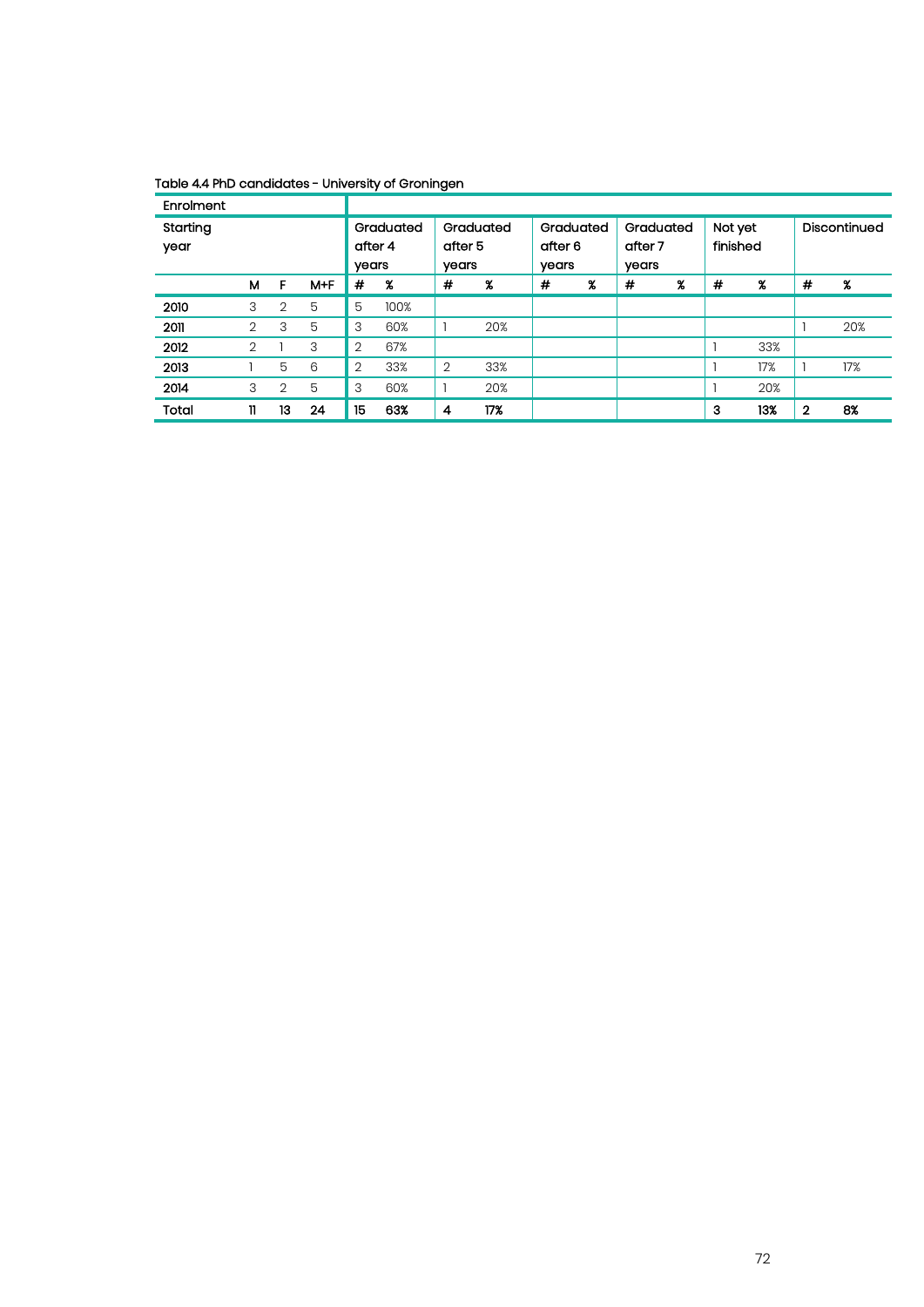#### Table 4.4 PhD candidates - University of Groningen

| Enrolment        |              |                |         |                  |           |                  |                     |                               |                     |                               |                     |                     |                     |              |              |
|------------------|--------------|----------------|---------|------------------|-----------|------------------|---------------------|-------------------------------|---------------------|-------------------------------|---------------------|---------------------|---------------------|--------------|--------------|
| Starting<br>year |              |                |         | after 4<br>years | Graduated | after 5<br>years | Graduated           | Graduated<br>after 6<br>years |                     | Graduated<br>after 7<br>years |                     | Not yet<br>finished |                     |              | Discontinued |
|                  | м            | F              | $M + F$ | #                | %         | #                | $\boldsymbol{\chi}$ | #                             | $\boldsymbol{\chi}$ | #                             | $\boldsymbol{\chi}$ | #                   | $\boldsymbol{\chi}$ | #            | %            |
| 2010             | 3            | 2              | 5       | 5                | 100%      |                  |                     |                               |                     |                               |                     |                     |                     |              |              |
| 2011             | 2            | 3              | 5       | 3                | 60%       |                  | 20%                 |                               |                     |                               |                     |                     |                     |              | 20%          |
| 2012             | 2            |                | 3       | 2                | 67%       |                  |                     |                               |                     |                               |                     |                     | 33%                 |              |              |
| 2013             |              | 5              | 6       | $\overline{2}$   | 33%       | $\overline{2}$   | 33%                 |                               |                     |                               |                     |                     | 17%                 |              | 17%          |
| 2014             | 3            | $\overline{2}$ | 5       | 3                | 60%       |                  | 20%                 |                               |                     |                               |                     |                     | 20%                 |              |              |
| Total            | $\mathbf{u}$ | 13             | 24      | 15               | 63%       | 4                | 17%                 |                               |                     |                               |                     | з                   | 13%                 | $\mathbf{2}$ | 8%           |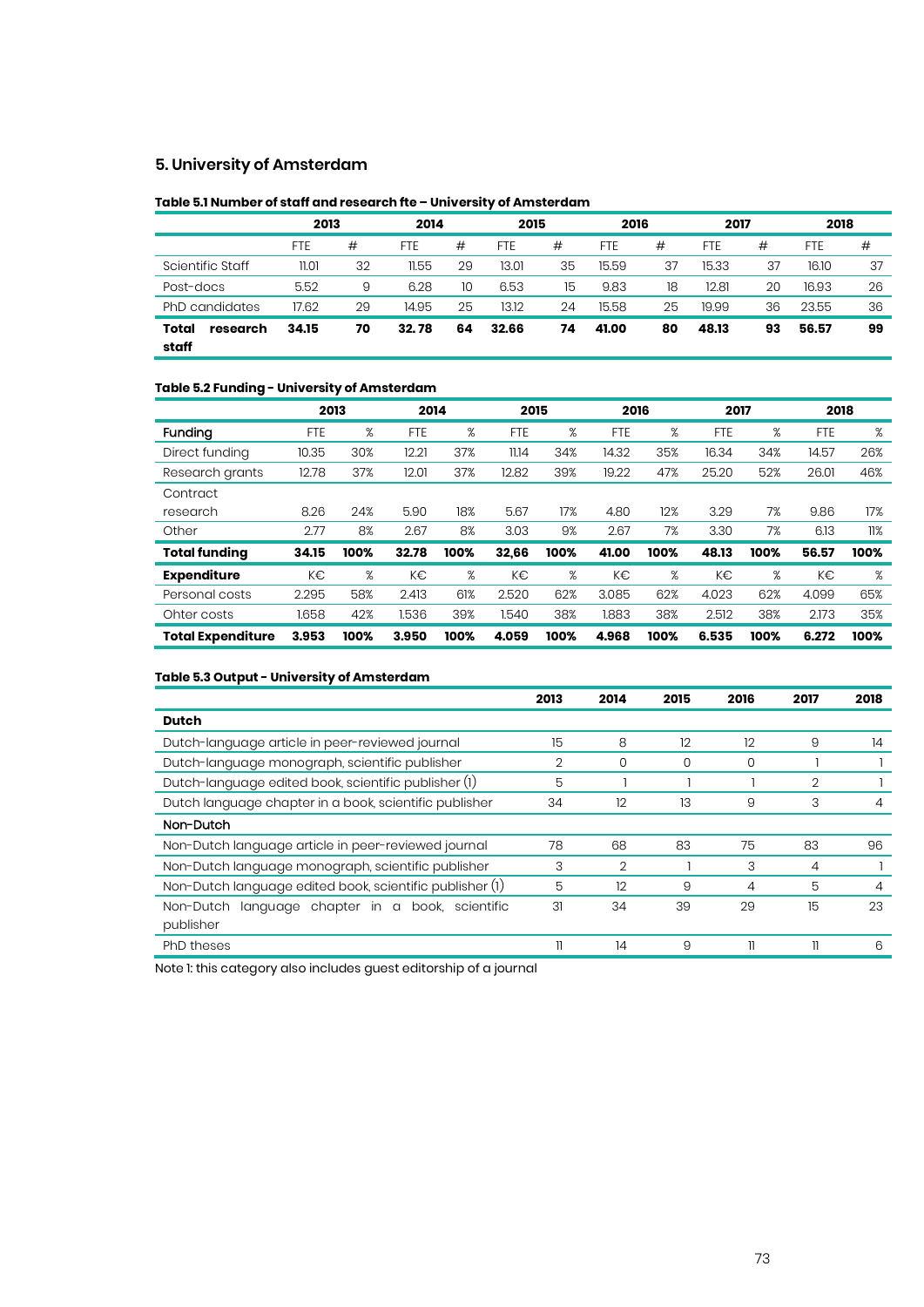#### **5. University of Amsterdam**

#### **Table 5.1 Number of staff and research fte – University of Amsterdam**

|                            | 2013       |    | 2014       |    | 2015       |    | 2016  |    | 2017       |    | 2018  |    |
|----------------------------|------------|----|------------|----|------------|----|-------|----|------------|----|-------|----|
|                            | <b>FTE</b> | #  | <b>FTE</b> | #  | <b>FTE</b> | #  | FTE   | #  | <b>FTE</b> | #  | FTE   | #  |
| Scientific Staff           | 11.01      | 32 | 11.55      | 29 | 13.01      | 35 | 15.59 | 37 | 15.33      | 37 | 16.10 | 37 |
| Post-docs                  | 5.52       | 9  | 6.28       | 10 | 6.53       | 15 | 9.83  | 18 | 12.81      | 20 | 16.93 | 26 |
| PhD candidates             | 17.62      | 29 | 14.95      | 25 | 13.12      | 24 | 15.58 | 25 | 19.99      | 36 | 23.55 | 36 |
| Total<br>research<br>staff | 34.15      | 70 | 32.78      | 64 | 32.66      | 74 | 41.00 | 80 | 48.13      | 93 | 56.57 | 99 |

#### **Table 5.2 Funding - University of Amsterdam**

|                          | 2013       |      | 2014       |      | 2015       |      | 2016       |      | 2017       |      | 2018       |      |
|--------------------------|------------|------|------------|------|------------|------|------------|------|------------|------|------------|------|
| Funding                  | <b>FTE</b> | %    | <b>FTE</b> | %    | <b>FTE</b> | %    | <b>FTE</b> | %    | <b>FTE</b> | %    | <b>FTE</b> | %    |
| Direct funding           | 10.35      | 30%  | 12.21      | 37%  | 11.14      | 34%  | 14.32      | 35%  | 16.34      | 34%  | 14.57      | 26%  |
| Research grants          | 12.78      | 37%  | 12.01      | 37%  | 12.82      | 39%  | 19.22      | 47%  | 25.20      | 52%  | 26.01      | 46%  |
| Contract                 |            |      |            |      |            |      |            |      |            |      |            |      |
| research                 | 8.26       | 24%  | 5.90       | 18%  | 5.67       | 17%  | 4.80       | 12%  | 3.29       | 7%   | 9.86       | 17%  |
| Other                    | 2.77       | 8%   | 2.67       | 8%   | 3.03       | 9%   | 2.67       | 7%   | 3.30       | 7%   | 6.13       | 11%  |
| <b>Total funding</b>     | 34.15      | 100% | 32.78      | 100% | 32,66      | 100% | 41.00      | 100% | 48.13      | 100% | 56.57      | 100% |
| <b>Expenditure</b>       | K€         | %    | K€         | ℅    | K€         | %    | K€         | %    | K€         | %    | K€         | %    |
| Personal costs           | 2.295      | 58%  | 2.413      | 61%  | 2.520      | 62%  | 3.085      | 62%  | 4.023      | 62%  | 4.099      | 65%  |
| Ohter costs              | 1.658      | 42%  | 1.536      | 39%  | 1.540      | 38%  | 1.883      | 38%  | 2.512      | 38%  | 2.173      | 35%  |
| <b>Total Expenditure</b> | 3.953      | 100% | 3.950      | 100% | 4.059      | 100% | 4.968      | 100% | 6.535      | 100% | 6.272      | 100% |

#### **Table 5.3 Output - University of Amsterdam**

|                                                          | 2013 | 2014           | 2015 | 2016 | 2017 | 2018 |
|----------------------------------------------------------|------|----------------|------|------|------|------|
| <b>Dutch</b>                                             |      |                |      |      |      |      |
| Dutch-language article in peer-reviewed journal          | 15   | 8              | 12   | 12   | 9    | 14   |
| Dutch-language monograph, scientific publisher           | 2    | 0              | 0    | 0    |      |      |
| Dutch-language edited book, scientific publisher (1)     | 5    |                |      |      | 2    |      |
| Dutch language chapter in a book, scientific publisher   | 34   | 12             | 13   | 9    | 3    |      |
| Non-Dutch                                                |      |                |      |      |      |      |
| Non-Dutch language article in peer-reviewed journal      | 78   | 68             | 83   | 75   | 83   | 96   |
| Non-Dutch language monograph, scientific publisher       | 3    | $\overline{2}$ |      | 3    | 4    |      |
| Non-Dutch language edited book, scientific publisher (1) | 5    | 12             | 9    | 4    | 5    | 4    |
| language chapter in a<br>Non-Dutch<br>book, scientific   | 31   | 34             | 39   | 29   | 15   | 23   |
| publisher                                                |      |                |      |      |      |      |
| PhD theses                                               |      | 14             | 9    | 11   | 11   | 6    |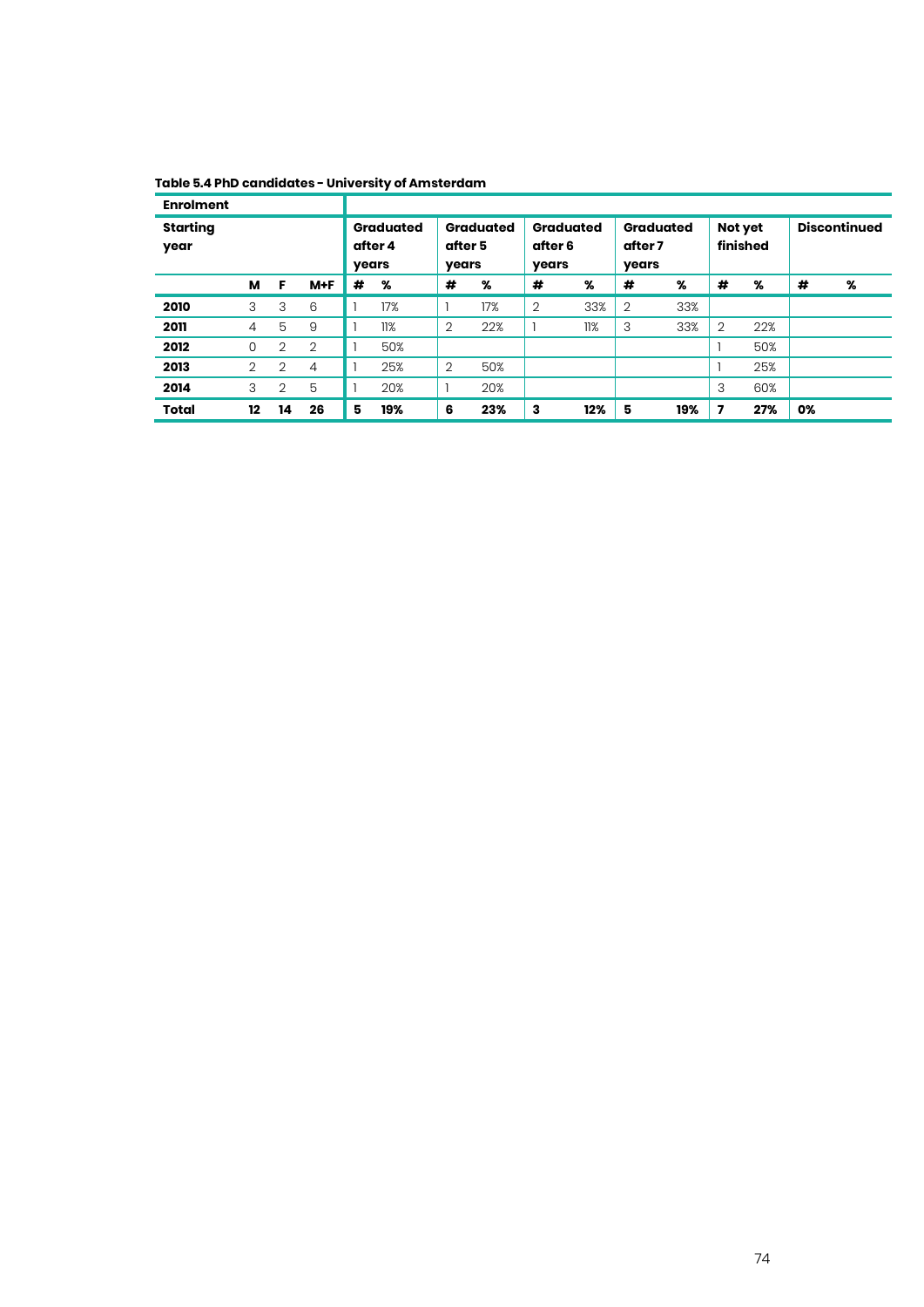| Table 5.4 PhD candidates - University of Amsterdam |
|----------------------------------------------------|
|----------------------------------------------------|

| <b>Enrolment</b>        |                |                                      |                |                                      |     |                                      |     |                                      |     |                     |     |                         |     |    |   |
|-------------------------|----------------|--------------------------------------|----------------|--------------------------------------|-----|--------------------------------------|-----|--------------------------------------|-----|---------------------|-----|-------------------------|-----|----|---|
| <b>Starting</b><br>year |                | <b>Graduated</b><br>after 4<br>years |                | <b>Graduated</b><br>after 5<br>years |     | <b>Graduated</b><br>after 6<br>years |     | <b>Graduated</b><br>after 7<br>years |     | Not yet<br>finished |     | <b>Discontinued</b>     |     |    |   |
|                         | м              | F                                    | $M + F$        | #                                    | %   | #                                    | %   | #                                    | %   | #                   | %   | #                       | %   | #  | % |
| 2010                    | 3              | 3                                    | 6              |                                      | 17% |                                      | 17% | $\overline{2}$                       | 33% | $\overline{2}$      | 33% |                         |     |    |   |
| 2011                    | $\overline{4}$ | 5                                    | 9              |                                      | 11% | $\overline{2}$                       | 22% |                                      | 11% | 3                   | 33% | $\overline{2}$          | 22% |    |   |
| 2012                    | 0              | 2                                    | 2              |                                      | 50% |                                      |     |                                      |     |                     |     |                         | 50% |    |   |
| 2013                    | $\overline{2}$ | 2                                    | $\overline{4}$ |                                      | 25% | $\overline{2}$                       | 50% |                                      |     |                     |     |                         | 25% |    |   |
| 2014                    | 3              | $\overline{2}$                       | 5              |                                      | 20% |                                      | 20% |                                      |     |                     |     | 3                       | 60% |    |   |
| <b>Total</b>            | 12             | 14                                   | 26             | 5                                    | 19% | 6                                    | 23% | 3                                    | 12% | 5                   | 19% | $\overline{\mathbf{z}}$ | 27% | 0% |   |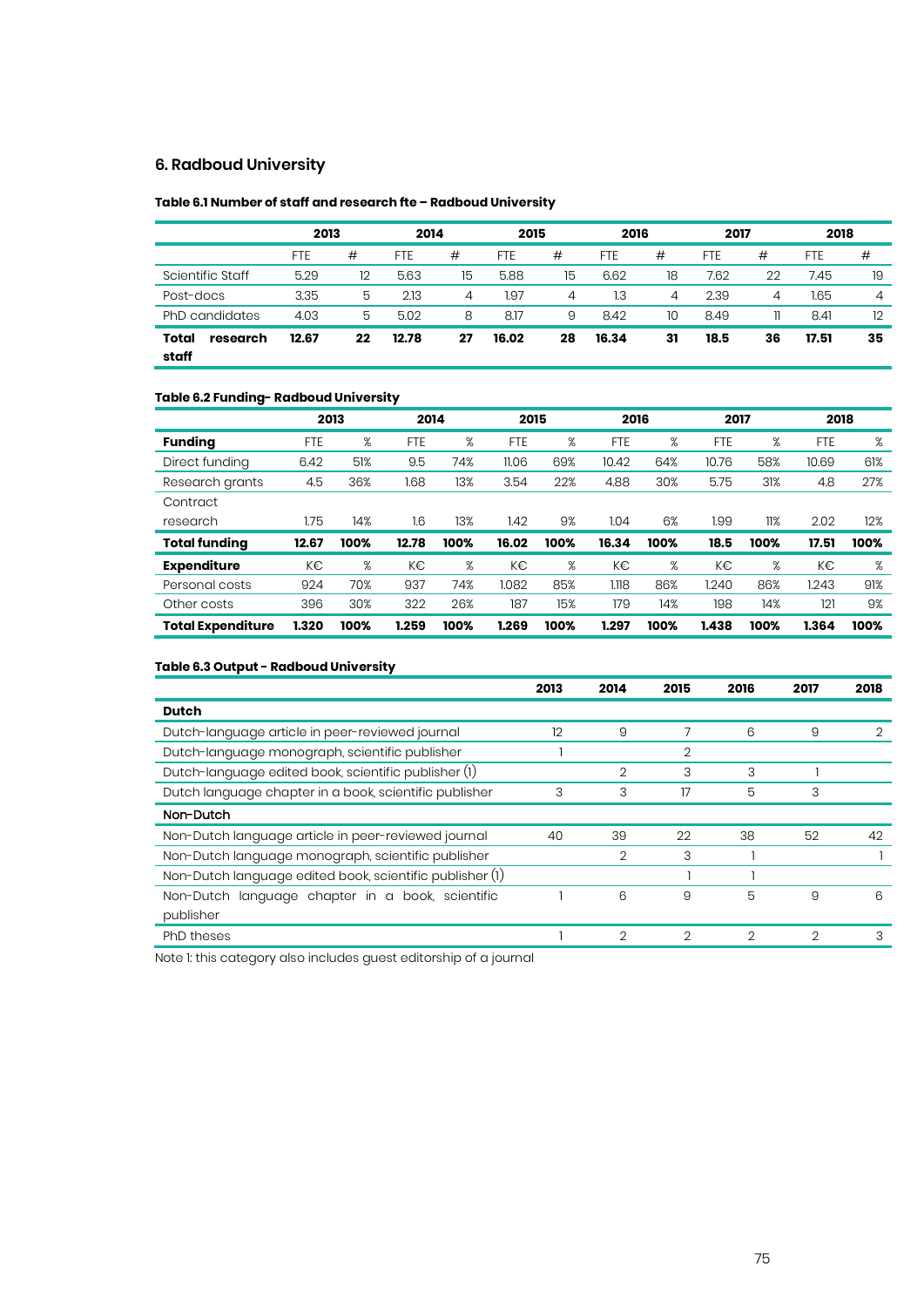#### **6. Radboud University**

#### **Table 6.1 Number of staff and research fte – Radboud University**

|                            | 2013       |    | 2014       |    |            | 2015 |            | 2016 |            | 2017 |       | 2018           |
|----------------------------|------------|----|------------|----|------------|------|------------|------|------------|------|-------|----------------|
|                            | <b>FTE</b> | #  | <b>FTE</b> | #  | <b>FTE</b> | #    | <b>FTE</b> | #    | <b>FTE</b> | #    | FTE   | #              |
| Scientific Staff           | 5.29       | 12 | 5.63       | 15 | 5.88       | 15   | 6.62       | 18   | 7.62       | 22   | 7.45  | 19             |
| Post-docs                  | 3.35       | 5  | 2.13       | 4  | 1.97       | 4    | 1.3        | 4    | 2.39       | 4    | 1.65  | $\overline{4}$ |
| PhD candidates             | 4.03       | 5  | 5.02       | 8  | 8.17       | 9    | 8.42       | 10   | 8.49       | 11.  | 8.41  | 12             |
| Total<br>research<br>staff | 12.67      | 22 | 12.78      | 27 | 16.02      | 28   | 16.34      | 31   | 18.5       | 36   | 17.51 | 35             |

#### **Table 6.2 Funding- Radboud University**

|                          |            | 2013 | 2014       |      | 2015       |      | 2016  |      | 2017       |      | 2018       |      |
|--------------------------|------------|------|------------|------|------------|------|-------|------|------------|------|------------|------|
| <b>Funding</b>           | <b>FTE</b> | %    | <b>FTE</b> | %    | <b>FTE</b> | %    | FTE   | %    | <b>FTE</b> | %    | <b>FTE</b> | %    |
| Direct funding           | 6.42       | 51%  | 9.5        | 74%  | 11.06      | 69%  | 10.42 | 64%  | 10.76      | 58%  | 10.69      | 61%  |
| Research grants          | 4.5        | 36%  | 1.68       | 13%  | 3.54       | 22%  | 4.88  | 30%  | 5.75       | 31%  | 4.8        | 27%  |
| Contract                 |            |      |            |      |            |      |       |      |            |      |            |      |
| research                 | 1.75       | 14%  | 16         | 13%  | 1.42       | 9%   | 1.04  | 6%   | 1.99       | 11%  | 2.02       | 12%  |
| <b>Total funding</b>     | 12.67      | 100% | 12.78      | 100% | 16.02      | 100% | 16.34 | 100% | 18.5       | 100% | 17.51      | 100% |
| <b>Expenditure</b>       | K€         | %    | K€         | %    | K€         | %    | K€    | %    | K€         | %    | K€         | %    |
| Personal costs           | 924        | 70%  | 937        | 74%  | 1.082      | 85%  | 1.118 | 86%  | 1.240      | 86%  | 1.243      | 91%  |
| Other costs              | 396        | 30%  | 322        | 26%  | 187        | 15%  | 179   | 14%  | 198        | 14%  | 121        | 9%   |
| <b>Total Expenditure</b> | 1.320      | 100% | 1.259      | 100% | 1.269      | 100% | 1.297 | 100% | 1.438      | 100% | 1.364      | 100% |

#### **Table 6.3 Output - Radboud University**

| 2013 | 2014           | 2015 | 2016           | 2017 | 2018 |
|------|----------------|------|----------------|------|------|
|      |                |      |                |      |      |
| 12   | 9              |      | 6              | 9    | 2    |
|      |                | 2    |                |      |      |
|      | $\overline{2}$ | 3    | 3              |      |      |
| 3    | 3              | 17   | 5              | 3    |      |
|      |                |      |                |      |      |
| 40   | 39             | 22   | 38             | 52   | 42   |
|      | 2              | 3    |                |      |      |
|      |                |      |                |      |      |
|      | 6              | 9    | 5              | 9    | 6    |
|      |                |      |                |      |      |
|      | 2              | 2    | $\overline{2}$ | 2    | 3    |
|      |                |      |                |      |      |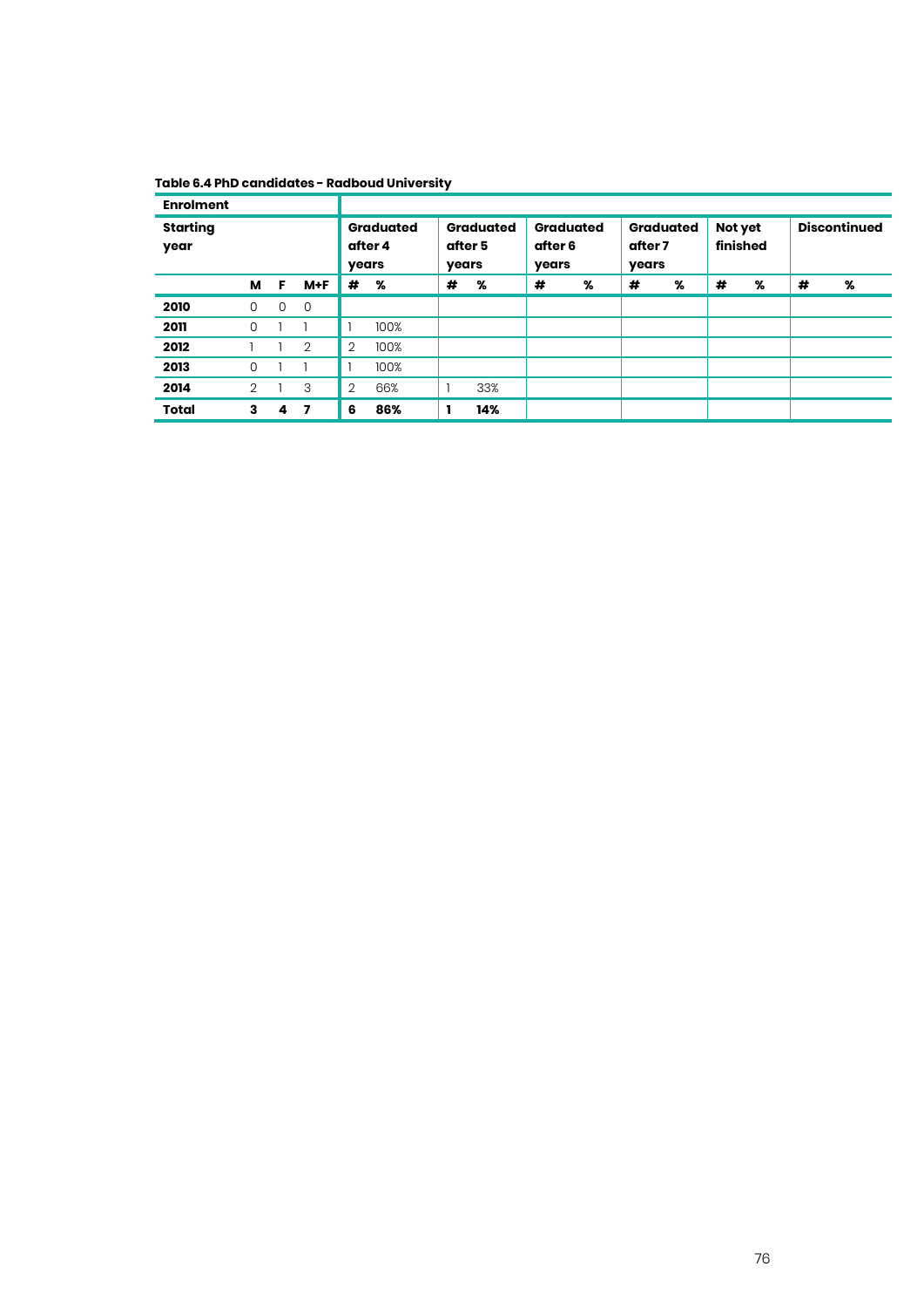#### **Table 6.4 PhD candidates - Radboud University**

| <b>Enrolment</b>        |                |                                                                              |                         |                                      |      |                                      |     |                     |   |                     |   |   |   |   |   |
|-------------------------|----------------|------------------------------------------------------------------------------|-------------------------|--------------------------------------|------|--------------------------------------|-----|---------------------|---|---------------------|---|---|---|---|---|
| <b>Starting</b><br>year |                | <b>Graduated</b><br><b>Graduated</b><br>after 5<br>after 4<br>years<br>years |                         | <b>Graduated</b><br>after 6<br>years |      | <b>Graduated</b><br>after 7<br>years |     | Not yet<br>finished |   | <b>Discontinued</b> |   |   |   |   |   |
|                         | м              | F                                                                            | $M+F$                   | #                                    | %    | #                                    | %   | #                   | % | #                   | % | # | % | # | % |
| 2010                    | 0              | 0                                                                            | 0                       |                                      |      |                                      |     |                     |   |                     |   |   |   |   |   |
| 2011                    | 0              |                                                                              |                         |                                      | 100% |                                      |     |                     |   |                     |   |   |   |   |   |
| 2012                    |                |                                                                              | $\overline{2}$          | $\overline{2}$                       | 100% |                                      |     |                     |   |                     |   |   |   |   |   |
| 2013                    | 0              |                                                                              |                         |                                      | 100% |                                      |     |                     |   |                     |   |   |   |   |   |
| 2014                    | $\overline{2}$ |                                                                              | 3                       | $\overline{2}$                       | 66%  |                                      | 33% |                     |   |                     |   |   |   |   |   |
| <b>Total</b>            | 3              | 4                                                                            | $\overline{\mathbf{z}}$ | 6                                    | 86%  |                                      | 14% |                     |   |                     |   |   |   |   |   |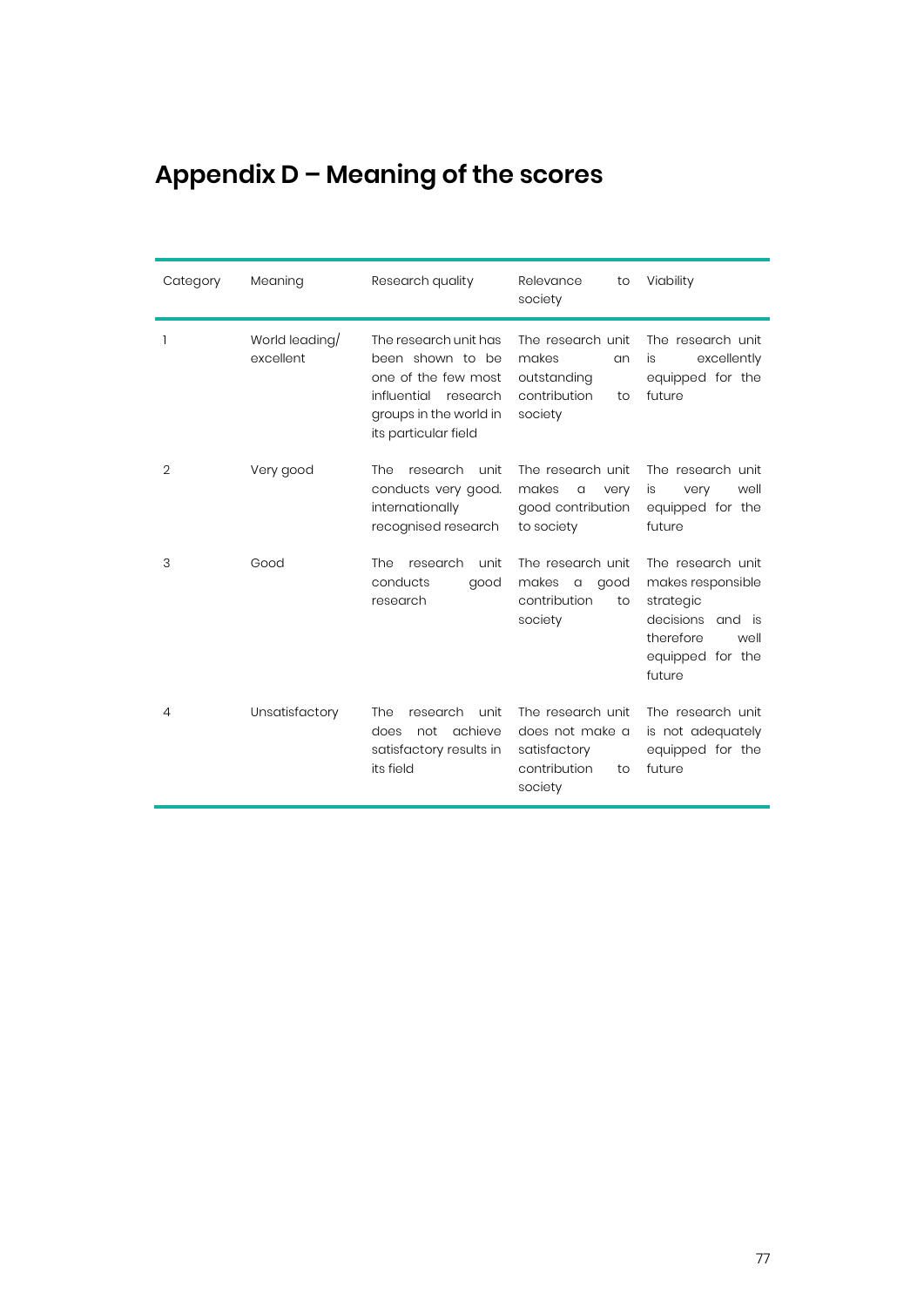# **Appendix D – Meaning of the scores**

| Category       | Meaning                     | Research quality                                                                                                                              | Relevance<br>to<br>society                                                            | Viability                                                                                                                     |
|----------------|-----------------------------|-----------------------------------------------------------------------------------------------------------------------------------------------|---------------------------------------------------------------------------------------|-------------------------------------------------------------------------------------------------------------------------------|
| 1              | World leading/<br>excellent | The research unit has<br>been shown to be<br>one of the few most<br>influential<br>research<br>groups in the world in<br>its particular field | The research unit<br>makes<br>an<br>outstanding<br>contribution<br>to<br>society      | The research unit<br>excellently<br>is<br>equipped for the<br>future                                                          |
| $\overline{2}$ | Very good                   | research<br><b>The</b><br>unit<br>conducts very good.<br>internationally<br>recognised research                                               | The research unit<br>makes<br>a<br>very<br>good contribution<br>to society            | The research unit<br>well<br>is<br>very<br>equipped for the<br>future                                                         |
| 3              | Good                        | research<br>The<br>unit<br>conducts<br>good<br>research                                                                                       | The research unit<br>makes<br>$\alpha$<br>good<br>contribution<br>to<br>society       | The research unit<br>makes responsible<br>strategic<br>decisions<br>and is<br>therefore<br>well<br>equipped for the<br>future |
| 4              | Unsatisfactory              | The<br>research<br>unit<br>achieve<br>does<br>not<br>satisfactory results in<br>its field                                                     | The research unit<br>does not make a<br>satisfactory<br>contribution<br>to<br>society | The research unit<br>is not adequately<br>equipped for the<br>future                                                          |